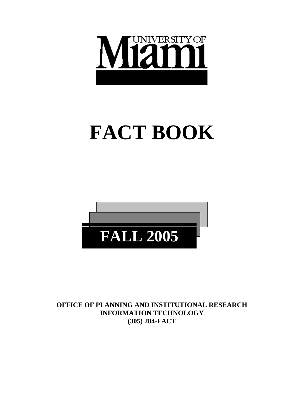

# **FACT BOOK**



**OFFICE OF PLANNING AND INSTITUTIONAL RESEARCH INFORMATION TECHNOLOGY (305) 284-FACT**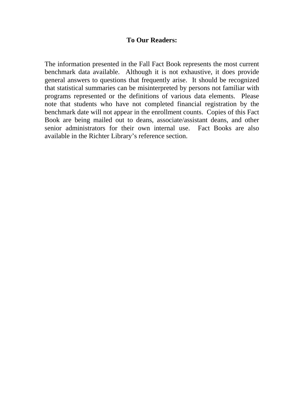# **To Our Readers:**

The information presented in the Fall Fact Book represents the most current benchmark data available. Although it is not exhaustive, it does provide general answers to questions that frequently arise. It should be recognized that statistical summaries can be misinterpreted by persons not familiar with programs represented or the definitions of various data elements. Please note that students who have not completed financial registration by the benchmark date will not appear in the enrollment counts. Copies of this Fact Book are being mailed out to deans, associate/assistant deans, and other senior administrators for their own internal use. Fact Books are also available in the Richter Library's reference section.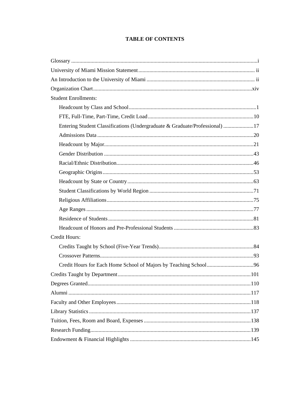# **TABLE OF CONTENTS**

| <b>Student Enrollments:</b>                                                 |  |
|-----------------------------------------------------------------------------|--|
|                                                                             |  |
|                                                                             |  |
| Entering Student Classifications (Undergraduate & Graduate/Professional) 17 |  |
|                                                                             |  |
|                                                                             |  |
|                                                                             |  |
|                                                                             |  |
|                                                                             |  |
|                                                                             |  |
|                                                                             |  |
|                                                                             |  |
|                                                                             |  |
|                                                                             |  |
|                                                                             |  |
| <b>Credit Hours:</b>                                                        |  |
|                                                                             |  |
|                                                                             |  |
|                                                                             |  |
|                                                                             |  |
|                                                                             |  |
|                                                                             |  |
|                                                                             |  |
|                                                                             |  |
|                                                                             |  |
|                                                                             |  |
|                                                                             |  |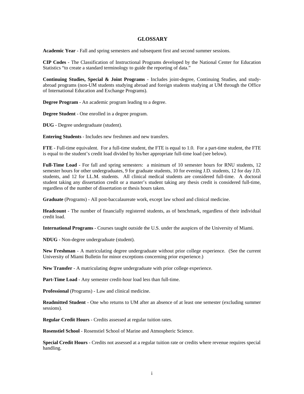#### **GLOSSARY**

**Academic Year** - Fall and spring semesters and subsequent first and second summer sessions.

**CIP Codes** - The Classification of Instructional Programs developed by the National Center for Education Statistics "to create a standard terminology to guide the reporting of data."

**Continuing Studies, Special & Joint Programs** - Includes joint-degree, Continuing Studies, and studyabroad programs (non-UM students studying abroad and foreign students studying at UM through the Office of International Education and Exchange Programs).

**Degree Program** - An academic program leading to a degree.

**Degree Student** - One enrolled in a degree program.

**DUG** - Degree undergraduate (student).

**Entering Students** - Includes new freshmen and new transfers.

**FTE** - Full-time equivalent. For a full-time student, the FTE is equal to 1.0. For a part-time student, the FTE is equal to the student's credit load divided by his/her appropriate full-time load (see below).

**Full-Time Load** - For fall and spring semesters: a minimum of 10 semester hours for RNU students, 12 semester hours for other undergraduates, 9 for graduate students, 10 for evening J.D. students, 12 for day J.D. students, and 12 for LL.M. students. All clinical medical students are considered full-time. A doctoral student taking any dissertation credit or a master's student taking any thesis credit is considered full-time, regardless of the number of dissertation or thesis hours taken.

**Graduate** (Programs) - All post-baccalaureate work, except law school and clinical medicine.

**Headcount** - The number of financially registered students, as of benchmark, regardless of their individual credit load.

**International Programs** - Courses taught outside the U.S. under the auspices of the University of Miami.

**NDUG** - Non-degree undergraduate (student).

**New Freshman** - A matriculating degree undergraduate without prior college experience. (See the current University of Miami Bulletin for minor exceptions concerning prior experience.)

**New Transfer** - A matriculating degree undergraduate with prior college experience.

**Part-Time Load** - Any semester credit-hour load less than full-time.

**Professional** (Programs) - Law and clinical medicine.

**Readmitted Student** - One who returns to UM after an absence of at least one semester (excluding summer sessions).

**Regular Credit Hours** - Credits assessed at regular tuition rates.

**Rosenstiel School** - Rosenstiel School of Marine and Atmospheric Science.

**Special Credit Hours** - Credits not assessed at a regular tuition rate or credits where revenue requires special handling.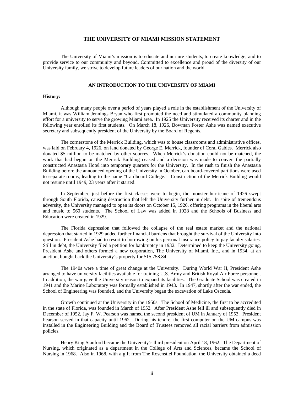#### **THE UNIVERSITY OF MIAMI MISSION STATEMENT**

The University of Miami's mission is to educate and nurture students, to create knowledge, and to provide service to our community and beyond. Committed to excellence and proud of the diversity of our University family, we strive to develop future leaders of our nation and the world.

#### **AN INTRODUCTION TO THE UNIVERSITY OF MIAMI**

#### **History:**

 Although many people over a period of years played a role in the establishment of the University of Miami, it was William Jennings Bryan who first promoted the need and stimulated a community planning effort for a university to serve the growing Miami area. In 1925 the University received its charter and in the following year enrolled its first students. On March 18, 1926, Bowman Foster Ashe was named executive secretary and subsequently president of the University by the Board of Regents.

 The cornerstone of the Merrick Building, which was to house classrooms and administrative offices, was laid on February 4, 1926, on land donated by George E. Merrick, founder of Coral Gables. Merrick also donated \$5 million to be matched by other sources. When Merrick's donation could not be matched, the work that had begun on the Merrick Building ceased and a decision was made to convert the partially constructed Anastasia Hotel into temporary quarters for the University. In the rush to finish the Anastasia Building before the announced opening of the University in October, cardboard-covered partitions were used to separate rooms, leading to the name "Cardboard College." Construction of the Merrick Building would not resume until 1949, 23 years after it started.

 In September, just before the first classes were to begin, the monster hurricane of 1926 swept through South Florida, causing destruction that left the University further in debt. In spite of tremendous adversity, the University managed to open its doors on October 15, 1926, offering programs in the liberal arts and music to 560 students. The School of Law was added in 1928 and the Schools of Business and Education were created in 1929.

 The Florida depression that followed the collapse of the real estate market and the national depression that started in 1929 added further financial burdens that brought the survival of the University into question. President Ashe had to resort to borrowing on his personal insurance policy to pay faculty salaries. Still in debt, the University filed a petition for bankruptcy in 1932. Determined to keep the University going, President Ashe and others formed a new corporation, The University of Miami, Inc., and in 1934, at an auction, bought back the University's property for \$15,758.84.

 The 1940s were a time of great change at the University. During World War II, President Ashe arranged to have university facilities available for training U.S. Army and British Royal Air Force personnel. In addition, the war gave the University reason to expand its facilities. The Graduate School was created in 1941 and the Marine Laboratory was formally established in 1943. In 1947, shortly after the war ended, the School of Engineering was founded, and the University began the excavation of Lake Osceola.

 Growth continued at the University in the 1950s. The School of Medicine, the first to be accredited in the state of Florida, was founded in March of 1952. After President Ashe fell ill and subsequently died in December of 1952, Jay F. W. Pearson was named the second president of UM in January of 1953. President Pearson served in that capacity until 1962. During his tenure, the first computer on the UM campus was installed in the Engineering Building and the Board of Trustees removed all racial barriers from admission policies.

 Henry King Stanford became the University's third president on April 18, 1962. The Department of Nursing, which originated as a department in the College of Arts and Sciences, became the School of Nursing in 1968. Also in 1968, with a gift from The Rosenstiel Foundation, the University obtained a deed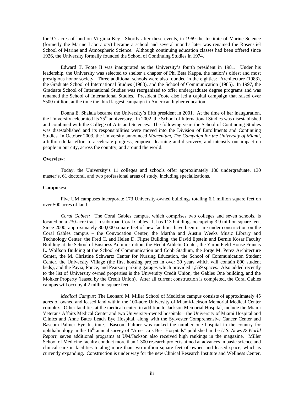for 9.7 acres of land on Virginia Key. Shortly after these events, in 1969 the Institute of Marine Science (formerly the Marine Laboratory) became a school and several months later was renamed the Rosenstiel School of Marine and Atmospheric Science. Although continuing education classes had been offered since 1926, the University formally founded the School of Continuing Studies in 1974.

 Edward T. Foote II was inaugurated as the University's fourth president in 1981. Under his leadership, the University was selected to shelter a chapter of Phi Beta Kappa, the nation's oldest and most prestigious honor society. Three additional schools were also founded in the eighties: Architecture (1983), the Graduate School of International Studies (1983), and the School of Communication (1985). In 1997, the Graduate School of International Studies was reorganized to offer undergraduate degree programs and was renamed the School of International Studies. President Foote also led a capital campaign that raised over \$500 million, at the time the third largest campaign in American higher education.

Donna E. Shalala became the University's fifth president in 2001. At the time of her inauguration, the University celebrated its 75<sup>th</sup> anniversary. In 2002, the School of International Studies was disestablished and combined with the College of Arts and Sciences. The following year, the School of Continuing Studies was disestablished and its responsibilities were moved into the Division of Enrollments and Continuing Studies. In October 2003, the University announced *Momentum, The Campaign for the University of Miami*, a billion-dollar effort to accelerate progress, empower learning and discovery, and intensify our impact on people in our city, across the country, and around the world.

#### **Overview:**

 Today, the University's 11 colleges and schools offer approximately 180 undergraduate, 130 master's, 61 doctoral, and two professional areas of study, including specializations.

#### **Campuses:**

 Five UM campuses incorporate 173 University-owned buildings totaling 6.1 million square feet on over 500 acres of land.

*Coral Gables:* The Coral Gables campus, which comprises two colleges and seven schools, is located on a 230-acre tract in suburban Coral Gables. It has 113 buildings occupying 3.9 million square feet. Since 2000, approximately 800,000 square feet of new facilities have been or are under construction on the Coral Gables campus – the Convocation Center, the Martha and Austin Weeks Music Library and Technology Center, the Fred C. and Helen D. Flipse Building, the David Epstein and Bernie Kosar Faculty Building at the School of Business Administration, the Hecht Athletic Center, the Yaron Field House Francis L. Wolfson Building at the School of Communication and Cobb Stadium, the Jorge M. Perez Architecture Center, the M. Christine Schwartz Center for Nursing Education, the School of Communication Student Center, the University Village (the first housing project in over 30 years which will contain 800 student beds), and the Pavia, Ponce, and Pearson parking garages which provided 1,559 spaces. Also added recently to the list of University owned properties is the University Credit Union, the Gables One building, and the Mohker Property (leased by the Credit Union). After all current construction is completed, the Coral Gables campus will occupy 4.2 million square feet.

*Medical Campus:* The Leonard M. Miller School of Medicine campus consists of approximately 45 acres of owned and leased land within the 100-acre University of Miami/Jackson Memorial Medical Center complex. Other facilities at the medical center, in addition to Jackson Memorial Hospital, include the Miami Veterans Affairs Medical Center and two University-owned hospitals—the University of Miami Hospital and Clinics and Anne Bates Leach Eye Hospital, along with the Sylvester Comprehensive Cancer Center and Bascom Palmer Eye Institute. Bascom Palmer was ranked the number one hospital in the country for ophthalmology in the 16<sup>th</sup> annual survey of "America's Best Hospitals" published in the *U.S. News & World Report*; seven additional programs at UM/Jackson also received high rankings in the magazine. Miller School of Medicine faculty conduct more than 1,300 research projects aimed at advances in basic science and clinical care in facilities totaling more than two million square feet of owned and leased space, which is currently expanding. Construction is under way for the new Clinical Research Institute and Wellness Center,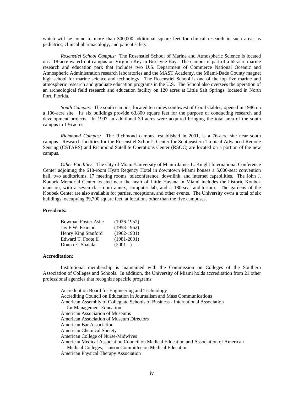which will be home to more than 300,000 additional square feet for clinical research in such areas as pediatrics, clinical pharmacology, and patient safety.

*Rosenstiel School Campus:* The Rosenstiel School of Marine and Atmospheric Science is located on a 18-acre waterfront campus on Virginia Key in Biscayne Bay. The campus is part of a 65-acre marine research and education park that includes two U.S. Department of Commerce National Oceanic and Atmospheric Administration research laboratories and the MAST Academy, the Miami-Dade County magnet high school for marine science and technology. The Rosenstiel School is one of the top five marine and atmospheric research and graduate education programs in the U.S. The School also oversees the operation of an archeological field research and education facility on 120 acres at Little Salt Springs, located in North Port, Florida.

*South Campus:* The south campus, located ten miles southwest of Coral Gables, opened in 1986 on a 106-acre site. Its six buildings provide 63,800 square feet for the purpose of conducting research and development projects. In 1997 an additional 30 acres were acquired bringing the total area of the south campus to 136 acres.

*Richmond Campus:* The Richmond campus, established in 2001, is a 76-acre site near south campus. Research facilities for the Rosenstiel School's Center for Southeastern Tropical Advanced Remote Sensing (CSTARS) and Richmond Satellite Operations Center (RSOC) are located on a portion of the new campus.

*Other Facilities*: The City of Miami/University of Miami James L. Knight International Conference Center adjoining the 618-room Hyatt Regency Hotel in downtown Miami houses a 5,000-seat convention hall, two auditoriums, 17 meeting rooms, teleconference, downlink, and internet capabilities. The John J. Koubek Memorial Center located near the heart of Little Havana in Miami includes the historic Koubek mansion, with a seven-classroom annex, computer lab, and a 180-seat auditorium. The gardens of the Koubek Center are also available for parties, receptions, and other events. The University owns a total of six buildings, occupying 39,700 square feet, at locations other than the five campuses.

#### **Presidents:**

| Bowman Foster Ashe  | $(1926-1952)$   |
|---------------------|-----------------|
| Jay F.W. Pearson    | $(1953-1962)$   |
| Henry King Stanford | $(1962 - 1981)$ |
| Edward T. Foote II  | $(1981 - 2001)$ |
| Donna E. Shalala    | $(2001 - )$     |

#### **Accreditation:**

 Institutional membership is maintained with the Commission on Colleges of the Southern Association of Colleges and Schools. In addition, the University of Miami holds accreditation from 21 other professional agencies that recognize specific programs:

 Accreditation Board for Engineering and Technology Accrediting Council on Education in Journalism and Mass Communications American Assembly of Collegiate Schools of Business - International Association for Management Education American Association of Museums American Association of Museum Directors American Bar Association American Chemical Society American College of Nurse-Midwives American Medical Association Council on Medical Education and Association of American Medical Colleges, Liaison Committee on Medical Education American Physical Therapy Association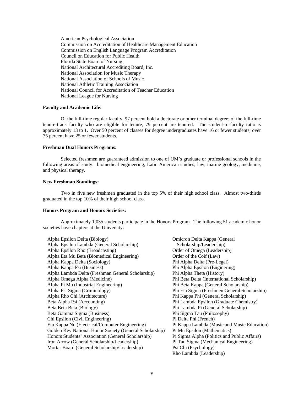American Psychological Association Commission on Accreditation of Healthcare Management Education Commission on English Language Program Accreditation Council on Education for Public Health Florida State Board of Nursing National Architectural Accrediting Board, Inc. National Association for Music Therapy National Association of Schools of Music National Athletic Training Association National Council for Accreditation of Teacher Education National League for Nursing

#### **Faculty and Academic Life:**

 Of the full-time regular faculty, 97 percent hold a doctorate or other terminal degree; of the full-time tenure-track faculty who are eligible for tenure, 79 percent are tenured. The student-to-faculty ratio is approximately 13 to 1. Over 50 percent of classes for degree undergraduates have 16 or fewer students; over 75 percent have 25 or fewer students.

#### **Freshman Dual Honors Programs:**

 Selected freshmen are guaranteed admission to one of UM's graduate or professional schools in the following areas of study: biomedical engineering, Latin American studies, law, marine geology, medicine, and physical therapy.

#### **New Freshman Standings:**

 Two in five new freshmen graduated in the top 5% of their high school class. Almost two-thirds graduated in the top 10% of their high school class.

#### **Honors Program and Honors Societies:**

 Approximately 1,035 students participate in the Honors Program. The following 51 academic honor societies have chapters at the University:

| Alpha Epsilon Delta (Biology)                           | Omicron Delta Kappa (General                 |
|---------------------------------------------------------|----------------------------------------------|
| Alpha Epsilon Lambda (General Scholarship)              | Scholarship/Leadership)                      |
| Alpha Epsilon Rho (Broadcasting)                        | Order of Omega (Leadership)                  |
| Alpha Eta Mu Beta (Biomedical Engineering)              | Order of the Coif (Law)                      |
| Alpha Kappa Delta (Sociology)                           | Phi Alpha Delta (Pre-Legal)                  |
| Alpha Kappa Psi (Business)                              | Phi Alpha Epsilon (Enginering)               |
| Alpha Lambda Delta (Freshman General Scholarship)       | Phi Alpha Theta (History)                    |
| Alpha Omega Alpha (Medicine)                            | Phi Beta Delta (International Scholarship)   |
| Alpha Pi Mu (Industrial Engineering)                    | Phi Beta Kappa (General Scholarship)         |
| Alpha Psi Sigma (Criminology)                           | Phi Eta Sigma (Freshmen General Scholarship) |
| Alpha Rho Chi (Architecture)                            | Phi Kappa Phi (General Scholarship)          |
| Beta Alpha Psi (Accounting)                             | Phi Lambda Epsilon (Graduate Chemistry)      |
| Beta Beta Beta (Biology)                                | Phi Lambda Pi (General Scholarship)          |
| Beta Gamma Sigma (Business)                             | Phi Sigma Tau (Philosophy)                   |
| Chi Epsilon (Civil Engineering)                         | Pi Delta Phi (French)                        |
| Eta Kappa Nu (Electrical/Computer Engineering)          | Pi Kappa Lambda (Music and Music Education)  |
| Golden Key National Honor Society (General Scholarship) | Pi Mu Epsilon (Mathematics)                  |
| Honors Students' Association (General Scholarship)      | Pi Sigma Alpha (Politics and Public Affairs) |
| Iron Arrow (General Scholarship/Leadership)             | Pi Tau Sigma (Mechanical Engineering)        |
| Mortar Board (General Scholarship/Leadership)           | Psi Chi (Psychology)                         |
|                                                         | Rho Lambda (Leadership)                      |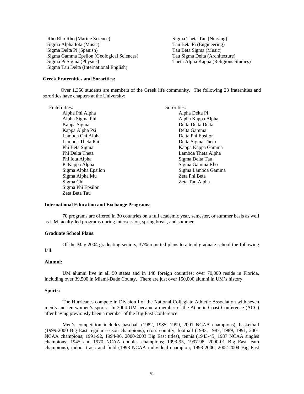Rho Rho Rho (Marine Science) Sigma Alpha Iota (Music) Sigma Delta Pi (Spanish) Sigma Gamma Epsilon (Geological Sciences) Sigma Pi Sigma (Physics) Sigma Tau Delta (International English)

Sigma Theta Tau (Nursing) Tau Beta Pi (Engineering) Tau Beta Sigma (Music) Tau Sigma Delta (Architecture) Theta Alpha Kappa (Religious Studies)

#### **Greek Fraternities and Sororities:**

 Over 1,350 students are members of the Greek life community. The following 28 fraternities and sororities have chapters at the University:

Fraternities:

 Alpha Phi Alpha Alpha Sigma Phi Kappa Sigma Kappa Alpha Psi Lambda Chi Alpha Lambda Theta Phi Phi Beta Sigma Phi Delta Theta Phi Iota Alpha Pi Kappa Alpha Sigma Alpha Epsilon Sigma Alpha Mu Sigma Chi Sigma Phi Epsilon Zeta Beta Tau

Sororities: Alpha Delta Pi Alpha Kappa Alpha Delta Delta Delta Delta Gamma Delta Phi Epsilon Delta Sigma Theta Kappa Kappa Gamma Lambda Theta Alpha Sigma Delta Tau Sigma Gamma Rho Sigma Lambda Gamma Zeta Phi Beta Zeta Tau Alpha

#### **International Education and Exchange Programs:**

 70 programs are offered in 30 countries on a full academic year, semester, or summer basis as well as UM faculty-led programs during intersession, spring break, and summer.

#### **Graduate School Plans:**

 Of the May 2004 graduating seniors, 37% reported plans to attend graduate school the following fall.

#### **Alumni:**

 UM alumni live in all 50 states and in 148 foreign countries; over 70,000 reside in Florida, including over 39,500 in Miami-Dade County. There are just over 150,000 alumni in UM's history.

#### **Sports:**

 The Hurricanes compete in Division I of the National Collegiate Athletic Association with seven men's and ten women's sports. In 2004 UM became a member of the Atlantic Coast Conference (ACC) after having previously been a member of the Big East Conference.

Men's competition includes baseball (1982, 1985, 1999, 2001 NCAA champions), basketball (1999-2000 Big East regular season champions), cross country, football (1983, 1987, 1989, 1991, 2001 NCAA champions; 1991-92, 1994-96, 2000-2003 Big East titles), tennis (1943-45, 1987 NCAA singles champions; 1945 and 1970 NCAA doubles champions; 1993-95, 1997-98, 2000-01 Big East team champions), indoor track and field (1998 NCAA individual champion; 1993-2000, 2002-2004 Big East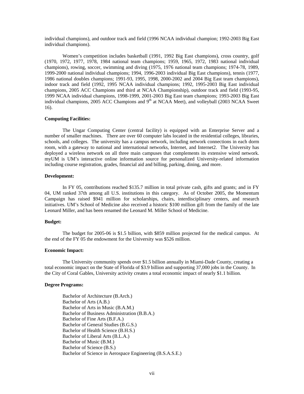individual champions), and outdoor track and field (1996 NCAA individual champion; 1992-2003 Big East individual champions).

 Women's competition includes basketball (1991, 1992 Big East champions), cross country, golf (1970, 1972, 1977, 1978, 1984 national team champions; 1959, 1965, 1972, 1983 national individual champions), rowing, soccer, swimming and diving (1975, 1976 national team champions; 1974-78, 1989, 1999-2000 national individual champions; 1994, 1996-2003 individual Big East champions), tennis (1977, 1986 national doubles champions; 1991-93, 1995, 1998, 2000-2002 and 2004 Big East team champions), indoor track and field (1992, 1995 NCAA individual champions; 1992, 1995-2003 Big East individual champions, 2005 ACC Champions and third at NCAA Championship), outdoor track and field (1993-95, 1999 NCAA individual champions, 1998-1999, 2001-2003 Big East team champions; 1993-2003 Big East individual champions, 2005 ACC Champions and  $9<sup>th</sup>$  at NCAA Meet), and volleyball (2003 NCAA Sweet 16).

#### **Computing Facilities:**

 The Ungar Computing Center (central facility) is equipped with an Enterprise Server and a number of smaller machines. There are over 60 computer labs located in the residential colleges, libraries, schools, and colleges. The university has a campus network, including network connections in each dorm room, with a gateway to national and international networks, Internet, and Internet2. The University has deployed a wireless network on all three main campuses that complements its extensive wired network. myUM is UM's interactive online information source for personalized University-related information including course registration, grades, financial aid and billing, parking, dining, and more.

#### **Development:**

 In FY 05, contributions reached \$135.7 million in total private cash, gifts and grants; and in FY 04, UM ranked 37th among all U.S. institutions in this category. As of October 2005, the Momentum Campaign has raised \$941 million for scholarships, chairs, interdisciplinary centers, and research initiatives. UM's School of Medicine also received a historic \$100 million gift from the family of the late Leonard Miller, and has been renamed the Leonard M. Miller School of Medicine.

#### **Budget:**

 The budget for 2005-06 is \$1.5 billion, with \$859 million projected for the medical campus. At the end of the FY 05 the endowment for the University was \$526 million.

#### **Economic Impact:**

The University community spends over \$1.5 billion annually in Miami-Dade County, creating a total economic impact on the State of Florida of \$3.9 billion and supporting 37,000 jobs in the County. In the City of Coral Gables, University activity creates a total economic impact of nearly \$1.1 billion.

#### **Degree Programs:**

 Bachelor of Architecture (B.Arch.) Bachelor of Arts (A.B.) Bachelor of Arts in Music (B.A.M.) Bachelor of Business Administration (B.B.A.) Bachelor of Fine Arts (B.F.A.) Bachelor of General Studies (B.G.S.) Bachelor of Health Science (B.H.S.) Bachelor of Liberal Arts (B.L.A.) Bachelor of Music (B.M.) Bachelor of Science (B.S.) Bachelor of Science in Aerospace Engineering (B.S.A.S.E.)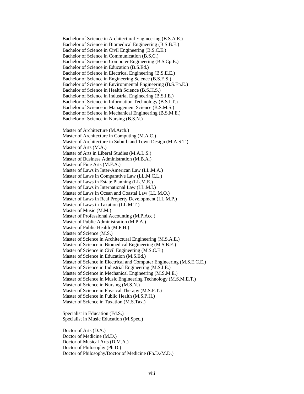Bachelor of Science in Architectural Engineering (B.S.A.E.) Bachelor of Science in Biomedical Engineering (B.S.B.E.) Bachelor of Science in Civil Engineering (B.S.C.E.) Bachelor of Science in Communication (B.S.C.) Bachelor of Science in Computer Engineering (B.S.Cp.E.) Bachelor of Science in Education (B.S.Ed.) Bachelor of Science in Electrical Engineering (B.S.E.E.) Bachelor of Science in Engineering Science (B.S.E.S.) Bachelor of Science in Environmental Engineering (B.S.En.E.) Bachelor of Science in Health Science (B.S.H.S.) Bachelor of Science in Industrial Engineering (B.S.I.E.) Bachelor of Science in Information Technology (B.S.I.T.) Bachelor of Science in Management Science (B.S.M.S.) Bachelor of Science in Mechanical Engineering (B.S.M.E.) Bachelor of Science in Nursing (B.S.N.) Master of Architecture (M.Arch.) Master of Architecture in Computing (M.A.C.) Master of Architecture in Suburb and Town Design (M.A.S.T.) Master of Arts (M.A.) Master of Arts in Liberal Studies (M.A.L.S.) Master of Business Administration (M.B.A.) Master of Fine Arts (M.F.A.) Master of Laws in Inter-American Law (LL.M.A.) Master of Laws in Comparative Law (LL.M.C.L.) Master of Laws in Estate Planning (LL.M.E.) Master of Laws in International Law (LL.M.I.) Master of Laws in Ocean and Coastal Law (LL.M.O.) Master of Laws in Real Property Development (LL.M.P.) Master of Laws in Taxation (LL.M.T.) Master of Music (M.M.) Master of Professional Accounting (M.P.Acc.) Master of Public Administration (M.P.A.) Master of Public Health (M.P.H.) Master of Science (M.S.) Master of Science in Architectural Engineering (M.S.A.E.) Master of Science in Biomedical Engineering (M.S.B.E.) Master of Science in Civil Engineering (M.S.C.E.) Master of Science in Education (M.S.Ed.) Master of Science in Electrical and Computer Engineering (M.S.E.C.E.) Master of Science in Industrial Engineering (M.S.I.E.) Master of Science in Mechanical Engineering (M.S.M.E.) Master of Science in Music Engineering Technology (M.S.M.E.T.) Master of Science in Nursing (M.S.N.) Master of Science in Physical Therapy (M.S.P.T.) Master of Science in Public Health (M.S.P.H.) Master of Science in Taxation (M.S.Tax.) Specialist in Education (Ed.S.)

Specialist in Music Education (M.Spec.)

Doctor of Arts (D.A.) Doctor of Medicine (M.D.) Doctor of Musical Arts (D.M.A.) Doctor of Philosophy (Ph.D.) Doctor of Philosophy/Doctor of Medicine (Ph.D./M.D.)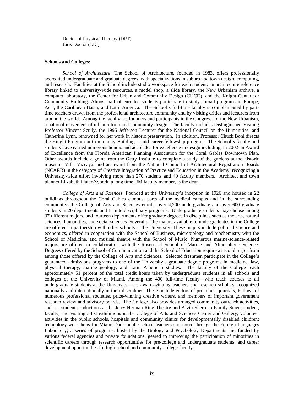Doctor of Physical Therapy (DPT) Juris Doctor (J.D.)

#### **Schools and Colleges:**

*School of Architecture*: The School of Architecture, founded in 1983, offers professionally accredited undergraduate and graduate degrees, with specializations in suburb and town design, computing, and research. Facilities at the School include studio workspace for each student, an architecture reference library linked to university-wide resources, a model shop, a slide library, the New Urbanism archive, a computer laboratory, the Center for Urban and Community Design (CUCD), and the Knight Center for Community Building. Almost half of enrolled students participate in study-abroad programs in Europe, Asia, the Caribbean Basin, and Latin America. The School's full-time faculty is complemented by parttime teachers drawn from the professional architecture community and by visiting critics and lecturers from around the world. Among the faculty are founders and participants in the Congress for the New Urbanism, a national movement of urban reform and community design. The faculty includes Distinguished Visiting Professor Vincent Scully, the 1995 Jefferson Lecturer for the National Council on the Humanities; and Catherine Lynn, renowned for her work in historic preservation. In addition, Professor Chuck Bohl directs the Knight Program in Community Building, a mid-career fellowship program. The School's faculty and students have earned numerous honors and accolades for excellence in design including, in 2002 an Award of Excellence from the Florida American Planning Association for the Coral Gables Downtown Plan. Other awards include a grant from the Getty Institute to complete a study of the gardens at the historic museum, Villa Vizcaya; and an award from the National Council of Architectural Registration Boards (NCARB) in the category of Creative Integration of Practice and Education in the Academy, recognizing a University-wide effort involving more than 270 students and 40 faculty members. Architect and town planner Elizabeth Plater-Zyberk, a long time UM faculty member, is the dean.

*College of Arts and Sciences*: Founded at the University's inception in 1926 and housed in 22 buildings throughout the Coral Gables campus, parts of the medical campus and in the surrounding community, the College of Arts and Sciences enrolls over 4,200 undergraduate and over 600 graduate students in 20 departments and 11 interdisciplinary programs. Undergraduate students may choose among 37 different majors, and fourteen departments offer graduate degrees in disciplines such as the arts, natural sciences, humanities, and social sciences. Several of the majors available to undergraduates in the College are offered in partnership with other schools at the University. These majors include political science and economics, offered in cooperation with the School of Business, microbiology and biochemistry with the School of Medicine, and musical theatre with the School of Music. Numerous marine-science-related majors are offered in collaboration with the Rosenstiel School of Marine and Atmospheric Science. Degrees offered by the School of Communication and the School of Education require a second major from among those offered by the College of Arts and Sciences. Selected freshmen participate in the College's guaranteed admissions programs to one of the University's graduate degree programs in medicine, law, physical therapy, marine geology, and Latin American studies. The faculty of the College teach approximately 51 percent of the total credit hours taken by undergraduate students in all schools and colleges of the University of Miami. Among the 400 full-time faculty—who teach courses to all undergraduate students at the University—are award-winning teachers and research scholars, recognized nationally and internationally in their disciplines. These include editors of prominent journals, Fellows of numerous professional societies, prize-winning creative writers, and members of important government research review and advisory boards. The College also provides arranged community outreach activities, such as student productions at the Jerry Herman Ring Theatre and Alvin Sherman Family Stage; student, faculty, and visiting artist exhibitions in the College of Arts and Sciences Center and Gallery; volunteer activities in the public schools, hospitals and community clinics for developmentally disabled children; technology workshops for Miami-Dade public school teachers sponsored through the Foreign Languages Laboratory; a series of programs, hosted by the Biology and Psychology Departments and funded by various federal agencies and private foundations, geared to improving the participation of minorities in scientific careers through research opportunities for pre-college and undergraduate students; and career development opportunities for high-school and community-college faculty.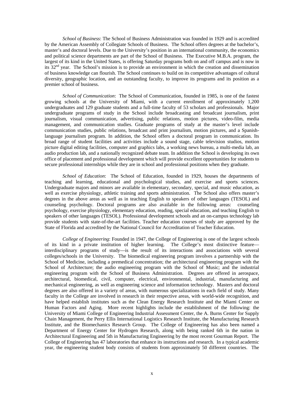*School of Business*: The School of Business Administration was founded in 1929 and is accredited by the American Assembly of Collegiate Schools of Business. The School offers degrees at the bachelor's, master's and doctoral levels. Due to the University's position in an international community, the economics and political science departments are part of the School of Business. The Executive M.B.A. program, the largest of its kind in the United States, is offering Saturday programs both on and off campus and is now in its 32<sup>nd</sup> year. The School's mission is to provide an environment in which the creation and dissemination of business knowledge can flourish. The School continues to build on its competitive advantages of cultural diversity, geographic location, and an outstanding faculty, to improve its programs and its position as a premier school of business.

*School of Communication*: The School of Communication, founded in 1985, is one of the fastest growing schools at the University of Miami, with a current enrollment of approximately 1,200 undergraduates and 129 graduate students and a full-time faculty of 53 scholars and professionals. Major undergraduate programs of study in the School include broadcasting and broadcast journalism, print journalism, visual communication, advertising, public relations, motion pictures, video-film, media management, and communication studies. Graduate programs of study at the master's level include communication studies, public relations, broadcast and print journalism, motion pictures, and a Spanishlanguage journalism program. In addition, the School offers a doctoral program in communication. Its broad range of student facilities and activities include a sound stage, cable television studios, motion picture digital editing facilities, computer and graphics labs, a working news bureau, a multi-media lab, an audio production lab, and a nationally recognized debate team. In addition the School is developing its own office of placement and professional development which will provide excellent opportunities for students to secure professional internships while they are in school and professional positions when they graduate.

*School of Education*: The School of Education, founded in 1929, houses the departments of teaching and learning, educational and psychological studies, and exercise and sports sciences. Undergraduate majors and minors are available in elementary, secondary, special, and music education, as well as exercise physiology, athletic training and sports administration. The School also offers master's degrees in the above areas as well as in teaching English to speakers of other languages (TESOL) and counseling psychology. Doctoral programs are also available in the following areas: counseling psychology, exercise physiology, elementary education, reading, special education, and teaching English to speakers of other languages (TESOL). Professional development schools and an on-campus technology lab provide students with state-of-the-art facilities. Teacher education courses of study are approved by the State of Florida and accredited by the National Council for Accreditation of Teacher Education.

*College of Engineering*: Founded in 1947, the College of Engineering is one of the largest schools of its kind in a private institution of higher learning. The College's most distinctive feature interdisciplinary programs of study—is the result of its interactions and associations with several colleges/schools in the University. The biomedical engineering program involves a partnership with the School of Medicine, including a premedical concentration; the architectural engineering program with the School of Architecture; the audio engineering program with the School of Music; and the industrial engineering program with the School of Business Administration. Degrees are offered in aerospace, architectural, biomedical, civil, computer, electrical, environmental, industrial, manufacturing and mechanical engineering, as well as engineering science and information technology. Masters and doctoral degrees are also offered in a variety of areas, with numerous specializations in each field of study. Many faculty in the College are involved in research in their respective areas, with world-wide recognition, and have helped establish institutes such as the Clean Energy Research Institute and the Miami Center on Human Factors and Aging. More recent highlights include the establishment of the following: the University of Miami College of Engineering Industrial Assessment Center, the A. Burns Center for Supply Chain Management, the Perry Ellis International Logistics Research Institute, the Manufacturing Research Institute, and the Biomechanics Research Group. The College of Engineering has also been named a Department of Energy Center for Hydrogen Research, along with being ranked 6th in the nation in Architectural Engineering and 5th in Manufacturing Engineering by the most recent Gourman Report. The College of Engineering has 47 laboratories that enhance its instructions and research. In a typical academic year, the engineering student body consists of students from approximately 50 different countries. The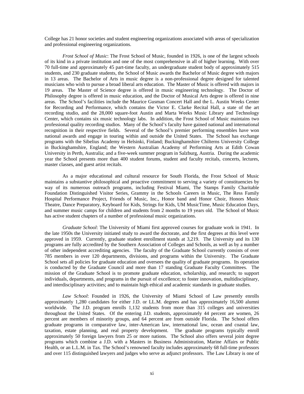College has 21 honor societies and student engineering organizations associated with areas of specialization and professional engineering organizations.

*Frost School of Music*: The Frost School of Music, founded in 1926, is one of the largest schools of its kind in a private institution and one of the most comprehensive in all of higher learning. With over 70 full-time and approximately 45 part-time faculty, an undergraduate student body of approximately 515 students, and 230 graduate students, the School of Music awards the Bachelor of Music degree with majors in 13 areas. The Bachelor of Arts in music degree is a non-professional degree designed for talented musicians who wish to pursue a broad liberal arts education. The Master of Music is offered with majors in 19 areas. The Master of Science degree is offered in music engineering technology. The Doctor of Philosophy degree is offered in music education, and the Doctor of Musical Arts degree is offered in nine areas. The School's facilities include the Maurice Gusman Concert Hall and the L. Austin Weeks Center for Recording and Performance, which contains the Victor E. Clarke Recital Hall, a state of the art recording studio, and the 28,000 square-foot Austin and Marta Weeks Music Library and Technology Center, which contains six music technology labs. In addition, the Frost School of Music maintains two professional quality recording studios. Many of the School's faculty have gained national and international recognition in their respective fields. Several of the School's premier performing ensembles have won national awards and engage in touring within and outside the United States. The School has exchange programs with the Sibelius Academy in Helsinki, Finland; Buckinghamshire Chilterns University College in Buckinghamshire, England; the Western Australian Academy of Performing Arts at Edith Cowan University in Perth, Australia; and a five-week summer program in Salzburg, Austria. During the academic year the School presents more than 400 student forums, student and faculty recitals, concerts, lectures, master classes, and guest artist recitals.

 As a major educational and cultural resource for South Florida, the Frost School of Music maintains a substantive philosophical and proactive commitment to serving a variety of constituencies by way of its numerous outreach programs, including Festival Miami, The Stamps Family Charitable Foundation Distinguished Visitor Series, Grammy in the Schools Careers in Music, The Ress Family Hospital Performance Project, Friends of Music, Inc., Honor band and Honor Choir, Honors Music Theatre, Dance Preparatory, Keyboard for Kids, Strings for Kids, UM MusicTime, Music Education Days, and summer music camps for children and students from 2 months to 19 years old. The School of Music has active student chapters of a number of professional music organizations.

*Graduate School*: The University of Miami first approved courses for graduate work in 1941. In the late 1950s the University initiated study to award the doctorate, and the first degrees at this level were approved in 1959. Currently, graduate student enrollment stands at 3,219. The University and its 130 programs are fully accredited by the Southern Association of Colleges and Schools, as well as by a number of other independent accrediting agencies. The faculty of the Graduate School currently consists of over 785 members in over 120 departments, divisions, and programs within the University. The Graduate School sets all policies for graduate education and oversees the quality of graduate programs. Its operation is conducted by the Graduate Council and more than 17 standing Graduate Faculty Committees. The mission of the Graduate School is to promote graduate education, scholarship, and research; to support individuals, departments, and programs in the pursuit of excellence; to foster innovation, multidisciplinary, and interdisciplinary activities; and to maintain high ethical and academic standards in graduate studies.

*Law School*: Founded in 1926, the University of Miami School of Law presently enrolls approximately 1,280 candidates for either J.D. or LL.M. degrees and has approximately 16,500 alumni worldwide. The J.D. program enrolls 1,132 students from more than 315 colleges and universities throughout the United States. Of the entering J.D. students, approximately 44 percent are women, 26 percent are members of minority groups, and 64 percent are from outside Florida. The School offers graduate programs in comparative law, inter-American law, international law, ocean and coastal law, taxation, estate planning, and real property development. The graduate programs typically enroll approximately 50 foreign lawyers from 25 or more nations. The School also offers several joint degree programs which combine a J.D. with a Masters in Business Administration, Marine Affairs or Public Health, or an L.L.M. in Tax. The School's renowned faculty includes approximately 68 full-time professors and over 115 distinguished lawyers and judges who serve as adjunct professors. The Law Library is one of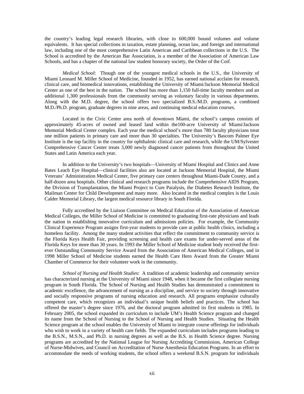the country's leading legal research libraries, with close to 600,000 bound volumes and volume equivalents. It has special collections in taxation, estate planning, ocean law, and foreign and international law, including one of the most comprehensive Latin American and Caribbean collections in the U.S. The School is accredited by the American Bar Association, is a member of the Association of American Law Schools, and has a chapter of the national law student honorary society, the Order of the Coif.

*Medical School*: Though one of the youngest medical schools in the U.S., the University of Miami Leonard M. Miller School of Medicine, founded in 1952, has earned national acclaim for research, clinical care, and biomedical innovations, establishing the University of Miami/Jackson Memorial Medical Center as one of the best in the nation. The school has more than 1,150 full-time faculty members and an additional 1,300 professionals from the community serving as voluntary faculty in various departments. Along with the M.D. degree, the school offers two specialized B.S./M.D. programs, a combined M.D./Ph.D. program, graduate degrees in nine areas, and continuing medical education courses.

 Located in the Civic Center area north of downtown Miami, the school's campus consists of approximately 45-acres of owned and leased land within the100-acre University of Miami/Jackson Memorial Medical Center complex. Each year the medical school's more than 780 faculty physicians treat one million patients in primary care and more than 30 specialties. The University's Bascom Palmer Eye Institute is the top facility in the country for ophthalmic clinical care and research, while the UM/Sylvester Comprehensive Cancer Center treats 3,000 newly diagnosed cancer patients from throughout the United States and Latin America each year.

 In addition to the University's two hospitals—University of Miami Hospital and Clinics and Anne Bates Leach Eye Hospital—clinical facilities also are located at Jackson Memorial Hospital, the Miami Veterans' Administration Medical Center, five primary care centers throughout Miami-Dade County, and a half-dozen area hospitals. Other clinical and research programs include the Comprehensive AIDS Program, the Division of Transplantation, the Miami Project to Cure Paralysis, the Diabetes Research Institute, the Mailman Center for Child Development and many more. Also located in the medical complex is the Louis Calder Memorial Library, the largest medical resource library in South Florida.

 Fully accredited by the Liaison Committee on Medical Education of the Association of American Medical Colleges, the Miller School of Medicine is committed to graduating first-rate physicians and leads the nation in establishing innovative curriculum and admissions policies. For example, the Community Clinical Experience Program assigns first-year students to provide care at public health clinics, including a homeless facility. Among the many student activities that reflect the commitment to community service is the Florida Keys Health Fair, providing screening and health care exams for under-served areas of the Florida Keys for more than 30 years. In 1993 the Miller School of Medicine student body received the firstever Outstanding Community Service Award from the Association of American Medical Colleges, and in 1998 Miller School of Medicine students earned the Health Care Hero Award from the Greater Miami Chamber of Commerce for their volunteer work in the community.

 *School of Nursing and Health Studies*: A tradition of academic leadership and community service has characterized nursing at the University of Miami since 1948, when it became the first collegiate nursing program in South Florida. The School of Nursing and Health Studies has demonstrated a commitment to academic excellence, the advancement of nursing as a discipline, and service to society through innovative and socially responsive programs of nursing education and research. All programs emphasize culturally competent care, which recognizes an individual's unique health beliefs and practices. The school has offered the master's degree since 1976, and the doctoral program admitted its first students in 1985. In February 2005, the school expanded its curriculum to include UM's Health Science program and changed its name from the School of Nursing to the School of Nursing and Health Studies. Situating the Health Science program at the school enables the University of Miami to integrate course offerings for individuals who wish to work in a variety of health care fields. The expanded curriculum includes programs leading to the B.S.N., M.S.N., and Ph.D. in nursing degrees as well as the B.S. in Health Science degree. Nursing programs are accredited by the National League for Nursing Accrediting Commission, American College of Nurse-Midwives, and Council on Accreditation of Nurse Anesthesia Education Programs. In an effort to accommodate the needs of working students, the school offers a weekend B.S.N. program for individuals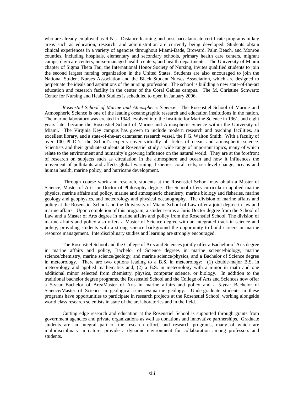who are already employed as R.N.s. Distance learning and post-baccalaureate certificate programs in key areas such as education, research, and administration are currently being developed. Students obtain clinical experiences in a variety of agencies throughout Miami-Dade, Broward, Palm Beach, and Monroe counties, including hospitals, elementary and secondary schools, primary health care centers, migrant camps, day-care centers, nurse-managed health centers, and health departments. The University of Miami chapter of Sigma Theta Tau, the International Honor Society of Nursing, invites qualified students to join the second largest nursing organization in the United States. Students are also encouraged to join the National Student Nurses Association and the Black Student Nurses Association, which are designed to perpetuate the ideals and aspirations of the nursing profession. The school is building a new state-of-the-art education and research facility in the center of the Coral Gables campus. The M. Christine Schwartz Center for Nursing and Health Studies is scheduled to open in January 2006.

*Rosenstiel School of Marine and Atmospheric Science*: The Rosenstiel School of Marine and Atmospheric Science is one of the leading oceanographic research and education institutions in the nation. The marine laboratory was created in 1943, evolved into the Institute for Marine Science in 1961, and eight years later became the Rosenstiel School of Marine and Atmospheric Science within the University of Miami. The Virginia Key campus has grown to include modern research and teaching facilities, an excellent library, and a state-of-the-art catamaran research vessel, the F.G. Walton Smith. With a faculty of over 100 Ph.D.'s, the School's experts cover virtually all fields of ocean and atmospheric science. Scientists and their graduate students at Rosenstiel study a wide range of important topics, many of which relate to the environment and humanity's growing influence on the natural world. They are at the forefront of research on subjects such as circulation in the atmosphere and ocean and how it influences the movement of pollutants and affects global warming, fisheries, coral reefs, sea level change, oceans and human health, marine policy, and hurricane development.

 Through course work and research, students at the Rosenstiel School may obtain a Master of Science, Master of Arts, or Doctor of Philosophy degree. The School offers curricula in applied marine physics, marine affairs and policy, marine and atmospheric chemistry, marine biology and fisheries, marine geology and geophysics, and meteorology and physical oceanography. The division of marine affairs and policy at the Rosenstiel School and the University of Miami School of Law offer a joint degree in law and marine affairs. Upon completion of this program, a student earns a Juris Doctor degree from the School of Law and a Master of Arts degree in marine affairs and policy from the Rosenstiel School. The division of marine affairs and policy also offers a Master of Science degree with an integrated track in science and policy, providing students with a strong science background the opportunity to build careers in marine resource management. Interdisciplinary studies and learning are strongly encouraged.

The Rosenstiel School and the College of Arts and Sciences jointly offer a Bachelor of Arts degree in marine affairs and policy, Bachelor of Science degrees in marine science/biology, marine science/chemistry, marine science/geology, and marine science/physics, and a Bachelor of Science degree in meteorology. There are two options leading to a B.S. in meteorology: (1) double-major B.S. in meteorology and applied mathematics and; (2) a B.S. in meteorology with a minor in math and one additional minor selected from chemistry, physics, computer science, or biology. In addition to the traditional bachelor degree programs, the Rosenstiel School and the College of Arts and Sciences now offer a 5-year Bachelor of Arts/Master of Arts in marine affairs and policy and a 5-year Bachelor of Science/Master of Science in geological sciences/marine geology. Undergraduate students in these programs have opportunities to participate in research projects at the Rosenstiel School, working alongside world class research scientists in state of the art laboratories and in the field.

Cutting edge research and education at the Rosenstiel School is supported through grants from government agencies and private organizations as well as donations and innovative partnerships. Graduate students are an integral part of the research effort, and research programs, many of which are multidisciplinary in nature, provide a dynamic environment for collaboration among professors and students.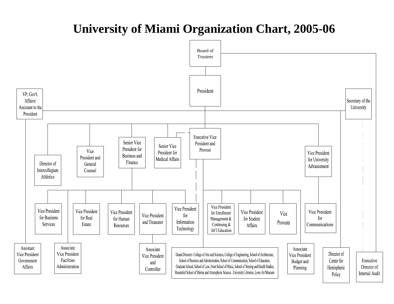# **University of Miami Organization Chart, 2005-06**

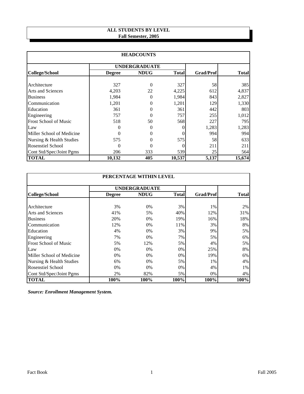# **ALL STUDENTS BY LEVEL Fall Semester, 2005**

| <b>HEADCOUNTS</b>            |               |                      |              |                  |              |  |  |
|------------------------------|---------------|----------------------|--------------|------------------|--------------|--|--|
|                              |               | <b>UNDERGRADUATE</b> |              |                  |              |  |  |
| <b>College/School</b>        | <b>Degree</b> | <b>NDUG</b>          | <b>Total</b> | <b>Grad/Prof</b> | <b>Total</b> |  |  |
| Architecture                 | 327           | 0                    | 327          | 58               | 385          |  |  |
| <b>Arts and Sciences</b>     | 4,203         | 22                   | 4,225        | 612              | 4,837        |  |  |
| <b>Business</b>              | 1,984         | 0                    | 1,984        | 843              | 2,827        |  |  |
| Communication                | 1,201         | 0                    | 1,201        | 129              | 1,330        |  |  |
| Education                    | 361           | 0                    | 361          | 442              | 803          |  |  |
| Engineering                  | 757           | 0                    | 757          | 255              | 1,012        |  |  |
| <b>Frost School of Music</b> | 518           | 50                   | 568          | 227              | 795          |  |  |
| Law                          |               |                      | $\Omega$     | 1,283            | 1,283        |  |  |
| Miller School of Medicine    | 0             |                      | 0            | 994              | 994          |  |  |
| Nursing & Health Studies     | 575           |                      | 575          | 58               | 633          |  |  |
| <b>Rosenstiel School</b>     | 0             |                      | $\theta$     | 211              | 211          |  |  |
| Cont Std/Spec/Joint Pgms     | 206           | 333                  | 539          | 25               | 564          |  |  |
| <b>TOTAL</b>                 | 10,132        | 405                  | 10,537       | 5,137            | 15,674       |  |  |

| PERCENTAGE WITHIN LEVEL      |               |                      |              |                  |              |  |  |
|------------------------------|---------------|----------------------|--------------|------------------|--------------|--|--|
|                              |               | <b>UNDERGRADUATE</b> |              |                  |              |  |  |
| College/School               | <b>Degree</b> | <b>NDUG</b>          | <b>Total</b> | <b>Grad/Prof</b> | <b>Total</b> |  |  |
|                              |               |                      |              |                  |              |  |  |
| Architecture                 | 3%            | $0\%$                | 3%           | 1%               | 2%           |  |  |
| Arts and Sciences            | 41%           | 5%                   | 40%          | 12%              | 31%          |  |  |
| <b>Business</b>              | 20%           | 0%                   | 19%          | 16%              | 18%          |  |  |
| Communication                | 12%           | $0\%$                | 11%          | 3%               | 8%           |  |  |
| Education                    | 4%            | $0\%$                | 3%           | 9%               | 5%           |  |  |
| Engineering                  | 7%            | 0%                   | 7%           | 5%               | 6%           |  |  |
| <b>Frost School of Music</b> | 5%            | 12%                  | 5%           | 4%               | 5%           |  |  |
| Law                          | $0\%$         | $0\%$                | 0%           | 25%              | 8%           |  |  |
| Miller School of Medicine    | $0\%$         | $0\%$                | 0%           | 19%              | 6%           |  |  |
| Nursing & Health Studies     | 6%            | $0\%$                | 5%           | 1%               | 4%           |  |  |
| <b>Rosenstiel School</b>     | $0\%$         | 0%                   | 0%           | 4%               | 1%           |  |  |
| Cont Std/Spec/Joint Pgms     | 2%            | 82%                  | 5%           | 0%               | 4%           |  |  |
| <b>TOTAL</b>                 | 100%          | 100%                 | 100%         | 100%             | 100%         |  |  |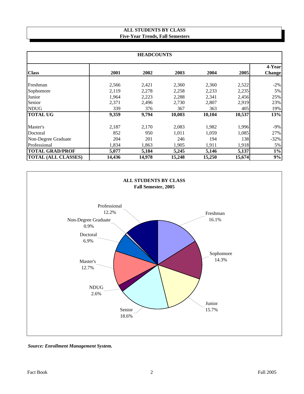# **ALL STUDENTS BY CLASS Five-Year Trends, Fall Semesters**

| <b>HEADCOUNTS</b>          |        |        |        |        |        |                          |  |
|----------------------------|--------|--------|--------|--------|--------|--------------------------|--|
| <b>Class</b>               | 2001   | 2002   | 2003   | 2004   | 2005   | 4-Yearl<br><b>Change</b> |  |
| Freshman                   | 2,566  | 2,421  | 2,360  | 2,360  | 2,522  | $-2\%$                   |  |
| Sophomore                  | 2,119  | 2,278  | 2,258  | 2,233  | 2,235  | $5\%$                    |  |
| Junior                     | 1,964  | 2,223  | 2,288  | 2,341  | 2,456  | 25%                      |  |
| Senior                     | 2,371  | 2,496  | 2,730  | 2,807  | 2,919  | 23%                      |  |
| <b>NDUG</b>                | 339    | 376    | 367    | 363    | 405    | 19%                      |  |
| <b>TOTAL UG</b>            | 9,359  | 9,794  | 10,003 | 10,104 | 10,537 | 13%                      |  |
| Master's                   | 2,187  | 2,170  | 2,083  | 1,982  | 1,996  | $-9\%$                   |  |
| Doctoral                   | 852    | 950    | 1,011  | 1,059  | 1,085  | 27%                      |  |
| Non-Degree Graduate        | 204    | 201    | 246    | 194    | 138    | $-32%$                   |  |
| Professional               | 1,834  | 1,863  | 1,905  | 1,911  | 1,918  | $5\%$                    |  |
| <b>TOTAL GRAD/PROF</b>     | 5,077  | 5,184  | 5,245  | 5,146  | 5,137  | $1\%$                    |  |
| <b>TOTAL (ALL CLASSES)</b> | 14,436 | 14,978 | 15,248 | 15,250 | 15,674 | 9%                       |  |



*Source: Enrollment Management System.*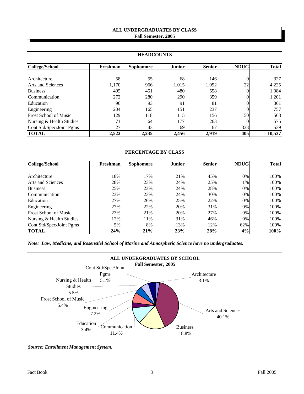# **ALL UNDERGRADUATES BY CLASS Fall Semester, 2005**

| <b>HEADCOUNTS</b>            |          |                  |               |               |             |              |  |  |
|------------------------------|----------|------------------|---------------|---------------|-------------|--------------|--|--|
| <b>College/School</b>        | Freshman | <b>Sophomore</b> | <b>Junior</b> | <b>Senior</b> | <b>NDUG</b> | <b>Total</b> |  |  |
| Architecture                 | 58       | 55               | 68            | 146           |             | 327          |  |  |
| <b>Arts and Sciences</b>     | 1,170    | 966              | 1.015         | 1,052         | 22          | 4,225        |  |  |
| <b>Business</b>              | 495      | 451              | 480           | 558           |             | 1,984        |  |  |
| Communication                | 272      | 280              | 290           | 359           |             | 1,201        |  |  |
| Education                    | 96       | 93               | 91            | 81            |             | 361          |  |  |
| Engineering                  | 204      | 165              | 151           | 237           |             | 757          |  |  |
| <b>Frost School of Music</b> | 129      | 118              | 115           | 156           | 50          | 568          |  |  |
| Nursing & Health Studies     | 71       | 64               | 177           | 263           |             | 575          |  |  |
| Cont Std/Spec/Joint Pgms     | 27       | 43               | 69            | 67            | 333         | 539          |  |  |
| <b>TOTAL</b>                 | 2,522    | 2,235            | 2,456         | 2,919         | 405         | 10,537       |  |  |

| PERCENTAGE BY CLASS          |          |                  |               |               |             |              |  |
|------------------------------|----------|------------------|---------------|---------------|-------------|--------------|--|
| College/School               | Freshman | <b>Sophomore</b> | <b>Junior</b> | <b>Senior</b> | <b>NDUG</b> | <b>Total</b> |  |
| Architecture                 | 18%      | 17%              | 21%           | 45%           | 0%          | 100%         |  |
| Arts and Sciences            | 28%      | 23%              | 24%           | 25%           | 1%          | 100%         |  |
| <b>Business</b>              | 25%      | 23%              | 24%           | 28%           | 0%          | 100%         |  |
| Communication                | 23%      | 23%              | 24%           | 30%           | 0%          | 100%         |  |
| Education                    | 27%      | 26%              | 25%           | 22%           | 0%          | 100%         |  |
| Engineering                  | 27%      | 22%              | 20%           | 31%           | 0%          | 100%         |  |
| <b>Frost School of Music</b> | 23%      | 21%              | 20%           | 27%           | 9%          | 100%         |  |
| Nursing & Health Studies     | 12%      | 11%              | 31%           | 46%           | 0%          | 100%         |  |
| Cont Std/Spec/Joint Pgms     | 5%       | 8%               | 13%           | 12%           | 62%         | 100%         |  |
| <b>TOTAL</b>                 | 24%      | 21%              | 23%           | 28%           | 4%          | 100%         |  |

*Note: Law, Medicine, and Rosenstiel School of Marine and Atmospheric Science have no undergraduates.*



*Source: Enrollment Management System.*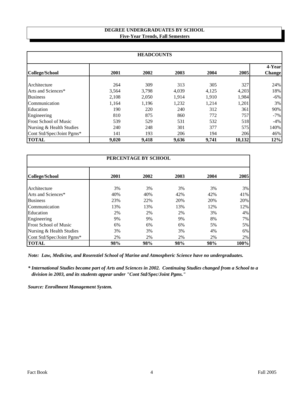# **DEGREE UNDERGRADUATES BY SCHOOL Five-Year Trends, Fall Semesters**

| <b>HEADCOUNTS</b>            |       |       |       |       |        |                         |
|------------------------------|-------|-------|-------|-------|--------|-------------------------|
| College/School               | 2001  | 2002  | 2003  | 2004  | 2005   | 4-Year<br><b>Change</b> |
| Architecture                 | 264   | 309   | 313   | 305   | 327    | 24%                     |
| Arts and Sciences*           | 3,564 | 3,798 | 4,039 | 4,125 | 4,203  | 18%                     |
| <b>Business</b>              | 2.108 | 2,050 | 1,914 | 1.910 | 1,984  | $-6\%$                  |
| Communication                | 1,164 | 1,196 | 1,232 | 1,214 | 1,201  | 3%                      |
| Education                    | 190   | 220   | 240   | 312   | 361    | 90%                     |
| Engineering                  | 810   | 875   | 860   | 772   | 757    | $-7\%$                  |
| <b>Frost School of Music</b> | 539   | 529   | 531   | 532   | 518    | $-4%$                   |
| Nursing & Health Studies     | 240   | 248   | 301   | 377   | 575    | 140%                    |
| Cont Std/Spec/Joint Pgms*    | 141   | 193   | 206   | 194   | 206    | 46%                     |
| <b>TOTAL</b>                 | 9,020 | 9,418 | 9,636 | 9,741 | 10,132 | 12%                     |

| PERCENTAGE BY SCHOOL         |      |      |      |      |      |  |  |
|------------------------------|------|------|------|------|------|--|--|
| <b>College/School</b>        | 2001 | 2002 | 2003 | 2004 | 2005 |  |  |
| Architecture                 | 3%   | 3%   | 3%   | 3%   | 3%   |  |  |
| Arts and Sciences*           | 40%  | 40%  | 42%  | 42%  | 41%  |  |  |
| <b>Business</b>              | 23%  | 22%  | 20%  | 20%  | 20%  |  |  |
| Communication                | 13%  | 13%  | 13%  | 12%  | 12%  |  |  |
| Education                    | 2%   | 2%   | 2%   | 3%   | 4%   |  |  |
| Engineering                  | 9%   | 9%   | 9%   | 8%   | 7%   |  |  |
| <b>Frost School of Music</b> | 6%   | 6%   | 6%   | 5%   | 5%   |  |  |
| Nursing & Health Studies     | 3%   | 3%   | 3%   | 4%   | 6%   |  |  |
| Cont Std/Spec/Joint Pgms*    | 2%   | 2%   | 2%   | 2%   | 2%   |  |  |
| <b>TOTAL</b>                 | 98%  | 98%  | 98%  | 98%  | 100% |  |  |

*Note: Law, Medicine, and Rosenstiel School of Marine and Atmospheric Science have no undergraduates.*

*\* International Studies became part of Arts and Sciences in 2002. Continuing Studies changed from a School to a division in 2003, and its students appear under "Cont Std/Spec/Joint Pgms."*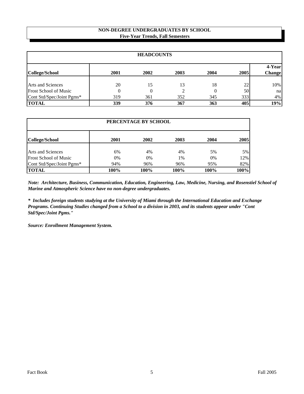# **NON-DEGREE UNDERGRADUATES BY SCHOOL Five-Year Trends, Fall Semesters**

| <b>HEADCOUNTS</b>            |          |      |      |      |          |                         |
|------------------------------|----------|------|------|------|----------|-------------------------|
| College/School               | 2001     | 2002 | 2003 | 2004 | 2005     | 4-Year<br><b>Change</b> |
| <b>Arts and Sciences</b>     | 20       | 15   | 13   | 18   |          |                         |
| <b>Frost School of Music</b> | $\Omega$ | 0    |      |      | 22<br>50 | 10%<br>na               |
| Cont Std/Spec/Joint Pgms*    | 319      | 361  | 352  | 345  | 333      | $4\%$                   |
| <b>TOTAL</b>                 | 339      | 376  | 367  | 363  | 405      | 19%                     |

| PERCENTAGE BY SCHOOL         |      |      |      |      |       |  |  |
|------------------------------|------|------|------|------|-------|--|--|
| <b>College/School</b>        | 2001 | 2002 | 2003 | 2004 | 2005  |  |  |
| <b>Arts and Sciences</b>     | 6%   | 4%   | 4%   | 5%   | $5\%$ |  |  |
| <b>Frost School of Music</b> | 0%   | 0%   | 1%   | 0%   | 12%   |  |  |
| Cont Std/Spec/Joint Pgms*    | 94%  | 96%  | 96%  | 95%  | 82%   |  |  |
| <b>TOTAL</b>                 | 100% | 100% | 100% | 100% | 100%  |  |  |

*Note: Architecture, Business, Communication, Education, Engineering, Law, Medicine, Nursing, and Rosenstiel School of Marine and Atmospheric Science have no non-degree undergraduates.*

*\* Includes foreign students studying at the University of Miami through the International Education and Exchange Programs. Continuing Studies changed from a School to a division in 2003, and its students appear under "Cont Std/Spec/Joint Pgms."*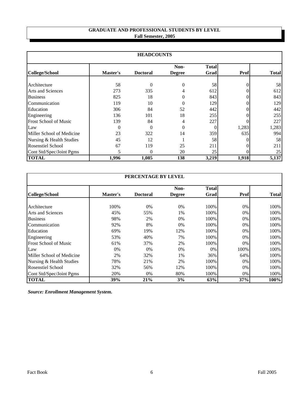# **Fall Semester, 2005 GRADUATE AND PROFESSIONAL STUDENTS BY LEVEL**

| <b>HEADCOUNTS</b>            |          |                 |                       |                      |          |                  |  |
|------------------------------|----------|-----------------|-----------------------|----------------------|----------|------------------|--|
| <b>College/School</b>        | Master's | <b>Doctoral</b> | Non-<br><b>Degree</b> | <b>Total</b><br>Grad | Prof     | <b>Total</b>     |  |
| Architecture                 | 58       | $\theta$        | $\Omega$              | 58                   | 0        | 58               |  |
| <b>Arts and Sciences</b>     | 273      | 335             |                       | 612                  | 0        | 612              |  |
| <b>Business</b>              | 825      | 18              | 0                     | 843                  |          | 843              |  |
| Communication                | 119      | 10              | 0                     | 129                  | $\theta$ | 129              |  |
| Education                    | 306      | 84              | 52                    | 442                  | $\Omega$ | 442              |  |
| Engineering                  | 136      | 101             | 18                    | 255                  |          | 255 <sup>I</sup> |  |
| <b>Frost School of Music</b> | 139      | 84              | 4                     | 227                  |          | 227 <sup>1</sup> |  |
| Law                          | 0        | $\Omega$        | 0                     |                      | 1,283    | 1,283            |  |
| Miller School of Medicine    | 23       | 322             | 14                    | 359                  | 635      | 994I             |  |
| Nursing & Health Studies     | 45       | 12              |                       | 58                   |          | 58               |  |
| <b>Rosenstiel School</b>     | 67       | 119             | 25                    | 211                  |          | 211              |  |
| Cont Std/Spec/Joint Pgms     | 5        | 0               | 20                    | 25                   |          | 25               |  |
| <b>TOTAL</b>                 | 1,996    | 1,085           | 138                   | 3,219                | 1,918    | 5,137            |  |

| PERCENTAGE BY LEVEL          |          |                 |                       |                      |      |              |  |
|------------------------------|----------|-----------------|-----------------------|----------------------|------|--------------|--|
| <b>College/School</b>        | Master's | <b>Doctoral</b> | Non-<br><b>Degree</b> | <b>Total</b><br>Grad | Prof | <b>Total</b> |  |
| Architecture                 | 100%     | 0%              | 0%                    | 100%                 | 0%   | 100%         |  |
| <b>Arts and Sciences</b>     | 45%      | 55%             | 1%                    | 100%                 | 0%   | 100%         |  |
| <b>Business</b>              | 98%      | 2%              | 0%                    | 100%                 | 0%   | 100%         |  |
| Communication                | 92%      | 8%              | 0%                    | 100%                 | 0%   | 100%         |  |
| Education                    | 69%      | 19%             | 12%                   | 100%                 | 0%   | 100%         |  |
| Engineering                  | 53%      | 40%             | 7%                    | 100%                 | 0%   | 100%         |  |
| <b>Frost School of Music</b> | 61%      | 37%             | 2%                    | 100%                 | 0%   | 100%         |  |
| Law                          | 0%       | 0%              | $0\%$                 | 0%                   | 100% | 100%         |  |
| Miller School of Medicine    | 2%       | 32%             | 1%                    | 36%                  | 64%  | 100%         |  |
| Nursing & Health Studies     | 78%      | 21%             | 2%                    | 100%                 | 0%   | 100%         |  |
| Rosenstiel School            | 32%      | 56%             | 12%                   | 100%                 | 0%   | 100%         |  |
| Cont Std/Spec/Joint Pgms     | 20%      | 0%              | 80%                   | 100%                 | 0%   | 100%         |  |
| <b>TOTAL</b>                 | 39%      | 21%             | 3%                    | 63%                  | 37%  | 100%         |  |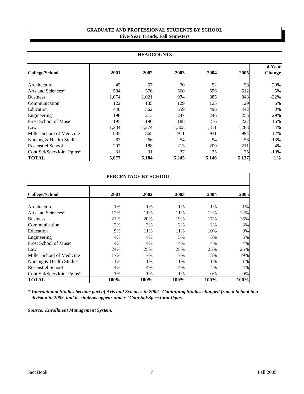# **Five-Year Trends, Fall Semesters GRADUATE AND PROFESSIONAL STUDENTS BY SCHOOL**

| <b>HEADCOUNTS</b>            |       |       |       |       |       |                          |  |
|------------------------------|-------|-------|-------|-------|-------|--------------------------|--|
| <b>College/School</b>        | 2001  | 2002  | 2003  | 2004  | 2005  | 4-Yearl<br><b>Change</b> |  |
| Architecture                 | 45    | 57    | 70    | 52    | 58    | 29%                      |  |
| Arts and Sciences*           | 584   | 576   | 560   | 596   | 612   | $5\%$                    |  |
| <b>Business</b>              | 1,074 | 1,021 | 974   | 885   | 843   | $-22%$                   |  |
| Communication                | 122   | 135   | 129   | 125   | 129   | $6\%$                    |  |
| Education                    | 440   | 562   | 559   | 496   | 442   | $0\%$                    |  |
| Engineering                  | 198   | 213   | 247   | 246   | 255   | 29%                      |  |
| <b>Frost School of Music</b> | 195   | 196   | 188   | 216   | 227   | $16\%$                   |  |
| Law                          | 1,234 | 1,274 | 1,303 | 1,311 | 1,283 | $4\%$                    |  |
| Miller School of Medicine    | 885   | 865   | 911   | 931   | 994   | 12%                      |  |
| Nursing & Health Studies     | 67    | 66    | 54    | 54    | 58    | $-13%$                   |  |
| <b>Rosenstiel School</b>     | 202   | 188   | 213   | 209   | 211   | $4\%$                    |  |
| Cont Std/Spec/Joint Pgms*    | 31    | 31    | 37    | 25    | 25    | $-19%$                   |  |
| <b>TOTAL</b>                 | 5,077 | 5,184 | 5,245 | 5,146 | 5,137 | $1\%$                    |  |

| PERCENTAGE BY SCHOOL         |      |      |       |      |      |  |  |
|------------------------------|------|------|-------|------|------|--|--|
| <b>College/School</b>        | 2001 | 2002 | 2003  | 2004 | 2005 |  |  |
| Architecture                 | 1%   | 1%   | $1\%$ | 1%   | 1%   |  |  |
| Arts and Sciences*           | 12%  | 11%  | 11%   | 12%  | 12%  |  |  |
| <b>Business</b>              | 21%  | 20%  | 19%   | 17%  | 16%  |  |  |
| Communication                | 2%   | 3%   | 2%    | 2%   | 3%   |  |  |
| Education                    | 9%   | 11%  | 11%   | 10%  | 9%   |  |  |
| Engineering                  | 4%   | 4%   | 5%    | 5%   | 5%   |  |  |
| <b>Frost School of Music</b> | 4%   | 4%   | 4%    | 4%   | 4%   |  |  |
| Law                          | 24%  | 25%  | 25%   | 25%  | 25%  |  |  |
| Miller School of Medicine    | 17%  | 17%  | 17%   | 18%  | 19%  |  |  |
| Nursing & Health Studies     | 1%   | 1%   | 1%    | 1%   | 1%   |  |  |
| <b>Rosenstiel School</b>     | 4%   | 4%   | 4%    | 4%   | 4%   |  |  |
| Cont Std/Spec/Joint Pgms*    | 1%   | 1%   | 1%    | 0%   | 0%   |  |  |
| <b>TOTAL</b>                 | 100% | 100% | 100%  | 100% | 100% |  |  |

*\* International Studies became part of Arts and Sciences in 2002. Continuing Studies changed from a School to a division in 2003, and its students appear under "Cont Std/Spec/Joint Pgms."*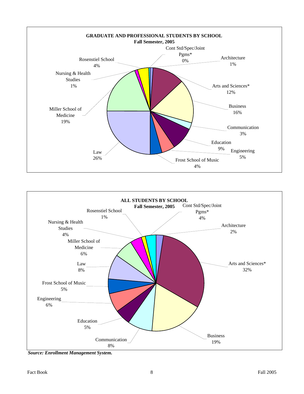



*Source: Enrollment Management System.*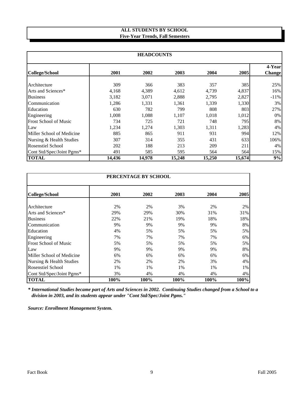# **ALL STUDENTS BY SCHOOL Five-Year Trends, Fall Semesters**

| <b>HEADCOUNTS</b>            |        |        |        |        |        |                  |  |  |
|------------------------------|--------|--------|--------|--------|--------|------------------|--|--|
| <b>College/School</b>        | 2001   | 2002   | 2003   | 2004   | 2005   | 4-Year<br>Change |  |  |
| Architecture                 | 309    | 366    | 383    | 357    | 385    | 25%              |  |  |
| Arts and Sciences*           | 4,168  | 4,389  | 4,612  | 4,739  | 4,837  | 16%              |  |  |
| <b>Business</b>              | 3,182  | 3,071  | 2,888  | 2,795  | 2,827  | $-11\%$          |  |  |
| Communication                | 1,286  | 1,331  | 1,361  | 1,339  | 1,330  | $3\%$            |  |  |
| Education                    | 630    | 782    | 799    | 808    | 803    | 27%              |  |  |
| Engineering                  | 1,008  | 1,088  | 1,107  | 1,018  | 1,012  | $0\%$            |  |  |
| <b>Frost School of Music</b> | 734    | 725    | 721    | 748    | 795    | 8%               |  |  |
| Law                          | 1,234  | 1,274  | 1,303  | 1,311  | 1,283  | 4%               |  |  |
| Miller School of Medicine    | 885    | 865    | 911    | 931    | 994    | 12%              |  |  |
| Nursing & Health Studies     | 307    | 314    | 355    | 431    | 633    | 106%             |  |  |
| <b>Rosenstiel School</b>     | 202    | 188    | 213    | 209    | 211    | 4%               |  |  |
| Cont Std/Spec/Joint Pgms*    | 491    | 585    | 595    | 564    | 564    | 15%              |  |  |
| <b>TOTAL</b>                 | 14,436 | 14,978 | 15,248 | 15,250 | 15,674 | 9%               |  |  |

|                              | PERCENTAGE BY SCHOOL |      |      |      |      |  |  |  |
|------------------------------|----------------------|------|------|------|------|--|--|--|
| <b>College/School</b>        | 2001                 | 2002 | 2003 | 2004 | 2005 |  |  |  |
| Architecture                 | 2%                   | 2%   | 3%   | 2%   | 2%   |  |  |  |
| Arts and Sciences*           | 29%                  | 29%  | 30%  | 31%  | 31%  |  |  |  |
| <b>Business</b>              | 22%                  | 21%  | 19%  | 18%  | 18%  |  |  |  |
| Communication                | 9%                   | 9%   | 9%   | 9%   | 8%   |  |  |  |
| Education                    | 4%                   | 5%   | 5%   | 5%   | 5%   |  |  |  |
| Engineering                  | 7%                   | 7%   | 7%   | 7%   | 6%   |  |  |  |
| <b>Frost School of Music</b> | 5%                   | 5%   | 5%   | 5%   | 5%   |  |  |  |
| Law                          | 9%                   | 9%   | 9%   | 9%   | 8%   |  |  |  |
| Miller School of Medicine    | 6%                   | 6%   | 6%   | 6%   | 6%   |  |  |  |
| Nursing & Health Studies     | 2%                   | 2%   | 2%   | 3%   | 4%   |  |  |  |
| <b>Rosenstiel School</b>     | 1%                   | 1%   | 1%   | 1%   | 1%   |  |  |  |
| Cont Std/Spec/Joint Pgms*    | 3%                   | 4%   | 4%   | 4%   | 4%   |  |  |  |
| <b>TOTAL</b>                 | 100%                 | 100% | 100% | 100% | 100% |  |  |  |

*\* International Studies became part of Arts and Sciences in 2002. Continuing Studies changed from a School to a division in 2003, and its students appear under "Cont Std/Spec/Joint Pgms."*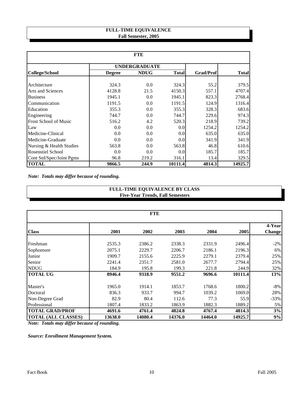# **FULL-TIME EQUIVALENCE Fall Semester, 2005**

|                              | <b>FTE</b>    |                      |              |                  |              |  |  |  |  |
|------------------------------|---------------|----------------------|--------------|------------------|--------------|--|--|--|--|
|                              |               | <b>UNDERGRADUATE</b> |              |                  |              |  |  |  |  |
| <b>College/School</b>        | <b>Degree</b> | <b>NDUG</b>          | <b>Total</b> | <b>Grad/Prof</b> | <b>Total</b> |  |  |  |  |
|                              |               |                      |              |                  |              |  |  |  |  |
| Architecture                 | 324.3         | 0.0                  | 324.3        | 55.2             | 379.5        |  |  |  |  |
| <b>Arts and Sciences</b>     | 4128.8        | 21.5                 | 4150.3       | 557.1            | 4707.4       |  |  |  |  |
| <b>Business</b>              | 1945.1        | 0.0                  | 1945.1       | 823.3            | 2768.4       |  |  |  |  |
| Communication                | 1191.5        | 0.0                  | 1191.5       | 124.9            | 1316.4       |  |  |  |  |
| Education                    | 355.3         | 0.0                  | 355.3        | 328.3            | 683.6        |  |  |  |  |
| Engineering                  | 744.7         | 0.0                  | 744.7        | 229.6            | 974.3        |  |  |  |  |
| <b>Frost School of Music</b> | 516.2         | 4.2                  | 520.3        | 218.9            | 739.2        |  |  |  |  |
| Law                          | 0.0           | 0.0                  | 0.0          | 1254.2           | 1254.2       |  |  |  |  |
| Medicine-Clinical            | 0.0           | 0.0                  | 0.0          | 635.0            | 635.0        |  |  |  |  |
| Medicine-Graduate            | 0.0           | 0.0                  | 0.0          | 341.9            | 341.9        |  |  |  |  |
| Nursing & Health Studies     | 563.8         | 0.0                  | 563.8        | 46.8             | 610.6        |  |  |  |  |
| <b>Rosenstiel School</b>     | 0.0           | 0.0                  | 0.0          | 185.7            | 185.7        |  |  |  |  |
| Cont Std/Spec/Joint Pgms     | 96.8          | 219.2                | 316.1        | 13.4             | 329.5        |  |  |  |  |
| <b>TOTAL</b>                 | 9866.5        | 244.9                | 10111.4      | 4814.3           | 14925.7      |  |  |  |  |

*Note: Totals may differ because of rounding.*

# **Five-Year Trends, Fall Semesters FULL-TIME EQUIVALENCE BY CLASS**

| <b>FTE</b>                 |         |         |         |         |         |                         |  |  |
|----------------------------|---------|---------|---------|---------|---------|-------------------------|--|--|
| <b>Class</b>               | 2001    | 2002    | 2003    | 2004    | 2005    | 4-Year<br><b>Change</b> |  |  |
| Freshman                   | 2535.3  | 2386.2  | 2338.3  | 2331.9  | 2496.4  | $-2\%$                  |  |  |
| Sophomore                  | 2075.1  | 2229.7  | 2206.7  | 2186.1  | 2196.3  | 6%                      |  |  |
| Junior                     | 1909.7  | 2155.6  | 2225.9  | 2279.1  | 2379.4  | 25%                     |  |  |
| Senior                     | 2241.4  | 2351.7  | 2581.0  | 2677.7  | 2794.4  | 25%                     |  |  |
| <b>NDUG</b>                | 184.9   | 195.8   | 199.3   | 221.8   | 244.9   | 32%                     |  |  |
| <b>TOTAL UG</b>            | 8946.4  | 9318.9  | 9551.2  | 9696.6  | 10111.4 | 13%                     |  |  |
| Master's                   | 1965.0  | 1914.1  | 1853.7  | 1768.6  | 1800.2  | -8%                     |  |  |
| Doctoral                   | 836.3   | 933.7   | 994.7   | 1039.2  | 1069.0  | 28%                     |  |  |
| Non-Degree Grad            | 82.9    | 80.4    | 112.6   | 77.3    | 55.9    | $-33%$                  |  |  |
| Professional               | 1807.4  | 1833.2  | 1863.9  | 1882.3  | 1889.2  | 5%                      |  |  |
| <b>TOTAL GRAD/PROF</b>     | 4691.6  | 4761.4  | 4824.8  | 4767.4  | 4814.3  | 3%                      |  |  |
| <b>TOTAL (ALL CLASSES)</b> | 13638.0 | 14080.4 | 14376.0 | 14464.0 | 14925.7 | 9%                      |  |  |

*Note: Totals may differ because of rounding.*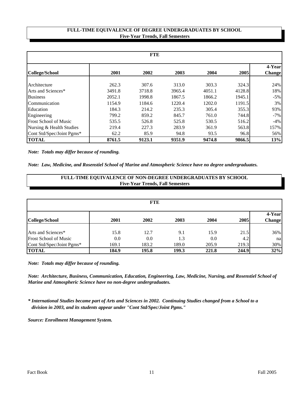# **Five-Year Trends, Fall Semesters FULL-TIME EQUIVALENCE OF DEGREE UNDERGRADUATES BY SCHOOL**

| <b>FTE</b>                   |        |        |        |        |        |                         |  |
|------------------------------|--------|--------|--------|--------|--------|-------------------------|--|
| College/School               | 2001   | 2002   | 2003   | 2004   | 2005   | 4-Year<br><b>Change</b> |  |
| Architecture                 | 262.3  | 307.6  | 313.0  | 303.3  | 324.3  | 24%                     |  |
| Arts and Sciences*           | 3491.8 | 3718.8 | 3965.4 | 4051.1 | 4128.8 | 18%                     |  |
| <b>Business</b>              | 2052.1 | 1998.8 | 1867.5 | 1866.2 | 1945.1 | $-5\%$                  |  |
| Communication                | 1154.9 | 1184.6 | 1220.4 | 1202.0 | 1191.5 | $3\%$                   |  |
| Education                    | 184.3  | 214.2  | 235.3  | 305.4  | 355.3  | 93%                     |  |
| Engineering                  | 799.2  | 859.2  | 845.7  | 761.0  | 744.8  | $-7%$                   |  |
| <b>Frost School of Music</b> | 535.5  | 526.8  | 525.8  | 530.5  | 516.2  | $-4%$                   |  |
| Nursing & Health Studies     | 219.4  | 227.3  | 283.9  | 361.9  | 563.8  | 157%                    |  |
| Cont Std/Spec/Joint Pgms*    | 62.2   | 85.9   | 94.8   | 93.5   | 96.8   | 56%                     |  |
| <b>TOTAL</b>                 | 8761.5 | 9123.1 | 9351.9 | 9474.8 | 9866.5 | 13%                     |  |

*Note: Totals may differ because of rounding.*

*Note: Law, Medicine, and Rosenstiel School of Marine and Atmospheric Science have no degree undergraduates.*

| <b>FULL-TIME EQUIVALENCE OF NON-DEGREE UNDERGRADUATES BY SCHOOL</b><br><b>Five-Year Trends, Fall Semesters</b> |       |       |       |       |       |                         |  |  |
|----------------------------------------------------------------------------------------------------------------|-------|-------|-------|-------|-------|-------------------------|--|--|
| <b>FTE</b>                                                                                                     |       |       |       |       |       |                         |  |  |
| College/School                                                                                                 | 2001  | 2002  | 2003  | 2004  | 2005  | 4-Year<br><b>Change</b> |  |  |
| Arts and Sciences*                                                                                             | 15.8  | 12.7  | 9.1   | 15.9  | 21.5  | 36%                     |  |  |
| <b>Frost School of Music</b>                                                                                   | 0.0   | 0.0   | 1.3   | 0.0   | 4.2   | na                      |  |  |
| Cont Std/Spec/Joint Pgms*                                                                                      | 169.1 | 183.2 | 189.0 | 205.9 | 219.3 | 30%                     |  |  |
| TOTAL                                                                                                          | 184.9 | 195.8 | 199.3 | 221.8 | 244.9 | 32%                     |  |  |

*Note: Totals may differ because of rounding.*

*Note: Architecture, Business, Communication, Education, Engineering, Law, Medicine, Nursing, and Rosenstiel School of Marine and Atmospheric Science have no non-degree undergraduates.*

*\* International Studies became part of Arts and Sciences in 2002. Continuing Studies changed from a School to a division in 2003, and its students appear under "Cont Std/Spec/Joint Pgms."*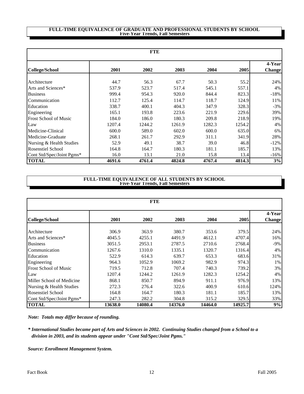#### **FULL-TIME EQUIVALENCE OF GRADUATE AND PROFESSIONAL STUDENTS BY SCHOOL Five-Year Trends, Fall Semesters**

| <b>FTE</b>                   |        |        |        |        |        |                         |  |  |
|------------------------------|--------|--------|--------|--------|--------|-------------------------|--|--|
| College/School               | 2001   | 2002   | 2003   | 2004   | 2005   | 4-Year<br><b>Change</b> |  |  |
| Architecture                 | 44.7   | 56.3   | 67.7   | 50.3   | 55.2   | 24%                     |  |  |
| Arts and Sciences*           | 537.9  | 523.7  | 517.4  | 545.1  | 557.1  | 4%                      |  |  |
| <b>Business</b>              | 999.4  | 954.3  | 920.0  | 844.4  | 823.3  | $-18%$                  |  |  |
| Communication                | 112.7  | 125.4  | 114.7  | 118.7  | 124.9  | 11%                     |  |  |
| Education                    | 338.7  | 400.1  | 404.3  | 347.9  | 328.3  | $-3\%$                  |  |  |
| Engineering                  | 165.1  | 193.8  | 223.6  | 221.9  | 229.6  | 39%                     |  |  |
| <b>Frost School of Music</b> | 184.0  | 186.0  | 180.3  | 209.8  | 218.9  | 19%                     |  |  |
| Law                          | 1207.4 | 1244.2 | 1261.9 | 1282.3 | 1254.2 | 4%                      |  |  |
| Medicine-Clinical            | 600.0  | 589.0  | 602.0  | 600.0  | 635.0  | 6%                      |  |  |
| Medicine-Graduate            | 268.1  | 261.7  | 292.9  | 311.1  | 341.9  | 28%                     |  |  |
| Nursing & Health Studies     | 52.9   | 49.1   | 38.7   | 39.0   | 46.8   | $-12%$                  |  |  |
| <b>Rosenstiel School</b>     | 164.8  | 164.7  | 180.3  | 181.1  | 185.7  | 13%                     |  |  |
| Cont Std/Spec/Joint Pgms*    | 16.0   | 13.1   | 21.0   | 15.8   | 13.4   | $-16%$                  |  |  |
| <b>TOTAL</b>                 | 4691.6 | 4761.4 | 4824.8 | 4767.4 | 4814.3 | 3%                      |  |  |

#### **Five-Year Trends, Fall Semesters FULL-TIME EQUIVALENCE OF ALL STUDENTS BY SCHOOL**

| <b>FTE</b>                   |         |         |         |         |         |                         |  |  |
|------------------------------|---------|---------|---------|---------|---------|-------------------------|--|--|
| <b>College/School</b>        | 2001    | 2002    | 2003    | 2004    | 2005    | 4-Year<br><b>Change</b> |  |  |
| Architecture                 | 306.9   | 363.9   | 380.7   | 353.6   | 379.5   | 24%                     |  |  |
| Arts and Sciences*           | 4045.5  | 4255.1  | 4491.9  | 4612.1  | 4707.4  | 16%                     |  |  |
| <b>Business</b>              | 3051.5  | 2953.1  | 2787.5  | 2710.6  | 2768.4  | $-9\%$                  |  |  |
| Communication                | 1267.6  | 1310.0  | 1335.1  | 1320.7  | 1316.4  | 4%                      |  |  |
| Education                    | 522.9   | 614.3   | 639.7   | 653.3   | 683.6   | 31%                     |  |  |
| Engineering                  | 964.3   | 1052.9  | 1069.2  | 982.9   | 974.3   | 1%                      |  |  |
| <b>Frost School of Music</b> | 719.5   | 712.8   | 707.4   | 740.3   | 739.2   | 3%                      |  |  |
| Law                          | 1207.4  | 1244.2  | 1261.9  | 1282.3  | 1254.2  | 4%                      |  |  |
| Miller School of Medicine    | 868.1   | 850.7   | 894.9   | 911.1   | 976.9   | 13%                     |  |  |
| Nursing & Health Studies     | 272.3   | 276.4   | 322.6   | 400.9   | 610.6   | 124%                    |  |  |
| <b>Rosenstiel School</b>     | 164.8   | 164.7   | 180.3   | 181.1   | 185.7   | 13%                     |  |  |
| Cont Std/Spec/Joint Pgms*    | 247.3   | 282.2   | 304.8   | 315.2   | 329.5   | 33%                     |  |  |
| <b>TOTAL</b>                 | 13638.0 | 14080.4 | 14376.0 | 14464.0 | 14925.7 | 9%                      |  |  |

*Note: Totals may differ because of rounding.*

*\* International Studies became part of Arts and Sciences in 2002. Continuing Studies changed from a School to a division in 2003, and its students appear under "Cont Std/Spec/Joint Pgms."*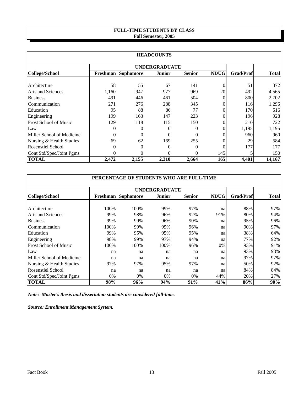# **FULL-TIME STUDENTS BY CLASS Fall Semester, 2005**

|                           |          |                      | <b>HEADCOUNTS</b> |               |             |                  |              |
|---------------------------|----------|----------------------|-------------------|---------------|-------------|------------------|--------------|
|                           |          | <b>UNDERGRADUATE</b> |                   |               |             |                  |              |
| <b>College/School</b>     |          | Freshman Sophomore   | <b>Junior</b>     | <b>Senior</b> | <b>NDUG</b> | <b>Grad/Prof</b> | <b>Total</b> |
| Architecture              | 58       | 55                   | 67                | 141           |             | 51               | 372          |
| <b>Arts and Sciences</b>  | 1,160    | 947                  | 977               | 969           | 20          | 492              | 4,565        |
| <b>Business</b>           | 491      | 446                  | 461               | 504           |             | 800              | 2,702        |
| Communication             | 271      | 276                  | 288               | 345           |             | 116              | 1,296        |
| Education                 | 95       | 88                   | 86                | 77            |             | 170              | 516          |
| Engineering               | 199      | 163                  | 147               | 223           |             | 196              | 928          |
| Frost School of Music     | 129      | 118                  | 115               | 150           | 0           | 210              | 722          |
| Law                       | $\Omega$ | $\Omega$             | 0                 | 0             | 0           | 1,195            | 1,195        |
| Miller School of Medicine | $\theta$ | $\Omega$             | 0                 | 0             |             | 960              | 960          |
| Nursing & Health Studies  | 69       | 62                   | 169               | 255           | 0           | 29               | 584          |
| <b>Rosenstiel School</b>  | 0        | $\theta$             |                   | 0             |             | 177              | 177          |
| Cont Std/Spec/Joint Pgms  |          |                      |                   | 0             | 145         |                  | 150          |
| <b>TOTAL</b>              | 2,472    | 2,155                | 2,310             | 2,664         | 165         | 4,401            | 14,167       |

| PERCENTAGE OF STUDENTS WHO ARE FULL-TIME |      |                      |        |               |             |                  |              |  |  |  |
|------------------------------------------|------|----------------------|--------|---------------|-------------|------------------|--------------|--|--|--|
|                                          |      | <b>UNDERGRADUATE</b> |        |               |             |                  |              |  |  |  |
| College/School                           |      | Freshman Sophomore   | Junior | <b>Senior</b> | <b>NDUG</b> | <b>Grad/Prof</b> | <b>Total</b> |  |  |  |
| Architecture                             | 100% | 100%                 | 99%    | 97%           |             | 88%              | 97%          |  |  |  |
| <b>Arts and Sciences</b>                 | 99%  | 98%                  | 96%    | 92%           | na<br>91%   | 80%              | 94%          |  |  |  |
| <b>Business</b>                          | 99%  | 99%                  | 96%    | 90%           | na          | 95%              | 96%          |  |  |  |
| Communication                            | 100% | 99%                  | 99%    | 96%           | na          | 90%              | 97%          |  |  |  |
| Education                                | 99%  | 95%                  | 95%    | 95%           | na          | 38%              | 64%          |  |  |  |
| Engineering                              | 98%  | 99%                  | 97%    | 94%           | na          | 77%              | 92%          |  |  |  |
| <b>Frost School of Music</b>             | 100% | 100%                 | 100%   | 96%           | 0%          | 93%              | 91%          |  |  |  |
| Law                                      | na   | na                   | na     | na            | na          | 93%              | 93%          |  |  |  |
| Miller School of Medicine                | na   | na                   | na     | na            | na          | 97%              | 97%          |  |  |  |
| Nursing & Health Studies                 | 97%  | 97%                  | 95%    | 97%           | na          | 50%              | 92%          |  |  |  |
| <b>Rosenstiel School</b>                 | na   | na                   | na     | na            | na          | 84%              | 84%          |  |  |  |
| Cont Std/Spec/Joint Pgms                 | 0%   | $0\%$                | $0\%$  | $0\%$         | 44%         | 20%              | 27%          |  |  |  |
| <b>TOTAL</b>                             | 98%  | 96%                  | 94%    | 91%           | 41%         | 86%              | 90%          |  |  |  |

*Note: Master's thesis and dissertation students are considered full-time.*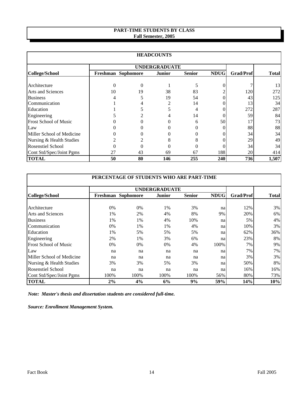# **PART-TIME STUDENTS BY CLASS Fall Semester, 2005**

|                           |          |                      | <b>HEADCOUNTS</b> |               |             |                  |              |
|---------------------------|----------|----------------------|-------------------|---------------|-------------|------------------|--------------|
|                           |          | <b>UNDERGRADUATE</b> |                   |               |             |                  |              |
| <b>College/School</b>     |          | Freshman Sophomore   | Junior            | <b>Senior</b> | <b>NDUG</b> | <b>Grad/Prof</b> | <b>Total</b> |
| Architecture              | $\theta$ | $\Omega$             |                   |               |             |                  | 13           |
| <b>Arts and Sciences</b>  | 10       | 19                   | 38                | 83            |             | 120              | 272          |
| <b>Business</b>           |          |                      | 19                | 54            |             | 43               | 125          |
| Communication             |          |                      |                   | 14            |             | 13               | 34           |
| Education                 |          |                      |                   | 4             |             | 272              | 287          |
| Engineering               |          |                      |                   | 14            |             | 59               | 84           |
| Frost School of Music     |          |                      |                   | 6             | 50          | 17               | 73           |
| Law                       |          |                      |                   |               |             | 88               | 88           |
| Miller School of Medicine |          |                      |                   |               |             | 34               | 34           |
| Nursing & Health Studies  |          |                      |                   |               |             | 29               | 49           |
| <b>Rosenstiel School</b>  |          |                      |                   |               |             | 34               | 34           |
| Cont Std/Spec/Joint Pgms  | 27       | 43                   | 69                | 67            | 188         | 20               | 414          |
| <b>TOTAL</b>              | 50       | 80                   | 146               | 255           | 240         | 736              | 1,507        |

| PERCENTAGE OF STUDENTS WHO ARE PART-TIME |                    |                      |        |               |             |                  |              |  |  |  |
|------------------------------------------|--------------------|----------------------|--------|---------------|-------------|------------------|--------------|--|--|--|
|                                          |                    | <b>UNDERGRADUATE</b> |        |               |             |                  |              |  |  |  |
| <b>College/School</b>                    | Freshman Sophomore |                      | Junior | <b>Senior</b> | <b>NDUG</b> | <b>Grad/Prof</b> | <b>Total</b> |  |  |  |
|                                          |                    |                      |        |               |             |                  |              |  |  |  |
| Architecture                             | $0\%$              | $0\%$                | 1%     | 3%            | na          | 12%              | $3\%$        |  |  |  |
| Arts and Sciences                        | 1%                 | 2%                   | 4%     | 8%            | 9%          | 20%              | $6\%$        |  |  |  |
| <b>Business</b>                          | 1%                 | 1%                   | 4%     | 10%           | na          | 5%               | $4\%$        |  |  |  |
| Communication                            | $0\%$              | 1%                   | 1%     | 4%            | na          | 10%              | $3\%$        |  |  |  |
| Education                                | 1%                 | 5%                   | 5%     | 5%            | na          | 62%              | 36%          |  |  |  |
| Engineering                              | 2%                 | 1%                   | 3%     | 6%            | na          | 23%              | $8\%$        |  |  |  |
| <b>Frost School of Music</b>             | $0\%$              | $0\%$                | $0\%$  | 4%            | 100%        | 7%               | $9\%$        |  |  |  |
| Law                                      | na                 | na                   | na     | na            | na          | 7%               | $7\%$        |  |  |  |
| Miller School of Medicine                | na                 | na                   | na     | na            | na          | 3%               | $3\%$        |  |  |  |
| Nursing & Health Studies                 | 3%                 | 3%                   | 5%     | 3%            | na          | 50%              | 8%           |  |  |  |
| <b>Rosenstiel School</b>                 | na                 | na                   | na     | na            | na          | 16%              | 16%          |  |  |  |
| Cont Std/Spec/Joint Pgms                 | 100%               | 100%                 | 100%   | 100%          | 56%         | 80%              | 73%          |  |  |  |
| <b>TOTAL</b>                             | 2%                 | 4%                   | 6%     | 9%            | 59%         | 14%              | 10%          |  |  |  |

*Note: Master's thesis and dissertation students are considered full-time.*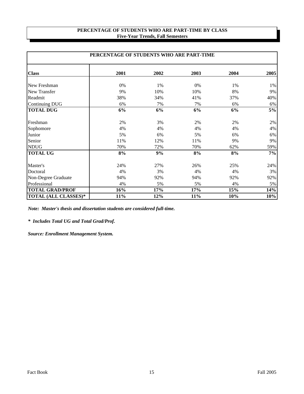# **PERCENTAGE OF STUDENTS WHO ARE PART-TIME BY CLASS Five-Year Trends, Fall Semesters**

|                             | PERCENTAGE OF STUDENTS WHO ARE PART-TIME |      |      |      |      |  |  |  |  |  |
|-----------------------------|------------------------------------------|------|------|------|------|--|--|--|--|--|
| <b>Class</b>                | 2001                                     | 2002 | 2003 | 2004 | 2005 |  |  |  |  |  |
| New Freshman                | 0%                                       | 1%   | 0%   | 1%   | 1%   |  |  |  |  |  |
| New Transfer                | 9%                                       | 10%  | 10%  | 8%   | 9%   |  |  |  |  |  |
| Readmit                     | 38%                                      | 34%  | 41%  | 37%  | 40%  |  |  |  |  |  |
| <b>Continuing DUG</b>       | 6%                                       | 7%   | 7%   | 6%   | 6%   |  |  |  |  |  |
| <b>TOTAL DUG</b>            | 6%                                       | 6%   | 6%   | 6%   | 5%   |  |  |  |  |  |
| Freshman                    | 2%                                       | 3%   | 2%   | 2%   | 2%   |  |  |  |  |  |
| Sophomore                   | 4%                                       | 4%   | 4%   | 4%   | 4%   |  |  |  |  |  |
| Junior                      | 5%                                       | 6%   | 5%   | 6%   | 6%   |  |  |  |  |  |
| Senior                      | 11%                                      | 12%  | 11%  | 9%   | 9%   |  |  |  |  |  |
| <b>NDUG</b>                 | 70%                                      | 72%  | 70%  | 62%  | 59%  |  |  |  |  |  |
| <b>TOTAL UG</b>             | 8%                                       | 9%   | 8%   | 8%   | 7%   |  |  |  |  |  |
| Master's                    | 24%                                      | 27%  | 26%  | 25%  | 24%  |  |  |  |  |  |
| Doctoral                    | 4%                                       | 3%   | 4%   | 4%   | 3%   |  |  |  |  |  |
| Non-Degree Graduate         | 94%                                      | 92%  | 94%  | 92%  | 92%  |  |  |  |  |  |
| Professional                | 4%                                       | 5%   | 5%   | 4%   | 5%   |  |  |  |  |  |
| <b>TOTAL GRAD/PROF</b>      | 16%                                      | 17%  | 17%  | 15%  | 14%  |  |  |  |  |  |
| <b>TOTAL (ALL CLASSES)*</b> | 11%                                      | 12%  | 11%  | 10%  | 10%  |  |  |  |  |  |

*Note: Master's thesis and dissertation students are considered full-time.*

*\* Includes Total UG and Total Grad/Prof.*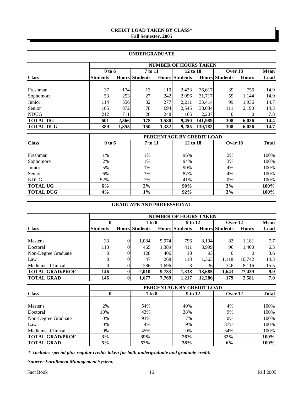# **CREDIT LOAD TAKEN BY CLASS\* Fall Semester, 2005**

|                  |                 |                              | <b>UNDERGRADUATE</b>  |       |                       |         |                       |              |             |  |  |  |
|------------------|-----------------|------------------------------|-----------------------|-------|-----------------------|---------|-----------------------|--------------|-------------|--|--|--|
|                  |                 | <b>NUMBER OF HOURS TAKEN</b> |                       |       |                       |         |                       |              |             |  |  |  |
|                  | $0$ to 6        |                              | 7 to 11               |       | 12 to 18              |         | Over 18               |              | <b>Mean</b> |  |  |  |
| <b>Class</b>     | <b>Students</b> |                              | <b>Hours Students</b> |       | <b>Hours Students</b> |         | <b>Hours Students</b> | <b>Hours</b> | Load        |  |  |  |
|                  |                 |                              |                       |       |                       |         |                       |              |             |  |  |  |
| Freshman         | 37              | 174                          | 13                    | 119   | 2,433                 | 36,617  | 39                    | 756          | 14.9        |  |  |  |
| Sophomore        | 53              | 253                          | 27                    | 242   | 2,096                 | 31,717  | 59                    | 1,144        | 14.9        |  |  |  |
| Junior           | 114             | 556                          | 32                    | 277   | 2,211                 | 33,414  | 99                    | 1,936        | 14.7        |  |  |  |
| Senior           | 185             | 872                          | 78                    | 694   | 2,545                 | 38,034  | 111                   | 2.190        | 14.3        |  |  |  |
| <b>NDUG</b>      | 212             | 711                          | 28                    | 248   | 165                   | 2,207   | $\theta$              |              | 7.8         |  |  |  |
| <b>TOTAL UG</b>  | 601             | 2,566                        | 178                   | 1,580 | 9.450                 | 141,989 | 308                   | 6,026        | 14.4        |  |  |  |
| <b>TOTAL DUG</b> | 389             | 1,855                        | 150                   | 1,332 | 9,285                 | 139,782 | 308                   | 6,026        | 14.7        |  |  |  |

|                  |            | PERCENTAGE BY CREDIT LOAD |          |         |              |  |  |  |  |  |
|------------------|------------|---------------------------|----------|---------|--------------|--|--|--|--|--|
| <b>Class</b>     | $0$ to $6$ | 7 to 11                   | 12 to 18 | Over 18 | <b>Total</b> |  |  |  |  |  |
|                  |            |                           |          |         |              |  |  |  |  |  |
| Freshman         | 1%         | 1%                        | 96%      | 2%      | 100%         |  |  |  |  |  |
| Sophomore        | 2%         | 1%                        | 94%      | 3%      | 100%         |  |  |  |  |  |
| Junior           | 5%         | 1%                        | 90%      | 4%      | 100%         |  |  |  |  |  |
| Senior           | 6%         | 3%                        | 87%      | 4%      | 100%         |  |  |  |  |  |
| <b>NDUG</b>      | 52%        | 7%                        | 41%      | $0\%$   | 100%         |  |  |  |  |  |
| <b>TOTAL UG</b>  | 6%         | 2%                        | 90%      | 3%      | 100%         |  |  |  |  |  |
| <b>TOTAL DUG</b> | 4%         | $1\%$                     | 92%      | 3%      | 100%         |  |  |  |  |  |

|                        |                              |          | <b>GRADUATE AND PROFESSIONAL</b> |       |                           |        |                       |              |              |  |
|------------------------|------------------------------|----------|----------------------------------|-------|---------------------------|--------|-----------------------|--------------|--------------|--|
|                        | <b>NUMBER OF HOURS TAKEN</b> |          |                                  |       |                           |        |                       |              |              |  |
|                        | $\mathbf{0}$                 |          | 1 to 8                           |       | 9 to 12                   |        | Over 12               |              | <b>Mean</b>  |  |
| <b>Class</b>           | <b>Students</b>              |          | <b>Hours Students</b>            |       | <b>Hours Students</b>     |        | <b>Hours Students</b> | <b>Hours</b> | Load         |  |
| Master's               | 33                           | $\Omega$ | 1,084                            | 5,974 | 796                       | 8,194  | 83                    | 1,181        | 7.7          |  |
| Doctoral               | 113                          |          | 465                              | 1,389 | 411                       | 3,999  | 96                    | 1,400        | 6.3          |  |
| Non-Degree Graduate    | 0                            | $\Omega$ | 128                              | 406   | 10                        | 93     | $\Omega$              |              | 3.6          |  |
| Law                    | $\overline{0}$               | 0        | 47                               | 268   | 118                       | 1,363  | 1,118                 | 16,742       | 14.3         |  |
| Medicine--Clinical     | 0                            | 0        | 286                              | 1,696 | 3                         | 36     | 346                   | 8,116        | 15.5         |  |
| <b>TOTAL GRAD/PROF</b> | 146                          | $\bf{0}$ | 2,010                            | 9,733 | 1,338                     | 13,685 | 1,643                 | 27,439       | 9.9          |  |
| <b>TOTAL GRAD</b>      | 146                          | $\bf{0}$ | 1,677                            | 7,769 | 1,217                     | 12,286 | 179                   | 2,581        | 7.0          |  |
|                        |                              |          |                                  |       | PERCENTAGE BY CREDIT LOAD |        |                       |              |              |  |
| <b>Class</b>           | $\mathbf{0}$                 |          | 1 to 8                           |       | 9 to 12                   |        | Over 12               |              | <b>Total</b> |  |
|                        |                              |          |                                  |       |                           |        |                       |              |              |  |
| Master's               | 2%                           |          | 54%                              |       | 40%                       |        | 4%                    |              | 100%         |  |
| Doctoral               | 10%                          |          | 43%                              |       | 38%                       |        | 9%                    |              | 100%         |  |
| Non-Degree Graduate    | 0%                           |          | 93%                              |       | 7%                        |        | 0%                    |              | 100%         |  |
| Law                    | 0%                           |          | 4%                               |       | 9%                        |        | 87%                   |              | 100%         |  |

*\* Includes special plus regular credits taken for both undergraduate and graduate credit.*

*Source: Enrollment Management System.*

Medicine--Clinical 0% 100% 45% 0% 54% 100% **TOTAL GRAD/PROF 3% 39% 26% 32% 100% TOTAL GRAD** 5% 52% 38% 6% 100%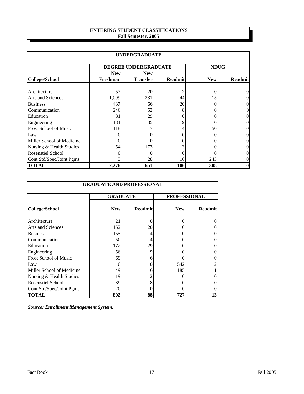# **ENTERING STUDENT CLASSIFICATIONS Fall Semester, 2005**

| <b>UNDERGRADUATE</b>         |            |                      |                |             |                |  |  |  |  |  |
|------------------------------|------------|----------------------|----------------|-------------|----------------|--|--|--|--|--|
|                              |            | DEGREE UNDERGRADUATE |                | <b>NDUG</b> |                |  |  |  |  |  |
|                              | <b>New</b> | <b>New</b>           |                |             |                |  |  |  |  |  |
| <b>College/School</b>        | Freshman   | <b>Transfer</b>      | <b>Readmit</b> | <b>New</b>  | <b>Readmit</b> |  |  |  |  |  |
| Architecture                 | 57         | 20                   |                |             |                |  |  |  |  |  |
| <b>Arts and Sciences</b>     | 1,099      | 231                  | 44             | 15          |                |  |  |  |  |  |
| <b>Business</b>              | 437        | 66                   | 20             |             | 0              |  |  |  |  |  |
| Communication                | 246        | 52                   | 8              |             | 0              |  |  |  |  |  |
| Education                    | 81         | 29                   |                |             | 0              |  |  |  |  |  |
| Engineering                  | 181        | 35                   | Q              |             | 0              |  |  |  |  |  |
| <b>Frost School of Music</b> | 118        | 17                   |                | 50          | 0              |  |  |  |  |  |
| Law                          |            |                      |                |             | 0              |  |  |  |  |  |
| Miller School of Medicine    |            |                      |                |             |                |  |  |  |  |  |
| Nursing & Health Studies     | 54         | 173                  |                |             |                |  |  |  |  |  |
| <b>Rosenstiel School</b>     |            | 0                    |                |             |                |  |  |  |  |  |
| Cont Std/Spec/Joint Pgms     |            | 28                   | 16             | 243         |                |  |  |  |  |  |
| <b>TOTAL</b>                 | 2,276      | 651                  | 106            | 308         | $\bf{0}$       |  |  |  |  |  |

| <b>GRADUATE AND PROFESSIONAL</b> |                 |                |                     |                |  |  |  |  |  |  |
|----------------------------------|-----------------|----------------|---------------------|----------------|--|--|--|--|--|--|
|                                  | <b>GRADUATE</b> |                | <b>PROFESSIONAL</b> |                |  |  |  |  |  |  |
| College/School                   | <b>New</b>      | <b>Readmit</b> | <b>New</b>          | <b>Readmit</b> |  |  |  |  |  |  |
| Architecture                     | 21              |                |                     |                |  |  |  |  |  |  |
| <b>Arts and Sciences</b>         | 152             | 20             |                     |                |  |  |  |  |  |  |
| <b>Business</b>                  | 155             |                |                     |                |  |  |  |  |  |  |
| Communication                    | 50              | 4              |                     |                |  |  |  |  |  |  |
| Education                        | 172             | 29             |                     |                |  |  |  |  |  |  |
| Engineering                      | 56              | 9              |                     |                |  |  |  |  |  |  |
| <b>Frost School of Music</b>     | 69              | h              |                     |                |  |  |  |  |  |  |
| Law                              |                 |                | 542                 |                |  |  |  |  |  |  |
| Miller School of Medicine        | 49              |                | 185                 |                |  |  |  |  |  |  |
| Nursing & Health Studies         | 19              |                |                     |                |  |  |  |  |  |  |
| Rosenstiel School                | 39              | 8              |                     |                |  |  |  |  |  |  |
| Cont Std/Spec/Joint Pgms         | 20              |                |                     |                |  |  |  |  |  |  |
| <b>TOTAL</b>                     | 802             | 88             | 727                 | 13             |  |  |  |  |  |  |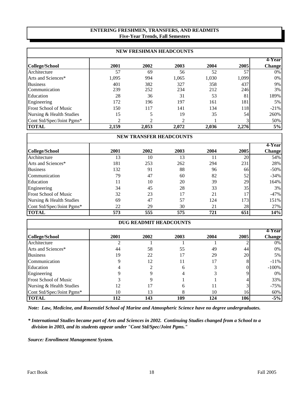# **ENTERING FRESHMEN, TRANSFERS, AND READMITS Five-Year Trends, Fall Semesters**

|                              | <b>NEW FRESHMAN HEADCOUNTS</b> |                |       |       |       |                         |  |  |  |  |  |  |
|------------------------------|--------------------------------|----------------|-------|-------|-------|-------------------------|--|--|--|--|--|--|
| <b>College/School</b>        | 2001                           | 2002           | 2003  | 2004  | 2005  | 4-Year<br><b>Change</b> |  |  |  |  |  |  |
| Architecture                 | 57                             | 69             | 56    | 52    | 57    | $0\%$                   |  |  |  |  |  |  |
| Arts and Sciences*           | 1,095                          | 994            | 1,065 | 1,030 | 1,099 | $0\%$                   |  |  |  |  |  |  |
| <b>Business</b>              | 401                            | 382            | 327   | 358   | 437   | 9%                      |  |  |  |  |  |  |
| Communication                | 239                            | 252            | 234   | 212   | 246   | 3%                      |  |  |  |  |  |  |
| Education                    | 28                             | 36             | 31    | 53    | 81    | 189%                    |  |  |  |  |  |  |
| Engineering                  | 172                            | 196            | 197   | 161   | 181   | $5\%$                   |  |  |  |  |  |  |
| <b>Frost School of Music</b> | 150                            | 117            | 141   | 134   | 118   | $-21%$                  |  |  |  |  |  |  |
| Nursing & Health Studies     | 15                             | 5              | 19    | 35    | 54    | 260%                    |  |  |  |  |  |  |
| Cont Std/Spec/Joint Pgms*    | ↑                              | $\mathfrak{D}$ | 2     |       |       | 50%                     |  |  |  |  |  |  |
| <b>TOTAL</b>                 | 2.159                          | 2.053          | 2.072 | 2.036 | 2,276 | 5%                      |  |  |  |  |  |  |

|                              | <b>NEW TRANSFER HEADCOUNTS</b> |      |      |      |      |               |  |  |  |  |  |  |
|------------------------------|--------------------------------|------|------|------|------|---------------|--|--|--|--|--|--|
|                              |                                |      |      |      |      | 4-Yearl       |  |  |  |  |  |  |
| College/School               | 2001                           | 2002 | 2003 | 2004 | 2005 | <b>Change</b> |  |  |  |  |  |  |
| Architecture                 | 13                             | 10   | 13   |      | 20   | 54%           |  |  |  |  |  |  |
| Arts and Sciences*           | 181                            | 253  | 262  | 294  | 231  | 28%           |  |  |  |  |  |  |
| <b>Business</b>              | 132                            | 91   | 88   | 96   | 66   | $-50%$        |  |  |  |  |  |  |
| Communication                | 79                             | 47   | 60   | 82   | 52   | $-34%$        |  |  |  |  |  |  |
| Education                    | 11                             | 10   | 20   | 39   | 29   | 164%          |  |  |  |  |  |  |
| Engineering                  | 34                             | 45   | 28   | 33   | 35   | $3\%$         |  |  |  |  |  |  |
| <b>Frost School of Music</b> | 32                             | 23   | 17   | 21   | 17   | $-47%$        |  |  |  |  |  |  |
| Nursing & Health Studies     | 69                             | 47   | 57   | 124  | 173  | 151%          |  |  |  |  |  |  |
| Cont Std/Spec/Joint Pgms*    | 22                             | 29   | 30   | 21   | 28   | 27%           |  |  |  |  |  |  |
| <b>TOTAL</b>                 | 573                            | 555  | 575  | 721  | 651  | 14%           |  |  |  |  |  |  |

| <b>DUG READMIT HEADCOUNTS</b> |      |      |      |      |      |                         |  |  |  |
|-------------------------------|------|------|------|------|------|-------------------------|--|--|--|
| College/School                | 2001 | 2002 | 2003 | 2004 | 2005 | 4-Year<br><b>Change</b> |  |  |  |
|                               |      |      |      |      |      |                         |  |  |  |
| Architecture                  |      |      |      |      |      | 0%                      |  |  |  |
| Arts and Sciences*            | 44   | 58   | 55   | 49   | 44   | 0%                      |  |  |  |
| <b>Business</b>               | 19   | 22   | 17   | 29   | 20   | 5%                      |  |  |  |
| Communication                 |      | 12   | 11   |      |      | $-11\%$                 |  |  |  |
| Education                     |      |      | 6    |      |      | $-100%$                 |  |  |  |
| Engineering                   |      |      |      |      |      | 0%                      |  |  |  |
| <b>Frost School of Music</b>  |      |      |      |      |      | 33%                     |  |  |  |
| Nursing & Health Studies      | 12   |      |      |      |      | $-75%$                  |  |  |  |
| Cont Std/Spec/Joint Pgms*     | 10   | 13   | 8    | 10   | 16   | 60%                     |  |  |  |
| <b>TOTAL</b>                  | 112  | 143  | 109  | 124  | 106  | $-5%$                   |  |  |  |

*Note: Law, Medicine, and Rosenstiel School of Marine and Atmospheric Science have no degree undergraduates.*

*\* International Studies became part of Arts and Sciences in 2002. Continuing Studies changed from a School to a division in 2003, and its students appear under "Cont Std/Spec/Joint Pgms."*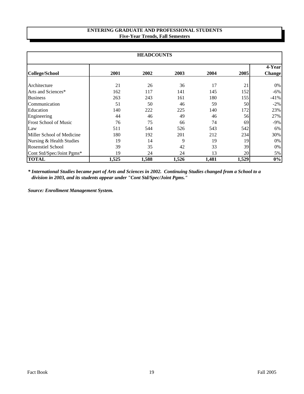# **ENTERING GRADUATE AND PROFESSIONAL STUDENTS Five-Year Trends, Fall Semesters**

| <b>HEADCOUNTS</b>            |       |       |       |       |       |                          |  |  |  |
|------------------------------|-------|-------|-------|-------|-------|--------------------------|--|--|--|
| <b>College/School</b>        | 2001  | 2002  | 2003  | 2004  | 2005  | 4-Yearl<br><b>Change</b> |  |  |  |
| Architecture                 | 21    | 26    | 36    | 17    | 21    | $0\%$                    |  |  |  |
| Arts and Sciences*           | 162   | 117   | 141   | 145   | 152   | $-6\%$                   |  |  |  |
| <b>Business</b>              | 263   | 243   | 161   | 180   | 155   | $-41%$                   |  |  |  |
| Communication                | 51    | 50    | 46    | 59    | 50    | $-2\%$                   |  |  |  |
| Education                    | 140   | 222   | 225   | 140   | 172   | 23%                      |  |  |  |
| Engineering                  | 44    | 46    | 49    | 46    | 56    | 27%                      |  |  |  |
| <b>Frost School of Music</b> | 76    | 75    | 66    | 74    | 69    | $-9\%$                   |  |  |  |
| Law                          | 511   | 544   | 526   | 543   | 542   | $6\%$                    |  |  |  |
| Miller School of Medicine    | 180   | 192   | 201   | 212   | 234   | 30%                      |  |  |  |
| Nursing & Health Studies     | 19    | 14    | 9     | 19    | 19    | $0\%$                    |  |  |  |
| <b>Rosenstiel School</b>     | 39    | 35    | 42    | 33    | 39    | $0\%$                    |  |  |  |
| Cont Std/Spec/Joint Pgms*    | 19    | 24    | 24    | 13    | 20    | $5\%$                    |  |  |  |
| <b>TOTAL</b>                 | 1,525 | 1,588 | 1,526 | 1,481 | 1,529 | 0%                       |  |  |  |

*\* International Studies became part of Arts and Sciences in 2002. Continuing Studies changed from a School to a division in 2003, and its students appear under "Cont Std/Spec/Joint Pgms."*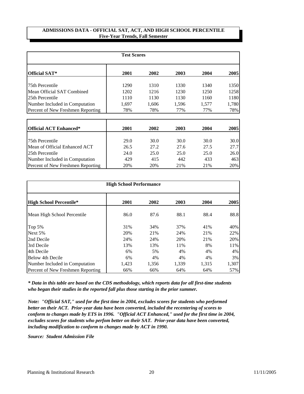#### **ADMISSIONS DATA - OFFICIAL SAT, ACT, AND HIGH SCHOOL PERCENTILE Five-Year Trends, Fall Semester**

|                                   | <b>Test Scores</b> |       |       |       |       |
|-----------------------------------|--------------------|-------|-------|-------|-------|
| <b>Official SAT*</b>              | 2001               | 2002  | 2003  | 2004  | 2005  |
| 75th Percentile                   | 1290               | 1310  | 1330  | 1340  | 1350  |
| Mean Official SAT Combined        | 1202               | 1216  | 1230  | 1250  | 1258  |
| 125th Percentile                  | 1110               | 1130  | 1130  | 1160  | 1180  |
| Number Included in Computation    | 1,697              | 1,606 | 1,596 | 1,577 | 1,780 |
| Percent of New Freshmen Reporting | 78%                | 78%   | 77%   | 77%   | 78%   |

| <b>Official ACT Enhanced*</b>     | 2001 | 2002 | 2003 | 2004 | 2005 |
|-----------------------------------|------|------|------|------|------|
| 75th Percentile                   | 29.0 | 30.0 | 30.0 | 30.0 | 30.0 |
| Mean of Official Enhanced ACT     | 26.5 | 27.2 | 27.6 | 27.5 | 27.7 |
| 25th Percentile                   | 24.0 | 25.0 | 25.0 | 25.0 | 26.0 |
| Number Included in Computation    | 429  | 415  | 442  | 433  | 463  |
| Percent of New Freshmen Reporting | 20%  | 20%  | 21%  | 21%  | 20%  |

| <b>High School Performance</b>    |       |       |       |       |       |  |  |  |  |  |  |
|-----------------------------------|-------|-------|-------|-------|-------|--|--|--|--|--|--|
| <b>High School Percentile*</b>    | 2001  | 2002  | 2003  | 2004  | 2005  |  |  |  |  |  |  |
| Mean High School Percentile       | 86.0  | 87.6  | 88.1  | 88.4  | 88.8  |  |  |  |  |  |  |
| Top 5%                            | 31%   | 34%   | 37%   | 41%   | 40%   |  |  |  |  |  |  |
| Next 5%                           | 20%   | 21%   | 24%   | 21%   | 22%   |  |  |  |  |  |  |
| 2nd Decile                        | 24%   | 24%   | 20%   | 21%   | 20%   |  |  |  |  |  |  |
| 3rd Decile                        | 13%   | 13%   | 11%   | 8%    | 11%   |  |  |  |  |  |  |
| 4th Decile                        | 6%    | 5%    | 4%    | 4%    | 4%    |  |  |  |  |  |  |
| Below 4th Decile                  | 6%    | 4%    | 4%    | 4%    | 3%    |  |  |  |  |  |  |
| Number Included in Computation    | 1,423 | 1,356 | 1,339 | 1,315 | 1,307 |  |  |  |  |  |  |
| Percent of New Freshmen Reporting | 66%   | 66%   | 64%   | 64%   | 57%   |  |  |  |  |  |  |

*\* Data in this table are based on the CDS methodology, which reports data for all first-time students who began their studies in the reported fall plus those starting in the prior summer.*

*Note: "Official SAT," used for the first time in 2004, excludes scores for students who performed better on their ACT. Prior-year data have been converted, included the recentering of scores to conform to changes made by ETS in 1996. "Official ACT Enhanced," used for the first time in 2004, excludes scores for students who perfom better on their SAT. Prior-year data have been converted, including modification to conform to changes made by ACT in 1990.*

*Source: Student Admission File*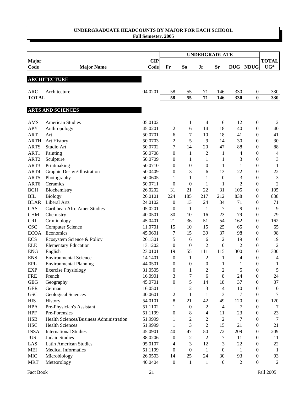## **UNDERGRADUATE HEADCOUNTS BY MAJOR FOR EACH SCHOOL Fall Semester, 2005**

|                  |                                         |            |                  |                  | <b>UNDERGRADUATE</b> |                  |                |                  |                |
|------------------|-----------------------------------------|------------|------------------|------------------|----------------------|------------------|----------------|------------------|----------------|
| <b>Major</b>     |                                         | <b>CIP</b> |                  |                  |                      |                  |                |                  | <b>TOTAL</b>   |
| Code             | <b>Major Name</b>                       | Code       | Fr               | S <sub>o</sub>   | Jr                   | Sr               |                | DUG NDUG         | $UG*$          |
|                  | <b>ARCHITECTURE</b>                     |            |                  |                  |                      |                  |                |                  |                |
|                  |                                         |            |                  |                  |                      |                  |                |                  |                |
| <b>ARC</b>       | Architecture                            | 04.0201    | 58               | 55               | 71                   | 146              | 330            | 0                | 330            |
| <b>TOTAL</b>     |                                         |            | 58               | 55               | 71                   | 146              | 330            | $\bf{0}$         | 330            |
|                  |                                         |            |                  |                  |                      |                  |                |                  |                |
|                  | <b>ARTS AND SCIENCES</b>                |            |                  |                  |                      |                  |                |                  |                |
| AMS              | <b>American Studies</b>                 | 05.0102    | 1                | 1                | 4                    | 6                | 12             | $\boldsymbol{0}$ | 12             |
| <b>APY</b>       | Anthropology                            | 45.0201    | $\overline{c}$   | 6                | 14                   | 18               | 40             | $\boldsymbol{0}$ | 40             |
| <b>ART</b>       | Art                                     | 50.0701    | 6                | 7                | 10                   | 18               | 41             | $\boldsymbol{0}$ | 41             |
| <b>ARTH</b>      | Art History                             | 50.0703    | $\overline{c}$   | 5                | 9                    | 14               | 30             | $\boldsymbol{0}$ | 30             |
| <b>ARTS</b>      | Studio Art                              | 50.0702    | $\overline{7}$   | 14               | 20                   | 47               | 88             | $\boldsymbol{0}$ | 88             |
| ART1             | Painting                                | 50.0708    | $\overline{0}$   | $\mathbf{1}$     | $\overline{2}$       | 1                | 4              | $\boldsymbol{0}$ | $\overline{4}$ |
| ART <sub>2</sub> | Sculpture                               | 50.0709    | $\overline{0}$   | 1                | 1                    | $\mathbf{1}$     | 3              | $\boldsymbol{0}$ | $\mathfrak{Z}$ |
| ART3             | Printmaking                             | 50.0710    | $\overline{0}$   | $\boldsymbol{0}$ | $\overline{0}$       | $\mathbf{1}$     | $\mathbf{1}$   | $\boldsymbol{0}$ | $\mathbf{1}$   |
| ART4             | Graphic Design/Illustration             | 50.0409    | $\overline{0}$   | 3                | 6                    | 13               | 22             | $\boldsymbol{0}$ | 22             |
| ART5             | Photography                             | 50.0605    | $\mathbf{1}$     | $\mathbf{1}$     | 1                    | $\boldsymbol{0}$ | 3              | $\boldsymbol{0}$ | $\mathfrak{Z}$ |
| ART6             | Ceramics                                | 50.0711    | $\boldsymbol{0}$ | $\boldsymbol{0}$ | $\mathbf{1}$         | 1                | $\overline{2}$ | $\boldsymbol{0}$ | $\overline{2}$ |
| <b>BCH</b>       | Biochemistry                            | 26.0202    | 31               | 21               | 22                   | 31               | 105            | $\boldsymbol{0}$ | 105            |
| BIL              | <b>Biology</b>                          | 26.0101    | 224              | 185              | 217                  | 212              | 838            | $\boldsymbol{0}$ | 838            |
| <b>BLAR</b>      | <b>Liberal Arts</b>                     | 24.0102    | $\boldsymbol{0}$ | 13               | 24                   | 34               | 71             | 0                | 71             |
| CAS              | Caribbean Afro Amer Studies             | 05.0201    | $\theta$         | $\mathbf{1}$     | $\mathbf{1}$         | 7                | 9              | $\boldsymbol{0}$ | 9              |
| <b>CHM</b>       | Chemistry                               | 40.0501    | 30               | 10               | 16                   | 23               | 79             | $\boldsymbol{0}$ | 79             |
| <b>CRI</b>       | Criminology                             | 45.0401    | 21               | 36               | 51                   | 54               | 162            | $\boldsymbol{0}$ | 162            |
| <b>CSC</b>       | <b>Computer Science</b>                 | 11.0701    | 15               | 10               | 15                   | 25               | 65             | 0                | 65             |
| <b>ECOA</b>      | Economics                               | 45.0601    | 7                | 15               | 39                   | 37               | 98             | $\boldsymbol{0}$ | 98             |
| <b>ECS</b>       | Ecosystem Science & Policy              | 26.1301    | 5                | 6                | 6                    | $\overline{c}$   | 19             | $\boldsymbol{0}$ | 19             |
| <b>ELE</b>       | <b>Elementary Education</b>             | 13.1202    | $\boldsymbol{0}$ | $\boldsymbol{0}$ | $\overline{c}$       | $\boldsymbol{0}$ | $\overline{2}$ | $\boldsymbol{0}$ | $\sqrt{2}$     |
| <b>ENG</b>       | English                                 | 23.0101    | 19               | 55               | 111                  | 115              | 300            | $\boldsymbol{0}$ | 300            |
| <b>ENS</b>       | <b>Environmental Science</b>            | 14.1401    | $\boldsymbol{0}$ | 1                | 2                    | 1                | 4              | 0                | $\overline{4}$ |
| <b>EPL</b>       | <b>Environmental Planning</b>           | 44.0501    | $\overline{0}$   | $\boldsymbol{0}$ | $\overline{0}$       | 1                | 1              | $\boldsymbol{0}$ | 1              |
| <b>EXP</b>       | <b>Exercise Physiology</b>              | 31.0505    | $\overline{0}$   | 1                | $\overline{2}$       | $\overline{c}$   | 5              | 0                | 5              |
| <b>FRE</b>       | French                                  | 16.0901    | 3                | 7                | 6                    | 8                | 24             | $\boldsymbol{0}$ | 24             |
| <b>GEG</b>       | Geography                               | 45.0701    | $\boldsymbol{0}$ | 5                | 14                   | 18               | 37             | $\boldsymbol{0}$ | 37             |
| <b>GER</b>       | German                                  | 16.0501    | 1                | $\overline{c}$   | 3                    | 4                | 10             | 0                | 10             |
| <b>GSC</b>       | <b>Geological Sciences</b>              | 40.0601    | $\overline{c}$   | $\mathbf{1}$     | 1                    | 3                | 7              | 0                | $\tau$         |
| <b>HIS</b>       | History                                 | 54.0101    | 8                | 21               | 42                   | 49               | 120            | 0                | 120            |
| <b>HPA</b>       | Pre-Physician's Assistant               | 51.1102    | 1                | $\boldsymbol{0}$ | $\overline{c}$       | 4                | 7              | $\boldsymbol{0}$ | 7              |
| <b>HPF</b>       | Pre-Forensics                           | 51.1199    | $\boldsymbol{0}$ | $\,8$            | 4                    | 11               | 23             | $\boldsymbol{0}$ | 23             |
| <b>HSB</b>       | Health Sciences/Business Administration | 51.9999    | $\mathbf{1}$     | $\sqrt{2}$       | $\overline{c}$       | $\overline{c}$   | 7              | $\boldsymbol{0}$ | 7              |
| <b>HSC</b>       | <b>Health Sciences</b>                  | 51.9999    | $\mathbf{1}$     | 3                | $\overline{c}$       | 15               | 21             | $\boldsymbol{0}$ | 21             |
| <b>INSA</b>      | <b>International Studies</b>            | 45.0901    | 40               | 47               | 50                   | 72               | 209            | $\boldsymbol{0}$ | 209            |
| $\rm JUS$        | Judaic Studies                          | 38.0206    | $\overline{0}$   | $\sqrt{2}$       | $\mathfrak{2}$       | 7                | 11             | $\boldsymbol{0}$ | 11             |
| LAS              | Latin American Studies                  | 05.0107    | 4                | 3                | 12                   | 3                | 22             | 0                | $22\,$         |
| <b>MEI</b>       | <b>Medical Informatics</b>              | 51.1199    | $\boldsymbol{0}$ | $\boldsymbol{0}$ | $\mathbf{1}$         | $\boldsymbol{0}$ | $\mathbf{1}$   | $\boldsymbol{0}$ | $\mathbf{1}$   |
| MIC              | Microbiology                            | 26.0503    | 14               | 25               | 24                   | 30               | 93             | $\boldsymbol{0}$ | 93             |
| <b>MRT</b>       | Meteorology                             | 40.0404    | $\boldsymbol{0}$ | $\mathbf{1}$     | $\mathbf{1}$         | $\boldsymbol{0}$ | 2              | $\boldsymbol{0}$ | $\mathfrak{2}$ |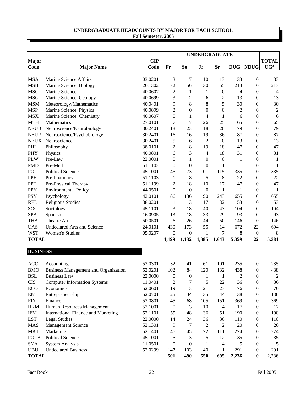## **UNDERGRADUATE HEADCOUNTS BY MAJOR FOR EACH SCHOOL Fall Semester, 2005**

|                             |                                             |                    |                  |                  |                  |                          |                | <b>UNDERGRADUATE</b> |                       |  |  |  |
|-----------------------------|---------------------------------------------|--------------------|------------------|------------------|------------------|--------------------------|----------------|----------------------|-----------------------|--|--|--|
| <b>Major</b><br>Code        | <b>Major Name</b>                           | <b>CIP</b><br>Code | Fr               | S <sub>o</sub>   | Jr               | <b>Sr</b>                |                | DUG NDUG             | <b>TOTAL</b><br>$UG*$ |  |  |  |
|                             |                                             |                    |                  |                  |                  |                          |                |                      |                       |  |  |  |
| <b>MSA</b>                  | Marine Science Affairs                      | 03.0201            | 3                | 7                | 10               | 13                       | 33             | $\boldsymbol{0}$     | 33                    |  |  |  |
| <b>MSB</b>                  | Marine Science, Biology                     | 26.1302            | 72               | 56               | 30               | 55                       | 213            | $\boldsymbol{0}$     | 213                   |  |  |  |
| <b>MSC</b>                  | Marine Science                              | 40.0607            | $\boldsymbol{2}$ | $\mathbf{1}$     | $\mathbf{1}$     | $\boldsymbol{0}$         | 4              | $\boldsymbol{0}$     | $\overline{4}$        |  |  |  |
| <b>MSG</b>                  | Marine Science, Geology                     | 40.0699            | 3                | $\overline{c}$   | 6                | $\boldsymbol{2}$         | 13             | $\boldsymbol{0}$     | 13                    |  |  |  |
| <b>MSM</b>                  | Meteorology/Mathematics                     | 40.0401            | 9                | 8                | 8                | 5                        | 30             | $\boldsymbol{0}$     | 30                    |  |  |  |
| <b>MSP</b>                  | Marine Science, Physics                     | 40.0899            | $\overline{c}$   | $\boldsymbol{0}$ | $\boldsymbol{0}$ | $\boldsymbol{0}$         | $\overline{c}$ | $\boldsymbol{0}$     | $\overline{c}$        |  |  |  |
| <b>MSX</b>                  | Marine Science, Chemistry                   | 40.0607            | $\mathbf{0}$     | $\mathbf{1}$     | $\overline{4}$   | $\mathbf{1}$             | 6              | $\boldsymbol{0}$     | 6                     |  |  |  |
| <b>MTH</b>                  | Mathematics                                 | 27.0101            | $\overline{7}$   | $\tau$           | 26               | 25                       | 65             | $\boldsymbol{0}$     | 65                    |  |  |  |
| <b>NEUB</b>                 | Neuroscience/Neurobiology                   | 30.2401            | 18               | 23               | 18               | 20                       | 79             | $\boldsymbol{0}$     | 79                    |  |  |  |
| <b>NEUP</b>                 | Neuroscience/Psychobiology                  | 30.2401            | 16               | 16               | 19               | 36                       | 87             | $\boldsymbol{0}$     | 87                    |  |  |  |
| <b>NEUX</b>                 | Neuroscience                                | 30.2401            | 5                | 6                | $\overline{c}$   | $\boldsymbol{0}$         | 13             | $\boldsymbol{0}$     | 13                    |  |  |  |
| PHI                         | Philosophy                                  | 38.0101            | $\overline{c}$   | $\,8$            | 19               | 18                       | 47             | $\boldsymbol{0}$     | 47                    |  |  |  |
| <b>PHY</b>                  | Physics                                     | 40.0801            | 6                | 3                | 4                | 18                       | 31             | $\boldsymbol{0}$     | 31                    |  |  |  |
| <b>PLW</b>                  | Pre-Law                                     | 22.0001            | $\overline{0}$   | 1                | $\overline{0}$   | $\boldsymbol{0}$         | 1              | $\boldsymbol{0}$     | 1                     |  |  |  |
| <b>PMD</b>                  | Pre-Med                                     | 51.1102            | $\theta$         | $\boldsymbol{0}$ | $\boldsymbol{0}$ | $\mathbf{1}$             | 1              | $\boldsymbol{0}$     | 1                     |  |  |  |
| <b>POL</b>                  | <b>Political Science</b>                    | 45.1001            | 46               | 73               | 101              | 115                      | 335            | $\boldsymbol{0}$     | 335                   |  |  |  |
| PPH                         | Pre-Pharmacy                                | 51.1103            | $\mathbf{1}$     | 8                | 5                | 8                        | 22             | $\boldsymbol{0}$     | 22                    |  |  |  |
| <b>PPT</b>                  | Pre-Physical Therapy                        | 51.1199            | $\overline{c}$   | 18               | 10               | 17                       | 47             | $\boldsymbol{0}$     | 47                    |  |  |  |
| <b>PPY</b>                  | <b>Environmental Policy</b>                 | 44.0501            | $\boldsymbol{0}$ | $\boldsymbol{0}$ | $\boldsymbol{0}$ | $\mathbf{1}$             | $\mathbf{1}$   | $\boldsymbol{0}$     | $\mathbf{1}$          |  |  |  |
| <b>PSY</b>                  | Psychology                                  | 42.0101            | 86               | 136              | 190              | 243                      | 655            | $\boldsymbol{0}$     | 655                   |  |  |  |
| <b>REL</b>                  | Religious Studies                           | 38.0201            | $\mathbf{1}$     | 3                | 17               | 32                       | 53             | $\boldsymbol{0}$     | 53                    |  |  |  |
| SOC                         | Sociology                                   | 45.1101            | 3                | 18               | 40               | 43                       | 104            | $\mathbf{0}$         | 104                   |  |  |  |
| <b>SPA</b>                  | Spanish                                     | 16.0905            | 13               | 18               | 33               | 29                       | 93             | $\mathbf{0}$         | 93                    |  |  |  |
| <b>THA</b>                  | <b>Theatre Arts</b>                         | 50.0501            | 26               | 26               | 44               | 50                       | 146            | $\boldsymbol{0}$     | 146                   |  |  |  |
| <b>UAS</b>                  | Undeclared Arts and Science                 | 24.0101            | 430              | 173              | 55               | 14                       | 672            | 22                   | 694                   |  |  |  |
| <b>WST</b>                  | <b>Women's Studies</b>                      | 05.0207            | $\theta$         | $\boldsymbol{0}$ | 1                | 7                        | 8              | $\boldsymbol{0}$     | 8                     |  |  |  |
| <b>TOTAL</b>                |                                             |                    | 1,199            | 1,132            | 1,385            | 1,643                    | 5,359          | 22                   | 5,381                 |  |  |  |
| <b>BUSINESS</b>             |                                             |                    |                  |                  |                  |                          |                |                      |                       |  |  |  |
| <b>ACC</b>                  | Accounting                                  | 52.0301            | 32               | 41               | 61               | 101                      | 235            | $\boldsymbol{0}$     | 235                   |  |  |  |
| <b>BMO</b>                  | <b>Business Management and Organization</b> | 52.0201            | 102              | 84               | 120              | 132                      | 438            | $\mathbf{0}$         | 438                   |  |  |  |
| <b>BSL</b>                  | <b>Business Law</b>                         | 22.0000            | $\boldsymbol{0}$ | $\boldsymbol{0}$ | $\mathbf{1}$     | $\mathbf{1}$             | $\sqrt{2}$     | $\boldsymbol{0}$     | $\overline{c}$        |  |  |  |
| <b>CIS</b>                  | <b>Computer Information Systems</b>         | 11.0401            | $\overline{c}$   | $\boldsymbol{7}$ | 5                | 22                       | 36             | $\boldsymbol{0}$     | 36                    |  |  |  |
| ECO                         | Economics                                   | 52.0601            | 19               | 13               | 21               | 23                       | 76             | $\boldsymbol{0}$     | 76                    |  |  |  |
| <b>ENT</b>                  | Entrepreneurship                            | 52.0701            | 25               | 34               | 35               | 44                       | 138            | $\boldsymbol{0}$     | 138                   |  |  |  |
| $\boldsymbol{\mathsf{FIN}}$ | Finance                                     | 52.0801            | 45               | 68               | 105              | 151                      | 369            | $\boldsymbol{0}$     | 369                   |  |  |  |
| <b>HRM</b>                  | Human Resources Management                  | 52.1001            | $\boldsymbol{0}$ | $\mathfrak{Z}$   | 10               | $\overline{4}$           | 17             | 0                    | 17                    |  |  |  |
| $\text{IFM}\xspace$         | <b>International Finance and Marketing</b>  | 52.1101            | 55               | 48               | 36               | 51                       | 190            | $\boldsymbol{0}$     | 190                   |  |  |  |
| <b>LST</b>                  | <b>Legal Studies</b>                        | 22.0000            | 14               | 24               | 36               | 36                       | 110            | $\boldsymbol{0}$     | 110                   |  |  |  |
| <b>MAS</b>                  | <b>Management Science</b>                   | 52.1301            | 9                | $\tau$           | 2                | 2                        | 20             | $\boldsymbol{0}$     | 20                    |  |  |  |
| <b>MKT</b>                  | Marketing                                   | 52.1401            | 46               | 45               | 72               | 111                      | 274            | $\boldsymbol{0}$     | 274                   |  |  |  |
| <b>POLB</b>                 | <b>Political Science</b>                    | 45.1001            | 5                | 13               | 5                | 12                       | 35             | $\boldsymbol{0}$     | 35                    |  |  |  |
| <b>SYA</b>                  | <b>System Analysis</b>                      | 11.0501            | $\boldsymbol{0}$ | $\boldsymbol{0}$ | 1                | $\overline{\mathcal{L}}$ | 5              | $\boldsymbol{0}$     | 5                     |  |  |  |
| UBU                         | <b>Undeclared Business</b>                  | 52.0299            | 147              | 103              | 40               | 1                        | 291            | $\boldsymbol{0}$     | 291                   |  |  |  |
| <b>TOTAL</b>                |                                             |                    | 501              | 490              | 550              | 695                      | 2,236          | $\pmb{0}$            | 2,236                 |  |  |  |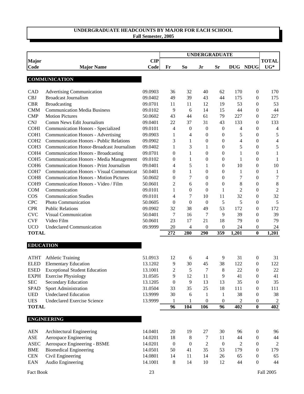# **UNDERGRADUATE HEADCOUNTS BY MAJOR FOR EACH SCHOOL**

|  |  | <b>Fall Semester, 2005</b> |  |
|--|--|----------------------------|--|
|--|--|----------------------------|--|

|                             |                                                 |                    |                  |                  | <b>UNDERGRADUATE</b> |                  |                |                                      |                       |
|-----------------------------|-------------------------------------------------|--------------------|------------------|------------------|----------------------|------------------|----------------|--------------------------------------|-----------------------|
| <b>Major</b><br><b>Code</b> | <b>Major Name</b>                               | <b>CIP</b><br>Code | Fr               | S <sub>o</sub>   | Jr                   | <b>Sr</b>        |                | DUG NDUG                             | <b>TOTAL</b><br>$UG*$ |
|                             |                                                 |                    |                  |                  |                      |                  |                |                                      |                       |
|                             | <b>COMMUNICATION</b>                            |                    |                  |                  |                      |                  |                |                                      |                       |
|                             |                                                 |                    |                  |                  |                      |                  |                |                                      |                       |
| CAD                         | <b>Advertising Communication</b>                | 09.0903            | 36               | 32               | 40                   | 62               | 170            | $\boldsymbol{0}$                     | 170                   |
| <b>CBJ</b>                  | <b>Broadcast Journalism</b>                     | 09.0402            | 49               | 39               | 43                   | 44               | 175            | $\boldsymbol{0}$                     | 175                   |
| <b>CBR</b>                  | <b>Broadcasting</b>                             | 09.0701            | 11               | 11               | 12                   | 19               | 53             | $\boldsymbol{0}$                     | 53                    |
| <b>CMM</b>                  | <b>Communication Media Business</b>             | 09.0102            | 9                | 6                | 14                   | 15               | 44             | $\boldsymbol{0}$                     | 44                    |
| <b>CMP</b>                  | <b>Motion Pictures</b>                          | 50.0602            | 43               | 44               | 61                   | 79               | 227            | $\boldsymbol{0}$                     | 227                   |
| <b>CNJ</b>                  | Comm News Edit Journalism                       | 09.0401            | 22               | 37               | 31                   | 43               | 133            | $\boldsymbol{0}$                     | 133                   |
| <b>COHI</b>                 | <b>Communication Honors - Specialized</b>       | 09.0101            | 4                | $\boldsymbol{0}$ | $\boldsymbol{0}$     | $\boldsymbol{0}$ | 4              | $\boldsymbol{0}$                     | 4                     |
| COH <sub>1</sub>            | <b>Communication Honors - Advertising</b>       | 09.0903            | $\mathbf{1}$     | 4                | $\boldsymbol{0}$     | 0                | 5              | $\boldsymbol{0}$                     | 5                     |
| COH <sub>2</sub>            | <b>Communication Honors - Public Relations</b>  | 09.0902            | 3                | 1                | $\boldsymbol{0}$     | $\boldsymbol{0}$ | 4              | $\boldsymbol{0}$                     | $\overline{4}$        |
| COH <sub>3</sub>            | Communication Honor-Broadcast Journalism        | 09.0402            | $\mathbf{1}$     | 3                | $\mathbf{1}$         | $\boldsymbol{0}$ | 5              | $\boldsymbol{0}$                     | $\sqrt{5}$            |
| COH <sub>4</sub>            | <b>Communication Honors - Broadcasting</b>      | 09.0701            | $\overline{0}$   | 1                | $\boldsymbol{0}$     | $\boldsymbol{0}$ | $\mathbf{1}$   | $\boldsymbol{0}$                     | $\mathbf{1}$          |
| COH <sub>5</sub>            | <b>Communication Honors - Media Management</b>  | 09.0102            | $\boldsymbol{0}$ | 1                | $\boldsymbol{0}$     | $\boldsymbol{0}$ | $\mathbf{1}$   | $\boldsymbol{0}$                     | $\mathbf{1}$          |
| COH <sub>6</sub>            | <b>Communication Honors - Print Journalism</b>  | 09.0401            | 4                | 5                | 1                    | 0                | 10             | $\boldsymbol{0}$                     | 10                    |
| COH7                        | <b>Communication Honors - Visual Communicat</b> | 50.0401            | $\theta$         | 1                | $\boldsymbol{0}$     | 0                | $\mathbf{1}$   | 0                                    | $\mathbf{1}$          |
| COH <sub>8</sub>            | <b>Communication Honors - Motion Pictures</b>   | 50.0602            | $\theta$         | 7                | $\boldsymbol{0}$     | 0                | 7              | $\boldsymbol{0}$                     | $\tau$                |
| COH <sub>9</sub>            | Communication Honors - Video / Film             | 50.0601            | 2                | 6                | $\mathbf{0}$         | 0                | 8              | 0                                    | $\,8\,$               |
| <b>COM</b>                  | Communication                                   | 09.0101            | 1                | $\boldsymbol{0}$ | $\theta$             | 1                | $\overline{2}$ | $\boldsymbol{0}$                     | $\overline{c}$        |
| COS                         | <b>Communication Studies</b>                    | 09.0101            | 4                | 7                | 10                   | 11               | 32             | $\boldsymbol{0}$                     | 32                    |
| <b>CPC</b>                  | Photo Communication                             | 50.0605            | $\theta$         | $\boldsymbol{0}$ | $\theta$             | 5                | 5              | $\boldsymbol{0}$                     | 5                     |
| <b>CPR</b><br><b>CVC</b>    | <b>Public Relations</b>                         | 09.0902            | 32               | 38               | 49<br>7              | 53               | 172            | $\boldsymbol{0}$                     | 172                   |
| <b>CVF</b>                  | Visual Communication<br>Video Film              | 50.0401<br>50.0601 | 7<br>23          | 16<br>17         | 21                   | 9<br>18          | 39<br>79       | $\boldsymbol{0}$                     | 39<br>79              |
| <b>UCO</b>                  | <b>Undeclared Communication</b>                 | 09.9999            | 20               | 4                | $\theta$             | 0                | 24             | $\boldsymbol{0}$<br>$\boldsymbol{0}$ | 24                    |
| <b>TOTAL</b>                |                                                 |                    | 272              | 280              | 290                  | 359              | 1,201          | $\bf{0}$                             | 1,201                 |
|                             |                                                 |                    |                  |                  |                      |                  |                |                                      |                       |
| <b>EDUCATION</b>            |                                                 |                    |                  |                  |                      |                  |                |                                      |                       |
| <b>ATHT</b>                 | <b>Athletic Training</b>                        | 51.0913            | 12               | 6                | 4                    | 9                | 31             | $\boldsymbol{0}$                     | 31                    |
| <b>ELED</b>                 | <b>Elementary Education</b>                     | 13.1202            | 9                | 30               | 45                   | 38               | 122            | $\boldsymbol{0}$                     | 122                   |
| <b>ESED</b>                 | <b>Exceptional Student Education</b>            | 13.1001            | 2                | 5                | 7                    | 8                | 22             | $\theta$                             | 22                    |
| <b>EXPH</b>                 | <b>Exercise Physiology</b>                      | 31.0505            | 9                | 12               | 11                   | 9                | 41             | $\boldsymbol{0}$                     | 41                    |
| <b>SEC</b>                  | Secondary Education                             | 13.1205            | $\boldsymbol{0}$ | 9                | 13                   | 13               | 35             | $\boldsymbol{0}$                     | 35                    |
| <b>SPAD</b>                 | Sport Administration                            | 31.0504            | 33               | 35               | 25                   | 18               | 111            | 0                                    | 111                   |
| <b>UED</b>                  | <b>Undeclared Education</b>                     | 13.9999            | 30               | 6                | 1                    | $\mathbf{1}$     | 38             | $\boldsymbol{0}$                     | 38                    |
| <b>UES</b>                  | <b>Undeclared Exercise Science</b>              | 13.9999            | 1                | 1                | $\boldsymbol{0}$     | 0                | 2              | $\boldsymbol{0}$                     | $\overline{c}$        |
| <b>TOTAL</b>                |                                                 |                    | 96               | 104              | 106                  | 96               | 402            | $\bf{0}$                             | 402                   |
|                             | <b>ENGINEERING</b>                              |                    |                  |                  |                      |                  |                |                                      |                       |
|                             |                                                 |                    |                  |                  |                      |                  |                |                                      |                       |
| <b>AEN</b>                  | Architectural Engineering                       | 14.0401            | 20               | 19               | 27                   | 30               | 96             | $\boldsymbol{0}$                     | 96                    |
| $\operatorname{ASE}$        | Aerospace Engineering                           | 14.0201            | 18               | 8                | 7                    | 11               | 44             | $\boldsymbol{0}$                     | 44                    |
| <b>ASEC</b>                 | Aerospace Engineering - BSME                    | 14.0201            | $\boldsymbol{0}$ | $\boldsymbol{0}$ | $\overline{2}$       | $\boldsymbol{0}$ | 2              | $\boldsymbol{0}$                     | $\overline{2}$        |
| <b>BME</b>                  | <b>Biomedical Engineering</b>                   | 14.0501            | 50               | 41               | 35                   | 53               | 179            | $\boldsymbol{0}$                     | 179                   |
| $\mbox{CEN}$                | Civil Engineering                               | 14.0801            | 14               | 11               | 14                   | 26               | 65             | $\boldsymbol{0}$                     | 65                    |
| EAN                         | Audio Engineering                               | 14.1001            | 8                | 14               | 10                   | 12               | 44             | $\boldsymbol{0}$                     | 44                    |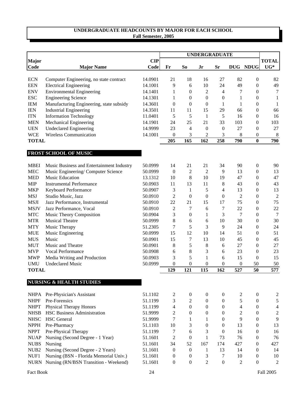## **UNDERGRADUATE HEADCOUNTS BY MAJOR FOR EACH SCHOOL Fall Semester, 2005**

|                  |                                           |            | <b>UNDERGRADUATE</b> |                  |                  |                  |                |                  |                         |
|------------------|-------------------------------------------|------------|----------------------|------------------|------------------|------------------|----------------|------------------|-------------------------|
| Major            |                                           | <b>CIP</b> |                      |                  |                  |                  |                |                  | <b>TOTAL</b>            |
| Code             | <b>Major Name</b>                         | Code       | Fr                   | So               | Jr               | <b>Sr</b>        |                | DUG NDUG         | $UG*$                   |
| <b>ECN</b>       | Computer Engineering, no state contract   | 14.0901    | 21                   | 18               | 16               | 27               | 82             | $\boldsymbol{0}$ | 82                      |
| <b>EEN</b>       | <b>Electrical Engineering</b>             | 14.1001    | 9                    | 6                | 10               | 24               | 49             | $\boldsymbol{0}$ | 49                      |
| <b>ENV</b>       | <b>Environmental Engineering</b>          | 14.1401    | 1                    | $\boldsymbol{0}$ | $\overline{2}$   | $\overline{4}$   | 7              | $\boldsymbol{0}$ | $\tau$                  |
| <b>ESC</b>       | <b>Engineering Science</b>                | 14.1301    | 1                    | $\boldsymbol{0}$ | $\boldsymbol{0}$ | $\mathbf{0}$     | 1              | $\boldsymbol{0}$ | 1                       |
| <b>IEM</b>       | Manufacturing Engineering, state subsidy  | 14.3601    | $\boldsymbol{0}$     | $\boldsymbol{0}$ | $\boldsymbol{0}$ | 1                | 1              | $\boldsymbol{0}$ | 1                       |
| <b>IEN</b>       | <b>Industrial Engineering</b>             | 14.3501    | 11                   | 11               | 15               | 29               | 66             | $\boldsymbol{0}$ | 66                      |
| <b>ITN</b>       | <b>Information Technology</b>             | 11.0401    | 5                    | 5                | 1                | 5                | 16             | 0                | 16                      |
| <b>MEN</b>       | Mechanical Engineering                    | 14.1901    | 24                   | 25               | 21               | 33               | 103            | $\boldsymbol{0}$ | 103                     |
| <b>UEN</b>       | <b>Undeclared Engineering</b>             | 14.9999    | 23                   | 4                | $\boldsymbol{0}$ | $\mathbf{0}$     | 27             | $\boldsymbol{0}$ | 27                      |
| <b>WCE</b>       | Wireless Communication                    | 14.1001    | $\boldsymbol{0}$     | 3                | $\mathfrak{2}$   | 3                | 8              | $\boldsymbol{0}$ | 8                       |
| <b>TOTAL</b>     |                                           |            | 205                  | 165              | 162              | 258              | 790            | $\bf{0}$         | 790                     |
|                  |                                           |            |                      |                  |                  |                  |                |                  |                         |
|                  | FROST SCHOOL OF MUSIC                     |            |                      |                  |                  |                  |                |                  |                         |
| <b>MBEI</b>      | Music Business and Entertainment Industry | 50.0999    | 14                   | 21               | 21               | 34               | 90             | $\boldsymbol{0}$ | 90                      |
| <b>MEC</b>       | Music Engineering/Computer Science        | 50.0999    | $\overline{0}$       | $\mathfrak{2}$   | $\overline{2}$   | 9                | 13             | $\boldsymbol{0}$ | 13                      |
| <b>MED</b>       | <b>Music Education</b>                    | 13.1312    | 10                   | 8                | 10               | 19               | 47             | $\boldsymbol{0}$ | 47                      |
| <b>MIP</b>       | <b>Instrumental Performance</b>           | 50.0903    | 11                   | 13               | 11               | 8                | 43             | $\boldsymbol{0}$ | 43                      |
| <b>MKP</b>       | Keyboard Performance                      | 50.0907    | 3                    | 1                | 5                | 4                | 13             | 0                | 13                      |
| <b>MSJ</b>       | Studio Music, Jazz                        | 50.0910    | $\overline{2}$       | $\boldsymbol{0}$ | $\theta$         | $\mathbf{0}$     | $\overline{2}$ | $\boldsymbol{0}$ | $\overline{c}$          |
| <b>MSJI</b>      | Jazz Performance, Instrumental            | 50.0910    | 22                   | 21               | 15               | 17               | 75             | $\boldsymbol{0}$ | 75                      |
| <b>MSJV</b>      | Jazz Performance, Vocal                   | 50.0910    | $\overline{c}$       | 7                | 6                | 7                | 22             | 0                | 22                      |
| <b>MTC</b>       | Music Theory Composition                  | 50.0904    | 3                    | $\boldsymbol{0}$ | $\mathbf{1}$     | 3                | 7              | 0                | 7                       |
| <b>MTR</b>       | <b>Musical Theatre</b>                    | 50.0999    | 8                    | 6                | 6                | 10               | 30             | $\boldsymbol{0}$ | 30                      |
| <b>MTY</b>       | Music Therapy                             | 51.2305    | 7                    | 5                | 3                | 9                | 24             | 0                | 24                      |
| <b>MUE</b>       | Music Engineering                         | 50.0999    | 15                   | 12               | 10               | 14               | 51             | $\boldsymbol{0}$ | 51                      |
| <b>MUS</b>       | Music                                     | 50.0901    | 15                   | 7                | 13               | 10               | 45             | $\boldsymbol{0}$ | 45                      |
| <b>MUT</b>       | Music and Theatre                         | 50.0901    | 8                    | 5                | 8                | 6                | 27             | $\overline{0}$   | 27                      |
| <b>MVP</b>       | Vocal Performance                         | 50.0908    | 6                    | 8                | 3                | 6                | 23             | $\boldsymbol{0}$ | 23                      |
| <b>MWP</b>       | Media Writing and Production              | 50.0903    | 3                    | 5                | $\mathbf{1}$     | 6                | 15             | $\boldsymbol{0}$ | 15                      |
| <b>UMU</b>       | <b>Undeclared Music</b>                   | 50.0999    | $\mathbf{0}$         | $\boldsymbol{0}$ | $\overline{0}$   | 0                | $\overline{0}$ | 50               | 50                      |
| <b>TOTAL</b>     |                                           |            | 129                  | 121              | 115              | 162              | 527            | 50               | 577                     |
|                  | <b>NURSING &amp; HEALTH STUDIES</b>       |            |                      |                  |                  |                  |                |                  |                         |
|                  | NHPA Pre-Physician's Assistant            | 51.1102    | $\overline{c}$       | $\mathbf{0}$     | $\overline{0}$   | $\boldsymbol{0}$ | 2              | $\boldsymbol{0}$ | $\overline{\mathbf{c}}$ |
| <b>NHPF</b>      | Pre-Forensics                             | 51.1199    | 3                    | 2                | $\overline{0}$   | $\mathbf{0}$     | 5              | $\overline{0}$   | 5                       |
| <b>NHPT</b>      | <b>Physical Therapy Honors</b>            | 51.1199    | $\overline{4}$       | $\boldsymbol{0}$ | $\overline{0}$   | $\mathbf{0}$     | 4              | $\boldsymbol{0}$ | 4                       |
| <b>NHSB</b>      | <b>HSC Business Administration</b>        | 51.9999    | $\overline{c}$       | $\boldsymbol{0}$ | $\boldsymbol{0}$ | $\mathbf{0}$     | $\overline{c}$ | 0                | $\overline{c}$          |
| <b>NHSC</b>      | <b>HSC</b> General                        | 51.9999    | 7                    | 1                | 1                | $\mathbf{0}$     | 9              | 0                | 9                       |
| <b>NPPH</b>      | Pre-Pharmacy                              | 51.1103    | 10                   | 3                | $\overline{0}$   | $\mathbf{0}$     | 13             | 0                | 13                      |
| <b>NPPT</b>      | Pre-Physical Therapy                      | 51.1199    | 7                    | 6                | 3                | $\mathbf{0}$     | 16             | 0                | 16                      |
| <b>NUAP</b>      | Nursing (Second Degree - 1 Year)          | 51.1601    | $\overline{2}$       | $\boldsymbol{0}$ | $\mathbf{1}$     | 73               | 76             | 0                | 76                      |
| <b>NUBS</b>      | Nursing                                   | 51.1601    | 34                   | 52               | 167              | 174              | 427            | 0                | 427                     |
| NUB <sub>2</sub> | Nursing (Second Degree - 2 Years)         | 51.1601    | $\boldsymbol{0}$     | $\mathbf{0}$     | $\mathbf{1}$     | 13               | 14             | 0                | 14                      |
| NUF1             | Nursing (BSN - Florida Memorial Univ.)    | 51.1601    | $\boldsymbol{0}$     | $\boldsymbol{0}$ | 3                | 7                | 10             | 0                | 10                      |
| <b>NURN</b>      | Nursing (RN/BSN Transition - Weekend)     | 51.1601    | $\boldsymbol{0}$     | $\boldsymbol{0}$ | $\overline{2}$   | $\boldsymbol{0}$ | $\overline{c}$ | $\boldsymbol{0}$ | $\overline{c}$          |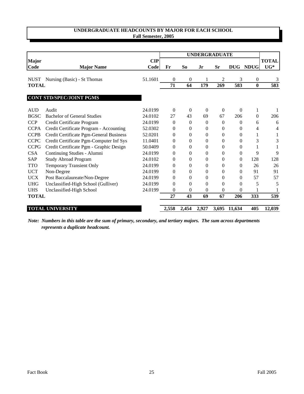## **UNDERGRADUATE HEADCOUNTS BY MAJOR FOR EACH SCHOOL Fall Semester, 2005**

|              |                                         |         |                |                  | <b>UNDERGRADUATE</b> |              |              |                  |              |
|--------------|-----------------------------------------|---------|----------------|------------------|----------------------|--------------|--------------|------------------|--------------|
| <b>Major</b> |                                         | CIP     |                |                  |                      |              |              |                  | <b>TOTAL</b> |
| Code         | <b>Major Name</b>                       | Code    | Fr             | S <sub>o</sub>   | Jr                   | <b>Sr</b>    | <b>DUG</b>   | <b>NDUG</b>      | $UG^*$       |
| <b>NUST</b>  | Nursing (Basic) - St Thomas             | 51.1601 | $\mathbf{0}$   | $\theta$         |                      | 2            | 3            | $\boldsymbol{0}$ | 3            |
| <b>TOTAL</b> |                                         |         | 71             | 64               | 179                  | 269          | 583          | $\bf{0}$         | 583          |
|              | <b>CONT STD/SPEC/JOINT PGMS</b>         |         |                |                  |                      |              |              |                  |              |
| <b>AUD</b>   | Audit                                   | 24.0199 | $\Omega$       | $\theta$         | $\Omega$             | $\Omega$     | $\Omega$     | 1                |              |
| <b>BGSC</b>  | <b>Bachelor of General Studies</b>      | 24.0102 | 27             | 43               | 69                   | 67           | 206          | $\mathbf{0}$     | 206          |
| <b>CCP</b>   | Credit Certificate Program              | 24.0199 | $\mathbf{0}$   | $\boldsymbol{0}$ | $\mathbf{0}$         | $\theta$     | $\mathbf{0}$ | 6                | 6            |
| <b>CCPA</b>  | Credit Certificate Program - Accounting | 52.0302 | $\mathbf{0}$   | 0                | $\theta$             | $\theta$     | 0            | 4                | 4            |
| <b>CCPB</b>  | Credit Certificate Pgm-General Business | 52.0201 | $\Omega$       | $\overline{0}$   | $\Omega$             | 0            | $\Omega$     | 1                |              |
| <b>CCPC</b>  | Credit Certificate Pgm-Computer Inf Sys | 11.0401 | $\Omega$       | $\overline{0}$   | $\Omega$             | 0            | 0            | 3                | 3            |
| <b>CCPG</b>  | Credit Certificate Pgm - Graphic Design | 50.0409 | $\Omega$       | 0                | $\Omega$             | 0            | $\Omega$     |                  |              |
| <b>CSA</b>   | Continuing Studies - Alumni             | 24.0199 | $\theta$       | $\overline{0}$   | $\Omega$             | 0            | $\Omega$     | 9                | 9            |
| <b>SAP</b>   | <b>Study Abroad Program</b>             | 24.0102 | $\overline{0}$ | $\overline{0}$   | $\theta$             | $\Omega$     | $\Omega$     | 128              | 128          |
| <b>TTO</b>   | <b>Temporary Transient Only</b>         | 24.0199 | $\mathbf{0}$   | $\overline{0}$   | $\theta$             | $\mathbf{0}$ | $\mathbf{0}$ | 26               | 26           |
| <b>UCT</b>   | Non-Degree                              | 24.0199 | $\Omega$       | 0                | $\Omega$             | 0            | $\Omega$     | 91               | 91           |
| <b>UCX</b>   | Post Baccalaureate/Non-Degree           | 24.0199 | $\Omega$       | $\overline{0}$   | $\theta$             | 0            | $\Omega$     | 57               | 57           |
| <b>UHG</b>   | Unclassified-High School (Gulliver)     | 24.0199 | $\Omega$       | $\boldsymbol{0}$ | $\Omega$             | 0            | 0            | 5                | 5            |
| <b>UHS</b>   | Unclassified-High School                | 24.0199 | 0              | $\overline{0}$   | $\theta$             | 0            | 0            |                  |              |
| <b>TOTAL</b> |                                         |         | 27             | 43               | 69                   | 67           | 206          | 333              | 539          |
|              | <b>TOTAL UNIVERSITY</b>                 |         | 2,558          | 2,454            | 2,927                |              | 3,695 11,634 | 405              | 12,039       |

*Note: Numbers in this table are the sum of primary, secondary, and tertiary majors. The sum across departments represents a duplicate headcount.*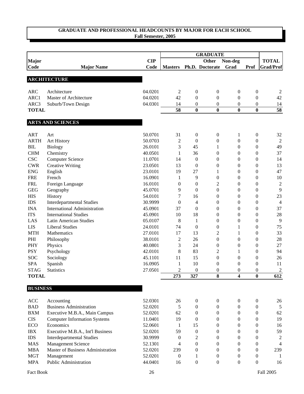|                 |                                     |            |                  |                  | <b>GRADUATE</b>              |                         |                  |                  |  |
|-----------------|-------------------------------------|------------|------------------|------------------|------------------------------|-------------------------|------------------|------------------|--|
| <b>Major</b>    |                                     | <b>CIP</b> |                  |                  | <b>Other</b>                 | Non-deg                 |                  | <b>TOTAL</b>     |  |
| <b>Code</b>     | <b>Major Name</b>                   | Code       | <b>Masters</b>   |                  | Ph.D. Doctorate              | Grad                    | Prof             | <b>Grad/Prof</b> |  |
|                 |                                     |            |                  |                  |                              |                         |                  |                  |  |
|                 | <b>ARCHITECTURE</b>                 |            |                  |                  |                              |                         |                  |                  |  |
|                 |                                     |            |                  |                  |                              |                         |                  |                  |  |
| <b>ARC</b>      | Architecture                        | 04.0201    | $\overline{c}$   | $\boldsymbol{0}$ | 0                            | $\boldsymbol{0}$        | $\boldsymbol{0}$ | 2                |  |
| ARC1            | Master of Architecture              | 04.0201    | 42               | $\mathbf{0}$     | $\overline{0}$               | $\theta$                | $\boldsymbol{0}$ | 42               |  |
| ARC3            | Suburb/Town Design                  | 04.0301    | 14               | $\boldsymbol{0}$ | $\boldsymbol{0}$             | $\boldsymbol{0}$        | $\mathbf{0}$     | 14               |  |
| <b>TOTAL</b>    |                                     |            | 58               | $\bf{0}$         | $\bf{0}$                     | $\bf{0}$                | $\bf{0}$         | $\overline{58}$  |  |
|                 | <b>ARTS AND SCIENCES</b>            |            |                  |                  |                              |                         |                  |                  |  |
| <b>ART</b>      | Art                                 | 50.0701    | 31               | $\boldsymbol{0}$ | $\boldsymbol{0}$             | 1                       | $\boldsymbol{0}$ | 32               |  |
| <b>ARTH</b>     | Art History                         | 50.0703    | $\mathfrak{2}$   | $\theta$         | $\boldsymbol{0}$             | $\mathbf{0}$            | $\boldsymbol{0}$ | $\mathfrak{2}$   |  |
| <b>BIL</b>      | <b>Biology</b>                      | 26.0101    | 3                | 45               | 1                            | $\mathbf{0}$            | $\mathbf{0}$     | 49               |  |
| CHM             | Chemistry                           | 40.0501    | 1                | 36               | $\overline{0}$               | $\mathbf{0}$            | $\Omega$         | 37               |  |
| <b>CSC</b>      | <b>Computer Science</b>             | 11.0701    | 14               | $\boldsymbol{0}$ | $\overline{0}$               | $\mathbf{0}$            | $\mathbf{0}$     | 14               |  |
| <b>CWR</b>      | <b>Creative Writing</b>             | 23.0501    | 13               | $\theta$         | $\boldsymbol{0}$             | $\mathbf{0}$            | $\mathbf{0}$     | 13               |  |
| <b>ENG</b>      | English                             | 23.0101    | 19               | 27               | 1                            | $\mathbf{0}$            | $\mathbf{0}$     | 47               |  |
| <b>FRE</b>      | French                              | 16.0901    | 1                | 9                | $\boldsymbol{0}$             | $\mathbf{0}$            | $\mathbf{0}$     | 10               |  |
| <b>FRL</b>      | Foreign Language                    | 16.0101    | $\boldsymbol{0}$ | $\overline{0}$   | $\overline{c}$               | $\theta$                | $\overline{0}$   | $\boldsymbol{2}$ |  |
| <b>GEG</b>      | Geography                           | 45.0701    | 9                | $\overline{0}$   | $\boldsymbol{0}$             | $\boldsymbol{0}$        | $\boldsymbol{0}$ | 9                |  |
| <b>HIS</b>      | History                             | 54.0101    | 7                | 16               | $\boldsymbol{0}$             | $\mathbf{0}$            | $\boldsymbol{0}$ | 23               |  |
| <b>IDS</b>      | <b>Interdepartmental Studies</b>    | 30.9999    | $\overline{0}$   | 4                | $\boldsymbol{0}$             | $\boldsymbol{0}$        | $\overline{0}$   | $\overline{4}$   |  |
| <b>INA</b>      | <b>International Administration</b> | 45.0901    | 37               | $\mathbf{0}$     | $\boldsymbol{0}$             | $\mathbf{0}$            | $\boldsymbol{0}$ | 37               |  |
| <b>ITS</b>      | <b>International Studies</b>        | 45.0901    | 10               | 18               | $\boldsymbol{0}$             | $\mathbf{0}$            | $\overline{0}$   | 28               |  |
| LAS             | <b>Latin American Studies</b>       | 05.0107    | 8                | $\mathbf{1}$     | $\boldsymbol{0}$             | $\boldsymbol{0}$        | $\boldsymbol{0}$ | 9                |  |
| <b>LIS</b>      | <b>Liberal Studies</b>              | 24.0101    | 74               | $\boldsymbol{0}$ | $\boldsymbol{0}$             | 1                       | $\boldsymbol{0}$ | 75               |  |
| <b>MTH</b>      | Mathematics                         | 27.0101    | 17               | 13               | $\overline{c}$               | 1                       | $\mathbf{0}$     | 33               |  |
| PHI             | Philosophy                          | 38.0101    | $\overline{c}$   | 26               | $\boldsymbol{0}$             | $\boldsymbol{0}$        | $\mathbf{0}$     | 28               |  |
| PHY             | Physics                             | 40.0801    | 3                | 24               | $\boldsymbol{0}$             | $\boldsymbol{0}$        | $\mathbf{0}$     | 27               |  |
| <b>PSY</b>      | Psychology                          | 42.0101    | 8                | 83               | 2                            | 1                       | $\mathbf{0}$     | 94               |  |
| <b>SOC</b>      | Sociology                           | 45.1101    | 11               | 15               | $\boldsymbol{0}$             | $\mathbf{0}$            | $\overline{0}$   | 26               |  |
| <b>SPA</b>      |                                     | 16.0905    |                  | 10               |                              | $\mathbf{0}$            | $\overline{0}$   | 11               |  |
| <b>STAG</b>     | Spanish<br>Statistics               | 27.0501    | 1<br>2           | $\theta$         | $\boldsymbol{0}$<br>$\theta$ | $\Omega$                | $\Omega$         | $\overline{2}$   |  |
| <b>TOTAL</b>    |                                     |            | 273              | 327              | 8                            | $\overline{\mathbf{4}}$ | $\bf{0}$         | 612              |  |
| <b>BUSINESS</b> |                                     |            |                  |                  |                              |                         |                  |                  |  |
|                 |                                     |            |                  |                  |                              |                         |                  |                  |  |
| <b>ACC</b>      | Accounting                          | 52.0301    | 26               | 0                | 0                            | $\boldsymbol{0}$        | $\boldsymbol{0}$ | 26               |  |
| <b>BAD</b>      | <b>Business Administration</b>      | 52.0201    | 5                | 0                | 0                            | $\mathbf{0}$            | $\boldsymbol{0}$ | 5                |  |
| <b>BXM</b>      | Executive M.B.A., Main Campus       | 52.0201    | 62               | 0                | 0                            | $\boldsymbol{0}$        | $\boldsymbol{0}$ | 62               |  |
| <b>CIS</b>      | <b>Computer Information Systems</b> | 11.0401    | 19               | $\boldsymbol{0}$ | 0                            | $\boldsymbol{0}$        | $\boldsymbol{0}$ | 19               |  |
| ECO             | Economics                           | 52.0601    | 1                | 15               | 0                            | $\boldsymbol{0}$        | $\boldsymbol{0}$ | 16               |  |
| IBX             | Executive M.B.A., Int'l Business    | 52.0201    | 59               | $\boldsymbol{0}$ | 0                            | $\boldsymbol{0}$        | $\boldsymbol{0}$ | 59               |  |
| <b>IDS</b>      | <b>Interdepartmental Studies</b>    | 30.9999    | $\mathbf{0}$     | 2                | 0                            | $\boldsymbol{0}$        | $\boldsymbol{0}$ | $\overline{c}$   |  |
| <b>MAS</b>      | Management Science                  | 52.1301    | 4                | $\boldsymbol{0}$ | $\theta$                     | $\boldsymbol{0}$        | $\mathbf{0}$     | 4                |  |
| <b>MBA</b>      | Master of Business Administration   | 52.0201    | 239              | 0                | $\theta$                     | $\boldsymbol{0}$        | $\boldsymbol{0}$ | 239              |  |
| <b>MGT</b>      | Management                          | 52.0201    | $\boldsymbol{0}$ | 1                | $\boldsymbol{0}$             | $\boldsymbol{0}$        | $\boldsymbol{0}$ | $\mathbf{1}$     |  |

MPA Public Administration 44.0401 16 0 0 0 0 16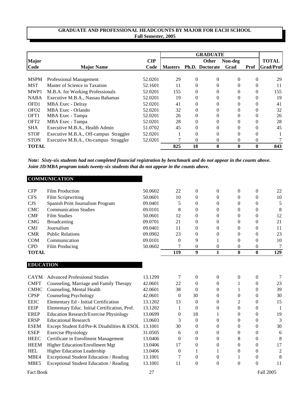|                  |                                                          |                |                |          | <b>GRADUATE</b>        |              |          |                  |
|------------------|----------------------------------------------------------|----------------|----------------|----------|------------------------|--------------|----------|------------------|
| <b>Major</b>     |                                                          | $\mathbf{CIP}$ |                |          | <b>Other</b>           | Non-deg      |          | <b>TOTAL</b>     |
| Code             | <b>Major Name</b>                                        | Code           | <b>Masters</b> |          | <b>Ph.D.</b> Doctorate | Grad         | Prof     | <b>Grad/Prof</b> |
| <b>MSPM</b>      |                                                          | 52.0201        |                | $\Omega$ | $\Omega$               | $\Omega$     | 0        | 29               |
| <b>MST</b>       | Professional Management<br>Master of Science in Taxation | 52.1601        | 29<br>11       | 0        | 0                      |              |          | 11               |
|                  |                                                          |                |                |          |                        |              |          |                  |
| MWP1             | M.B.A. for Working Professionals                         | 52.0201        | 155            | $\theta$ | 0                      | $\Omega$     | $\Omega$ | 155              |
| <b>NABA</b>      | Executive M.B.A., Nassau Bahamas                         | 52.0201        | 19             | $\Omega$ | 0                      | 0            | 0        | 19               |
| OFD1             | MBA Exec - Delray                                        | 52.0201        | 41             | $\Omega$ | 0                      |              |          | 41               |
| OF <sub>O2</sub> | MBA Exec - Orlando                                       | 52.0201        | 32             |          |                        |              |          | 32               |
| OFT <sub>1</sub> | MBA Exec - Tampa                                         | 52.0201        | 26             |          |                        |              |          | 26               |
| OFT <sub>2</sub> | MBA Exec - Tampa                                         | 52.0201        | 28             | 0        | 0                      | 0            | 0        | 28               |
| <b>SHA</b>       | Executive M.B.A., Health Admin                           | 51.0702        | 45             | $\Omega$ | 0                      |              |          | 45               |
| <b>STOF</b>      | Executive M.B.A., Off-campus Straggler                   | 52.0201        |                | 0        | 0                      | $\theta$     | $\theta$ |                  |
| <b>STON</b>      | Executive M.B.A., On-campus Straggler                    | 52.0201        |                | 0        | 0                      | $\Omega$     | 0        |                  |
| <b>TOTAL</b>     |                                                          |                | 825            | 18       | $\mathbf{0}$           | $\mathbf{0}$ | 0        | 843              |

*Note: Sixty-six students had not completed financial registration by benchmark and do not appear in the counts above. Joint JD/MBA program totals twenty-six students that do not appear in the counts above.*

| <b>TOTAL</b> |                                  |         | 119      | 9 |          | 0              | 0        | 129 |
|--------------|----------------------------------|---------|----------|---|----------|----------------|----------|-----|
| <b>CPD</b>   | Film Producing                   | 50.0602 |          | 0 | $\Omega$ | 0              | $\Omega$ | 7   |
| <b>COM</b>   | Communication                    | 09.0101 | $\theta$ | 9 |          | $\theta$       | $\Omega$ | 10  |
| <b>CMR</b>   | <b>Public Relations</b>          | 09.0902 | 23       | 0 | $\theta$ | $\theta$       | $\Omega$ | 23  |
| <b>CMJ</b>   | Journalism                       | 09.0401 | 11       | 0 | 0        | 0              | 0        | 11  |
| <b>CMG</b>   | <b>Broadcasting</b>              | 09.0701 | 21       | 0 | 0        | 0              |          | 21  |
| <b>CMF</b>   | <b>Film Studies</b>              | 50.0601 | 12       | 0 | 0        | 0              | 0        | 12  |
| <b>CMC</b>   | <b>Communication Studies</b>     | 09.0101 | 8        | 0 | $\Omega$ | $\Omega$       | 0        | 8   |
| <b>CJS</b>   | Spanish Print Journalism Program | 09.0401 | 5        | 0 | $\Omega$ | 0              | $\Omega$ |     |
| <b>CFS</b>   | Film Scriptwriting               | 50.0601 | 10       | 0 | $\theta$ | 0              | 0        | 10  |
| <b>CFP</b>   | Film Production                  | 50.0602 | 22       | 0 | $\Omega$ | $\overline{0}$ |          | 22  |

#### **EDUCATION**

| CAYM.            | <b>Advanced Professional Studies</b>          | 13.1299 |          |          |  |    |
|------------------|-----------------------------------------------|---------|----------|----------|--|----|
| <b>CMFT</b>      | Counseling, Marriage and Family Therapy       | 42.0601 | 22       | $\Omega$ |  | 23 |
| <b>CMHC</b>      | Counseling, Mental Health                     | 42.0601 | 38       |          |  | 39 |
| <b>CPSP</b>      | Counseling Psychology                         | 42.0601 | $\Omega$ | 30       |  | 30 |
| <b>EEIC</b>      | Elementary Ed - Initial Certification         | 13.1202 | 13       | 0        |  | 15 |
| <b>EEIP</b>      | Elementary Educ. Initial Certification, Prof. | 13.1202 |          |          |  |    |
| <b>EREP</b>      | <b>Education Research/Exercise Physiology</b> | 13.0699 | 0        | 18       |  | 19 |
| <b>ERSP</b>      | <b>Educational Research</b>                   | 13.0603 |          |          |  |    |
| <b>ESEM</b>      | Except Student Ed/Pre-K Disabilities & ESOL   | 13.1001 | 30       |          |  | 30 |
| <b>ESEP</b>      | <b>Exercise Physiology</b>                    | 31.0505 | 6        |          |  | 6  |
| <b>HEEC</b>      | Certificate in Enrollment Management          | 13.0406 |          |          |  |    |
| <b>HEEM</b>      | <b>Higher Education/Enrollment Mgt</b>        | 13.0406 | 17       |          |  |    |
| <b>HEL</b>       | <b>Higher Education Leadership</b>            | 13.0406 |          |          |  |    |
| MBE4             | Exceptional Student Education / Reading       | 13.1001 |          |          |  |    |
| MBE <sub>5</sub> | Exceptional Student Education / Reading       | 13.1001 | 11       | $\Omega$ |  |    |
|                  |                                               |         |          |          |  |    |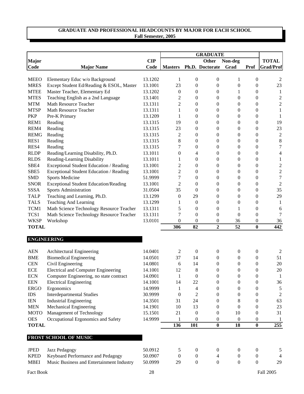|                      |                                                |            |                  |                  | <b>GRADUATE</b>  |                  |                                    |                         |
|----------------------|------------------------------------------------|------------|------------------|------------------|------------------|------------------|------------------------------------|-------------------------|
| <b>Major</b>         |                                                | <b>CIP</b> |                  |                  | <b>Other</b>     | Non-deg          |                                    | <b>TOTAL</b>            |
| Code                 | <b>Major Name</b>                              | Code       | <b>Masters</b>   |                  | Ph.D. Doctorate  | Grad             | Prof                               | <b>Grad/Prof</b>        |
| <b>MEEO</b>          | Elementary Educ w/o Background                 | 13.1202    | 1                | $\mathbf{0}$     | 0                | 1                | 0                                  |                         |
| <b>MRES</b>          | Except Student Ed/Reading & ESOL, Master       | 13.1001    | 23               | $\boldsymbol{0}$ | $\boldsymbol{0}$ | $\boldsymbol{0}$ | $\boldsymbol{0}$                   | 2<br>23                 |
| <b>MTEE</b>          | Master Teacher, Elementary Ed                  | 13.1202    | $\boldsymbol{0}$ | $\boldsymbol{0}$ | $\boldsymbol{0}$ | 1                | $\boldsymbol{0}$                   | 1                       |
| <b>MTES</b>          | Teaching English as a 2nd Language             | 13.1401    | 2                | $\boldsymbol{0}$ | $\boldsymbol{0}$ | $\boldsymbol{0}$ | $\boldsymbol{0}$                   | $\overline{c}$          |
| <b>MTM</b>           | Math Resource Teacher                          | 13.1311    | $\overline{c}$   | $\boldsymbol{0}$ | $\boldsymbol{0}$ | $\boldsymbol{0}$ | $\boldsymbol{0}$                   | $\overline{c}$          |
| <b>MTSP</b>          | <b>Math Resource Teacher</b>                   | 13.1311    | 1                | $\boldsymbol{0}$ | $\boldsymbol{0}$ | $\boldsymbol{0}$ | $\boldsymbol{0}$                   | 1                       |
| <b>PKP</b>           | Pre-K Primary                                  | 13.1209    | 1                | $\overline{0}$   | $\boldsymbol{0}$ | $\boldsymbol{0}$ | $\boldsymbol{0}$                   | 1                       |
| REM1                 | Reading                                        | 13.1315    | 19               | $\overline{0}$   | $\boldsymbol{0}$ | $\boldsymbol{0}$ | $\overline{0}$                     | 19                      |
| REM4                 | Reading                                        | 13.1315    | 23               | $\overline{0}$   | $\boldsymbol{0}$ | $\boldsymbol{0}$ | $\overline{0}$                     | 23                      |
| <b>REMG</b>          | Reading                                        | 13.1315    | 2                | $\overline{0}$   | $\boldsymbol{0}$ | $\boldsymbol{0}$ | $\overline{0}$                     | $\boldsymbol{2}$        |
| RES1                 |                                                | 13.1315    |                  | $\overline{0}$   |                  |                  |                                    |                         |
| RES4                 | Reading                                        |            | 8<br>7           | $\overline{0}$   | $\boldsymbol{0}$ | $\boldsymbol{0}$ | $\boldsymbol{0}$<br>$\overline{0}$ | $\,8\,$<br>7            |
| <b>RLDP</b>          | Reading                                        | 13.1315    |                  |                  | $\boldsymbol{0}$ | $\boldsymbol{0}$ | $\overline{0}$                     |                         |
|                      | Reading/Learning Disability, Ph.D.             | 13.1011    | $\boldsymbol{0}$ | 4                | $\boldsymbol{0}$ | $\boldsymbol{0}$ |                                    | 4                       |
| <b>RLDS</b>          | Reading-Learning Disability                    | 13.1011    | 1                | $\theta$         | $\boldsymbol{0}$ | $\boldsymbol{0}$ | $\overline{0}$                     | 1                       |
| SBE4                 | <b>Exceptional Student Education / Reading</b> | 13.1001    | $\overline{c}$   | $\overline{0}$   | $\boldsymbol{0}$ | $\boldsymbol{0}$ | $\overline{0}$                     | $\overline{\mathbf{c}}$ |
| SBE5                 | Exceptional Student Education / Reading        | 13.1001    | $\overline{c}$   | $\overline{0}$   | $\boldsymbol{0}$ | $\boldsymbol{0}$ | $\overline{0}$                     | $\overline{\mathbf{c}}$ |
| <b>SMD</b>           | <b>Sports Medicine</b>                         | 51.9999    | 7                | $\theta$         | $\boldsymbol{0}$ | 0                | $\overline{0}$                     | $\overline{7}$          |
| <b>SNOR</b>          | <b>Exceptional Student Education/Reading</b>   | 13.1001    | $\overline{c}$   | $\theta$         | $\boldsymbol{0}$ | 0                | $\boldsymbol{0}$                   | $\mathfrak{2}$          |
| <b>SSSA</b>          | Sports Administration                          | 31.0504    | 35               | $\overline{0}$   | $\boldsymbol{0}$ | 0                | $\boldsymbol{0}$                   | 35                      |
| <b>TALP</b>          | Teaching and Learning, Ph.D.                   | 13.1299    | $\boldsymbol{0}$ | 29               | $\boldsymbol{0}$ | 0                | $\boldsymbol{0}$                   | 29                      |
| <b>TALS</b>          | <b>Teaching And Learning</b>                   | 13.1299    | 1                | $\boldsymbol{0}$ | $\boldsymbol{0}$ | 0                | $\boldsymbol{0}$                   | 1                       |
| TCM1                 | Math Science Technology Resource Teacher       | 13.1311    | 5                | $\boldsymbol{0}$ | $\boldsymbol{0}$ | 1                | $\boldsymbol{0}$                   | 6                       |
| TCS1                 | Math Science Technology Resource Teacher       | 13.1311    | 7                | $\theta$         | 0                | $\boldsymbol{0}$ | $\overline{0}$                     | 7                       |
| <b>WKSP</b>          | Workshop                                       | 13.0101    | $\boldsymbol{0}$ | $\theta$         | 0                | 36               | 0                                  | 36                      |
| <b>TOTAL</b>         |                                                |            | 306              | 82               | $\boldsymbol{2}$ | 52               | $\bf{0}$                           | 442                     |
|                      | <b>ENGINEERING</b>                             |            |                  |                  |                  |                  |                                    |                         |
| <b>AEN</b>           | Architectural Engineering                      | 14.0401    | 2                | $\mathbf{0}$     | $\boldsymbol{0}$ | $\boldsymbol{0}$ | $\boldsymbol{0}$                   | 2                       |
| <b>BME</b>           | <b>Biomedical Engineering</b>                  | 14.0501    | 37               | 14               | $\boldsymbol{0}$ | $\boldsymbol{0}$ | $\overline{0}$                     | 51                      |
| <b>CEN</b>           | Civil Engineering                              | 14.0801    | 6                | 14               | 0                | 0                | $\theta$                           | 20                      |
| <b>ECE</b>           | <b>Electrical and Computer Engineering</b>     | 14.1001    | 12               | 8                | $\overline{0}$   | 0                | $\overline{0}$                     | 20                      |
| <b>ECN</b>           | Computer Engineering, no state contract        | 14.0901    | $\mathbf{1}$     | $\boldsymbol{0}$ | $\boldsymbol{0}$ | $\boldsymbol{0}$ | $\boldsymbol{0}$                   | $\mathbf{1}$            |
| <b>EEN</b>           | <b>Electrical Engineering</b>                  | 14.1001    | 14               | 22               | 0                | 0                | $\boldsymbol{0}$                   | 36                      |
| <b>ERGO</b>          | Ergonomics                                     | 14.9999    | 1                | 4                | 0                | 0                | $\boldsymbol{0}$                   | $\mathfrak{S}$          |
| $\rm{IDS}$           | <b>Interdepartmental Studies</b>               | 30.9999    | $\boldsymbol{0}$ | $\mathfrak{2}$   | 0                | 0                | $\boldsymbol{0}$                   | $\overline{2}$          |
| $\operatorname{IEN}$ | <b>Industrial Engineering</b>                  | 14.3501    | 31               | 24               | 0                | 8                | $\boldsymbol{0}$                   | 63                      |
| <b>MEN</b>           | Mechanical Engineering                         | 14.1901    | 10               | 13               | 0                | $\boldsymbol{0}$ | $\boldsymbol{0}$                   | $23\,$                  |
| <b>MOTO</b>          | Management of Technology                       | 15.1501    | 21               | $\boldsymbol{0}$ | 0                | 10               | 0                                  | 31                      |
| <b>OES</b>           | Occupational Ergonomics and Safety             | 14.9999    | 1                | $\boldsymbol{0}$ | 0                | $\boldsymbol{0}$ | 0                                  | $\mathbf{1}$            |
| <b>TOTAL</b>         |                                                |            | 136              | 101              | $\bf{0}$         | 18               | $\bf{0}$                           | 255                     |
|                      |                                                |            |                  |                  |                  |                  |                                    |                         |
|                      | FROST SCHOOL OF MUSIC                          |            |                  |                  |                  |                  |                                    |                         |
| <b>JPED</b>          | Jazz Pedagogy                                  | 50.0912    | 5                | $\boldsymbol{0}$ | $\boldsymbol{0}$ | $\boldsymbol{0}$ | $\boldsymbol{0}$                   | 5                       |
| <b>KPED</b>          | Keyboard Performance and Pedagogy              | 50.0907    | $\boldsymbol{0}$ | $\boldsymbol{0}$ | 4                | $\mathbf{0}$     | $\boldsymbol{0}$                   | 4                       |
| <b>MBEI</b>          | Music Business and Entertainment Industry      | 50.0999    | 29               | $\boldsymbol{0}$ | $\boldsymbol{0}$ | $\boldsymbol{0}$ | $\boldsymbol{0}$                   | 29                      |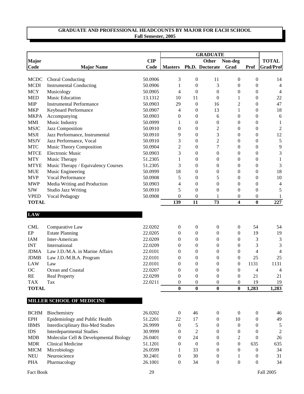|                             |                                        |            |                  |                  | <b>GRADUATE</b>  |                  |                  |                  |
|-----------------------------|----------------------------------------|------------|------------------|------------------|------------------|------------------|------------------|------------------|
| <b>Major</b>                |                                        | <b>CIP</b> |                  |                  | Other            | Non-deg          |                  | <b>TOTAL</b>     |
| Code                        | <b>Major Name</b>                      | Code       | <b>Masters</b>   |                  | Ph.D. Doctorate  | Grad             | Prof             | <b>Grad/Prof</b> |
| <b>MCDC</b>                 | <b>Choral Conducting</b>               | 50.0906    | 3                | $\mathbf{0}$     | 11               | $\boldsymbol{0}$ | 0                | 14               |
| <b>MCDI</b>                 | <b>Instrumental Conducting</b>         | 50.0906    | 1                | $\overline{0}$   | 3                | 0                | $\overline{0}$   | 4                |
| <b>MCY</b>                  | Musicology                             | 50.0905    | $\overline{4}$   | $\overline{0}$   | $\boldsymbol{0}$ | $\boldsymbol{0}$ | $\overline{0}$   | 4                |
| <b>MED</b>                  | <b>Music Education</b>                 | 13.1312    | 10               | 11               | $\theta$         | 1                | $\boldsymbol{0}$ | 22               |
| <b>MIP</b>                  | <b>Instrumental Performance</b>        | 50.0903    | 29               | $\boldsymbol{0}$ | 16               | 2                | $\boldsymbol{0}$ | 47               |
| <b>MKP</b>                  | Keyboard Performance                   | 50.0907    | 4                | $\overline{0}$   | 13               | 1                | $\overline{0}$   | 18               |
| <b>MKPA</b>                 | Accompanying                           | 50.0903    | 0                | $\overline{0}$   | 6                | 0                | $\boldsymbol{0}$ | 6                |
| <b>MMI</b>                  | Music Industry                         | 50.0999    | 1                | 0                | $\boldsymbol{0}$ | 0                | $\boldsymbol{0}$ | 1                |
| <b>MSJC</b>                 | Jazz Composition                       | 50.0910    | $\overline{0}$   | $\boldsymbol{0}$ | $\overline{c}$   | 0                | $\boldsymbol{0}$ | $\overline{c}$   |
| <b>MSJI</b>                 | Jazz Performance, Instrumental         | 50.0910    | 9                | $\overline{0}$   | 3                | 0                | $\overline{0}$   | 12               |
| <b>MSJV</b>                 | Jazz Performance, Vocal                | 50.0910    | 3                | $\overline{0}$   | $\overline{2}$   | 0                | $\overline{0}$   | $\sqrt{5}$       |
| $\ensuremath{\mathbf{MTC}}$ | Music Theory Composition               | 50.0904    | 2                | $\boldsymbol{0}$ | $\overline{7}$   | 0                | $\boldsymbol{0}$ | 9                |
| <b>MTCE</b>                 | <b>Electronic Music</b>                | 50.0903    | 3                | $\boldsymbol{0}$ | $\boldsymbol{0}$ | 0                | $\boldsymbol{0}$ | 3                |
| <b>MTY</b>                  |                                        | 51.2305    |                  |                  |                  |                  |                  |                  |
|                             | Music Therapy                          | 51.2305    | 1                | $\boldsymbol{0}$ | $\boldsymbol{0}$ | 0                | $\boldsymbol{0}$ | 1                |
| <b>MTYE</b>                 | Music Therapy / Equivalency Courses    |            | 3                | $\boldsymbol{0}$ | $\boldsymbol{0}$ | 0                | $\boldsymbol{0}$ | 3                |
| <b>MUE</b>                  | Music Engineering                      | 50.0999    | 18               | $\boldsymbol{0}$ | $\boldsymbol{0}$ | 0                | $\boldsymbol{0}$ | 18               |
| <b>MVP</b>                  | Vocal Performance                      | 50.0908    | 5                | $\overline{0}$   | 5                | 0                | $\overline{0}$   | 10               |
| <b>MWP</b>                  | Media Writing and Production           | 50.0903    | 4                | $\overline{0}$   | $\theta$         | 0                | $\overline{0}$   | 4                |
| <b>SJW</b>                  | <b>Studio Jazz Writing</b>             | 50.0910    | 5                | $\overline{0}$   | $\overline{0}$   | $\boldsymbol{0}$ | $\overline{0}$   | 5                |
| <b>VPED</b>                 | Vocal Pedagogy                         | 50.0908    | $\theta$         | 0                | 1                | 0                | 0                | 1                |
| <b>TOTAL</b>                |                                        |            | 139              | 11               | 73               | 4                | $\bf{0}$         | 227              |
| <b>LAW</b>                  |                                        |            |                  |                  |                  |                  |                  |                  |
| <b>CML</b>                  | Comparative Law                        | 22.0202    | $\boldsymbol{0}$ | $\mathbf{0}$     | $\boldsymbol{0}$ | 0                | 54               | 54               |
| EP                          | <b>Estate Planning</b>                 | 22.0205    | 0                | $\boldsymbol{0}$ | $\boldsymbol{0}$ | 0                | 19               | 19               |
| IAM                         | Inter-American                         | 22.0209    | $\theta$         | $\overline{0}$   | $\boldsymbol{0}$ | 0                | 3                | 3                |
| <b>INT</b>                  | International                          | 22.0209    | $\theta$         | $\overline{0}$   | $\boldsymbol{0}$ | 0                | 3                | 3                |
| <b>JDMA</b>                 | Law J.D./M.A. in Marine Affairs        | 22.0101    | 0                | 0                | $\boldsymbol{0}$ | 0                | 4                | 4                |
| <b>JDMB</b>                 | Law J.D./M.B.A. Program                | 22.0101    | 0                | $\boldsymbol{0}$ | $\boldsymbol{0}$ | 0                | 25               | 25               |
| <b>LAW</b>                  | Law                                    | 22.0101    | 0                | $\boldsymbol{0}$ | $\boldsymbol{0}$ | 0                | 1131             | 1131             |
| <b>OC</b>                   | Ocean and Coastal                      | 22.0207    | $\theta$         | $\theta$         | $\theta$         | $\overline{0}$   | 4                | 4                |
| RE                          | <b>Real Property</b>                   | 22.0299    | $\boldsymbol{0}$ | $\mathbf{0}$     | $\boldsymbol{0}$ | $\boldsymbol{0}$ | 21               | 21               |
| <b>TAX</b>                  | Tax                                    | 22.0211    | 0                | 0                | $\boldsymbol{0}$ | 0                | 19               | 19               |
| <b>TOTAL</b>                |                                        |            | $\bf{0}$         | $\bf{0}$         | $\bf{0}$         | 0                | 1,283            | 1,283            |
|                             | <b>MILLER SCHOOL OF MEDICINE</b>       |            |                  |                  |                  |                  |                  |                  |
|                             |                                        |            |                  |                  |                  |                  |                  |                  |
| <b>BCHM</b>                 | Biochemistry                           | 26.0202    | $\boldsymbol{0}$ | 46               | $\boldsymbol{0}$ | $\boldsymbol{0}$ | $\boldsymbol{0}$ | 46               |
| <b>EPH</b>                  | Epidemiology and Public Health         | 51.2201    | 22               | 17               | $\boldsymbol{0}$ | 10               | $\boldsymbol{0}$ | 49               |
| <b>IBMS</b>                 | Interdisciplinary Bio-Med Studies      | 26.9999    | $\boldsymbol{0}$ | 5                | $\boldsymbol{0}$ | $\boldsymbol{0}$ | $\mathbf{0}$     | 5                |
| $IDS$                       | <b>Interdepartmental Studies</b>       | 30.9999    | 0                | 2                | $\theta$         | $\boldsymbol{0}$ | 0                | $\overline{c}$   |
| <b>MDB</b>                  | Molecular Cell & Developmental Biology | 26.0401    | 0                | 24               | $\boldsymbol{0}$ | $\overline{c}$   | $\overline{0}$   | 26               |
| <b>MDR</b>                  | <b>Clinical Medicine</b>               | 51.1201    | 0                | $\boldsymbol{0}$ | $\boldsymbol{0}$ | $\boldsymbol{0}$ | 635              | 635              |
| <b>MICM</b>                 | Microbiology                           | 26.0599    | 1                | 33               | $\boldsymbol{0}$ | $\boldsymbol{0}$ | $\boldsymbol{0}$ | 34               |
| <b>NEU</b>                  | Neuroscience                           | 30.2401    | $\boldsymbol{0}$ | 30               | $\boldsymbol{0}$ | 1                | 0                | 31               |
| <b>PHA</b>                  | Pharmacology                           | 26.1001    | $\boldsymbol{0}$ | 34               | $\boldsymbol{0}$ | $\boldsymbol{0}$ | $\boldsymbol{0}$ | 34               |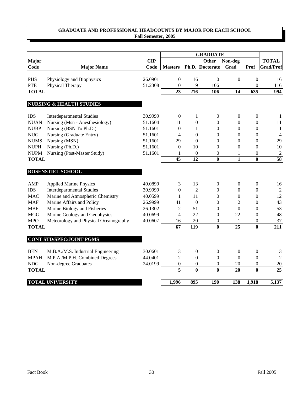|              |                                       |         |                         |                  | <b>GRADUATE</b>  |                  |                  |                  |
|--------------|---------------------------------------|---------|-------------------------|------------------|------------------|------------------|------------------|------------------|
| Major        |                                       | CIP     |                         |                  | <b>Other</b>     | Non-deg          |                  | <b>TOTAL</b>     |
| Code         | <b>Major Name</b>                     | Code    | <b>Masters</b>          |                  | Ph.D. Doctorate  | Grad             | Prof             | <b>Grad/Prof</b> |
| <b>PHS</b>   | Physiology and Biophysics             | 26.0901 | $\overline{0}$          | 16               | $\boldsymbol{0}$ | $\mathbf{0}$     | $\overline{0}$   | 16               |
| <b>PTE</b>   | Physical Therapy                      | 51.2308 | $\overline{0}$          | 9                | 106              | 1                | $\mathbf{0}$     | 116              |
| <b>TOTAL</b> |                                       |         | 23                      | $\overline{216}$ | 106              | 14               | 635              | 994              |
|              | <b>NURSING &amp; HEALTH STUDIES</b>   |         |                         |                  |                  |                  |                  |                  |
| <b>IDS</b>   | <b>Interdepartmental Studies</b>      | 30.9999 | $\boldsymbol{0}$        | 1                | $\boldsymbol{0}$ | $\boldsymbol{0}$ | $\boldsymbol{0}$ | -1               |
| <b>NUAN</b>  | Nursing (Msn - Anesthesiology)        | 51.1604 | 11                      | $\boldsymbol{0}$ | $\boldsymbol{0}$ | $\boldsymbol{0}$ | $\boldsymbol{0}$ | 11               |
| <b>NUBP</b>  | Nursing (BSN To Ph.D.)                | 51.1601 | $\boldsymbol{0}$        | 1                | $\boldsymbol{0}$ | $\boldsymbol{0}$ | $\boldsymbol{0}$ | $\mathbf{1}$     |
| ${\rm NUG}$  | Nursing (Graduate Entry)              | 51.1601 | 4                       | $\boldsymbol{0}$ | $\boldsymbol{0}$ | $\boldsymbol{0}$ | $\mathbf{0}$     | $\overline{4}$   |
| <b>NUMS</b>  | Nursing (MSN)                         | 51.1601 | 29                      | $\Omega$         | $\boldsymbol{0}$ | $\boldsymbol{0}$ | $\boldsymbol{0}$ | 29               |
| <b>NUPH</b>  | Nursing (Ph.D.)                       | 51.1601 | $\boldsymbol{0}$        | 10               | $\overline{0}$   | $\mathbf{0}$     | $\boldsymbol{0}$ | $10\,$           |
| <b>NUPM</b>  | Nursing (Post-Master Study)           | 51.1601 | 1                       | $\boldsymbol{0}$ | $\boldsymbol{0}$ | $\mathbf{1}$     | $\mathbf{0}$     | $\boldsymbol{2}$ |
| <b>TOTAL</b> |                                       |         | 45                      | $\overline{12}$  | $\bf{0}$         | $\mathbf{1}$     | $\bf{0}$         | $\overline{58}$  |
|              | <b>ROSENSTIEL SCHOOL</b>              |         |                         |                  |                  |                  |                  |                  |
| AMP          | <b>Applied Marine Physics</b>         | 40.0899 | 3                       | 13               | $\boldsymbol{0}$ | $\mathbf{0}$     | $\mathbf{0}$     | 16               |
| <b>IDS</b>   | <b>Interdepartmental Studies</b>      | 30.9999 | $\boldsymbol{0}$        | $\overline{2}$   | $\mathbf{0}$     | $\mathbf{0}$     | $\boldsymbol{0}$ | $\overline{2}$   |
| <b>MAC</b>   | Marine and Atmospheric Chemistry      | 40.0599 | $\mathbf{1}$            | 11               | $\mathbf{0}$     | $\mathbf{0}$     | $\boldsymbol{0}$ | 12               |
| <b>MAF</b>   | Marine Affairs and Policy             | 26.9999 | 41                      | $\theta$         | $\theta$         | $\overline{2}$   | $\Omega$         | 43               |
| <b>MBF</b>   | Marine Biology and Fisheries          | 26.1302 | $\overline{2}$          | 51               | $\theta$         | $\boldsymbol{0}$ | $\boldsymbol{0}$ | 53               |
| <b>MGG</b>   | Marine Geology and Geophysics         | 40.0699 | 4                       | 22               | $\overline{0}$   | 22               | $\boldsymbol{0}$ | 48               |
| <b>MPO</b>   | Meteorology and Physical Oceanography | 40.0607 | 16                      | 20               | $\boldsymbol{0}$ | 1                | $\boldsymbol{0}$ | 37               |
| <b>TOTAL</b> |                                       |         | 67                      | 119              | $\bf{0}$         | 25               | $\bf{0}$         | 211              |
|              | <b>CONT STD/SPEC/JOINT PGMS</b>       |         |                         |                  |                  |                  |                  |                  |
| <b>BEN</b>   | M.B.A./M.S. Industrial Engineering    | 30.0601 | 3                       | $\boldsymbol{0}$ | 0                | $\boldsymbol{0}$ | $\boldsymbol{0}$ | 3                |
| <b>MPAH</b>  | M.P.A./M.P.H. Combined Degrees        | 44.0401 | 2                       | $\overline{0}$   | $\theta$         | $\theta$         | $\overline{0}$   | $\overline{c}$   |
| <b>NDG</b>   | Non-degree Graduates                  | 24.0199 | $\overline{0}$          | $\boldsymbol{0}$ | 0                | 20               | $\overline{0}$   | 20               |
| <b>TOTAL</b> |                                       |         | $\overline{\mathbf{5}}$ | $\bf{0}$         | $\bf{0}$         | 20               | $\bf{0}$         | $\overline{25}$  |
|              | <b>TOTAL UNIVERSITY</b>               |         | 1,996                   | 895              | 190              | 138              | 1,918            | 5,137            |
|              |                                       |         |                         |                  |                  |                  |                  |                  |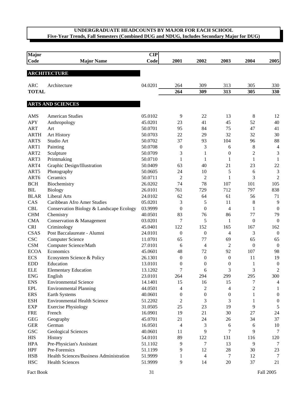| <b>Major</b>               |                                          | CIP     |                          |                  |                  |                  |                  |
|----------------------------|------------------------------------------|---------|--------------------------|------------------|------------------|------------------|------------------|
| Code                       | <b>Major Name</b>                        | Code    | 2001                     | 2002             | 2003             | 2004             | 2005             |
|                            |                                          |         |                          |                  |                  |                  |                  |
|                            | <b>ARCHITECTURE</b>                      |         |                          |                  |                  |                  |                  |
|                            |                                          |         |                          |                  |                  |                  |                  |
| <b>ARC</b><br><b>TOTAL</b> | Architecture                             | 04.0201 | 264                      | 309              | 313              | 305              | 330              |
|                            |                                          |         | 264                      | 309              | 313              | 305              | 330              |
|                            | <b>ARTS AND SCIENCES</b>                 |         |                          |                  |                  |                  |                  |
| AMS                        | <b>American Studies</b>                  | 05.0102 | 9                        | 22               | 13               | 8                | 12               |
| <b>APY</b>                 | Anthropology                             | 45.0201 | 23                       | 41               | 45               | 52               | 40               |
| <b>ART</b>                 | Art                                      | 50.0701 | 95                       | 84               | 75               | 47               | 41               |
| <b>ARTH</b>                | <b>Art History</b>                       | 50.0703 | 22                       | 29               | 32               | 32               | 30               |
| <b>ARTS</b>                | Studio Art                               | 50.0702 | 37                       | 93               | 104              | 96               | 88               |
| ART1                       | Painting                                 | 50.0708 | $\boldsymbol{0}$         | $\mathfrak{Z}$   | 6                | $\,$ 8 $\,$      | $\overline{4}$   |
| ART <sub>2</sub>           | Sculpture                                | 50.0709 | 3                        | 1                | $\boldsymbol{0}$ | $\overline{c}$   | 3                |
| ART3                       | Printmaking                              | 50.0710 | 1                        | $\mathbf{1}$     | $\mathbf{1}$     | $\mathbf{1}$     | $\mathbf{1}$     |
| ART4                       | Graphic Design/Illustration              | 50.0409 | 63                       | 40               | 21               | 23               | 22               |
| ART5                       | Photography                              | 50.0605 | 24                       | 10               | 5                | 6                | $\mathfrak{Z}$   |
| ART6                       | Ceramics                                 | 50.0711 | $\mathfrak{2}$           | $\mathfrak{2}$   | $\mathbf{1}$     | 3                | $\overline{2}$   |
| <b>BCH</b>                 | Biochemistry                             | 26.0202 | 74                       | 78               | 107              | 101              | 105              |
| BIL                        | <b>Biology</b>                           | 26.0101 | 761                      | 729              | 712              | 797              | 838              |
| <b>BLAR</b>                | Liberal Arts                             | 24.0102 | 62                       | 64               | 61               | 56               | 71               |
| CAS                        | Caribbean Afro Amer Studies              | 05.0201 | 3                        | 5                | 11               | 8                | 9                |
| <b>CBL</b>                 | Conservation Biology & Landscape Ecology | 03.9999 | $\boldsymbol{0}$         | $\boldsymbol{0}$ | $\overline{4}$   | 1                | $\boldsymbol{0}$ |
| <b>CHM</b>                 | Chemistry                                | 40.0501 | 83                       | 76               | 86               | 77               | 79               |
| <b>CMA</b>                 | Conservation & Management                | 03.0201 | 7                        | 5                | 1                | $\boldsymbol{0}$ | $\mathbf{0}$     |
| <b>CRI</b>                 | Criminology                              | 45.0401 | 122                      | 152              | 165              | 167              | 162              |
| <b>CSAS</b>                | Post Baccalaureate - Alumni              | 24.0101 | $\boldsymbol{0}$         | $\boldsymbol{0}$ | 4                | 3                | $\boldsymbol{0}$ |
| <b>CSC</b>                 | <b>Computer Science</b>                  | 11.0701 | 65                       | 77               | 69               | 65               | 65               |
| CSM                        | Computer Science/Math                    | 27.0101 | 6                        | 4                | $\overline{2}$   | $\boldsymbol{0}$ | $\mathbf{0}$     |
| <b>ECOA</b>                | Economics                                | 45.0601 | 48                       | 72               | 92               | 107              | 98               |
| <b>ECS</b>                 | Ecosystem Science & Policy               | 26.1301 | $\boldsymbol{0}$         | $\boldsymbol{0}$ | $\boldsymbol{0}$ | 11               | 19               |
| <b>EDD</b>                 | Education                                | 13.0101 | $\boldsymbol{0}$         | $\boldsymbol{0}$ | $\boldsymbol{0}$ | 1                | $\boldsymbol{0}$ |
| <b>ELE</b>                 | <b>Elementary Education</b>              | 13.1202 | 7                        | 6                | 3                | 3                | $\mathfrak 2$    |
| <b>ENG</b>                 | English                                  | 23.0101 | 264                      | 294              | 299              | 295              | 300              |
| <b>ENS</b>                 | <b>Environmental Science</b>             | 14.1401 | 15                       | 16               | 15               | 7                | 4                |
| EPL                        | <b>Environmental Planning</b>            | 44.0501 | 4                        | $\overline{c}$   | $\overline{4}$   | $\overline{2}$   | 1                |
| <b>ERS</b>                 | Earth Systems                            | 40.0601 | $\boldsymbol{0}$         | $\boldsymbol{0}$ | $\boldsymbol{0}$ | 1                | $\boldsymbol{0}$ |
| <b>ESH</b>                 | <b>Environmental Health Science</b>      | 51.2202 | 2                        | 3                | 3                | 1                | $\boldsymbol{0}$ |
| <b>EXP</b>                 | <b>Exercise Physiology</b>               | 31.0505 | 25                       | 23               | 19               | 9                | $\sqrt{5}$       |
| <b>FRE</b>                 | French                                   | 16.0901 | 19                       | 21               | 30               | 27               | 24               |
| GEG                        | Geography                                | 45.0701 | 21                       | 24               | 26               | 34               | 37               |
| <b>GER</b>                 | German                                   | 16.0501 | $\overline{\mathcal{A}}$ | 3                | 6                | 6                | 10               |
| $_{\rm GSC}$               | <b>Geological Sciences</b>               | 40.0601 | 11                       | 9                | 7                | 9                | 7                |
| <b>HIS</b>                 | History                                  | 54.0101 | 89                       | 122              | 131              | 116              | 120              |
| <b>HPA</b>                 | Pre-Physician's Assistant                | 51.1102 | 9                        | $\tau$           | 13               | 9                | 7                |
| <b>HPF</b>                 | Pre-Forensics                            | 51.1199 | 9                        | 12               | 28               | 30               | 23               |
| <b>HSB</b>                 | Health Sciences/Business Administration  | 51.9999 | 1                        | 4                | 7                | 12               | 7                |
| <b>HSC</b>                 | <b>Health Sciences</b>                   | 51.9999 | 9                        | 14               | 20               | 37               | 21               |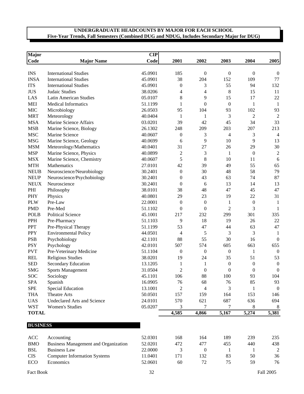| <b>Major</b>    |                                    | CIP     |                  |                  |                  |                  |                  |
|-----------------|------------------------------------|---------|------------------|------------------|------------------|------------------|------------------|
| Code            | <b>Major Name</b>                  | Code    | 2001             | 2002             | 2003             | 2004             | 2005             |
|                 |                                    |         |                  |                  |                  |                  |                  |
| <b>INS</b>      | <b>International Studies</b>       | 45.0901 | 185              | $\boldsymbol{0}$ | $\boldsymbol{0}$ | $\boldsymbol{0}$ | $\boldsymbol{0}$ |
| <b>INSA</b>     | <b>International Studies</b>       | 45.0901 | 38               | 204              | 152              | 109              | 77               |
| <b>ITS</b>      | <b>International Studies</b>       | 45.0901 | $\boldsymbol{0}$ | 3                | 55               | 94               | 132              |
| <b>JUS</b>      | Judaic Studies                     | 38.0206 | 4                | 4                | 8                | 15               | 11               |
| LAS             | <b>Latin American Studies</b>      | 05.0107 | 8                | 9                | 15               | 17               | 22               |
| <b>MEI</b>      | <b>Medical Informatics</b>         | 51.1199 | $\mathbf{1}$     | $\theta$         | $\mathbf{0}$     | $\mathbf{1}$     | $\mathbf{1}$     |
| <b>MIC</b>      | Microbiology                       | 26.0503 | 95               | 104              | 93               | 102              | 93               |
| <b>MRT</b>      | Meteorology                        | 40.0404 | 1                | 1                | 3                | $\overline{c}$   | $\sqrt{2}$       |
| <b>MSA</b>      | Marine Science Affairs             | 03.0201 | 39               | 42               | 45               | 34               | 33               |
| <b>MSB</b>      | Marine Science, Biology            | 26.1302 | 248              | 209              | 203              | 207              | 213              |
| <b>MSC</b>      | Marine Science                     | 40.0607 | $\boldsymbol{0}$ | 3                | $\overline{4}$   | 3                | $\overline{4}$   |
| <b>MSG</b>      | Marine Science, Geology            | 40.0699 | 6                | 9                | 10               | 9                | 13               |
| <b>MSM</b>      | Meteorology/Mathematics            | 40.0401 | 31               | 27               | 26               | 29               | 30               |
| <b>MSP</b>      | Marine Science, Physics            | 40.0899 | $\mathbf{2}$     | 3                | $\mathbf{1}$     | $\boldsymbol{0}$ | $\sqrt{2}$       |
| <b>MSX</b>      | Marine Science, Chemistry          | 40.0607 | 5                | $\,8$            | 10               | 11               | 6                |
| <b>MTH</b>      | Mathematics                        | 27.0101 | 42               | 39               | 49               | 55               | 65               |
| <b>NEUB</b>     | Neuroscience/Neurobiology          | 30.2401 | $\boldsymbol{0}$ | 30               | 48               | 58               | 79               |
| <b>NEUP</b>     | Neuroscience/Psychobiology         | 30.2401 | $\mathbf{0}$     | 43               | 63               | 74               | 87               |
| <b>NEUX</b>     | Neuroscience                       | 30.2401 | $\mathbf{0}$     | 6                | 13               | 14               | 13               |
| PHI             | Philosophy                         | 38.0101 | 38               | 48               | 47               | 45               | 47               |
| PHY             | Physics                            | 40.0801 | 29               | 23               | 19               | 22               | 31               |
| <b>PLW</b>      | Pre-Law                            | 22.0001 | $\mathbf{0}$     | $\boldsymbol{0}$ | 1                | $\boldsymbol{0}$ | 1                |
| <b>PMD</b>      | Pre-Med                            | 51.1102 | $\boldsymbol{0}$ | $\mathbf{0}$     | $\overline{2}$   | 3                | 1                |
| <b>POLB</b>     | <b>Political Science</b>           | 45.1001 | 217              | 232              | 299              | 301              | 335              |
| PPH             | Pre-Pharmacy                       | 51.1103 | 9                | 18               | 19               | 26               | $22\,$           |
| <b>PPT</b>      | Pre-Physical Therapy               | 51.1199 | 53               | 47               | 44               | 63               | 47               |
| <b>PPY</b>      | <b>Environmental Policy</b>        | 44.0501 | $\overline{4}$   | 5                | 3                | 3                | 1                |
| <b>PSB</b>      | Psychobiology                      | 42.1101 | 88               | 55               | 30               | 16               | $\mathbf{0}$     |
| <b>PSY</b>      | Psychology                         | 42.0101 | 507              | 574              | 605              | 663              | 655              |
| <b>PVT</b>      | Pre-Veterinary Medicine            | 51.1104 | $\boldsymbol{0}$ | $\boldsymbol{0}$ | $\boldsymbol{0}$ | $\mathbf{1}$     | $\boldsymbol{0}$ |
| <b>REL</b>      | <b>Religious Studies</b>           | 38.0201 | 19               | 24               | 35               | 51               | 53               |
| <b>SED</b>      | <b>Secondary Education</b>         | 13.1205 | 1                | $\mathbf{1}$     | $\boldsymbol{0}$ | $\boldsymbol{0}$ | $\boldsymbol{0}$ |
| <b>SMG</b>      | <b>Sports Management</b>           | 31.0504 | $\overline{2}$   | $\boldsymbol{0}$ | $\mathbf{0}$     | $\overline{0}$   | $\boldsymbol{0}$ |
| SOC             | Sociology                          | 45.1101 | 106              | 88               | 100              | 93               | 104              |
| <b>SPA</b>      | Spanish                            | 16.0905 | 76               | 68               | 76               | 85               | 93               |
| <b>SPE</b>      | <b>Special Education</b>           | 13.1001 | $\overline{c}$   | $\overline{4}$   | 3                | 1                | $\boldsymbol{0}$ |
| <b>THA</b>      | <b>Theatre Arts</b>                | 50.0501 | 157              | 159              | 164              | 153              | 146              |
| <b>UAS</b>      | <b>Undeclared Arts and Science</b> | 24.0101 | 570              | 621              | 687              | 636              | 694              |
| <b>WST</b>      | <b>Women's Studies</b>             | 05.0207 | 3                | 7                | 7                | 8                | 8                |
| <b>TOTAL</b>    |                                    |         | 4,585            | 4,866            | 5,167            | 5,274            | 5,381            |
|                 |                                    |         |                  |                  |                  |                  |                  |
| <b>BUSINESS</b> |                                    |         |                  |                  |                  |                  |                  |

| ACC        | Accounting                                  | 52.0301 | 168 | 164 | 189 | 239 | 235 |
|------------|---------------------------------------------|---------|-----|-----|-----|-----|-----|
| <b>BMO</b> | <b>Business Management and Organization</b> | 52.0201 | 472 | 477 | 455 | 440 | 438 |
| <b>BSL</b> | <b>Business Law</b>                         | 22,0000 |     |     |     |     |     |
| <b>CIS</b> | <b>Computer Information Systems</b>         | 1.0401  |     | 132 | 83  | 50  | 36  |
| ECO        | <b>Economics</b>                            | 52.0601 | 60  | 72  | 75  | 59  | 76  |
|            |                                             |         |     |     |     |     |     |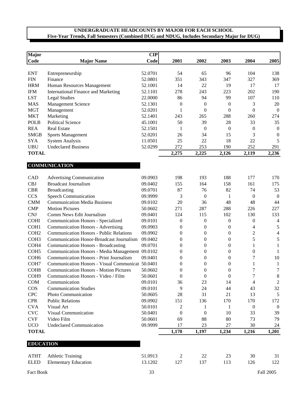| <b>Major</b>                |                                                  | CIP     |                  |                  |                  |                  |                          |
|-----------------------------|--------------------------------------------------|---------|------------------|------------------|------------------|------------------|--------------------------|
| Code                        | <b>Major Name</b>                                | Code    | 2001             | 2002             | 2003             | 2004             | 2005                     |
|                             |                                                  |         |                  |                  |                  |                  |                          |
| <b>ENT</b>                  | Entrepreneurship                                 | 52.0701 | 54               | 65               | 96               | 104              | 138                      |
| <b>FIN</b>                  | Finance                                          | 52.0801 | 351              | 343              | 347              | 327              | 369                      |
| <b>HRM</b>                  | Human Resources Management                       | 52.1001 | 14               | 22               | 19               | 17               | 17                       |
| <b>IFM</b>                  | <b>International Finance and Marketing</b>       | 52.1101 | 278              | 243              | 223              | 202              | 190                      |
| <b>LST</b>                  | <b>Legal Studies</b>                             | 22.0000 | 86               | 94               | 99               | 107              | 110                      |
| <b>MAS</b>                  | Management Science                               | 52.1301 | $\boldsymbol{0}$ | $\boldsymbol{0}$ | $\boldsymbol{0}$ | 3                | 20                       |
| <b>MGT</b>                  | Management                                       | 52.0201 | $\mathbf{1}$     | $\boldsymbol{0}$ | $\theta$         | $\boldsymbol{0}$ | $\boldsymbol{0}$         |
| <b>MKT</b>                  | Marketing                                        | 52.1401 | 243              | 265              | 288              | 260              | 274                      |
| <b>POLB</b>                 | <b>Political Science</b>                         | 45.1001 | 50               | 39               | 28               | 33               | 35                       |
| <b>REA</b>                  | <b>Real Estate</b>                               | 52.1501 | 1                | $\boldsymbol{0}$ | $\overline{0}$   | $\boldsymbol{0}$ | $\boldsymbol{0}$         |
| <b>SMGB</b>                 | Sports Management                                | 52.0201 | 26               | 34               | 15               | 3                | $\boldsymbol{0}$         |
| <b>SYA</b>                  | <b>System Analysis</b>                           | 11.0501 | 25               | 22               | 18               | 22               | 5                        |
| <b>UBU</b>                  | <b>Undeclared Business</b>                       | 52.0299 | 272              | 253              | 190              | 252              | 291                      |
| <b>TOTAL</b>                |                                                  |         | 2,275            | 2,225            | 2,126            | 2,119            | 2,236                    |
|                             |                                                  |         |                  |                  |                  |                  |                          |
|                             | <b>COMMUNICATION</b>                             |         |                  |                  |                  |                  |                          |
| CAD                         | <b>Advertising Communication</b>                 | 09.0903 | 198              | 193              | 188              | 177              | 170                      |
| <b>CBJ</b>                  | <b>Broadcast Journalism</b>                      | 09.0402 | 155              | 164              | 158              | 161              | 175                      |
| <b>CBR</b>                  | <b>Broadcasting</b>                              | 09.0701 | 87               | 76               | 82               | 74               | 53                       |
| <b>CCS</b>                  | Speech Communication                             | 09.9999 | 3                | $\boldsymbol{0}$ | $\mathbf{1}$     | $\boldsymbol{0}$ | $\overline{0}$           |
| <b>CMM</b>                  | <b>Communication Media Business</b>              | 09.0102 | 20               | 36               | 48               | 48               | 44                       |
| <b>CMP</b>                  | <b>Motion Pictures</b>                           | 50.0602 | 271              | 287              | 288              | 226              | 227                      |
| <b>CNJ</b>                  | Comm News Edit Journalism                        | 09.0401 | 124              | 115              | 102              | 130              | 133                      |
| <b>COHI</b>                 | <b>Communication Honors - Specialized</b>        | 09.0101 | $\boldsymbol{0}$ | $\boldsymbol{0}$ | $\boldsymbol{0}$ | $\boldsymbol{0}$ | 4                        |
| COH1                        | <b>Communication Honors - Advertising</b>        | 09.0903 | $\boldsymbol{0}$ | $\boldsymbol{0}$ | 0                | 4                | $\sqrt{5}$               |
| COH <sub>2</sub>            | <b>Communication Honors - Public Relations</b>   | 09.0902 | $\boldsymbol{0}$ | $\boldsymbol{0}$ | $\boldsymbol{0}$ | $\boldsymbol{2}$ | $\overline{\mathcal{A}}$ |
| COH <sub>3</sub>            | Communication Honor-Broadcast Journalism         | 09.0402 | $\boldsymbol{0}$ | $\boldsymbol{0}$ | $\boldsymbol{0}$ | 5                | $\mathfrak s$            |
| COH <sub>4</sub>            | <b>Communication Honors - Broadcasting</b>       | 09.0701 | $\boldsymbol{0}$ | $\boldsymbol{0}$ | $\boldsymbol{0}$ | 1                | $\mathbf{1}$             |
| COH <sub>5</sub>            | Communication Honors - Media Management 09.0102  |         | 0                | $\boldsymbol{0}$ | $\boldsymbol{0}$ | $\boldsymbol{0}$ | 1                        |
| COH <sub>6</sub>            | <b>Communication Honors - Print Journalism</b>   | 09.0401 | $\boldsymbol{0}$ | $\boldsymbol{0}$ | $\boldsymbol{0}$ | 7                | $10\,$                   |
| COH7                        | Communication Honors - Visual Communicat 50.0401 |         | $\boldsymbol{0}$ | $\boldsymbol{0}$ | $\boldsymbol{0}$ | 1                | $\mathbf{1}$             |
| COH <sub>8</sub>            | <b>Communication Honors - Motion Pictures</b>    | 50.0602 | $\boldsymbol{0}$ | $\boldsymbol{0}$ | $\boldsymbol{0}$ | 7                | 7                        |
| COH <sub>9</sub>            | Communication Honors - Video / Film              | 50.0601 | $\boldsymbol{0}$ | $\boldsymbol{0}$ | $\boldsymbol{0}$ | 7                | $\,8\,$                  |
| COM                         | Communication                                    | 09.0101 | 36               | 23               | 14               | 4                | $\sqrt{2}$               |
| $\cos$                      | <b>Communication Studies</b>                     | 09.0101 | 9                | 24               | 44               | 43               | 32                       |
| <b>CPC</b>                  | Photo Communication                              | 50.0605 | 28               | 31               | 21               | 13               | 5                        |
| <b>CPR</b>                  | <b>Public Relations</b>                          | 09.0902 | 151              | 136              | 170              | 170              | 172                      |
| <b>CVA</b>                  | Visual Art                                       | 50.0101 | 2                | 1                | -1               | $\boldsymbol{0}$ | $\boldsymbol{0}$         |
| $\ensuremath{\text{CVC}}$   | Visual Communication                             | 50.0401 | $\boldsymbol{0}$ | $\boldsymbol{0}$ | 10               | 33               | 39                       |
| $\ensuremath{\mathrm{CVF}}$ | Video Film                                       | 50.0601 | 69               | 88               | 80               | 73               | 79                       |
| <b>UCO</b>                  | <b>Undeclared Communication</b>                  | 09.9999 | 17               | 23               | 27               | 30               | 24                       |
| <b>TOTAL</b>                |                                                  |         | 1,170            | 1,197            | 1,234            | 1,216            | 1,201                    |
|                             |                                                  |         |                  |                  |                  |                  |                          |
| <b>EDUCATION</b>            |                                                  |         |                  |                  |                  |                  |                          |
| <b>ATHT</b>                 | <b>Athletic Training</b>                         | 51.0913 | 2                | 22               | 23               | 30               | 31                       |
| <b>ELED</b>                 | <b>Elementary Education</b>                      | 13.1202 | 127              | 137              | 113              | 126              | 122                      |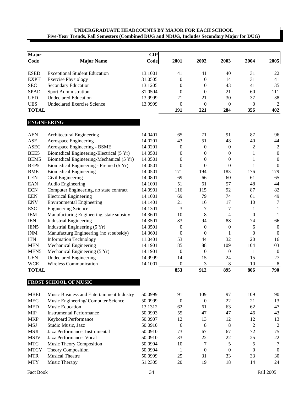| Major            |                                           | $\mathbf{CIP}$ |                  |                  |                  |                  |                  |
|------------------|-------------------------------------------|----------------|------------------|------------------|------------------|------------------|------------------|
| <b>Code</b>      | <b>Major Name</b>                         | Code           | 2001             | 2002             | 2003             | 2004             | 2005             |
|                  |                                           |                |                  |                  |                  |                  |                  |
| <b>ESED</b>      | <b>Exceptional Student Education</b>      | 13.1001        | 41               | 41               | 40               | 31               | 22               |
| <b>EXPH</b>      | <b>Exercise Physiology</b>                | 31.0505        | $\boldsymbol{0}$ | $\boldsymbol{0}$ | 14               | 31               | 41               |
| <b>SEC</b>       | <b>Secondary Education</b>                | 13.1205        | $\boldsymbol{0}$ | $\theta$         | 43               | 41               | 35               |
| <b>SPAD</b>      | Sport Administration                      | 31.0504        | $\boldsymbol{0}$ | $\mathbf{0}$     | 21               | 60               | 111              |
| <b>UED</b>       | <b>Undeclared Education</b>               | 13.9999        | 21               | 21               | 30               | 37               | 38               |
| <b>UES</b>       | <b>Undeclared Exercise Science</b>        | 13.9999        | $\boldsymbol{0}$ | $\boldsymbol{0}$ | $\boldsymbol{0}$ | $\boldsymbol{0}$ | $\sqrt{2}$       |
| <b>TOTAL</b>     |                                           |                | 191              | 221              | 284              | 356              | 402              |
|                  | <b>ENGINEERING</b>                        |                |                  |                  |                  |                  |                  |
| <b>AEN</b>       | Architectural Engineering                 | 14.0401        | 65               | 71               | 91               | 87               | 96               |
| ASE              | Aerospace Engineering                     | 14.0201        | 43               | 51               | 48               | 40               | 44               |
| <b>ASEC</b>      | Aerospace Engineering - BSME              | 14.0201        | $\boldsymbol{0}$ | $\boldsymbol{0}$ | $\boldsymbol{0}$ | $\overline{c}$   | $\mathfrak 2$    |
| BEE5             | Biomedical Engineering-Electrical (5 Yr)  | 14.0501        | $\boldsymbol{0}$ | $\boldsymbol{0}$ | $\boldsymbol{0}$ | 1                | $\boldsymbol{0}$ |
| BEM5             | Biomedical Engineering-Mechanical (5 Yr)  | 14.0501        | 0                | $\mathbf{0}$     | $\boldsymbol{0}$ | 1                | $\boldsymbol{0}$ |
| BEP <sub>5</sub> | Biomedical Engineering - Premed (5 Yr)    | 14.0501        | $\theta$         | $\mathbf{0}$     | $\boldsymbol{0}$ | $\mathbf{1}$     | $\theta$         |
| <b>BME</b>       | <b>Biomedical Engineering</b>             | 14.0501        | 171              | 194              | 183              | 176              | 179              |
| <b>CEN</b>       | Civil Engineering                         | 14.0801        | 69               | 66               | 60               | 61               | 65               |
| <b>EAN</b>       | Audio Engineering                         | 14.1001        | 51               | 61               | 57               | 48               | 44               |
| <b>ECN</b>       | Computer Engineering, no state contract   | 14.0901        | 116              | 115              | 92               | 87               | 82               |
| <b>EEN</b>       | <b>Electrical Engineering</b>             | 14.1001        | 69               | 79               | 74               | 61               | 49               |
| <b>ENV</b>       | <b>Environmental Engineering</b>          | 14.1401        | 21               | 16               | 17               | 10               | $\tau$           |
| <b>ESC</b>       | <b>Engineering Science</b>                | 14.1301        | 3                | 7                | $\tau$           | 1                | 1                |
| <b>IEM</b>       | Manufacturing Engineering, state subsidy  | 14.3601        | 10               | 8                | $\overline{4}$   | $\mathbf{0}$     | 1                |
| <b>IEN</b>       | <b>Industrial Engineering</b>             | 14.3501        | 83               | 94               | 88               | 74               | 66               |
| IEN <sub>5</sub> | Industrial Engineering (5 Yr)             | 14.3501        | $\boldsymbol{0}$ | $\boldsymbol{0}$ | $\boldsymbol{0}$ | 6                | $\boldsymbol{0}$ |
| <b>INM</b>       | Manufacturg Engineering (no st subsidy)   | 14.3601        | $\boldsymbol{0}$ | $\boldsymbol{0}$ | 1                | $\boldsymbol{0}$ | $\mathbf{0}$     |
| <b>ITN</b>       | <b>Information Technology</b>             | 11.0401        | 53               | 44               | 32               | 20               | 16               |
| <b>MEN</b>       | Mechanical Engineering                    | 14.1901        | 85               | 88               | 109              | 104              | 103              |
| MEN <sub>5</sub> | Mechanical Engineering (5 Yr)             | 14.1901        | $\boldsymbol{0}$ | $\boldsymbol{0}$ | $\boldsymbol{0}$ | 1                | $\boldsymbol{0}$ |
| <b>UEN</b>       | <b>Undeclared Engineering</b>             | 14.9999        | 14               | 15               | 24               | 15               | 27               |
| <b>WCE</b>       | <b>Wireless Communication</b>             | 14.1001        | $\theta$         | 3                | 8                | 10               | 8                |
| <b>TOTAL</b>     |                                           |                | 853              | 912              | 895              | 806              | 790              |
|                  | FROST SCHOOL OF MUSIC                     |                |                  |                  |                  |                  |                  |
|                  |                                           |                |                  |                  |                  |                  |                  |
| <b>MBEI</b>      | Music Business and Entertainment Industry | 50.0999        | 91               | 109              | 97               | 109              | 90               |
| <b>MEC</b>       | Music Engineering/Computer Science        | 50.0999        | $\boldsymbol{0}$ | $\theta$         | 22               | 21               | 13               |
| <b>MED</b>       | Music Education                           | 13.1312        | 62               | 61               | 63               | 62               | 47               |
| <b>MIP</b>       | <b>Instrumental Performance</b>           | 50.0903        | 55               | 47               | 47               | 46               | 43               |
| <b>MKP</b>       | Keyboard Performance                      | 50.0907        | 12               | 13               | 12               | 12               | 13               |
| <b>MSJ</b>       | Studio Music, Jazz                        | 50.0910        | 6                | 8                | 8                | $\overline{2}$   | $\overline{c}$   |
| <b>MSJI</b>      | Jazz Performance, Instrumental            | 50.0910        | 73               | 67               | 67               | 72               | 75               |
| <b>MSJV</b>      | Jazz Performance, Vocal                   | 50.0910        | 33               | 22               | 22               | 25               | 22               |
| <b>MTC</b>       | Music Theory Composition                  | 50.0904        | 10               | 7                | 5                | 5                | 7                |
| <b>MTCY</b>      | Theory Composition                        | 50.0904        | 1                | $\boldsymbol{0}$ | $\boldsymbol{0}$ | $\boldsymbol{0}$ | $\mathbf{0}$     |
| <b>MTR</b>       | <b>Musical Theatre</b>                    | 50.0999        | 25               | 31               | 33               | 33               | 30               |
| <b>MTY</b>       | Music Therapy                             | 51.2305        | 20               | 19               | 18               | 14               | 24               |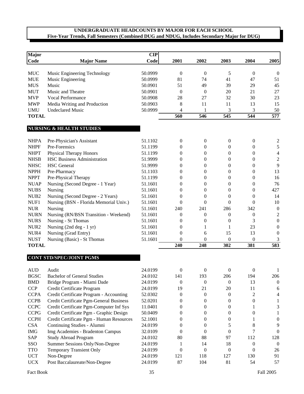| <b>Major</b>                 |                                            | <b>CIP</b> |                  |                  |                  |                  |                  |
|------------------------------|--------------------------------------------|------------|------------------|------------------|------------------|------------------|------------------|
| Code                         | <b>Major Name</b>                          | Code       | 2001             | 2002             | 2003             | 2004             | 2005             |
| <b>MUC</b>                   | Music Engineering Technology               | 50.0999    | $\boldsymbol{0}$ | $\boldsymbol{0}$ | 5                | $\boldsymbol{0}$ | $\boldsymbol{0}$ |
| <b>MUE</b>                   | Music Engineering                          | 50.0999    | 81               | 74               | 41               | 47               | 51               |
| <b>MUS</b>                   | Music                                      | 50.0901    | 51               | 49               | 39               | 29               | 45               |
| <b>MUT</b>                   | Music and Theatre                          | 50.0901    | $\overline{0}$   | $\theta$         | 20               | 21               | 27               |
| <b>MVP</b>                   | Vocal Performance                          | 50.0908    | 28               | 27               | 32               | 30               | 23               |
| <b>MWP</b>                   | Media Writing and Production               | 50.0903    | 8                | 11               | 11               | 13               | 15               |
| <b>UMU</b>                   | <b>Undeclared Music</b>                    | 50.0999    | 4                | 1                | 3                | 3                | 50               |
| <b>TOTAL</b>                 |                                            |            | 560              | 546              | 545              | 544              | 577              |
|                              | <b>NURSING &amp; HEALTH STUDIES</b>        |            |                  |                  |                  |                  |                  |
| <b>NHPA</b>                  |                                            | 51.1102    | $\boldsymbol{0}$ | $\mathbf{0}$     | $\boldsymbol{0}$ | $\boldsymbol{0}$ | $\overline{c}$   |
| <b>NHPF</b>                  | Pre-Physician's Assistant<br>Pre-Forensics | 51.1199    | 0                | 0                | $\boldsymbol{0}$ | 0                | 5                |
| <b>NHPT</b>                  | Physical Therapy Honors                    | 51.1199    | 0                | $\boldsymbol{0}$ | $\boldsymbol{0}$ | 0                | 4                |
| $\ensuremath{\mathsf{NHSB}}$ | <b>HSC Business Administration</b>         | 51.9999    | 0                | $\boldsymbol{0}$ | $\boldsymbol{0}$ | 0                | $\boldsymbol{2}$ |
| <b>NHSC</b>                  | <b>HSC</b> General                         | 51.9999    | 0                | $\boldsymbol{0}$ | $\boldsymbol{0}$ | 0                | 9                |
| <b>NPPH</b>                  | Pre-Pharmacy                               | 51.1103    | 0                | $\boldsymbol{0}$ | $\boldsymbol{0}$ | 0                | 13               |
| <b>NPPT</b>                  | Pre-Physical Therapy                       | 51.1199    | 0                | 0                | $\boldsymbol{0}$ | 0                | 16               |
| <b>NUAP</b>                  | Nursing (Second Degree - 1 Year)           | 51.1601    | 0                | 0                | $\boldsymbol{0}$ | 0                | 76               |
| <b>NUBS</b>                  | Nursing                                    | 51.1601    | 0                | $\theta$         | $\mathbf{0}$     | 0                | 427              |
| NUB <sub>2</sub>             | Nursing (Second Degree - 2 Years)          | 51.1601    | 0                | $\theta$         | $\theta$         | 0                | 14               |
| NUF1                         | Nursing (BSN - Florida Memorial Univ.)     | 51.1601    | $\theta$         | $\theta$         | $\Omega$         | 0                | 10               |
| ${\rm NUR}$                  | Nursing                                    | 51.1601    | 240              | 241              | 286              | 342              | $\boldsymbol{0}$ |
| <b>NURN</b>                  | Nursing (RN/BSN Transition - Weekend)      | 51.1601    | $\boldsymbol{0}$ | $\boldsymbol{0}$ | $\boldsymbol{0}$ | $\boldsymbol{0}$ | $\overline{c}$   |
| <b>NURS</b>                  | Nursing - St Thomas                        | 51.1601    | 0                | $\mathbf{0}$     | $\boldsymbol{0}$ | 3                | $\boldsymbol{0}$ |
| NUR <sub>2</sub>             | Nursing $(2nd deg - 1 yr)$                 | 51.1601    | 0                | 1                | 1                | 23               | $\boldsymbol{0}$ |
| NUR <sub>4</sub>             | Nursing (Grad Entry)                       | 51.1601    | $\boldsymbol{0}$ | 6                | 15               | 13               | $\boldsymbol{0}$ |
| <b>NUST</b>                  | Nursing (Basic) - St Thomas                | 51.1601    | $\theta$         | $\mathbf{0}$     | $\boldsymbol{0}$ | $\mathbf{0}$     | 3                |
| <b>TOTAL</b>                 |                                            |            | 240              | 248              | 302              | 381              | 583              |
|                              |                                            |            |                  |                  |                  |                  |                  |
|                              | <b>CONT STD/SPEC/JOINT PGMS</b>            |            |                  |                  |                  |                  |                  |
| <b>AUD</b>                   | Audit                                      | 24.0199    | $\boldsymbol{0}$ | $\boldsymbol{0}$ | $\boldsymbol{0}$ | $\boldsymbol{0}$ | 1                |
| <b>BGSC</b>                  | <b>Bachelor of General Studies</b>         | 24.0102    | 141              | 193              | 206              | 194              | 206              |
| <b>BMD</b>                   | Bridge Program - Miami Dade                | 24.0199    | $\boldsymbol{0}$ | $\boldsymbol{0}$ | $\mathbf{0}$     | 13               | $\mathbf{0}$     |
| <b>CCP</b>                   | Credit Certificate Program                 | 24.0199    | 19               | 21               | 20               | 11               | 6                |
| <b>CCPA</b>                  | Credit Certificate Program - Accounting    | 52.0302    | $\boldsymbol{0}$ | $\mathbf{0}$     | $\mathbf{0}$     | $\overline{c}$   | 4                |
| <b>CCPB</b>                  | Credit Certificate Pgm-General Business    | 52.0201    | 0                | $\theta$         | $\mathbf{0}$     | $\boldsymbol{0}$ | 1                |
| CCPC                         | Credit Certificate Pgm-Computer Inf Sys    | 11.0401    | 0                | $\theta$         | $\mathbf{0}$     | 1                | 3                |
| <b>CCPG</b>                  | Credit Certificate Pgm - Graphic Design    | 50.0409    | 0                | $\theta$         | $\boldsymbol{0}$ | $\boldsymbol{0}$ | 1                |
| <b>CCPH</b>                  | Credit Certificate Pgm - Human Resources   | 52.1001    | 0                | $\theta$         | $\boldsymbol{0}$ | 1                | $\boldsymbol{0}$ |
| CSA                          | Continuing Studies - Alumni                | 24.0199    | 0                | 0                | 5                | 8                | 9                |
| $\rm IMG$                    | Img Academies - Bradenton Campus           | 32.0109    | $\theta$         | $\theta$         | $\theta$         | 7                | $\boldsymbol{0}$ |
| SAP                          | Study Abroad Program                       | 24.0102    | 80               | 88               | 97               | 112              | 128              |
| SSO                          | Summer Sessions Only/Non-Degree            | 24.0199    | 1                | 14               | 18               | 0                | $\theta$         |
| <b>TTO</b>                   | Temporary Transient Only                   | 24.0199    | 0                | $\mathbf{0}$     | $\boldsymbol{0}$ | 0                | 26               |
| <b>UCT</b>                   | Non-Degree                                 | 24.0199    | 121              | 118              | 127              | 130              | 91               |
| <b>UCX</b>                   | Post Baccalaureate/Non-Degree              | 24.0199    | 87               | 104              | 81               | 54               | 57               |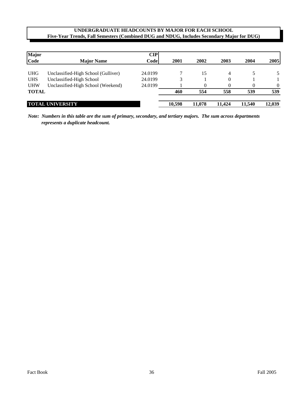| <b>Major</b> |                                     | CIP     |        |        |          |        |          |
|--------------|-------------------------------------|---------|--------|--------|----------|--------|----------|
| Code         | <b>Major Name</b>                   | Code    | 2001   | 2002   | 2003     | 2004   | 2005     |
| <b>UHG</b>   | Unclassified-High School (Gulliver) | 24.0199 |        | 15     | 4        |        | 5        |
| <b>UHS</b>   | Unclassified-High School            | 24.0199 |        |        | $\theta$ |        |          |
| <b>UHW</b>   | Unclassified-High School (Weekend)  | 24.0199 |        | 0      | $\Omega$ | 0      | $\Omega$ |
| <b>TOTAL</b> |                                     |         | 460    | 554    | 558      | 539    | 539      |
|              | <b>TOTAL UNIVERSITY</b>             |         | 10,598 | 11,078 | 11.424   | 11,540 | 12,039   |

*Note: Numbers in this table are the sum of primary, secondary, and tertiary majors. The sum across departments represents a duplicate headcount.*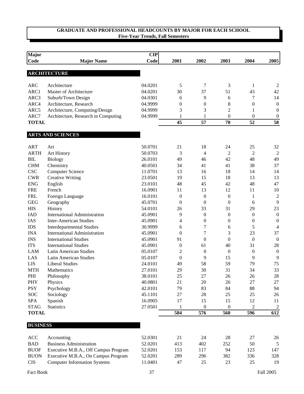| <b>Major</b>    |                                      | <b>CIP</b> |                  |                  |                  |                  |                  |
|-----------------|--------------------------------------|------------|------------------|------------------|------------------|------------------|------------------|
| Code            | <b>Major Name</b>                    | Code       | 2001             | 2002             | 2003             | 2004             | 2005             |
|                 | <b>ARCHITECTURE</b>                  |            |                  |                  |                  |                  |                  |
|                 |                                      |            |                  |                  |                  |                  |                  |
| <b>ARC</b>      | Architecture                         | 04.0201    | 5                | 7                | 3                | 1                | $\overline{2}$   |
| ARC1            | Master of Architecture               | 04.0201    | 30               | 37               | 51               | 43               | 42               |
| ARC3            | Suburb/Town Design                   | 04.0301    | 6                | 9                | 6                | 7                | 14               |
| ARC4            | Architecture, Research               | 04.9999    | $\boldsymbol{0}$ | 0                | 8                | $\boldsymbol{0}$ | $\boldsymbol{0}$ |
| ARC5            | Architecture, Computing/Design       | 04.9999    | 3                | 3                | $\overline{2}$   | 1                | $\boldsymbol{0}$ |
| ARC7            | Architecture, Research in Computing  | 04.9999    | 1                | 1                | $\theta$         | $\overline{0}$   | $\boldsymbol{0}$ |
| <b>TOTAL</b>    |                                      |            | 45               | 57               | 70               | 52               | 58               |
|                 |                                      |            |                  |                  |                  |                  |                  |
|                 | <b>ARTS AND SCIENCES</b>             |            |                  |                  |                  |                  |                  |
| <b>ART</b>      | Art                                  | 50.0701    | 21               | 18               | 24               | 25               | 32               |
| <b>ARTH</b>     | <b>Art History</b>                   | 50.0703    | 3                | 4                | $\overline{c}$   | 2                | $\overline{2}$   |
| <b>BIL</b>      | <b>Biology</b>                       | 26.0101    | 49               | 46               | 42               | 48               | 49               |
| <b>CHM</b>      | Chemistry                            | 40.0501    | 34               | 41               | 41               | 38               | 37               |
| <b>CSC</b>      | <b>Computer Science</b>              | 11.0701    | 13               | 16               | 18               | 14               | 14               |
| <b>CWR</b>      | <b>Creative Writing</b>              | 23.0501    | 19               | 15               | 18               | 13               | 13               |
| <b>ENG</b>      | English                              | 23.0101    | 48               | 45               | 42               | 48               | 47               |
| <b>FRE</b>      | French                               | 16.0901    | 11               | 13               | 12               | 11               | 10               |
| <b>FRL</b>      | Foreign Language                     | 16.0101    | $\boldsymbol{0}$ | $\boldsymbol{0}$ | $\mathbf{0}$     | 1                | $\overline{2}$   |
| <b>GEG</b>      | Geography                            | 45.0701    | $\boldsymbol{0}$ | $\boldsymbol{0}$ | $\overline{0}$   | 6                | 9                |
| <b>HIS</b>      | History                              | 54.0101    | 26               | 33               | 31               | 29               | 23               |
| <b>IAD</b>      | <b>International Administration</b>  | 45.0901    | 9                | $\boldsymbol{0}$ | $\boldsymbol{0}$ | $\mathbf{0}$     | $\boldsymbol{0}$ |
| IAS             | <b>Inter-American Studies</b>        | 45.0901    | 4                | $\boldsymbol{0}$ | $\boldsymbol{0}$ | $\mathbf{0}$     | $\boldsymbol{0}$ |
| <b>IDS</b>      | <b>Interdepartmental Studies</b>     | 30.9999    | 6                | 7                | 6                | 5                | $\overline{4}$   |
| <b>INA</b>      | <b>International Administration</b>  | 45.0901    | $\theta$         | 7                | 3                | 23               | 37               |
| <b>INS</b>      | <b>International Studies</b>         | 45.0901    | 91               | $\boldsymbol{0}$ | $\theta$         | $\overline{0}$   | $\overline{0}$   |
| <b>ITS</b>      | <b>International Studies</b>         | 45.0901    | $\boldsymbol{0}$ | 61               | 40               | 31               | 28               |
| <b>LAM</b>      | <b>Latin American Studies</b>        | 05.0107    | $\mathfrak{2}$   | $\boldsymbol{0}$ | $\boldsymbol{0}$ | $\overline{0}$   | $\boldsymbol{0}$ |
| LAS             | <b>Latin American Studies</b>        | 05.0107    | $\boldsymbol{0}$ | 9                | 15               | 9                | 9                |
| <b>LIS</b>      | <b>Liberal Studies</b>               | 24.0101    | 49               | 58               | 59               | 79               | 75               |
| <b>MTH</b>      | Mathematics                          | 27.0101    | 29               | 30               | 31               | 34               | 33               |
| PHI             | Philosophy                           | 38.0101    | 25               | $27\,$           | 26               | 26               | 28               |
| PHY             | Physics                              | 40.0801    | 21               | 20               | 26               | $27\,$           | 27               |
| <b>PSY</b>      | Psychology                           | 42.0101    | 79               | 83               | 84               | 88               | 94               |
| SOC             | Sociology                            | 45.1101    | 27               | 28               | 25               | 25               | 26               |
| SPA             | Spanish                              | 16.0905    | 17               | 15               | 15               | 12               | 11               |
| <b>STAG</b>     | <b>Statistics</b>                    | 27.0501    | 1                | $\boldsymbol{0}$ | $\theta$         | $\overline{2}$   | $\overline{c}$   |
| <b>TOTAL</b>    |                                      |            | 584              | 576              | 560              | 596              | 612              |
|                 |                                      |            |                  |                  |                  |                  |                  |
| <b>BUSINESS</b> |                                      |            |                  |                  |                  |                  |                  |
| ACC             | Accounting                           | 52.0301    | 21               | 24               | 28               | 27               | 26               |
| <b>BAD</b>      | <b>Business Administration</b>       | 52.0201    | 413              | 402              | 252              | 50               | 5                |
| <b>BUOF</b>     | Executive M.B.A., Off Campus Program | 52.0201    | 153              | 117              | 94               | 123              | 147              |
| <b>BUON</b>     | Executive M.B.A., On Campus Program  | 52.0201    | 289              | 296              | 382              | 336              | 328              |
| <b>CIS</b>      | <b>Computer Information Systems</b>  | 11.0401    | 47               | 25               | 23               | 25               | 19               |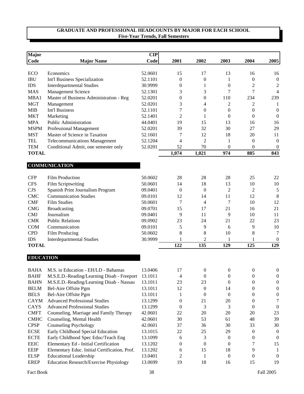| <b>Major</b>     |                                               | CIP     |                  |                  |                  |                  |                  |
|------------------|-----------------------------------------------|---------|------------------|------------------|------------------|------------------|------------------|
| Code             | <b>Major Name</b>                             | Code    | 2001             | 2002             | 2003             | 2004             | 2005             |
|                  |                                               |         |                  |                  |                  |                  |                  |
| ECO              | Economics                                     | 52.0601 | 15               | 17               | 13               | 16               | 16               |
| <b>IBU</b>       | Int'l Business Specialization                 | 52.1101 | 0                | $\boldsymbol{0}$ | 1                | $\boldsymbol{0}$ | $\boldsymbol{0}$ |
| <b>IDS</b>       | <b>Interdepartmental Studies</b>              | 30.9999 | 0                | 1                | $\mathbf{0}$     | 2                | $\sqrt{2}$       |
| <b>MAS</b>       | <b>Management Science</b>                     |         | 3                | 3                | 7                | 7                | $\overline{4}$   |
| MBA1             | Master of Business Administration - Reg       | 52.0201 | 0                | 0                | 110              | 234              | 239              |
| <b>MGT</b>       | Management                                    | 52.0201 | 3                | 4                | 2                | 2                | 1                |
| <b>MIB</b>       | Int'l Business                                | 52.1101 | 7                | $\theta$         | $\mathbf{0}$     | $\overline{0}$   | $\theta$         |
| <b>MKT</b>       | Marketing                                     | 52.1401 | $\mathfrak{2}$   | 1                | $\mathbf{0}$     | $\mathbf{0}$     | $\boldsymbol{0}$ |
| <b>MPA</b>       | Public Administration                         | 44.0401 | 19               | 15               | 13               | 16               | 16               |
| <b>MSPM</b>      | Professional Management                       | 52.0201 | 39               | 32               | 30               | 27               | 29               |
| <b>MST</b>       | Master of Science in Taxation                 | 52.1601 | 7                | 12               | 18               | 20               | 11               |
| <b>TEL</b>       | <b>Telecommunications Management</b>          | 52.1204 | 4                | $\overline{c}$   | 1                | $\boldsymbol{0}$ | $\boldsymbol{0}$ |
| <b>TEM</b>       | Conditional Admit, one semester only          | 52.0201 | 52               | 70               | $\boldsymbol{0}$ | $\overline{0}$   | $\boldsymbol{0}$ |
| <b>TOTAL</b>     |                                               |         | 1,074            | 1,021            | 974              | 885              | 843              |
|                  |                                               |         |                  |                  |                  |                  |                  |
|                  | <b>COMMUNICATION</b>                          |         |                  |                  |                  |                  |                  |
| <b>CFP</b>       | <b>Film Production</b>                        | 50.0602 | 28               | 28               | 28               | 25               | 22               |
| <b>CFS</b>       | Film Scriptwriting                            | 50.0601 | 14               | 18               | 13               | 10               | 10               |
| <b>CJS</b>       | Spanish Print Journalism Program              | 09.0401 | $\overline{0}$   | $\overline{0}$   | $\overline{2}$   | $\overline{2}$   | $\sqrt{5}$       |
| <b>CMC</b>       | <b>Communication Studies</b>                  | 09.0101 | 12               | 14               | 11               | 12               | 8                |
| <b>CMF</b>       | <b>Film Studies</b>                           | 50.0601 | 7                | 4                | 7                | 10               | 12               |
| <b>CMG</b>       | Broadcasting                                  | 09.0701 | 15               | 17               | 21               | 16               | 21               |
| <b>CMJ</b>       | Journalism                                    | 09.0401 | 9                | 11               | 9                | 10               | 11               |
| <b>CMR</b>       | <b>Public Relations</b>                       | 09.0902 | 23               | 24               | 21               | 22               | 23               |
| <b>COM</b>       | Communication                                 | 09.0101 | 5                | 9                | 6                | 9                | 10               |
| <b>CPD</b>       | Film Producing                                | 50.0602 | 8                | 8                | 10               | 8                | $\tau$           |
| <b>IDS</b>       | <b>Interdepartmental Studies</b>              | 30.9999 | 1                | 2                | 1                | 1                | $\boldsymbol{0}$ |
| <b>TOTAL</b>     |                                               |         | 122              | 135              | 129              | 125              | 129              |
| <b>EDUCATION</b> |                                               |         |                  |                  |                  |                  |                  |
|                  |                                               |         |                  |                  |                  |                  |                  |
| <b>BAHA</b>      | M.S. in Education - EH/LD - Bahamas           | 13.0406 | 17               | $\overline{0}$   | $\mathbf{0}$     | $\boldsymbol{0}$ | $\boldsymbol{0}$ |
| <b>BAHF</b>      | M.S.E.D.-Reading/Learning Disab - Freeport    | 13.1011 | $\overline{4}$   | $\boldsymbol{0}$ | $\boldsymbol{0}$ | $\boldsymbol{0}$ | $\boldsymbol{0}$ |
| <b>BAHN</b>      | M.S.E.D.-Reading/Learning Disab - Nassau      | 13.1011 | 23               | 23               | $\mathbf{0}$     | 0                | $\boldsymbol{0}$ |
| <b>BELM</b>      | Bel-Aire Offsite Pgm                          | 13.1011 | 12               | $\boldsymbol{0}$ | 14               | 0                | $\boldsymbol{0}$ |
| <b>BELS</b>      | Bel-Aire Offsite Pgm                          | 13.1011 | 1                | $\boldsymbol{0}$ | $\mathbf{0}$     | 0                | $\boldsymbol{0}$ |
| <b>CAYM</b>      | <b>Advanced Professional Studies</b>          | 13.1299 | 0                | 21               | 20               | $\boldsymbol{0}$ | $\tau$           |
| CAYS             | <b>Advanced Professional Studies</b>          | 13.1299 | $\boldsymbol{0}$ | 3                | 3                | $\boldsymbol{0}$ | $\boldsymbol{0}$ |
| <b>CMFT</b>      | Counseling, Marriage and Family Therapy       | 42.0601 | 22               | $20\,$           | 20               | 20               | 23               |
| <b>CMHC</b>      | Counseling, Mental Health                     | 42.0601 | 30               | 53               | 61               | 48               | 39               |
| <b>CPSP</b>      | <b>Counseling Psychology</b>                  | 42.0601 | 37               | 36               | 30               | 33               | 30               |
| <b>ECSE</b>      | Early Childhood Special Education             | 13.1015 | 22               | 25               | 29               | $\boldsymbol{0}$ | $\boldsymbol{0}$ |
| <b>ECTE</b>      | Early Childhood Spec Educ/Teach Eng           | 13.1099 | 6                | 3                | $\boldsymbol{0}$ | 0                | $\boldsymbol{0}$ |
| <b>EEIC</b>      | Elementary Ed - Initial Certification         | 13.1202 | 0                | $\boldsymbol{0}$ | $\mathbf{0}$     | 7                | 15               |
| EEIP             | Elementary Educ. Initial Certification, Prof. | 13.1202 | 6                | 15               | 18               | 9                | -1               |
| <b>ELSP</b>      | <b>Educational Leadership</b>                 | 13.0401 | $\overline{c}$   | 1                | $\boldsymbol{0}$ | 0                | $\boldsymbol{0}$ |
| <b>EREP</b>      | Education Research/Exercise Physiology        | 13.0699 | 19               | 18               | 16               | 15               | 19               |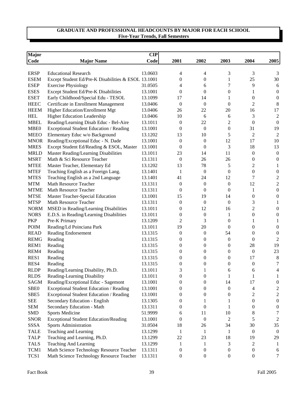| Major<br><b>CIP</b> |                                                     |         |                  |                  |                  |                  |                  |  |  |
|---------------------|-----------------------------------------------------|---------|------------------|------------------|------------------|------------------|------------------|--|--|
| <b>Code</b>         | <b>Major Name</b>                                   | Code    | 2001             | 2002             | 2003             | 2004             | 2005             |  |  |
|                     |                                                     |         |                  |                  |                  |                  |                  |  |  |
| <b>ERSP</b>         | <b>Educational Research</b>                         | 13.0603 | 4                | 4                | 3                | 3                | 3                |  |  |
| <b>ESEM</b>         | Except Student Ed/Pre-K Disabilities & ESOL 13.1001 |         | 0                | $\boldsymbol{0}$ | $\mathbf{1}$     | 25               | 30               |  |  |
| <b>ESEP</b>         | <b>Exercise Physiology</b>                          | 31.0505 | 4                | 6                | 7                | 9                | $\sqrt{6}$       |  |  |
| <b>ESES</b>         | Except Student Ed/Pre-K Disabilities                | 13.1001 | $\boldsymbol{0}$ | $\boldsymbol{0}$ | $\boldsymbol{0}$ | 1                | $\overline{0}$   |  |  |
| <b>ESET</b>         | Early Childhood/Special Edu - TESOL                 | 13.1099 | 17               | 14               | 1                | $\overline{0}$   | $\boldsymbol{0}$ |  |  |
| <b>HEEC</b>         | Certificate in Enrollment Management                | 13.0406 | $\boldsymbol{0}$ | $\boldsymbol{0}$ | $\mathbf{0}$     | $\overline{c}$   | $\,8\,$          |  |  |
| <b>HEEM</b>         | Higher Education/Enrollment Mgt                     | 13.0406 | 26               | 22               | 20               | 16               | 17               |  |  |
| <b>HEL</b>          | Higher Education Leadership                         | 13.0406 | 10               | 6                | 6                | 3                | $\overline{2}$   |  |  |
| <b>MBEL</b>         | Reading/Learning Disab Educ - Bel-Aire              | 13.1011 | $\boldsymbol{0}$ | 22               | $\overline{c}$   | $\overline{0}$   | $\boldsymbol{0}$ |  |  |
| MBE <sub>0</sub>    | Exceptional Student Education / Reading             | 13.1001 | 0                | $\boldsymbol{0}$ | $\boldsymbol{0}$ | 31               | 19               |  |  |
| <b>MEEO</b>         | Elementary Educ w/o Background                      | 13.1202 | 13               | 10               | 5                | 2                | $\mathfrak{2}$   |  |  |
| <b>MNOR</b>         | Reading/Exceptional Educ - N. Dade                  | 13.1001 | $\boldsymbol{0}$ | $\boldsymbol{0}$ | 12               | 17               | 10               |  |  |
| <b>MRES</b>         | Except Student Ed/Reading & ESOL, Master            | 13.1001 | $\boldsymbol{0}$ | $\boldsymbol{0}$ | 3                | 18               | 13               |  |  |
| <b>MRLD</b>         | Master Reading/Learning Disabilities                | 13.1011 | 23               | 14               | 11               | $\boldsymbol{0}$ | $\boldsymbol{0}$ |  |  |
| <b>MSRT</b>         | Math & Sci Resource Teacher                         | 13.1311 | $\overline{0}$   | 26               | 26               | $\overline{0}$   | $\boldsymbol{0}$ |  |  |
| <b>MTEE</b>         | Master Teacher, Elementary Ed                       | 13.1202 | 13               | 78               | 5                | 2                | 1                |  |  |
| <b>MTEF</b>         | Teaching English as a Foreign Lang.                 | 13.1401 | $\mathbf{1}$     | $\boldsymbol{0}$ | $\theta$         | $\boldsymbol{0}$ | $\boldsymbol{0}$ |  |  |
| <b>MTES</b>         | Teaching English as a 2nd Language                  | 13.1401 | 41               | 24               | 12               | 7                | $\boldsymbol{2}$ |  |  |
| <b>MTM</b>          | Math Resource Teacher                               | 13.1311 | $\boldsymbol{0}$ | $\boldsymbol{0}$ | $\mathbf{0}$     | 12               | $\mathfrak{2}$   |  |  |
| <b>MTME</b>         | Math Resource Teacher                               | 13.1311 | $\boldsymbol{0}$ | $\boldsymbol{0}$ | $\mathbf{0}$     | 1                | $\boldsymbol{0}$ |  |  |
| <b>MTSE</b>         | Master Teacher-Special Education                    | 13.1001 | 15               | 19               | 14               | $\boldsymbol{0}$ | $\boldsymbol{0}$ |  |  |
| <b>MTSP</b>         | Math Resource Teacher                               | 13.1311 | $\boldsymbol{0}$ | $\boldsymbol{0}$ | $\mathbf{0}$     | 3                | 1                |  |  |
| <b>NORM</b>         | MSED in Reading/Learning Disabilities               | 13.1011 | $\boldsymbol{0}$ | 12               | 16               | $\overline{c}$   | $\boldsymbol{0}$ |  |  |
| <b>NORS</b>         | E.D.S. in Reading/Learning Disabilities             | 13.1011 | $\boldsymbol{0}$ | $\boldsymbol{0}$ | 1                | $\mathbf{0}$     | $\boldsymbol{0}$ |  |  |
| PKP                 | Pre-K Primary                                       | 13.1209 | $\overline{c}$   | 3                | $\theta$         | 1                | 1                |  |  |
| <b>POIM</b>         | Reading/Ld Poinciana Park                           | 13.1011 | 19               | 20               | $\mathbf{0}$     | $\mathbf{0}$     | 0                |  |  |
| <b>READ</b>         | <b>Reading Endorsement</b>                          | 13.1315 | $\boldsymbol{0}$ | $\boldsymbol{0}$ | 54               | $\mathbf{0}$     | $\boldsymbol{0}$ |  |  |
| <b>REMG</b>         | Reading                                             | 13.1315 | $\boldsymbol{0}$ | $\boldsymbol{0}$ | $\mathbf{0}$     | $\mathbf{0}$     | $\overline{2}$   |  |  |
| REM1                | Reading                                             | 13.1315 | $\boldsymbol{0}$ | 0                | $\mathbf{0}$     | 28               | 19               |  |  |
| REM4                | Reading                                             | 13.1315 | 0                | $\boldsymbol{0}$ | $\boldsymbol{0}$ | $\boldsymbol{0}$ | 23               |  |  |
| RES1                | Reading                                             | 13.1315 | 0                | $\boldsymbol{0}$ | $\boldsymbol{0}$ | 17               | $\,8\,$          |  |  |
| RES4                | Reading                                             | 13.1315 | 0                | $\boldsymbol{0}$ | $\theta$         | $\boldsymbol{0}$ | $\tau$           |  |  |
| <b>RLDP</b>         | Reading/Learning Disability, Ph.D.                  | 13.1011 | 3                | 1                | 6                | 6                | 4                |  |  |
| <b>RLDS</b>         | Reading-Learning Disability                         | 13.1011 | $\boldsymbol{0}$ | $\boldsymbol{0}$ | 1                | $\mathbf{1}$     | 1                |  |  |
| SAGM                | Reading/Exceptional Educ - Sagemont                 | 13.1001 | 0                | $\boldsymbol{0}$ | 14               | 17               | $\boldsymbol{0}$ |  |  |
| SBE <sub>0</sub>    | Exceptional Student Education / Reading             | 13.1001 | 0                |                  | $\boldsymbol{0}$ |                  |                  |  |  |
|                     |                                                     |         |                  | $\boldsymbol{0}$ |                  | 4                | $\overline{c}$   |  |  |
| SBE5                | Exceptional Student Education / Reading             | 13.1001 | 0                | $\boldsymbol{0}$ | $\boldsymbol{0}$ | 2                | $\overline{2}$   |  |  |
| <b>SEE</b>          | Secondary Education - English                       | 13.1305 | 0                | 1                | 1                | $\boldsymbol{0}$ | $\boldsymbol{0}$ |  |  |
| <b>SEM</b>          | Secondary Education - Math                          | 13.1311 | 0                | $\boldsymbol{0}$ | 1                | $\boldsymbol{0}$ | $\boldsymbol{0}$ |  |  |
| <b>SMD</b>          | <b>Sports Medicine</b>                              | 51.9999 | 6                | 11               | 10               | 8                | 7                |  |  |
| <b>SNOR</b>         | <b>Exceptional Student Education/Reading</b>        | 13.1001 | 0                | $\boldsymbol{0}$ | 2                | 5                | $\overline{2}$   |  |  |
| SSSA                | Sports Administration                               | 31.0504 | 18               | 26               | 34               | 30               | 35               |  |  |
| <b>TALE</b>         | Teaching and Learning                               | 13.1299 | 1                | 1                | 1                | $\boldsymbol{0}$ | $\overline{0}$   |  |  |
| <b>TALP</b>         | Teaching and Learning, Ph.D.                        | 13.1299 | 22               | 23               | 18               | 19               | 29               |  |  |
| <b>TALS</b>         | Teaching And Learning                               | 13.1299 | 1                | 1                | 3                | $\overline{2}$   | 1                |  |  |
| TCM1                | Math Science Technology Resource Teacher            | 13.1311 | 0                | $\boldsymbol{0}$ | $\boldsymbol{0}$ | $\boldsymbol{0}$ | 6                |  |  |
| TCS1                | Math Science Technology Resource Teacher            | 13.1311 | $\boldsymbol{0}$ | $\boldsymbol{0}$ | $\boldsymbol{0}$ | $\boldsymbol{0}$ | $\tau$           |  |  |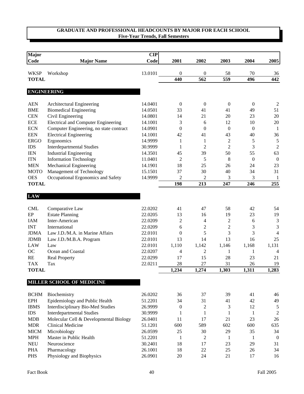| Major<br>Code | <b>Major Name</b>                          | CIP<br>Code | 2001             | 2002             | 2003             | 2004             | 2005             |
|---------------|--------------------------------------------|-------------|------------------|------------------|------------------|------------------|------------------|
| <b>WKSP</b>   | Workshop                                   | 13.0101     | 0                | $\boldsymbol{0}$ | 58               | 70               | 36               |
| <b>TOTAL</b>  |                                            |             | 440              | 562              | 559              | 496              | 442              |
|               |                                            |             |                  |                  |                  |                  |                  |
|               | <b>ENGINEERING</b>                         |             |                  |                  |                  |                  |                  |
| <b>AEN</b>    | Architectural Engineering                  | 14.0401     | $\boldsymbol{0}$ | $\boldsymbol{0}$ | $\boldsymbol{0}$ | $\boldsymbol{0}$ | $\overline{2}$   |
| <b>BME</b>    | <b>Biomedical Engineering</b>              | 14.0501     | 33               | 41               | 41               | 49               | 51               |
| <b>CEN</b>    | Civil Engineering                          | 14.0801     | 14               | 21               | 20               | 23               | 20               |
| <b>ECE</b>    | <b>Electrical and Computer Engineering</b> | 14.1001     | 3                | 6                | 12               | 10               | 20               |
| <b>ECN</b>    | Computer Engineering, no state contract    | 14.0901     | $\overline{0}$   | $\theta$         | $\mathbf{0}$     | $\mathbf{0}$     | -1               |
| <b>EEN</b>    | <b>Electrical Engineering</b>              | 14.1001     | 42               | 41               | 43               | 40               | 36               |
| <b>ERGO</b>   | Ergonomics                                 | 14.9999     | 1                | 1                | $\overline{2}$   | 5                | $\sqrt{5}$       |
| <b>IDS</b>    | <b>Interdepartmental Studies</b>           | 30.9999     | 1                | 2                | $\overline{2}$   | 3                | $\overline{2}$   |
| <b>IEN</b>    | <b>Industrial Engineering</b>              | 14.3501     | 45               | 39               | 50               | 55               | 63               |
| <b>ITN</b>    | <b>Information Technology</b>              | 11.0401     | $\overline{2}$   | 5                | 8                | $\mathbf{0}$     | $\boldsymbol{0}$ |
| <b>MEN</b>    | Mechanical Engineering                     | 14.1901     | 18               | 25               | 26               | 24               | 23               |
| <b>MOTO</b>   | Management of Technology                   | 15.1501     | 37               | 30               | 40               | 34               | 31               |
| <b>OES</b>    | Occupational Ergonomics and Safety         | 14.9999     | $\overline{2}$   | $\overline{c}$   | 3                | $\mathfrak{Z}$   | 1                |
| <b>TOTAL</b>  |                                            |             | 198              | 213              | 247              | 246              | 255              |
| <b>LAW</b>    |                                            |             |                  |                  |                  |                  |                  |
| <b>CML</b>    | Comparative Law                            | 22.0202     | 41               | 47               | 58               | 42               | 54               |
| EP            | <b>Estate Planning</b>                     | 22.0205     | 13               | 16               | 19               | 23               | 19               |
| <b>IAM</b>    | Inter-American                             | 22.0209     | $\mathfrak{2}$   | 4                | $\overline{c}$   | 6                | $\mathfrak{Z}$   |
| <b>INT</b>    | International                              | 22.0209     | 6                | $\overline{c}$   | $\overline{c}$   | 3                | $\mathfrak{Z}$   |
| <b>JDMA</b>   | Law J.D./M.A. in Marine Affairs            | 22.0101     | $\overline{0}$   | 5                | 3                | $\overline{3}$   | $\overline{4}$   |
| <b>JDMB</b>   | Law J.D./M.B.A. Program                    | 22.0101     | 13               | 14               | 13               | 16               | 25               |
| <b>LAW</b>    | Law                                        | 22.0101     | 1,110            | 1,142            | 1,146            | 1,168            | 1,131            |
| <b>OC</b>     | Ocean and Coastal                          | 22.0207     | 4                | $\overline{c}$   | 1                | 1                | $\overline{4}$   |
| RE            | <b>Real Property</b>                       | 22.0299     | 17               | 15               | 28               | 23               | 21               |
| <b>TAX</b>    | Tax                                        | 22.0211     | 28               | 27               | 31               | 26               | 19               |
| <b>TOTAL</b>  |                                            |             | 1,234            | 1,274            | 1,303            | 1,311            | 1,283            |
|               | MILLER SCHOOL OF MEDICINE                  |             |                  |                  |                  |                  |                  |
|               |                                            |             |                  |                  |                  |                  |                  |
| <b>BCHM</b>   | Biochemistry                               | 26.0202     | 36               | 37               | 39               | 41               | 46               |
| <b>EPH</b>    | Epidemiology and Public Health             | 51.2201     | 34               | 31               | 41               | 42               | 49               |
| <b>IBMS</b>   | Interdisciplinary Bio-Med Studies          | 26.9999     | $\boldsymbol{0}$ | $\overline{c}$   | 3                | 12               | 5                |
| $\rm{IDS}$    | <b>Interdepartmental Studies</b>           | 30.9999     | 1                | $\mathbf{1}$     | $\mathbf{1}$     | 1                | $\overline{2}$   |
| <b>MDB</b>    | Molecular Cell & Developmental Biology     | 26.0401     | 11               | 17               | 21               | 23               | $26\,$           |
| <b>MDR</b>    | <b>Clinical Medicine</b>                   | 51.1201     | 600              | 589              | 602              | 600              | 635              |
| <b>MICM</b>   | Microbiology                               | 26.0599     | 25               | 30               | 29               | 35               | 34               |
| <b>MPH</b>    | Master in Public Health                    | 51.2201     | 1                | $\overline{c}$   | -1               | -1               | $\boldsymbol{0}$ |
| <b>NEU</b>    | Neuroscience                               | 30.2401     | 18               | 17               | 23               | 29               | 31               |
| <b>PHA</b>    | Pharmacology                               | 26.1001     | 18               | 22               | 25               | 26               | 34               |
| <b>PHS</b>    | Physiology and Biophysics                  | 26.0901     | 20               | 24               | 21               | 17               | 16               |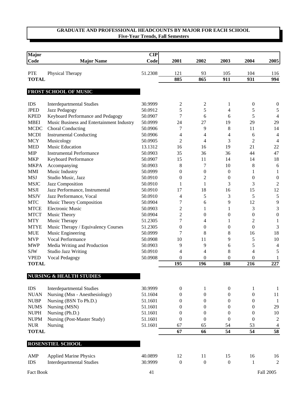| <b>Major</b><br>Code | <b>Major Name</b>                         | CIP<br>Code | 2001             | 2002             | 2003             | 2004             | 2005             |
|----------------------|-------------------------------------------|-------------|------------------|------------------|------------------|------------------|------------------|
|                      |                                           |             |                  |                  |                  |                  |                  |
| <b>PTE</b>           | Physical Therapy                          | 51.2308     | 121              | 93               | 105              | 104              | 116              |
| <b>TOTAL</b>         |                                           |             | 885              | 865              | 911              | 931              | 994              |
|                      | FROST SCHOOL OF MUSIC                     |             |                  |                  |                  |                  |                  |
| <b>IDS</b>           | <b>Interdepartmental Studies</b>          | 30.9999     | 2                | 2                | 1                | $\boldsymbol{0}$ | $\boldsymbol{0}$ |
| <b>JPED</b>          | Jazz Pedagogy                             | 50.0912     | 5                | 5                | 4                | 5                | 5                |
| <b>KPED</b>          | Keyboard Performance and Pedagogy         | 50.0907     | 7                | 6                | 6                | 5                | $\overline{4}$   |
| <b>MBEI</b>          | Music Business and Entertainment Industry | 50.0999     | 24               | 27               | 19               | 29               | 29               |
| <b>MCDC</b>          | <b>Choral Conducting</b>                  | 50.0906     | 7                | 9                | 8                | 11               | 14               |
| <b>MCDI</b>          | <b>Instrumental Conducting</b>            | 50.0906     | 4                | 4                | 4                | 6                | $\overline{4}$   |
| <b>MCY</b>           | Musicology                                | 50.0905     | $\overline{c}$   | 4                | 3                | 2                | $\overline{4}$   |
| <b>MED</b>           | Music Education                           | 13.1312     | 16               | 16               | 19               | 21               | 22               |
| <b>MIP</b>           | <b>Instrumental Performance</b>           | 50.0903     | 35               | 36               | 36               | 44               | 47               |
| <b>MKP</b>           | Keyboard Performance                      | 50.0907     | 15               | 11               | 14               | 14               | 18               |
| <b>MKPA</b>          | Accompanying                              | 50.0903     | 8                | 7                | 10               | 8                | 6                |
| <b>MMI</b>           | Music Industry                            | 50.0999     | $\overline{0}$   | $\theta$         | $\boldsymbol{0}$ | 1                | 1                |
| <b>MSJ</b>           | Studio Music, Jazz                        | 50.0910     | $\mathbf{0}$     | 2                | $\boldsymbol{0}$ | $\theta$         | $\boldsymbol{0}$ |
| <b>MSJC</b>          | Jazz Composition                          | 50.0910     | 1                | 1                | 3                | 3                | $\overline{2}$   |
| <b>MSJI</b>          | Jazz Performance, Instrumental            | 50.0910     | 17               | 18               | 16               | 15               | 12               |
| <b>MSJV</b>          | Jazz Performance, Vocal                   | 50.0910     | 4                | 5                | 3                | 5                | 5                |
| <b>MTC</b>           | Music Theory Composition                  | 50.0904     | $\tau$           | 6                | 9                | 12               | 9                |
| <b>MTCE</b>          | <b>Electronic Music</b>                   | 50.0903     | $\mathfrak{2}$   | 1                | $\mathbf{1}$     | 3                | 3                |
| <b>MTCT</b>          | Music Theory                              | 50.0904     | $\mathfrak{2}$   | $\boldsymbol{0}$ | $\boldsymbol{0}$ | $\boldsymbol{0}$ | $\boldsymbol{0}$ |
| <b>MTY</b>           | Music Therapy                             | 51.2305     | 7                | 4                | 1                | $\overline{2}$   | $\mathbf{1}$     |
| <b>MTYE</b>          | Music Therapy / Equivalency Courses       | 51.2305     | $\overline{0}$   | $\boldsymbol{0}$ | $\boldsymbol{0}$ | $\boldsymbol{0}$ | 3                |
| <b>MUE</b>           | Music Engineering                         | 50.0999     | 7                | 8                | 8                | 16               | 18               |
| <b>MVP</b>           | Vocal Performance                         | 50.0908     | 10               | 11               | 9                | 5                | 10               |
| <b>MWP</b>           | Media Writing and Production              | 50.0903     | 9                | 9                | 6                | 5                | $\overline{4}$   |
| <b>SJW</b>           | <b>Studio Jazz Writing</b>                | 50.0910     | $\overline{4}$   | 4                | 8                | $\overline{4}$   | 5                |
| <b>VPED</b>          | Vocal Pedagogy                            | 50.0908     | $\theta$         | $\theta$         | 0                | $\theta$         | 1                |
| <b>TOTAL</b>         |                                           |             | 195              | 196              | 188              | 216              | 227              |
|                      | <b>NURSING &amp; HEALTH STUDIES</b>       |             |                  |                  |                  |                  |                  |
| <b>IDS</b>           | <b>Interdepartmental Studies</b>          | 30.9999     | $\boldsymbol{0}$ | $\mathbf{1}$     | $\boldsymbol{0}$ | 1                | $\mathbf{1}$     |
| <b>NUAN</b>          | Nursing (Msn - Anesthesiology)            | 51.1604     | $\boldsymbol{0}$ | $\boldsymbol{0}$ | $\boldsymbol{0}$ | $\boldsymbol{0}$ | 11               |
| <b>NUBP</b>          | Nursing (BSN To Ph.D.)                    | 51.1601     | 0                | $\boldsymbol{0}$ | $\boldsymbol{0}$ | $\boldsymbol{0}$ | 1                |
| <b>NUMS</b>          | Nursing (MSN)                             | 51.1601     | 0                | $\boldsymbol{0}$ | $\boldsymbol{0}$ | $\boldsymbol{0}$ | 29               |
| <b>NUPH</b>          | Nursing (Ph.D.)                           | 51.1601     | 0                | $\boldsymbol{0}$ | $\boldsymbol{0}$ | $\boldsymbol{0}$ | 10               |
| <b>NUPM</b>          | Nursing (Post-Master Study)               | 51.1601     | $\boldsymbol{0}$ | $\boldsymbol{0}$ | $\boldsymbol{0}$ | $\boldsymbol{0}$ | $\overline{c}$   |
| ${\rm NUR}$          | Nursing                                   | 51.1601     | 67               | 65               | 54               | 53               | 4                |
| <b>TOTAL</b>         |                                           |             | 67               | 66               | 54               | 54               | 58               |
|                      | ROSENSTIEL SCHOOL                         |             |                  |                  |                  |                  |                  |
| AMP                  | <b>Applied Marine Physics</b>             | 40.0899     | 12               | 11               | 15               | 16               | 16               |
| <b>IDS</b>           | <b>Interdepartmental Studies</b>          | 30.9999     | $\boldsymbol{0}$ | $\boldsymbol{0}$ | $\boldsymbol{0}$ | 1                | $\overline{2}$   |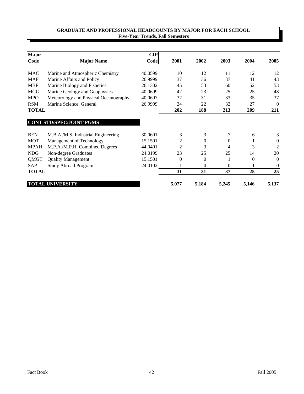| <b>Major</b> |                                       | $\mathbf{CIP}$ |                |          |                |          |              |
|--------------|---------------------------------------|----------------|----------------|----------|----------------|----------|--------------|
| Code         | <b>Major Name</b>                     | Code           | 2001           | 2002     | 2003           | 2004     | 2005         |
|              |                                       |                |                |          |                |          |              |
| MAC          | Marine and Atmospheric Chemistry      | 40.0599        | 10             | 12       | 11             | 12       | 12           |
| <b>MAF</b>   | Marine Affairs and Policy             | 26.9999        | 37             | 36       | 37             | 41       | 43           |
| <b>MBF</b>   | Marine Biology and Fisheries          | 26.1302        | 45             | 53       | 60             | 52       | 53           |
| <b>MGG</b>   | Marine Geology and Geophysics         | 40.0699        | 42             | 23       | 25             | 25       | 48           |
| <b>MPO</b>   | Meteorology and Physical Oceanography | 40.0607        | 32             | 31       | 33             | 35       | 37           |
| <b>RSM</b>   | Marine Science, General               | 26.9999        | 24             | 22       | 32             | 27       | $\theta$     |
| <b>TOTAL</b> |                                       |                | 202            | 188      | 213            | 209      | 211          |
|              |                                       |                |                |          |                |          |              |
|              | <b>CONT STD/SPEC/JOINT PGMS</b>       |                |                |          |                |          |              |
| <b>BEN</b>   | M.B.A./M.S. Industrial Engineering    | 30.0601        | 3              | 3        | $\overline{7}$ | 6        | 3            |
| <b>MOT</b>   | Management of Technology              | 15.1501        | 2              | $\theta$ | $\Omega$       |          | $\mathbf{0}$ |
| <b>MPAH</b>  | M.P.A./M.P.H. Combined Degrees        | 44.0401        | $\overline{2}$ | 3        | 4              | 3        | 2            |
| <b>NDG</b>   | Non-degree Graduates                  | 24.0199        | 23             | 25       | 25             | 14       | 20           |
| QMGT         | <b>Quality Management</b>             | 15.1501        | $\Omega$       | $\theta$ |                | $\theta$ | $\Omega$     |
| <b>SAP</b>   | <b>Study Abroad Program</b>           | 24.0102        |                | $\theta$ | $\Omega$       |          | $\theta$     |
| <b>TOTAL</b> |                                       |                | 31             | 31       | 37             | 25       | 25           |
|              | <b>TOTAL UNIVERSITY</b>               |                | 5,077          | 5,184    | 5,245          | 5,146    | 5,137        |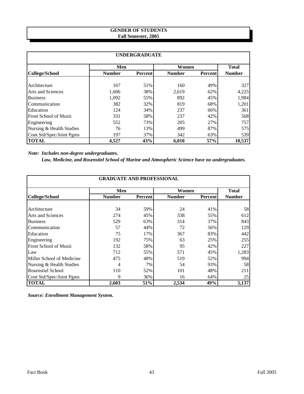## **GENDER OF STUDENTS Fall Semester, 2005**

| <b>UNDERGRADUATE</b>         |               |         |               |                 |               |  |  |  |  |
|------------------------------|---------------|---------|---------------|-----------------|---------------|--|--|--|--|
|                              | Men           |         | Women         |                 | <b>Total</b>  |  |  |  |  |
| College/School               | <b>Number</b> | Percent | <b>Number</b> | <b>Percent</b>  | <b>Number</b> |  |  |  |  |
|                              |               |         |               |                 |               |  |  |  |  |
| Architecture                 | 167           | 51%     | 160           | 49%             | 327           |  |  |  |  |
| Arts and Sciences            | 1,606         | 38%     | 2,619         | 62%             | 4,225         |  |  |  |  |
| <b>Business</b>              | 1,092         | 55%     | 892           | 45%             | 1,984         |  |  |  |  |
| Communication                | 382           | 32%     | 819           | 68%             | 1,201         |  |  |  |  |
| Education                    | 124           | 34%     | 237           | 66%             | 361           |  |  |  |  |
| <b>Frost School of Music</b> | 331           | 58%     | 237           | 42%             | 568           |  |  |  |  |
| Engineering                  | 552           | 73%     | 205           | 27%             | 757           |  |  |  |  |
| Nursing & Health Studies     | 76            | 13%     | 499           | 87%             | 575           |  |  |  |  |
| Cont Std/Spec/Joint Pgms     | 197           | 37%     | 342           | 63%             | 539           |  |  |  |  |
| <b>TOTAL</b>                 | 4,527         | 43%     | 6.010         | 57 <sub>%</sub> | 10,537        |  |  |  |  |

*Note: Includes non-degree undergraduates.*

 *Law, Medicine, and Rosenstiel School of Marine and Atmospheric Science have no undergraduates.*

|                              | <b>GRADUATE AND PROFESSIONAL</b> |                |               |                |               |  |  |  |  |  |
|------------------------------|----------------------------------|----------------|---------------|----------------|---------------|--|--|--|--|--|
|                              | Men                              |                | Women         |                | <b>Total</b>  |  |  |  |  |  |
| <b>College/School</b>        | <b>Number</b>                    | <b>Percent</b> | <b>Number</b> | <b>Percent</b> | <b>Number</b> |  |  |  |  |  |
| Architecture                 | 34                               | 59%            | 24            | 41%            | 58            |  |  |  |  |  |
| <b>Arts and Sciences</b>     | 274                              | 45%            | 338           | 55%            | 612           |  |  |  |  |  |
| <b>Business</b>              | 529                              | 63%            | 314           | 37%            | 843           |  |  |  |  |  |
| Communication                | 57                               | 44%            | 72            | 56%            | 129           |  |  |  |  |  |
| Education                    | 75                               | 17%            | 367           | 83%            | 442           |  |  |  |  |  |
| Engineering                  | 192                              | 75%            | 63            | 25%            | 255           |  |  |  |  |  |
| <b>Frost School of Music</b> | 132                              | 58%            | 95            | 42%            | 227           |  |  |  |  |  |
| Law                          | 712                              | 55%            | 571           | 45%            | 1,283         |  |  |  |  |  |
| Miller School of Medicine    | 475                              | 48%            | 519           | 52%            | 994           |  |  |  |  |  |
| Nursing & Health Studies     | 4                                | 7%             | 54            | 93%            | 58            |  |  |  |  |  |
| <b>Rosenstiel School</b>     | 110                              | 52%            | 101           | 48%            | 211           |  |  |  |  |  |
| Cont Std/Spec/Joint Pgms     | 9                                | 36%            | 16            | 64%            | 25            |  |  |  |  |  |
| <b>TOTAL</b>                 | 2,603                            | 51%            | 2,534         | 49%            | 5,137         |  |  |  |  |  |

*Source: Enrollment Management System.*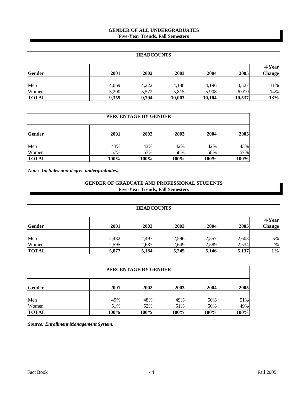## **GENDER OF ALL UNDERGRADUATES Five-Year Trends, Fall Semesters**

| <b>HEADCOUNTS</b> |       |       |        |        |        |                  |  |  |
|-------------------|-------|-------|--------|--------|--------|------------------|--|--|
| <b>Gender</b>     | 2001  | 2002  | 2003   | 2004   | 2005   | 4-Year<br>Change |  |  |
| Men               | 4,069 | 4,222 | 4,188  | 4,196  | 4,527  | 11%              |  |  |
| Women             | 5,290 | 5,572 | 5,815  | 5,908  | 6,010  | 14%              |  |  |
| <b>TOTAL</b>      | 9,359 | 9.794 | 10,003 | 10,104 | 10,537 | 13%              |  |  |

| PERCENTAGE BY GENDER |      |      |      |      |      |  |  |  |
|----------------------|------|------|------|------|------|--|--|--|
| <b>Gender</b>        | 2001 | 2002 | 2003 | 2004 | 2005 |  |  |  |
| Men                  | 43%  | 43%  | 42%  | 42%  | 43%  |  |  |  |
| Women                | 57%  | 57%  | 58%  | 58%  | 57%  |  |  |  |
| <b>TOTAL</b>         | 100% | 100% | 100% | 100% | 100% |  |  |  |

*Note: Includes non-degree undergraduates.*

## **Five-Year Trends, Fall Semesters GENDER OF GRADUATE AND PROFESSIONAL STUDENTS**

| <b>HEADCOUNTS</b> |       |       |       |       |       |                         |  |  |
|-------------------|-------|-------|-------|-------|-------|-------------------------|--|--|
| <b>Gender</b>     | 2001  | 2002  | 2003  | 2004  | 2005  | 4-Year<br><b>Change</b> |  |  |
| Men               | 2,482 | 2,497 | 2,596 | 2,557 | 2,603 | 5%                      |  |  |
| Women             | 2,595 | 2,687 | 2,649 | 2,589 | 2,534 | $-2%$                   |  |  |
| <b>TOTAL</b>      | 5,077 | 5,184 | 5,245 | 5,146 | 5,137 | $1\%$                   |  |  |

| PERCENTAGE BY GENDER |      |      |      |      |      |  |  |  |  |
|----------------------|------|------|------|------|------|--|--|--|--|
| <b>Gender</b>        | 2001 | 2002 | 2003 | 2004 | 2005 |  |  |  |  |
| Men                  | 49%  | 48%  | 49%  | 50%  | 51%  |  |  |  |  |
| Women                | 51%  | 52%  | 51%  | 50%  | 49%  |  |  |  |  |
| <b>TOTAL</b>         | 100% | 100% | 100% | 100% | 100% |  |  |  |  |

*Source: Enrollment Management System.*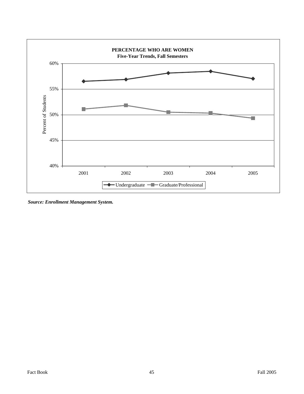

*Source: Enrollment Management System.*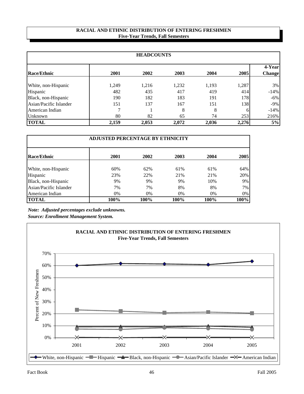#### **Five-Year Trends, Fall Semesters RACIAL AND ETHNIC DISTRIBUTION OF ENTERING FRESHMEN**

| <b>HEADCOUNTS</b>      |       |       |       |       |       |                         |  |  |
|------------------------|-------|-------|-------|-------|-------|-------------------------|--|--|
| <b>Race/Ethnic</b>     | 2001  | 2002  | 2003  | 2004  | 2005  | 4-Year<br><b>Change</b> |  |  |
| White, non-Hispanic    | 1,249 | 1,216 | 1,232 | 1,193 | 1,287 | $3\%$                   |  |  |
| Hispanic               | 482   | 435   | 417   | 419   | 414   | $-14%$                  |  |  |
| Black, non-Hispanic    | 190   | 182   | 183   | 191   | 178   | $-6\%$                  |  |  |
| Asian/Pacific Islander | 151   | 137   | 167   | 151   | 138   | $-9\%$                  |  |  |
| American Indian        | 7     |       | 8     | 8     | 6     | $-14%$                  |  |  |
| Unknown                | 80    | 82    | 65    | 74    | 253   | 216%                    |  |  |
| <b>TOTAL</b>           | 2,159 | 2,053 | 2,072 | 2,036 | 2,276 | 5%                      |  |  |

| <b>ADJUSTED PERCENTAGE BY ETHNICITY</b> |      |      |      |      |      |  |  |  |  |
|-----------------------------------------|------|------|------|------|------|--|--|--|--|
| <b>Race/Ethnic</b>                      | 2001 | 2002 | 2003 | 2004 | 2005 |  |  |  |  |
| White, non-Hispanic                     | 60%  | 62%  | 61%  | 61%  | 64%  |  |  |  |  |
| Hispanic                                | 23%  | 22%  | 21%  | 21%  | 20%  |  |  |  |  |
| Black, non-Hispanic                     | 9%   | 9%   | 9%   | 10%  | 9%   |  |  |  |  |
| Asian/Pacific Islander                  | 7%   | 7%   | 8%   | 8%   | 7%   |  |  |  |  |
| American Indian                         | 0%   | 0%   | 0%   | 0%   | 0%   |  |  |  |  |
| <b>TOTAL</b>                            | 100% | 100% | 100% | 100% | 100% |  |  |  |  |

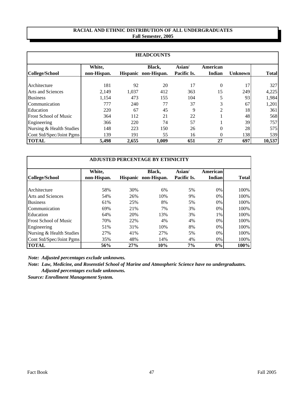#### **RACIAL AND ETHNIC DISTRIBUTION OF ALL UNDERGRADUATES Fall Semester, 2005**

| <b>HEADCOUNTS</b>            |             |       |                      |             |               |                |              |  |  |
|------------------------------|-------------|-------|----------------------|-------------|---------------|----------------|--------------|--|--|
|                              | White,      |       | Black,               | Asian/      | American      |                |              |  |  |
| College/School               | non-Hispan. |       | Hispanic non-Hispan. | Pacific Is. | <b>Indian</b> | <b>Unknown</b> | <b>Total</b> |  |  |
| Architecture                 | 181         | 92    | 20                   | 17          | $\theta$      | 17             | 327          |  |  |
| Arts and Sciences            | 2,149       | 1,037 | 412                  | 363         | 15            | 249            | 4,225        |  |  |
| <b>Business</b>              | 1,154       | 473   | 155                  | 104         | 5             | 93             | 1,984        |  |  |
| Communication                | 777         | 240   | 77                   | 37          | 3             | 67             | 1,201        |  |  |
| Education                    | 220         | 67    | 45                   | 9           | 2             | 18             | 361          |  |  |
| <b>Frost School of Music</b> | 364         | 112   | 21                   | 22          |               | 48             | 568          |  |  |
| Engineering                  | 366         | 220   | 74                   | 57          |               | 39             | 757          |  |  |
| Nursing & Health Studies     | 148         | 223   | 150                  | 26          | $\theta$      | 28             | 575          |  |  |
| Cont Std/Spec/Joint Pgms     | 139         | 191   | 55                   | 16          | $\theta$      | 138            | 539          |  |  |
| <b>TOTAL</b>                 | 5,498       | 2,655 | 1,009                | 651         | 27            | 697            | 10,537       |  |  |

| <b>ADJUSTED PERCENTAGE BY ETHNICITY</b> |                       |     |                                |                       |                           |              |  |  |  |
|-----------------------------------------|-----------------------|-----|--------------------------------|-----------------------|---------------------------|--------------|--|--|--|
| College/School                          | White,<br>non-Hispan. |     | Black,<br>Hispanic non-Hispan. | Asian/<br>Pacific Is. | <b>American</b><br>Indian | <b>Total</b> |  |  |  |
| Architecture                            | 58%                   | 30% | 6%                             | 5%                    | 0%                        | 100%         |  |  |  |
| Arts and Sciences                       | 54%                   | 26% | 10%                            | 9%                    | 0%                        | 100%         |  |  |  |
| <b>Business</b>                         | 61%                   | 25% | 8%                             | 5%                    | 0%                        | 100%         |  |  |  |
| Communication                           | 69%                   | 21% | 7%                             | 3%                    | 0%                        | 100%         |  |  |  |
| Education                               | 64%                   | 20% | 13%                            | 3%                    | 1%                        | 100%         |  |  |  |
| <b>Frost School of Music</b>            | 70%                   | 22% | 4%                             | 4%                    | 0%                        | 100%         |  |  |  |
| Engineering                             | 51%                   | 31% | 10%                            | 8%                    | 0%                        | 100%         |  |  |  |
| Nursing & Health Studies                | 27%                   | 41% | 27%                            | 5%                    | 0%                        | 100%         |  |  |  |
| Cont Std/Spec/Joint Pgms                | 35%                   | 48% | 14%                            | 4%                    | 0%                        | 100%         |  |  |  |
| <b>TOTAL</b>                            | 56%                   | 27% | 10%                            | 7%                    | $0\%$                     | 100%         |  |  |  |

*Note: Adjusted percentages exclude unknowns.*

*Note: Law, Medicine, and Rosenstiel School of Marine and Atmospheric Science have no undergraduates. Adjusted percentages exclude unknowns.*

*Source: Enrollment Management System.*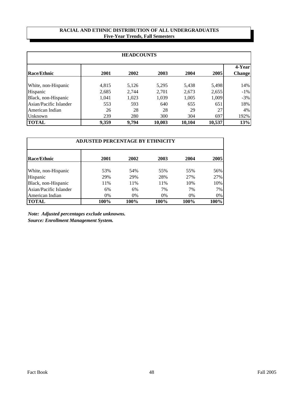## **RACIAL AND ETHNIC DISTRIBUTION OF ALL UNDERGRADUATES Five-Year Trends, Fall Semesters**

| <b>HEADCOUNTS</b>      |       |       |        |        |        |                         |  |  |
|------------------------|-------|-------|--------|--------|--------|-------------------------|--|--|
| <b>Race/Ethnic</b>     | 2001  | 2002  | 2003   | 2004   | 2005   | 4-Year<br><b>Change</b> |  |  |
| White, non-Hispanic    | 4,815 | 5,126 | 5,295  | 5,438  | 5,498  | 14%                     |  |  |
| Hispanic               | 2,685 | 2,744 | 2,701  | 2,673  | 2,655  | $-1\%$                  |  |  |
| Black, non-Hispanic    | 1,041 | 1,023 | 1,039  | 1,005  | 1,009  | $-3%$                   |  |  |
| Asian/Pacific Islander | 553   | 593   | 640    | 655    | 651    | 18%                     |  |  |
| American Indian        | 26    | 28    | 28     | 29     | 27     | 4%                      |  |  |
| Unknown                | 239   | 280   | 300    | 304    | 697    | 192%                    |  |  |
| <b>TOTAL</b>           | 9,359 | 9.794 | 10,003 | 10,104 | 10,537 | 13%                     |  |  |

| <b>ADJUSTED PERCENTAGE BY ETHNICITY</b> |       |       |      |       |      |  |  |  |  |  |
|-----------------------------------------|-------|-------|------|-------|------|--|--|--|--|--|
| Race/Ethnic                             | 2001  | 2002  | 2003 | 2004  | 2005 |  |  |  |  |  |
| White, non-Hispanic                     | 53%   | 54%   | 55%  | 55%   | 56%  |  |  |  |  |  |
| Hispanic                                | 29%   | 29%   | 28%  | 27%   | 27%  |  |  |  |  |  |
| Black, non-Hispanic                     | 11%   | 11%   | 11%  | 10%   | 10%  |  |  |  |  |  |
| Asian/Pacific Islander                  | 6%    | 6%    | 7%   | 7%    | 7%   |  |  |  |  |  |
| American Indian                         | $0\%$ | $0\%$ | 0%   | $0\%$ | 0%   |  |  |  |  |  |
| <b>TOTAL</b>                            | 100%  | 100%  | 100% | 100%  | 100% |  |  |  |  |  |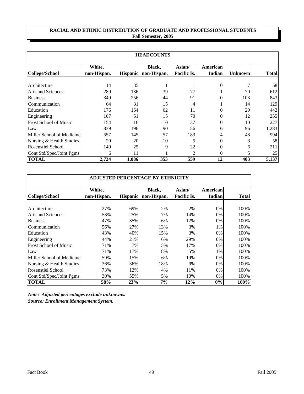## **RACIAL AND ETHNIC DISTRIBUTION OF GRADUATE AND PROFESSIONAL STUDENTS Fall Semester, 2005**

| <b>HEADCOUNTS</b>            |                       |       |                                |                       |                    |                |              |  |  |
|------------------------------|-----------------------|-------|--------------------------------|-----------------------|--------------------|----------------|--------------|--|--|
| College/School               | White,<br>non-Hispan. |       | Black,<br>Hispanic non-Hispan. | Asian/<br>Pacific Is. | American<br>Indian | <b>Unknown</b> | <b>Total</b> |  |  |
| Architecture                 | 14                    | 35    |                                |                       | $\theta$           |                | 58           |  |  |
| Arts and Sciences            | 289                   | 136   | 39                             | 77                    |                    | 70             | 612          |  |  |
| <b>Business</b>              | 349                   | 256   | 44                             | 91                    | 0                  | 103            | 843          |  |  |
| Communication                | 64                    | 31    | 15                             | 4                     |                    | 14             | 129          |  |  |
| Education                    | 176                   | 164   | 62                             | 11                    | 0                  | 29             | 442          |  |  |
| Engineering                  | 107                   | 51    | 15                             | 70                    | 0                  | 12             | 255          |  |  |
| <b>Frost School of Music</b> | 154                   | 16    | 10                             | 37                    | $\theta$           | 10             | 227          |  |  |
| Law                          | 839                   | 196   | 90                             | 56                    | 6                  | 96             | 1,283        |  |  |
| Miller School of Medicine    | 557                   | 145   | 57                             | 183                   | 4                  | 48             | 994I         |  |  |
| Nursing & Health Studies     | 20                    | 20    | 10                             | 5                     | $\theta$           |                | 58           |  |  |
| <b>Rosenstiel School</b>     | 149                   | 25    | 9                              | 22                    | $\overline{0}$     | 6              | 211          |  |  |
| Cont Std/Spec/Joint Pgms     | 6                     | 11    |                                | 2                     | $\theta$           |                | 25           |  |  |
| <b>TOTAL</b>                 | 2,724                 | 1,086 | 353                            | 559                   | 12                 | 403            | 5,137        |  |  |

|                           | <b>ADJUSTED PERCENTAGE BY ETHNICITY</b> |     |                                |                       |                           |              |  |  |  |  |
|---------------------------|-----------------------------------------|-----|--------------------------------|-----------------------|---------------------------|--------------|--|--|--|--|
| College/School            | <b>White,</b><br>non-Hispan.            |     | Black,<br>Hispanic non-Hispan. | Asian/<br>Pacific Is. | American<br><b>Indian</b> | <b>Total</b> |  |  |  |  |
| Architecture              | 27%                                     | 69% | 2%                             | 2%                    | 0%                        | 100%         |  |  |  |  |
| <b>Arts and Sciences</b>  | 53%                                     | 25% | 7%                             | 14%                   | 0%                        | 100%         |  |  |  |  |
| <b>Business</b>           | 47%                                     | 35% | 6%                             | 12%                   | $0\%$                     | 100%         |  |  |  |  |
| Communication             | 56%                                     | 27% | 13%                            | 3%                    | 1%                        | 100%         |  |  |  |  |
| Education                 | 43%                                     | 40% | 15%                            | 3%                    | 0%                        | 100%         |  |  |  |  |
| Engineering               | 44%                                     | 21% | 6%                             | 29%                   | 0%                        | 100%         |  |  |  |  |
| Frost School of Music     | 71%                                     | 7%  | 5%                             | 17%                   | 0%                        | 100%         |  |  |  |  |
| Law                       | 71%                                     | 17% | 8%                             | 5%                    | 1%                        | 100%         |  |  |  |  |
| Miller School of Medicine | 59%                                     | 15% | 6%                             | 19%                   | 0%                        | 100%         |  |  |  |  |
| Nursing & Health Studies  | 36%                                     | 36% | 18%                            | 9%                    | 0%                        | 100%         |  |  |  |  |
| Rosenstiel School         | 73%                                     | 12% | 4%                             | 11%                   | 0%                        | 100%         |  |  |  |  |
| Cont Std/Spec/Joint Pgms  | 30%                                     | 55% | 5%                             | 10%                   | 0%                        | 100%         |  |  |  |  |
| <b>TOTAL</b>              | 58%                                     | 23% | 7%                             | 12%                   | 0%                        | 100%         |  |  |  |  |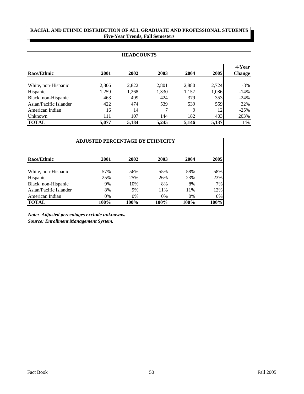## **RACIAL AND ETHNIC DISTRIBUTION OF ALL GRADUATE AND PROFESSIONAL STUDENTS Five-Year Trends, Fall Semesters**

| <b>HEADCOUNTS</b>      |       |       |       |       |       |                         |  |  |
|------------------------|-------|-------|-------|-------|-------|-------------------------|--|--|
| Race/Ethnic            | 2001  | 2002  | 2003  | 2004  | 2005  | 4-Year<br><b>Change</b> |  |  |
| White, non-Hispanic    | 2,806 | 2,822 | 2,801 | 2,880 | 2,724 | $-3%$                   |  |  |
| Hispanic               | 1,259 | 1,268 | 1,330 | 1,157 | 1,086 | $-14%$                  |  |  |
| Black, non-Hispanic    | 463   | 499   | 424   | 379   | 353   | $-24%$                  |  |  |
| Asian/Pacific Islander | 422   | 474   | 539   | 539   | 559   | 32%                     |  |  |
| American Indian        | 16    | 14    | 7     | 9     | 12    | $-25%$                  |  |  |
| Unknown                | 111   | 107   | 144   | 182   | 403   | 263%                    |  |  |
| <b>TOTAL</b>           | 5,077 | 5,184 | 5,245 | 5,146 | 5,137 | $1\%$                   |  |  |

| <b>ADJUSTED PERCENTAGE BY ETHNICITY</b> |      |      |      |       |       |  |  |  |  |
|-----------------------------------------|------|------|------|-------|-------|--|--|--|--|
| Race/Ethnic                             | 2001 | 2002 | 2003 | 2004  | 2005  |  |  |  |  |
| White, non-Hispanic                     | 57%  | 56%  | 55%  | 58%   | 58%   |  |  |  |  |
| Hispanic                                | 25%  | 25%  | 26%  | 23%   | 23%   |  |  |  |  |
| Black, non-Hispanic                     | 9%   | 10%  | 8%   | 8%    | 7%    |  |  |  |  |
| Asian/Pacific Islander                  | 8%   | 9%   | 11%  | 11%   | 12%   |  |  |  |  |
| American Indian                         | 0%   | 0%   | 0%   | $0\%$ | $0\%$ |  |  |  |  |
| <b>TOTAL</b>                            | 100% | 100% | 100% | 100%  | 100%  |  |  |  |  |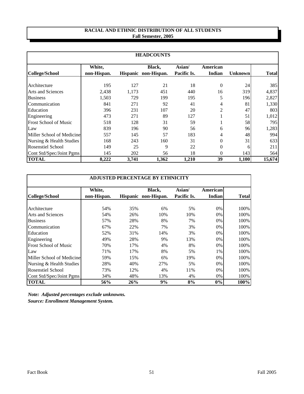## **RACIAL AND ETHNIC DISTRIBUTION OF ALL STUDENTS Fall Semester, 2005**

| <b>HEADCOUNTS</b>                                     |                       |              |                                |                       |                    |                |                |  |  |
|-------------------------------------------------------|-----------------------|--------------|--------------------------------|-----------------------|--------------------|----------------|----------------|--|--|
| College/School                                        | White,<br>non-Hispan. |              | Black,<br>Hispanic non-Hispan. | Asian/<br>Pacific Is. | American<br>Indian | <b>Unknown</b> | <b>Total</b>   |  |  |
| Architecture                                          | 195                   | 127          | 21                             | 18                    | $\theta$           | 24             | 385            |  |  |
| <b>Arts and Sciences</b><br><b>Business</b>           | 2,438<br>1,503        | 1,173<br>729 | 451<br>199                     | 440<br>195            | 16<br>5            | 319<br>196     | 4,837<br>2,827 |  |  |
| Communication                                         | 841                   | 271          | 92                             | 41                    | 4                  | 81             | 1,330          |  |  |
| Education<br>Engineering                              | 396<br>473            | 231<br>271   | 107<br>89                      | 20<br>127             | 2                  | 47<br>51       | 803<br>1,012   |  |  |
| <b>Frost School of Music</b>                          | 518                   | 128          | 31                             | 59                    |                    | 58             | 795            |  |  |
| Law                                                   | 839                   | 196          | 90                             | 56                    | 6                  | 96             | 1,283          |  |  |
| Miller School of Medicine<br>Nursing & Health Studies | 557<br>168            | 145<br>243   | 57<br>160                      | 183<br>31             | 4<br>$\theta$      | 48<br>31       | 994<br>633     |  |  |
| <b>Rosenstiel School</b>                              | 149                   | 25           | 9                              | 22                    | $\overline{0}$     | 6              | 211            |  |  |
| Cont Std/Spec/Joint Pgms                              | 145                   | 202          | 56                             | 18                    | $\theta$           | 143            | 564            |  |  |
| <b>TOTAL</b>                                          | 8,222                 | 3,741        | 1,362                          | 1,210                 | 39                 | 1,100          | 15,674         |  |  |

|                              | <b>ADJUSTED PERCENTAGE BY ETHNICITY</b> |     |                                |                       |                           |              |  |  |  |  |
|------------------------------|-----------------------------------------|-----|--------------------------------|-----------------------|---------------------------|--------------|--|--|--|--|
| <b>College/School</b>        | White,<br>non-Hispan.                   |     | Black,<br>Hispanic non-Hispan. | Asian/<br>Pacific Is. | American<br><b>Indian</b> | <b>Total</b> |  |  |  |  |
| Architecture                 | 54%                                     | 35% | 6%                             | 5%                    | 0%                        | 100%         |  |  |  |  |
| Arts and Sciences            | 54%                                     | 26% | 10%                            | 10%                   | 0%                        | 100%         |  |  |  |  |
| <b>Business</b>              | 57%                                     | 28% | 8%                             | 7%                    | $0\%$                     | 100%         |  |  |  |  |
| Communication                | 67%                                     | 22% | 7%                             | 3%                    | 0%                        | 100%         |  |  |  |  |
| Education                    | 52%                                     | 31% | 14%                            | 3%                    | 0%                        | 100%         |  |  |  |  |
| Engineering                  | 49%                                     | 28% | 9%                             | 13%                   | 0%                        | 100%         |  |  |  |  |
| <b>Frost School of Music</b> | 70%                                     | 17% | 4%                             | 8%                    | $0\%$                     | 100%         |  |  |  |  |
| Law                          | 71%                                     | 17% | 8%                             | 5%                    | 1%                        | 100%         |  |  |  |  |
| Miller School of Medicine    | 59%                                     | 15% | 6%                             | 19%                   | 0%                        | 100%         |  |  |  |  |
| Nursing & Health Studies     | 28%                                     | 40% | 27%                            | 5%                    | 0%                        | 100%         |  |  |  |  |
| Rosenstiel School            | 73%                                     | 12% | 4%                             | 11%                   | 0%                        | 100%         |  |  |  |  |
| Cont Std/Spec/Joint Pgms     | 34%                                     | 48% | 13%                            | 4%                    | 0%                        | 100%         |  |  |  |  |
| <b>TOTAL</b>                 | 56%                                     | 26% | 9%                             | 8%                    | 0%                        | 100%         |  |  |  |  |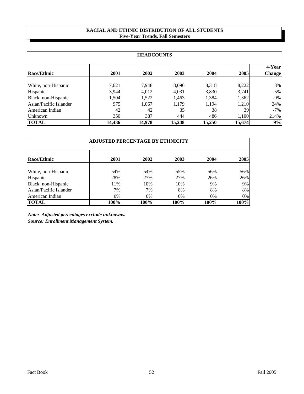## **RACIAL AND ETHNIC DISTRIBUTION OF ALL STUDENTS Five-Year Trends, Fall Semesters**

| <b>HEADCOUNTS</b>      |        |        |        |        |        |                         |  |  |  |
|------------------------|--------|--------|--------|--------|--------|-------------------------|--|--|--|
| <b>Race/Ethnic</b>     | 2001   | 2002   | 2003   | 2004   | 2005   | 4-Year<br><b>Change</b> |  |  |  |
| White, non-Hispanic    | 7,621  | 7,948  | 8,096  | 8,318  | 8,222  | 8%                      |  |  |  |
| Hispanic               | 3,944  | 4,012  | 4,031  | 3,830  | 3,741  | $-5\%$                  |  |  |  |
| Black, non-Hispanic    | 1.504  | 1,522  | 1,463  | 1,384  | 1,362  | $-9\%$                  |  |  |  |
| Asian/Pacific Islander | 975    | 1,067  | 1.179  | 1,194  | 1,210  | 24%                     |  |  |  |
| American Indian        | 42     | 42     | 35     | 38     | 39     | $-7\%$                  |  |  |  |
| Unknown                | 350    | 387    | 444    | 486    | 1,100  | 214%                    |  |  |  |
| <b>TOTAL</b>           | 14,436 | 14,978 | 15,248 | 15,250 | 15,674 | 9%                      |  |  |  |

| <b>ADJUSTED PERCENTAGE BY ETHNICITY</b> |      |       |      |      |      |  |  |
|-----------------------------------------|------|-------|------|------|------|--|--|
| <b>Race/Ethnic</b>                      | 2001 | 2002  | 2003 | 2004 | 2005 |  |  |
| White, non-Hispanic                     | 54%  | 54%   | 55%  | 56%  | 56%  |  |  |
| Hispanic                                | 28%  | 27%   | 27%  | 26%  | 26%  |  |  |
| Black, non-Hispanic                     | 11%  | 10%   | 10%  | 9%   | 9%   |  |  |
| Asian/Pacific Islander                  | 7%   | 7%    | 8%   | 8%   | 8%   |  |  |
| American Indian                         | 0%   | $0\%$ | 0%   | 0%   | 0%   |  |  |
| <b>TOTAL</b>                            | 100% | 100%  | 100% | 100% | 100% |  |  |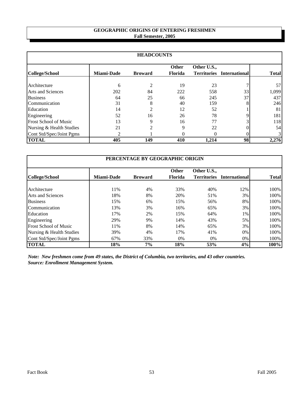## **GEOGRAPHIC ORIGINS OF ENTERING FRESHMEN Fall Semester, 2005**

| <b>HEADCOUNTS</b>            |                   |                |                                |             |                                  |              |  |
|------------------------------|-------------------|----------------|--------------------------------|-------------|----------------------------------|--------------|--|
| College/School               | <b>Miami-Dade</b> | <b>Broward</b> | <b>Other</b><br><b>Florida</b> | Other U.S., | <b>Territories</b> International | <b>Total</b> |  |
| Architecture                 | 6                 | $\mathfrak{D}$ | 19                             | 23          |                                  | 57           |  |
| <b>Arts and Sciences</b>     | 202               | 84             | 222                            | 558         | 33                               | 1,099        |  |
| <b>Business</b>              | 64                | 25             | 66                             | 245         | 37                               | 437          |  |
| Communication                | 31                | 8              | 40                             | 159         |                                  | 246          |  |
| Education                    | 14                | $\overline{c}$ | 12                             | 52          |                                  | 81           |  |
| Engineering                  | 52                | 16             | 26                             | 78          |                                  | 181          |  |
| <b>Frost School of Music</b> | 13                | 9              | 16                             | 77          |                                  | 118          |  |
| Nursing & Health Studies     | 21                | $\mathfrak{D}$ | Q                              | 22          |                                  | 54           |  |
| Cont Std/Spec/Joint Pgms     | $\mathfrak{D}$    |                |                                | 0           |                                  | $\mathbf{3}$ |  |
| <b>TOTAL</b>                 | 405               | 149            | 410                            | 1,214       | 98                               | 2,276        |  |

| PERCENTAGE BY GEOGRAPHIC ORIGIN |                   |                |                |             |                                  |              |  |
|---------------------------------|-------------------|----------------|----------------|-------------|----------------------------------|--------------|--|
|                                 |                   |                | <b>Other</b>   | Other U.S., |                                  |              |  |
| College/School                  | <b>Miami-Dade</b> | <b>Broward</b> | <b>Florida</b> |             | <b>Territories</b> International | <b>Total</b> |  |
|                                 |                   |                |                |             |                                  |              |  |
| Architecture                    | 11%               | 4%             | 33%            | 40%         | 12%                              | 100%         |  |
| <b>Arts and Sciences</b>        | 18%               | 8%             | 20%            | 51%         | 3%                               | 100%         |  |
| <b>Business</b>                 | 15%               | 6%             | 15%            | 56%         | 8%                               | 100%         |  |
| Communication                   | 13%               | 3%             | 16%            | 65%         | 3%                               | 100%         |  |
| Education                       | 17%               | 2%             | 15%            | 64%         | 1%                               | 100%         |  |
| Engineering                     | 29%               | 9%             | 14%            | 43%         | 5%                               | 100%         |  |
| <b>Frost School of Music</b>    | 11%               | 8%             | 14%            | 65%         | 3%                               | 100%         |  |
| Nursing & Health Studies        | 39%               | 4%             | 17%            | 41%         | 0%                               | 100%         |  |
| Cont Std/Spec/Joint Pgms        | 67%               | 33%            | $0\%$          | 0%          | 0%                               | 100%         |  |
| <b>TOTAL</b>                    | 18%               | 7%             | 18%            | 53%         | 4%                               | 100%         |  |

*Note: New freshmen come from 49 states, the District of Columbia, two territories, and 43 other countries. Source: Enrollment Management System.*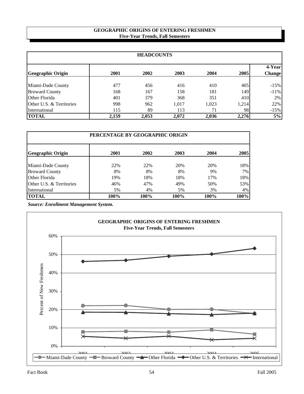#### **GEOGRAPHIC ORIGINS OF ENTERING FRESHMEN Five-Year Trends, Fall Semesters**

| <b>HEADCOUNTS</b>        |       |       |       |       |       |                          |  |
|--------------------------|-------|-------|-------|-------|-------|--------------------------|--|
| <b>Geographic Origin</b> | 2001  | 2002  | 2003  | 2004  | 2005  | 4-Yearl<br><b>Change</b> |  |
| Miami-Dade County        | 477   | 456   | 416   | 410   | 405   | $-15%$                   |  |
| <b>Broward County</b>    | 168   | 167   | 158   | 181   | 149   | $-11\%$                  |  |
| Other Florida            | 401   | 379   | 368   | 351   | 410   | $2\%$                    |  |
| Other U.S. & Territories | 998   | 962   | 1.017 | 1,023 | 1,214 | 22%                      |  |
| International            | 115   | 89    | 113   | 71    | 98    | $-15%$                   |  |
| <b>TOTAL</b>             | 2,159 | 2,053 | 2,072 | 2,036 | 2,276 | 5%                       |  |

| PERCENTAGE BY GEOGRAPHIC ORIGIN |      |      |      |      |      |  |  |
|---------------------------------|------|------|------|------|------|--|--|
| Geographic Origin               | 2001 | 2002 | 2003 | 2004 | 2005 |  |  |
| Miami-Dade County               | 22%  | 22%  | 20%  | 20%  | 18%  |  |  |
| <b>Broward County</b>           | 8%   | 8%   | 8%   | 9%   | 7%   |  |  |
| Other Florida                   | 19%  | 18%  | 18%  | 17%  | 18%  |  |  |
| Other U.S. & Territories        | 46%  | 47%  | 49%  | 50%  | 53%  |  |  |
| International                   | 5%   | 4%   | 5%   | 3%   | 4%   |  |  |
| <b>TOTAL</b>                    | 100% | 100% | 100% | 100% | 100% |  |  |

*Source: Enrollment Management System.*

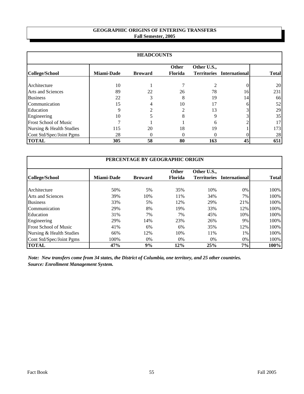## **GEOGRAPHIC ORIGINS OF ENTERING TRANSFERS Fall Semester, 2005**

| <b>HEADCOUNTS</b>            |                   |                |                                |                                   |                      |              |  |
|------------------------------|-------------------|----------------|--------------------------------|-----------------------------------|----------------------|--------------|--|
| <b>College/School</b>        | <b>Miami-Dade</b> | <b>Broward</b> | <b>Other</b><br><b>Florida</b> | Other U.S.,<br><b>Territories</b> | <b>International</b> | <b>Total</b> |  |
| Architecture                 | 10                |                |                                |                                   |                      | 20           |  |
| <b>Arts and Sciences</b>     | 89                | 22             | 26                             | 78                                | 16                   | 231          |  |
| <b>Business</b>              | 22                | 3              | 8                              | 19                                | 14                   | 66           |  |
| Communication                | 15                | 4              | 10                             |                                   |                      | 52           |  |
| Education                    | 9                 |                |                                | 13                                |                      | 29           |  |
| Engineering                  | 10                |                |                                |                                   |                      | 35           |  |
| <b>Frost School of Music</b> |                   |                |                                | 6                                 |                      | 17           |  |
| Nursing & Health Studies     | 115               | 20             | 18                             | 19                                |                      | 173          |  |
| Cont Std/Spec/Joint Pgms     | 28                | 0              | $\theta$                       | $\Omega$                          |                      | 28           |  |
| <b>TOTAL</b>                 | 305               | 58             | 80                             | 163                               | 45                   | 651          |  |

| PERCENTAGE BY GEOGRAPHIC ORIGIN |                   |                |                |                    |                      |              |  |
|---------------------------------|-------------------|----------------|----------------|--------------------|----------------------|--------------|--|
|                                 |                   |                | <b>Other</b>   | Other U.S.,        |                      |              |  |
| College/School                  | <b>Miami-Dade</b> | <b>Broward</b> | <b>Florida</b> | <b>Territories</b> | <b>International</b> | <b>Total</b> |  |
| Architecture                    | 50%               | 5%             | 35%            | 10%                | $0\%$                | 100%         |  |
| <b>Arts and Sciences</b>        | 39%               | 10%            | 11%            | 34%                | 7%                   | 100%         |  |
| <b>Business</b>                 | 33%               | 5%             | 12%            | 29%                | 21%                  | 100%         |  |
| Communication                   | 29%               | 8%             | 19%            | 33%                | 12%                  | 100%         |  |
| Education                       | 31%               | 7%             | 7%             | 45%                | 10%                  | 100%         |  |
| Engineering                     | 29%               | 14%            | 23%            | 26%                | 9%                   | 100%         |  |
| <b>Frost School of Music</b>    | 41%               | 6%             | 6%             | 35%                | 12%                  | 100%         |  |
| Nursing & Health Studies        | 66%               | 12%            | 10%            | 11%                | 1%                   | 100%         |  |
| Cont Std/Spec/Joint Pgms        | 100%              | 0%             | $0\%$          | $0\%$              | 0%                   | 100%         |  |
| <b>TOTAL</b>                    | 47%               | 9%             | 12%            | 25%                | 7%                   | 100%         |  |

*Note: New transfers come from 34 states, the District of Columbia, one territory, and 25 other countries. Source: Enrollment Management System.*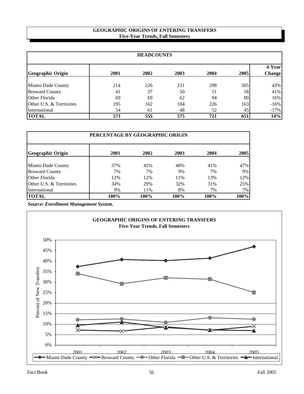#### **Five-Year Trends, Fall Semesters GEOGRAPHIC ORIGINS OF ENTERING TRANSFERS**

| <b>HEADCOUNTS</b>        |      |      |      |      |      |                          |  |  |
|--------------------------|------|------|------|------|------|--------------------------|--|--|
| <b>Geographic Origin</b> | 2001 | 2002 | 2003 | 2004 | 2005 | 4-Yearl<br><b>Change</b> |  |  |
| Miami-Dade County        | 214  | 226  | 231  | 298  | 305  | 43%                      |  |  |
| <b>Broward County</b>    | 41   | 37   | 50   | 51   | 58   | 41%                      |  |  |
| Other Florida            | 69   | 69   | 62   | 94   | 80   | 16%                      |  |  |
| Other U.S. & Territories | 195  | 162  | 184  | 226  | 163  | $-16%$                   |  |  |
| International            | 54   | 61   | 48   | 52   | 45   | $-17%$                   |  |  |
| <b>TOTAL</b>             | 573  | 555  | 575  | 721  | 651  | 14%                      |  |  |

| PERCENTAGE BY GEOGRAPHIC ORIGIN |      |      |      |      |      |  |  |  |  |
|---------------------------------|------|------|------|------|------|--|--|--|--|
| Geographic Origin               | 2001 | 2002 | 2003 | 2004 | 2005 |  |  |  |  |
| Miami-Dade County               | 37%  | 41%  | 40%  | 41%  | 47%  |  |  |  |  |
| <b>Broward County</b>           | 7%   | 7%   | 9%   | 7%   | 9%   |  |  |  |  |
| Other Florida                   | 12%  | 12%  | 11%  | 13%  | 12%  |  |  |  |  |
| Other U.S. & Territories        | 34%  | 29%  | 32%  | 31%  | 25%  |  |  |  |  |
| International                   | 9%   | 11%  | 8%   | 7%   | 7%   |  |  |  |  |
| <b>TOTAL</b>                    | 100% | 100% | 100% | 100% | 100% |  |  |  |  |

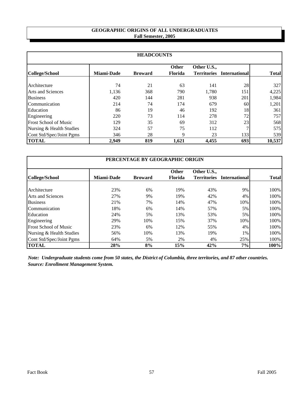### **GEOGRAPHIC ORIGINS OF ALL UNDERGRADUATES Fall Semester, 2005**

| <b>HEADCOUNTS</b>            |                   |                |                                |                                   |                      |              |  |  |  |
|------------------------------|-------------------|----------------|--------------------------------|-----------------------------------|----------------------|--------------|--|--|--|
| College/School               | <b>Miami-Dade</b> | <b>Broward</b> | <b>Other</b><br><b>Florida</b> | Other U.S.,<br><b>Territories</b> | <b>International</b> | <b>Total</b> |  |  |  |
| Architecture                 | 74                | 21             | 63                             | 141                               | 28                   | 327          |  |  |  |
| <b>Arts and Sciences</b>     | 1,136             | 368            | 790                            | 1,780                             | 151                  | 4,225        |  |  |  |
| <b>Business</b>              | 420               | 144            | 281                            | 938                               | 201                  | 1,984        |  |  |  |
| Communication                | 214               | 74             | 174                            | 679                               | 60                   | 1,201        |  |  |  |
| Education                    | 86                | 19             | 46                             | 192                               | 18                   | 361          |  |  |  |
| Engineering                  | 220               | 73             | 114                            | 278                               | 72                   | 757          |  |  |  |
| <b>Frost School of Music</b> | 129               | 35             | 69                             | 312                               | 23                   | 568          |  |  |  |
| Nursing & Health Studies     | 324               | 57             | 75                             | 112                               |                      | 575          |  |  |  |
| Cont Std/Spec/Joint Pgms     | 346               | 28             | 9                              | 23                                | 133                  | 539          |  |  |  |
| <b>TOTAL</b>                 | 2,949             | 819            | 1,621                          | 4,455                             | 693                  | 10,537       |  |  |  |

|                              | PERCENTAGE BY GEOGRAPHIC ORIGIN |                |                |                    |                      |              |  |  |  |  |  |
|------------------------------|---------------------------------|----------------|----------------|--------------------|----------------------|--------------|--|--|--|--|--|
|                              |                                 |                | <b>Other</b>   | Other U.S.,        |                      |              |  |  |  |  |  |
| College/School               | <b>Miami-Dade</b>               | <b>Broward</b> | <b>Florida</b> | <b>Territories</b> | <b>International</b> | <b>Total</b> |  |  |  |  |  |
|                              |                                 |                |                |                    |                      |              |  |  |  |  |  |
| Architecture                 | 23%                             | 6%             | 19%            | 43%                | 9%                   | 100%         |  |  |  |  |  |
| Arts and Sciences            | 27%                             | 9%             | 19%            | 42%                | 4%                   | 100%         |  |  |  |  |  |
| <b>Business</b>              | 21%                             | 7%             | 14%            | 47%                | 10%                  | 100%         |  |  |  |  |  |
| Communication                | 18%                             | 6%             | 14%            | 57%                | 5%                   | 100%         |  |  |  |  |  |
| Education                    | 24%                             | 5%             | 13%            | 53%                | 5%                   | 100%         |  |  |  |  |  |
| Engineering                  | 29%                             | 10%            | 15%            | 37%                | 10%                  | 100%         |  |  |  |  |  |
| <b>Frost School of Music</b> | 23%                             | 6%             | 12%            | 55%                | 4%                   | 100%         |  |  |  |  |  |
| Nursing & Health Studies     | 56%                             | 10%            | 13%            | 19%                | 1%                   | 100%         |  |  |  |  |  |
| Cont Std/Spec/Joint Pgms     | 64%                             | 5%             | 2%             | 4%                 | 25%                  | 100%         |  |  |  |  |  |
| <b>TOTAL</b>                 | 28%                             | 8%             | 15%            | 42%                | 7%                   | 100%         |  |  |  |  |  |

*Note: Undergraduate students come from 50 states, the District of Columbia, three territories, and 87 other countries. Source: Enrollment Management System.*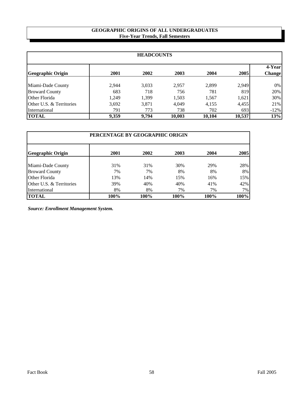### **GEOGRAPHIC ORIGINS OF ALL UNDERGRADUATES Five-Year Trends, Fall Semesters**

| <b>HEADCOUNTS</b>        |       |       |        |        |        |                         |  |  |  |
|--------------------------|-------|-------|--------|--------|--------|-------------------------|--|--|--|
| <b>Geographic Origin</b> | 2001  | 2002  | 2003   | 2004   | 2005   | 4-Year<br><b>Change</b> |  |  |  |
| Miami-Dade County        | 2,944 | 3,033 | 2.957  | 2,899  | 2,949  | $0\%$                   |  |  |  |
| <b>Broward County</b>    | 683   | 718   | 756    | 781    | 819    | 20%                     |  |  |  |
| Other Florida            | 1,249 | 1,399 | 1,503  | 1,567  | 1,621  | 30%                     |  |  |  |
| Other U.S. & Territories | 3,692 | 3,871 | 4,049  | 4,155  | 4,455  | 21%                     |  |  |  |
| International            | 791   | 773   | 738    | 702    | 693    | $-12%$                  |  |  |  |
| <b>TOTAL</b>             | 9,359 | 9,794 | 10,003 | 10,104 | 10,537 | 13%                     |  |  |  |

| PERCENTAGE BY GEOGRAPHIC ORIGIN |      |      |      |      |      |  |  |  |  |
|---------------------------------|------|------|------|------|------|--|--|--|--|
| <b>Geographic Origin</b>        | 2001 | 2002 | 2003 | 2004 | 2005 |  |  |  |  |
| Miami-Dade County               | 31%  | 31%  | 30%  | 29%  | 28%  |  |  |  |  |
| <b>Broward County</b>           | 7%   | 7%   | 8%   | 8%   | 8%   |  |  |  |  |
| Other Florida                   | 13%  | 14%  | 15%  | 16%  | 15%  |  |  |  |  |
| Other U.S. & Territories        | 39%  | 40%  | 40%  | 41%  | 42%  |  |  |  |  |
| International                   | 8%   | 8%   | 7%   | 7%   | 7%   |  |  |  |  |
| <b>TOTAL</b>                    | 100% | 100% | 100% | 100% | 100% |  |  |  |  |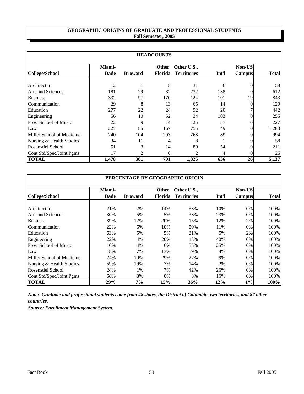# **GEOGRAPHIC ORIGINS OF GRADUATE AND PROFESSIONAL STUDENTS Fall Semester, 2005**

|                              | <b>HEADCOUNTS</b> |                |                |                    |       |               |              |  |  |  |
|------------------------------|-------------------|----------------|----------------|--------------------|-------|---------------|--------------|--|--|--|
|                              | Miami-            |                | <b>Other</b>   | Other U.S.,        |       | <b>Non-US</b> |              |  |  |  |
| College/School               | <b>Dade</b>       | <b>Broward</b> | <b>Florida</b> | <b>Territories</b> | Int'l | <b>Campus</b> | <b>Total</b> |  |  |  |
| Architecture                 | 12                |                | 8              | 31                 | 6     |               | 58           |  |  |  |
| <b>Arts and Sciences</b>     | 181               | 29             | 32             | 232                | 138   |               | 612          |  |  |  |
| <b>Business</b>              | 332               | 97             | 170            | 124                | 101   | 19            | 843          |  |  |  |
| Communication                | 29                | 8              | 13             | 65                 | 14    |               | 129          |  |  |  |
| Education                    | 277               | 22             | 24             | 92                 | 20    |               | 442          |  |  |  |
| Engineering                  | 56                | 10             | 52             | 34                 | 103   |               | 255          |  |  |  |
| <b>Frost School of Music</b> | 22                | 9              | 14             | 125                | 57    | 0             | 227          |  |  |  |
| Law                          | 227               | 85             | 167            | 755                | 49    | 0             | 1,283        |  |  |  |
| Miller School of Medicine    | 240               | 104            | 293            | 268                | 89    | 0             | 994          |  |  |  |
| Nursing & Health Studies     | 34                | 11             | 4              | 8                  |       |               | 58           |  |  |  |
| <b>Rosenstiel School</b>     | 51                | 3              | 14             | 89                 | 54    |               | 211          |  |  |  |
| Cont Std/Spec/Joint Pgms     | 17                | $\mathfrak{D}$ | $\Omega$       | $\mathfrak{D}$     | 4     |               | 25           |  |  |  |
| <b>TOTAL</b>                 | 1,478             | 381            | 791            | 1,825              | 636   | 26            | 5,137        |  |  |  |

|                              | PERCENTAGE BY GEOGRAPHIC ORIGIN |                |                |                    |       |               |              |  |  |  |
|------------------------------|---------------------------------|----------------|----------------|--------------------|-------|---------------|--------------|--|--|--|
|                              | Miami-                          |                | <b>Other</b>   | Other U.S.,        |       | Non-US        |              |  |  |  |
| College/School               | <b>Dade</b>                     | <b>Broward</b> | <b>Florida</b> | <b>Territories</b> | Int'l | <b>Campus</b> | <b>Total</b> |  |  |  |
| Architecture                 | 21%                             | 2%             | 14%            | 53%                | 10%   | 0%            | 100%         |  |  |  |
| <b>Arts and Sciences</b>     | 30%                             | 5%             | 5%             | 38%                | 23%   | 0%            | 100%         |  |  |  |
| <b>Business</b>              | 39%                             | 12%            | 20%            | 15%                | 12%   | 2%            | 100%         |  |  |  |
| Communication                | 22%                             | 6%             | 10%            | 50%                | 11%   | 0%            | 100%         |  |  |  |
| Education                    | 63%                             | 5%             | 5%             | 21%                | 5%    | 2%            | 100%         |  |  |  |
| Engineering                  | 22%                             | 4%             | 20%            | 13%                | 40%   | 0%            | 100%         |  |  |  |
| <b>Frost School of Music</b> | 10%                             | 4%             | 6%             | 55%                | 25%   | 0%            | 100%         |  |  |  |
| Law                          | 18%                             | 7%             | 13%            | 59%                | 4%    | 0%            | 100%         |  |  |  |
| Miller School of Medicine    | 24%                             | 10%            | 29%            | 27%                | 9%    | 0%            | 100%         |  |  |  |
| Nursing & Health Studies     | 59%                             | 19%            | 7%             | 14%                | 2%    | 0%            | 100%         |  |  |  |
| <b>Rosenstiel School</b>     | 24%                             | 1%             | 7%             | 42%                | 26%   | 0%            | 100%         |  |  |  |
| Cont Std/Spec/Joint Pgms     | 68%                             | 8%             | 0%             | 8%                 | 16%   | 0%            | 100%         |  |  |  |
| <b>TOTAL</b>                 | 29%                             | $7\%$          | 15%            | 36%                | 12%   | $1\%$         | 100%         |  |  |  |

*Note: Graduate and professional students come from 48 states, the District of Columbia, two territories, and 87 other countries.*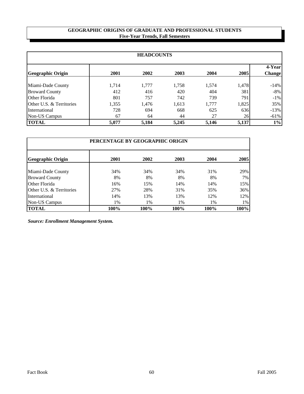### **GEOGRAPHIC ORIGINS OF GRADUATE AND PROFESSIONAL STUDENTS Five-Year Trends, Fall Semesters**

| <b>HEADCOUNTS</b>        |       |       |       |       |                 |                          |  |  |  |
|--------------------------|-------|-------|-------|-------|-----------------|--------------------------|--|--|--|
| <b>Geographic Origin</b> | 2001  | 2002  | 2003  | 2004  | 2005            | 4-Yearl<br><b>Change</b> |  |  |  |
| Miami-Dade County        | 1,714 | 1,777 | 1,758 | 1,574 | 1,478           | $-14%$                   |  |  |  |
| <b>Broward County</b>    | 412   | 416   | 420   | 404   | 381             | $-8%$                    |  |  |  |
| Other Florida            | 801   | 757   | 742   | 739   | 791             | $-1\%$                   |  |  |  |
| Other U.S. & Territories | 1,355 | 1,476 | 1,613 | 1,777 | 1,825           | 35%                      |  |  |  |
| International            | 728   | 694   | 668   | 625   | 636             | $-13%$                   |  |  |  |
| Non-US Campus            | 67    | 64    | 44    | 27    | 26 <sup>1</sup> | $-61%$                   |  |  |  |
| <b>TOTAL</b>             | 5,077 | 5,184 | 5,245 | 5,146 | 5,137           | $1\%$                    |  |  |  |

| PERCENTAGE BY GEOGRAPHIC ORIGIN |      |       |      |      |      |  |  |  |  |  |
|---------------------------------|------|-------|------|------|------|--|--|--|--|--|
| <b>Geographic Origin</b>        | 2001 | 2002  | 2003 | 2004 | 2005 |  |  |  |  |  |
| Miami-Dade County               | 34%  | 34%   | 34%  | 31%  | 29%  |  |  |  |  |  |
| <b>Broward County</b>           | 8%   | 8%    | 8%   | 8%   | 7%   |  |  |  |  |  |
| Other Florida                   | 16%  | 15%   | 14%  | 14%  | 15%  |  |  |  |  |  |
| Other U.S. & Territories        | 27%  | 28%   | 31%  | 35%  | 36%  |  |  |  |  |  |
| International                   | 14%  | 13%   | 13%  | 12%  | 12%  |  |  |  |  |  |
| <b>Non-US Campus</b>            | 1%   | $1\%$ | 1%   | 1%   | 1%   |  |  |  |  |  |
| <b>TOTAL</b>                    | 100% | 100%  | 100% | 100% | 100% |  |  |  |  |  |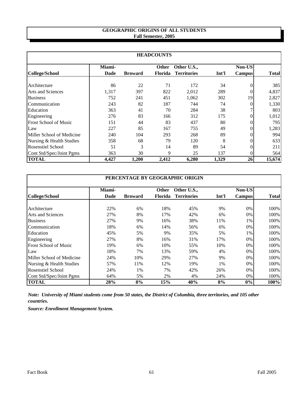# **GEOGRAPHIC ORIGINS OF ALL STUDENTS Fall Semester, 2005**

|                              | <b>HEADCOUNTS</b> |                |                |                    |       |               |              |  |  |  |
|------------------------------|-------------------|----------------|----------------|--------------------|-------|---------------|--------------|--|--|--|
|                              | Miami-            |                | <b>Other</b>   | Other U.S.,        |       | <b>Non-US</b> |              |  |  |  |
| <b>College/School</b>        | <b>Dade</b>       | <b>Broward</b> | <b>Florida</b> | <b>Territories</b> | Int'l | <b>Campus</b> | <b>Total</b> |  |  |  |
| Architecture                 | 86                | 22             | 71             | 172                | 34    |               | 385          |  |  |  |
| <b>Arts and Sciences</b>     | 1,317             | 397            | 822            | 2,012              | 289   |               | 4,837        |  |  |  |
| <b>Business</b>              | 752               | 241            | 451            | 1,062              | 302   | 19            | 2,827        |  |  |  |
| Communication                | 243               | 82             | 187            | 744                | 74    | 0             | 1,330        |  |  |  |
| Education                    | 363               | 41             | 70             | 284                | 38    |               | 803          |  |  |  |
| Engineering                  | 276               | 83             | 166            | 312                | 175   | 0             | 1,012        |  |  |  |
| <b>Frost School of Music</b> | 151               | 44             | 83             | 437                | 80    | 0             | 795          |  |  |  |
| Law                          | 227               | 85             | 167            | 755                | 49    | 0             | 1,283        |  |  |  |
| Miller School of Medicine    | 240               | 104            | 293            | 268                | 89    |               | 994          |  |  |  |
| Nursing & Health Studies     | 358               | 68             | 79             | 120                | 8     |               | 633          |  |  |  |
| <b>Rosenstiel School</b>     | 51                | 3              | 14             | 89                 | 54    |               | 211          |  |  |  |
| Cont Std/Spec/Joint Pgms     | 363               | 30             | 9              | 25                 | 137   | 0             | 564          |  |  |  |
| <b>TOTAL</b>                 | 4,427             | 1,200          | 2,412          | 6,280              | 1,329 | 26            | 15,674       |  |  |  |

|                              | PERCENTAGE BY GEOGRAPHIC ORIGIN |                |                |                    |       |               |              |  |  |  |
|------------------------------|---------------------------------|----------------|----------------|--------------------|-------|---------------|--------------|--|--|--|
|                              | Miami-                          |                | <b>Other</b>   | Other U.S.,        |       | <b>Non-US</b> |              |  |  |  |
| <b>College/School</b>        | <b>Dade</b>                     | <b>Broward</b> | <b>Florida</b> | <b>Territories</b> | Int'l | <b>Campus</b> | <b>Total</b> |  |  |  |
| Architecture                 | 22%                             | 6%             | 18%            | 45%                | 9%    | 0%            | 100%         |  |  |  |
| <b>Arts and Sciences</b>     | 27%                             | 8%             | 17%            | 42%                | 6%    | 0%            | 100%         |  |  |  |
| <b>Business</b>              | 27%                             | 9%             | 16%            | 38%                | 11%   | 1%            | 100%         |  |  |  |
| Communication                | 18%                             | 6%             | 14%            | 56%                | 6%    | 0%            | 100%         |  |  |  |
| Education                    | 45%                             | 5%             | 9%             | 35%                | 5%    | 1%            | 100%         |  |  |  |
| Engineering                  | 27%                             | 8%             | 16%            | 31%                | 17%   | 0%            | 100%         |  |  |  |
| <b>Frost School of Music</b> | 19%                             | 6%             | 10%            | 55%                | 10%   | 0%            | 100%         |  |  |  |
| Law                          | 18%                             | 7%             | 13%            | 59%                | 4%    | 0%            | 100%         |  |  |  |
| Miller School of Medicine    | 24%                             | 10%            | 29%            | 27%                | 9%    | 0%            | 100%         |  |  |  |
| Nursing & Health Studies     | 57%                             | 11%            | 12%            | 19%                | 1%    | 0%            | 100%         |  |  |  |
| <b>Rosenstiel School</b>     | 24%                             | 1%             | 7%             | 42%                | 26%   | 0%            | 100%         |  |  |  |
| Cont Std/Spec/Joint Pgms     | 64%                             | 5%             | 2%             | 4%                 | 24%   | 0%            | 100%         |  |  |  |
| <b>TOTAL</b>                 | 28%                             | 8%             | 15%            | 40%                | 8%    | $0\%$         | 100%         |  |  |  |

*Note: University of Miami students come from 50 states, the District of Columbia, three territories, and 105 other countries.*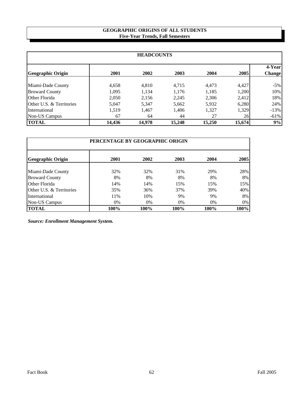# **GEOGRAPHIC ORIGINS OF ALL STUDENTS Five-Year Trends, Fall Semesters**

| <b>HEADCOUNTS</b>        |        |        |        |        |        |                         |  |  |
|--------------------------|--------|--------|--------|--------|--------|-------------------------|--|--|
| <b>Geographic Origin</b> | 2001   | 2002   | 2003   | 2004   | 2005   | 4-Year<br><b>Change</b> |  |  |
| Miami-Dade County        | 4,658  | 4,810  | 4.715  | 4,473  | 4,427  | $-5\%$                  |  |  |
| <b>Broward County</b>    | 1,095  | 1,134  | 1,176  | 1,185  | 1,200  | 10%                     |  |  |
| Other Florida            | 2,050  | 2,156  | 2,245  | 2,306  | 2,412  | 18%                     |  |  |
| Other U.S. & Territories | 5,047  | 5,347  | 5,662  | 5,932  | 6,280  | 24%                     |  |  |
| International            | 1,519  | 1,467  | 1,406  | 1,327  | 1,329  | $-13%$                  |  |  |
| Non-US Campus            | 67     | 64     | 44     | 27     | 26     | $-61%$                  |  |  |
| <b>TOTAL</b>             | 14,436 | 14,978 | 15,248 | 15,250 | 15,674 | 9%                      |  |  |

| PERCENTAGE BY GEOGRAPHIC ORIGIN |      |       |      |       |       |  |  |
|---------------------------------|------|-------|------|-------|-------|--|--|
| <b>Geographic Origin</b>        | 2001 | 2002  | 2003 | 2004  | 2005  |  |  |
| Miami-Dade County               | 32%  | 32%   | 31%  | 29%   | 28%   |  |  |
| <b>Broward County</b>           | 8%   | 8%    | 8%   | 8%    | 8%    |  |  |
| Other Florida                   | 14%  | 14%   | 15%  | 15%   | 15%   |  |  |
| Other U.S. & Territories        | 35%  | 36%   | 37%  | 39%   | 40%   |  |  |
| International                   | 11%  | 10%   | 9%   | 9%    | 8%    |  |  |
| <b>Non-US Campus</b>            | 0%   | $0\%$ | 0%   | $0\%$ | $0\%$ |  |  |
| <b>TOTAL</b>                    | 100% | 100%  | 100% | 100%  | 100%  |  |  |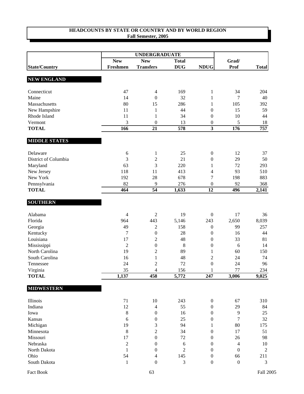|                      |                | <b>UNDERGRADUATE</b>    |                |                          |                  |              |
|----------------------|----------------|-------------------------|----------------|--------------------------|------------------|--------------|
|                      | <b>New</b>     | <b>New</b>              | <b>Total</b>   |                          | Grad/            |              |
| <b>State/Country</b> | Freshmen       | <b>Transfers</b>        | <b>DUG</b>     | <b>NDUG</b>              | Prof             | <b>Total</b> |
| <b>NEW ENGLAND</b>   |                |                         |                |                          |                  |              |
| Connecticut          | 47             | $\overline{4}$          | 169            | $\mathbf{1}$             | 34               | 204          |
| Maine                | 14             | $\boldsymbol{0}$        | 32             | $\mathbf{1}$             | 7                | 40           |
| Massachusetts        | 80             | 15                      | 286            | 1                        | 105              | 392          |
| New Hampshire        | 11             | $\mathbf{1}$            | 44             | $\boldsymbol{0}$         | 15               | 59           |
| Rhode Island         | 11             | 1                       | 34             | $\boldsymbol{0}$         | 10               | 44           |
| Vermont              | 3              | $\boldsymbol{0}$        | 13             | $\boldsymbol{0}$         | 5                | 18           |
| <b>TOTAL</b>         | 166            | 21                      | 578            | $\overline{\mathbf{3}}$  | 176              | 757          |
| <b>MIDDLE STATES</b> |                |                         |                |                          |                  |              |
| Delaware             | 6              | $\mathbf{1}$            | 25             | $\boldsymbol{0}$         | 12               | 37           |
| District of Columbia | 3              | $\sqrt{2}$              | 21             | $\boldsymbol{0}$         | 29               | 50           |
| Maryland             | 63             | 3                       | 220            | $\mathbf{1}$             | 72               | 293          |
| New Jersey           | 118            | 11                      | 413            | $\overline{\mathcal{L}}$ | 93               | 510          |
| New York             | 192            | 28                      | 678            | $\boldsymbol{7}$         | 198              | 883          |
| Pennsylvania         | 82             | 9                       | 276            | $\boldsymbol{0}$         | 92               | 368          |
| <b>TOTAL</b>         | 464            | $\overline{54}$         | 1,633          | 12                       | 496              | 2,141        |
| <b>SOUTHERN</b>      |                |                         |                |                          |                  |              |
| Alabama              | $\overline{4}$ | $\mathfrak{2}$          | 19             | $\boldsymbol{0}$         | 17               | 36           |
| Florida              | 964            | 443                     | 5,146          | 243                      | 2,650            | 8,039        |
| Georgia              | 49             | $\overline{2}$          | 158            | $\boldsymbol{0}$         | 99               | 257          |
| Kentucky             | 7              | $\boldsymbol{0}$        | 28             | $\boldsymbol{0}$         | 16               | 44           |
| Louisiana            | 17             | $\sqrt{2}$              | 48             | $\boldsymbol{0}$         | 33               | 81           |
| Mississippi          | $\overline{2}$ | $\boldsymbol{0}$        | 8              | $\boldsymbol{0}$         | 6                | 14           |
| North Carolina       | 19             | $\sqrt{2}$              | 89             | 1                        | 60               | 150          |
| South Carolina       | 16             | $\mathbf{1}$            | 48             | $\mathbf{2}$             | 24               | 74           |
| Tennessee            | 24             | $\sqrt{2}$              | 72             | $\boldsymbol{0}$         | 24               | 96           |
| Virginia             | 35             | $\overline{4}$          | 156            | 1                        | 77               | 234          |
| <b>TOTAL</b>         | 1,137          | 458                     | 5,772          | 247                      | 3,006            | 9,025        |
| <b>MIDWESTERN</b>    |                |                         |                |                          |                  |              |
| Illinois             | 71             | 10                      | 243            | $\boldsymbol{0}$         | 67               | 310          |
| Indiana              | 12             | $\overline{4}$          | 55             | $\boldsymbol{0}$         | 29               | 84           |
| Iowa                 | $\,8\,$        | $\boldsymbol{0}$        | 16             | $\boldsymbol{0}$         | $\overline{9}$   | 25           |
| Kansas               | 6              | $\boldsymbol{0}$        | 25             | $\boldsymbol{0}$         | $\overline{7}$   | 32           |
| Michigan             | 19             | $\mathfrak{Z}$          | 94             | 1                        | 80               | 175          |
| Minnesota            | $\,8\,$        | $\sqrt{2}$              | 34             | $\boldsymbol{0}$         | 17               | 51           |
| Missouri             | 17             | $\boldsymbol{0}$        | 72             | $\boldsymbol{0}$         | 26               | 98           |
| Nebraska             | $\overline{2}$ | $\boldsymbol{0}$        | $\sqrt{6}$     | $\boldsymbol{0}$         | $\overline{4}$   | 10           |
| North Dakota         | $\mathbf{1}$   | $\boldsymbol{0}$        | $\overline{2}$ | $\boldsymbol{0}$         | $\boldsymbol{0}$ | $\sqrt{2}$   |
| Ohio                 | 54             | $\overline{\mathbf{4}}$ | 145            | $\boldsymbol{0}$         | 66               | 211          |
| South Dakota         | $\mathbf{1}$   | $\boldsymbol{0}$        | 3              | $\boldsymbol{0}$         | $\boldsymbol{0}$ | 3            |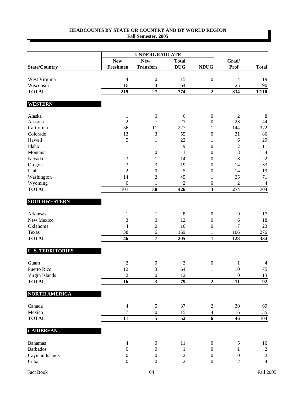|                         |                  | <b>UNDERGRADUATE</b>    |                  |                         |                  |                  |
|-------------------------|------------------|-------------------------|------------------|-------------------------|------------------|------------------|
|                         | <b>New</b>       | <b>New</b>              | <b>Total</b>     |                         | Grad/            |                  |
| <b>State/Country</b>    | Freshmen         | <b>Transfers</b>        | <b>DUG</b>       | <b>NDUG</b>             | <b>Prof</b>      | <b>Total</b>     |
| West Virginia           | $\overline{4}$   | $\boldsymbol{0}$        | 15               | $\boldsymbol{0}$        | $\overline{4}$   | 19               |
| Wisconsin               | 16               | $\overline{4}$          | 64               | $\mathbf{1}$            | 25               | 90               |
| <b>TOTAL</b>            | 219              | 27                      | 774              | $\overline{2}$          | 334              | 1,110            |
| <b>WESTERN</b>          |                  |                         |                  |                         |                  |                  |
| Alaska                  | $\mathbf{1}$     | $\boldsymbol{0}$        | $\sqrt{6}$       | $\boldsymbol{0}$        | $\sqrt{2}$       | 8                |
| Arizona                 | $\overline{2}$   | $\tau$                  | 21               | $\boldsymbol{0}$        | 23               | 44               |
| California              | 56               | 11                      | 227              | 1                       | 144              | 372              |
| Colorado                | 13               | 3                       | 55               | $\boldsymbol{0}$        | 31               | 86               |
| Hawaii                  | 5                | $\mathbf{1}$            | 22               | 1                       | $\sqrt{6}$       | 29               |
| Idaho                   | $\mathbf{1}$     | $\mathbf{1}$            | 9                | $\mathbf{0}$            | $\sqrt{2}$       | 11               |
| Montana                 | 1                | $\boldsymbol{0}$        | $\mathbf{1}$     | $\mathbf{0}$            | 3                | $\overline{4}$   |
| Nevada                  | 3                | $\mathbf{1}$            | 14               | $\theta$                | 8                | 22               |
| Oregon                  | 3                | 3                       | 19               | $\boldsymbol{0}$        | 14               | 33               |
| Utah                    | $\overline{c}$   | $\boldsymbol{0}$        | 5                | $\boldsymbol{0}$        | 14               | 19               |
| Washington              | 14               | $\overline{c}$          | 45               | 1                       | 25               | 71               |
| Wyoming                 | $\boldsymbol{0}$ | $\mathbf{1}$            | $\overline{2}$   | $\boldsymbol{0}$        | $\sqrt{2}$       | $\overline{4}$   |
| <b>TOTAL</b>            | 101              | 30                      | 426              | $\overline{\mathbf{3}}$ | 274              | $\overline{703}$ |
| <b>SOUTHWESTERN</b>     |                  |                         |                  |                         |                  |                  |
| Arkansas                | $\mathbf{1}$     | $\mathbf{1}$            | $\,8\,$          | $\boldsymbol{0}$        | $\overline{9}$   | 17               |
| New Mexico              | $\mathfrak{Z}$   | $\boldsymbol{0}$        | 12               | $\boldsymbol{0}$        | $\sqrt{6}$       | 18               |
| Oklahoma                | $\overline{4}$   | $\boldsymbol{0}$        | 16               | $\boldsymbol{0}$        | $\overline{7}$   | 23               |
| Texas                   | 38               | 6                       | 169              | 1                       | 106              | 276              |
| <b>TOTAL</b>            | $\overline{46}$  | 7                       | 205              | $\mathbf{1}$            | 128              | 334              |
| <b>U.S. TERRITORIES</b> |                  |                         |                  |                         |                  |                  |
| Guam                    | $\sqrt{2}$       | $\boldsymbol{0}$        | $\sqrt{3}$       | $\boldsymbol{0}$        | 1                | 4                |
| Puerto Rico             | 12               | 3                       | 64               | $\mathbf{1}$            | 10               | 75               |
| Virgin Islands          | $\overline{c}$   | $\boldsymbol{0}$        | 12               |                         | $\boldsymbol{0}$ | 13               |
| <b>TOTAL</b>            | $\overline{16}$  | $\overline{\mathbf{3}}$ | $\overline{79}$  | $\overline{2}$          | $\overline{11}$  | $\overline{92}$  |
| <b>NORTH AMERICA</b>    |                  |                         |                  |                         |                  |                  |
| Canada                  | $\overline{4}$   | 5                       | 37               | $\sqrt{2}$              | 30               | 69               |
| Mexico                  | $\overline{7}$   | $\boldsymbol{0}$        | 15               | $\overline{4}$          | 16               | 35               |
| <b>TOTAL</b>            | 11               | $\overline{5}$          | 52               | 6                       | 46               | 104              |
| <b>CARIBBEAN</b>        |                  |                         |                  |                         |                  |                  |
| <b>Bahamas</b>          | $\overline{4}$   | $\boldsymbol{0}$        | 11               | $\boldsymbol{0}$        | $\sqrt{5}$       | 16               |
| <b>Barbados</b>         | $\boldsymbol{0}$ | $\boldsymbol{0}$        | $\mathbf{1}$     | $\boldsymbol{0}$        | $\mathbf{1}$     | $\sqrt{2}$       |
| Cayman Islands          | $\boldsymbol{0}$ | $\boldsymbol{0}$        | $\boldsymbol{2}$ | $\boldsymbol{0}$        | $\boldsymbol{0}$ | $\overline{c}$   |
| Cuba                    | $\boldsymbol{0}$ | $\boldsymbol{0}$        | $\sqrt{2}$       | $\boldsymbol{0}$        | $\mathfrak{2}$   | $\overline{4}$   |
|                         |                  |                         |                  |                         |                  |                  |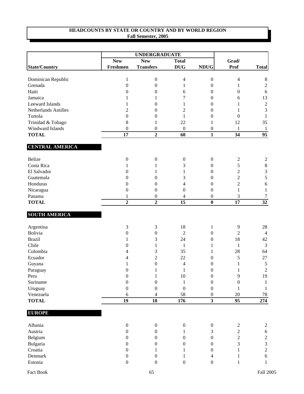|                                                                                                                                                |                  | <b>UNDERGRADUATE</b>                                                                                    |                                                                     |                                                                                                         |                                                                                                          |                  |
|------------------------------------------------------------------------------------------------------------------------------------------------|------------------|---------------------------------------------------------------------------------------------------------|---------------------------------------------------------------------|---------------------------------------------------------------------------------------------------------|----------------------------------------------------------------------------------------------------------|------------------|
|                                                                                                                                                | <b>New</b>       | <b>New</b>                                                                                              | <b>Total</b>                                                        |                                                                                                         | Grad/                                                                                                    |                  |
| <b>State/Country</b>                                                                                                                           | Freshmen         | <b>Transfers</b>                                                                                        | <b>DUG</b>                                                          | <b>NDUG</b>                                                                                             | Prof                                                                                                     | <b>Total</b>     |
| Dominican Republic                                                                                                                             | 1                | $\boldsymbol{0}$                                                                                        | 4                                                                   | $\boldsymbol{0}$                                                                                        | $\overline{4}$                                                                                           | $\,8\,$          |
| Grenada                                                                                                                                        | $\boldsymbol{0}$ | $\boldsymbol{0}$                                                                                        | 1                                                                   | $\boldsymbol{0}$                                                                                        | $\mathbf{1}$                                                                                             | $\sqrt{2}$       |
| Haiti                                                                                                                                          | $\boldsymbol{0}$ | $\boldsymbol{0}$                                                                                        | 6                                                                   | $\boldsymbol{0}$                                                                                        | $\boldsymbol{0}$                                                                                         | $\sqrt{6}$       |
| Jamaica                                                                                                                                        | 1                | 1                                                                                                       | 7                                                                   | $\boldsymbol{0}$                                                                                        | 6                                                                                                        | 13               |
| <b>Leeward Islands</b>                                                                                                                         | 1                | $\boldsymbol{0}$                                                                                        | 1                                                                   | 0                                                                                                       | 1                                                                                                        | $\sqrt{2}$       |
| Netherlands Antilles                                                                                                                           | 2                | $\boldsymbol{0}$                                                                                        | 2                                                                   | 0                                                                                                       | 1                                                                                                        | $\overline{3}$   |
| Tortola                                                                                                                                        | $\boldsymbol{0}$ | $\boldsymbol{0}$                                                                                        | $\mathbf{1}$                                                        | $\overline{0}$                                                                                          | $\theta$                                                                                                 | $\mathbf{1}$     |
| Trinidad & Tobago                                                                                                                              | $\,8\,$          | 1                                                                                                       | 22                                                                  | 1                                                                                                       | 12                                                                                                       | 35               |
| Windward Islands                                                                                                                               | $\boldsymbol{0}$ | $\boldsymbol{0}$                                                                                        | $\boldsymbol{0}$                                                    | $\boldsymbol{0}$                                                                                        | 1                                                                                                        | $\mathbf{1}$     |
| <b>TOTAL</b>                                                                                                                                   | 17               | $\overline{2}$                                                                                          | 60                                                                  | $\mathbf{1}$                                                                                            | 34                                                                                                       | 95               |
| <b>CENTRAL AMERICA</b>                                                                                                                         |                  |                                                                                                         |                                                                     |                                                                                                         |                                                                                                          |                  |
| Belize                                                                                                                                         | $\boldsymbol{0}$ | $\boldsymbol{0}$                                                                                        | $\boldsymbol{0}$                                                    | $\boldsymbol{0}$                                                                                        | $\overline{c}$                                                                                           | $\overline{c}$   |
| Costa Rica                                                                                                                                     | 1                | 1                                                                                                       | 3                                                                   | $\boldsymbol{0}$                                                                                        | 5                                                                                                        | $\,8\,$          |
| El Salvador                                                                                                                                    | $\mathbf{0}$     | 1                                                                                                       | 1                                                                   | $\boldsymbol{0}$                                                                                        | $\mathbf{2}$                                                                                             | $\mathfrak{Z}$   |
| Guatemala                                                                                                                                      | 0                | 0                                                                                                       | 3                                                                   | 0                                                                                                       | $\overline{2}$                                                                                           | 5                |
| Honduras                                                                                                                                       | 0                | $\boldsymbol{0}$                                                                                        | 4                                                                   | 0                                                                                                       | $\overline{c}$                                                                                           | $\sqrt{6}$       |
| Nicaragua                                                                                                                                      | $\boldsymbol{0}$ | $\boldsymbol{0}$                                                                                        | $\boldsymbol{0}$                                                    | $\boldsymbol{0}$                                                                                        | $\mathbf{1}$                                                                                             | $\mathbf{1}$     |
| Panama                                                                                                                                         | 1                | $\boldsymbol{0}$                                                                                        | 4                                                                   | $\boldsymbol{0}$                                                                                        | 3                                                                                                        | $\tau$           |
| <b>TOTAL</b>                                                                                                                                   | $\overline{2}$   | $\overline{2}$                                                                                          | $\overline{15}$                                                     | $\overline{\mathbf{0}}$                                                                                 | $\overline{17}$                                                                                          | $\overline{32}$  |
|                                                                                                                                                |                  |                                                                                                         |                                                                     |                                                                                                         |                                                                                                          |                  |
|                                                                                                                                                |                  |                                                                                                         |                                                                     |                                                                                                         |                                                                                                          |                  |
| Argentina                                                                                                                                      | $\mathfrak{Z}$   | 3                                                                                                       | 18                                                                  | 1                                                                                                       | 9                                                                                                        | 28               |
|                                                                                                                                                | $\boldsymbol{0}$ | $\boldsymbol{0}$                                                                                        | $\overline{c}$                                                      | $\boldsymbol{0}$                                                                                        |                                                                                                          | $\overline{4}$   |
|                                                                                                                                                | 1                |                                                                                                         |                                                                     | 0                                                                                                       |                                                                                                          | 42               |
|                                                                                                                                                | 0                | 1                                                                                                       | 1                                                                   | 1                                                                                                       | $\mathbf{1}$                                                                                             | $\mathfrak{Z}$   |
|                                                                                                                                                | 4                |                                                                                                         |                                                                     | 1                                                                                                       |                                                                                                          | 64               |
|                                                                                                                                                | 4                |                                                                                                         |                                                                     | 0                                                                                                       | 5                                                                                                        | 27               |
| Guyana                                                                                                                                         | 1                | $\boldsymbol{0}$                                                                                        | 4                                                                   | $\boldsymbol{0}$                                                                                        | 1                                                                                                        | $\sqrt{5}$       |
| Paraguay                                                                                                                                       | $\overline{0}$   | $\mathbf{1}$                                                                                            | $\mathbf{1}$                                                        | $\overline{0}$                                                                                          | $\mathbf{1}$                                                                                             | $\boldsymbol{2}$ |
| Peru                                                                                                                                           | $\boldsymbol{0}$ | $\mathbf{1}$                                                                                            | 10                                                                  | $\boldsymbol{0}$                                                                                        | $\mathbf{9}$                                                                                             | 19               |
|                                                                                                                                                | $\boldsymbol{0}$ | $\boldsymbol{0}$                                                                                        | $\mathbf{1}$                                                        | $\boldsymbol{0}$                                                                                        | $\boldsymbol{0}$                                                                                         | $\mathbf{1}$     |
| Uruguay                                                                                                                                        | $\boldsymbol{0}$ | $\boldsymbol{0}$                                                                                        |                                                                     | $\boldsymbol{0}$                                                                                        | $\mathbf{1}$                                                                                             | $\mathbf{1}$     |
| Venezuela                                                                                                                                      | 6                | 4                                                                                                       |                                                                     | $\boldsymbol{0}$                                                                                        | $20\,$                                                                                                   | $78\,$           |
|                                                                                                                                                |                  |                                                                                                         |                                                                     |                                                                                                         |                                                                                                          | $\overline{274}$ |
| <b>EUROPE</b>                                                                                                                                  |                  |                                                                                                         |                                                                     |                                                                                                         |                                                                                                          |                  |
| Albania                                                                                                                                        | $\boldsymbol{0}$ |                                                                                                         |                                                                     |                                                                                                         |                                                                                                          | $\overline{c}$   |
| Austria                                                                                                                                        | $\boldsymbol{0}$ | $\boldsymbol{0}$                                                                                        | 1                                                                   | 3                                                                                                       |                                                                                                          | $\sqrt{6}$       |
|                                                                                                                                                | $\mathbf{0}$     |                                                                                                         | $\overline{0}$                                                      |                                                                                                         |                                                                                                          | $\sqrt{2}$       |
|                                                                                                                                                | 0                |                                                                                                         | $\overline{0}$                                                      |                                                                                                         |                                                                                                          | $\mathfrak{Z}$   |
|                                                                                                                                                | $\mathbf{0}$     | 1                                                                                                       | 1                                                                   |                                                                                                         | 1                                                                                                        | $\boldsymbol{2}$ |
| Denmark                                                                                                                                        | $\boldsymbol{0}$ | $\boldsymbol{0}$                                                                                        | 1                                                                   | $\overline{4}$                                                                                          | 1                                                                                                        | $\sqrt{6}$       |
| Estonia                                                                                                                                        | $\boldsymbol{0}$ | $\boldsymbol{0}$                                                                                        | $\boldsymbol{0}$                                                    | $\boldsymbol{0}$                                                                                        | $\mathbf{1}$                                                                                             | $\mathbf{1}$     |
| <b>SOUTH AMERICA</b><br>Bolivia<br><b>Brazil</b><br>Chile<br>Colombia<br>Ecuador<br>Suriname<br><b>TOTAL</b><br>Belgium<br>Bulgaria<br>Croatia | $\overline{19}$  | 3<br>3<br>$\overline{c}$<br>$\overline{18}$<br>$\boldsymbol{0}$<br>$\boldsymbol{0}$<br>$\boldsymbol{0}$ | 24<br>35<br>22<br>$\boldsymbol{0}$<br>58<br>176<br>$\boldsymbol{0}$ | $\overline{\mathbf{3}}$<br>$\boldsymbol{0}$<br>$\boldsymbol{0}$<br>$\boldsymbol{0}$<br>$\boldsymbol{0}$ | $\overline{2}$<br>18<br>28<br>$\overline{95}$<br>$\overline{c}$<br>$\mathbf{2}$<br>$\boldsymbol{2}$<br>3 |                  |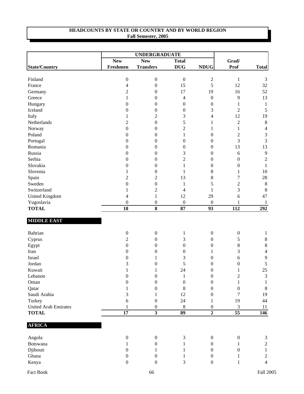|                             |                  | <b>UNDERGRADUATE</b>    |                          |                  |                  |                |
|-----------------------------|------------------|-------------------------|--------------------------|------------------|------------------|----------------|
|                             | <b>New</b>       | <b>New</b>              | <b>Total</b>             |                  | Grad/            |                |
| <b>State/Country</b>        | Freshmen         | <b>Transfers</b>        | <b>DUG</b>               | <b>NDUG</b>      | Prof             | <b>Total</b>   |
| Finland                     | $\boldsymbol{0}$ | $\boldsymbol{0}$        | $\boldsymbol{0}$         | $\overline{c}$   | $\mathbf{1}$     | 3              |
| France                      | 4                | $\boldsymbol{0}$        | 15                       | 5                | 12               | 32             |
| Germany                     | $\overline{c}$   | $\boldsymbol{0}$        | 17                       | 19               | 16               | 52             |
| Greece                      | 1                | $\boldsymbol{0}$        | $\overline{\mathcal{A}}$ | $\boldsymbol{0}$ | $\mathbf{9}$     | 13             |
| Hungary                     | $\boldsymbol{0}$ | $\boldsymbol{0}$        | $\boldsymbol{0}$         | $\boldsymbol{0}$ | $\mathbf{1}$     | $\mathbf{1}$   |
| Iceland                     | $\boldsymbol{0}$ | $\boldsymbol{0}$        | $\boldsymbol{0}$         | 3                | $\sqrt{2}$       | 5              |
| Italy                       | 1                | $\overline{2}$          | 3                        | 4                | 12               | 19             |
| Netherlands                 | $\overline{2}$   | $\boldsymbol{0}$        | 5                        | 1                | $\overline{2}$   | $\,8\,$        |
| Norway                      | $\boldsymbol{0}$ | $\boldsymbol{0}$        | 2                        | 1                | $\mathbf{1}$     | $\overline{4}$ |
| Poland                      | $\boldsymbol{0}$ | $\boldsymbol{0}$        | 1                        | $\boldsymbol{0}$ | $\sqrt{2}$       | $\mathfrak{Z}$ |
| Portugal                    | $\theta$         | $\boldsymbol{0}$        | $\boldsymbol{0}$         | $\boldsymbol{0}$ | 3                | $\mathfrak{Z}$ |
| Romania                     | $\boldsymbol{0}$ | $\boldsymbol{0}$        | $\boldsymbol{0}$         | $\boldsymbol{0}$ | 13               | 13             |
| Russia                      | 0                | $\boldsymbol{0}$        | 3                        | $\boldsymbol{0}$ | $\sqrt{6}$       | $\overline{9}$ |
| Serbia                      | $\boldsymbol{0}$ | $\boldsymbol{0}$        | $\overline{c}$           | $\boldsymbol{0}$ | $\boldsymbol{0}$ | $\sqrt{2}$     |
| Slovakia                    | 0                | $\boldsymbol{0}$        | $\mathbf 1$              | $\boldsymbol{0}$ | $\boldsymbol{0}$ | $\mathbf{1}$   |
| Slovenia                    | 1                | $\boldsymbol{0}$        | 1                        | 8                | 1                | 10             |
| Spain                       | $\overline{c}$   | $\overline{c}$          | 13                       | $\,8$            | $\boldsymbol{7}$ | $28\,$         |
| Sweden                      | $\boldsymbol{0}$ | $\boldsymbol{0}$        | $\mathbf{1}$             | 5                | $\overline{2}$   | $\,8\,$        |
| Switzerland                 | 1                | $\mathfrak{2}$          | $\overline{\mathcal{A}}$ | $\mathbf{1}$     | 3                | $\,8\,$        |
| <b>United Kingdom</b>       | 4                | $\,1\,$                 | 12                       | 29               | 6                | 47             |
| Yugoslavia                  | $\boldsymbol{0}$ | $\boldsymbol{0}$        | $\boldsymbol{0}$         | $\boldsymbol{0}$ | 1                | $\mathbf{1}$   |
| <b>TOTAL</b>                | $\overline{18}$  | $\overline{\mathbf{8}}$ | 87                       | $\overline{93}$  | $\overline{112}$ | 292            |
| <b>MIDDLE EAST</b>          |                  |                         |                          |                  |                  |                |
| Bahrian                     | $\boldsymbol{0}$ | $\boldsymbol{0}$        | $\mathbf{1}$             | $\boldsymbol{0}$ | $\boldsymbol{0}$ | 1              |
| Cyprus                      | $\overline{2}$   | $\boldsymbol{0}$        | 3                        | $\boldsymbol{0}$ | $\sqrt{5}$       | $8\,$          |
| Egypt                       | $\boldsymbol{0}$ | $\boldsymbol{0}$        | $\boldsymbol{0}$         | $\boldsymbol{0}$ | $\,8$            | $8\,$          |
| Iran                        | $\boldsymbol{0}$ | $\boldsymbol{0}$        | $\boldsymbol{0}$         | 1                | 3                | $\overline{4}$ |
| Israel                      | 0                | 1                       | 3                        | $\boldsymbol{0}$ | $\sqrt{6}$       | $\mathbf{9}$   |
| Jordan                      | 3                | $\boldsymbol{0}$        | 5                        | $\boldsymbol{0}$ | $\boldsymbol{0}$ | $\sqrt{5}$     |
| Kuwait                      | $\mathbf{1}$     | $\mathbf{1}$            | 24                       | $\theta$         | $\mathbf{1}$     | 25             |
| Lebanon                     | $\boldsymbol{0}$ | $\boldsymbol{0}$        | $\mathbf{1}$             | $\boldsymbol{0}$ | $\sqrt{2}$       | 3              |
| Oman                        | $\boldsymbol{0}$ | $\boldsymbol{0}$        | $\boldsymbol{0}$         | $\boldsymbol{0}$ | $\mathbf{1}$     | 1              |
| Qatar                       |                  | $\boldsymbol{0}$        | 8                        | $\boldsymbol{0}$ | $\boldsymbol{0}$ | $\,8\,$        |
| Saudi Arabia                | 3                | 1                       | 12                       | $\boldsymbol{0}$ | $\tau$           | 19             |
| Turkey                      | 6                | $\boldsymbol{0}$        | 24                       | 1                | 19               | 44             |
| <b>United Arab Emirates</b> | 1                | $\boldsymbol{0}$        | $\,8\,$                  | $\boldsymbol{0}$ | $\mathfrak{Z}$   | 11             |
| <b>TOTAL</b>                | 17               | $\overline{\mathbf{3}}$ | 89                       | $\overline{2}$   | $\overline{55}$  | 146            |
| <b>AFRICA</b>               |                  |                         |                          |                  |                  |                |
|                             |                  |                         |                          |                  |                  |                |
| Angola                      | $\boldsymbol{0}$ | $\boldsymbol{0}$        | 3                        | $\boldsymbol{0}$ | $\boldsymbol{0}$ | 3              |
| Botswana                    | 1                | $\boldsymbol{0}$        | 1                        | $\overline{0}$   | 1                | $\overline{2}$ |
| Djibouti                    | $\mathbf{0}$     | 1                       | 1                        | $\overline{0}$   | $\boldsymbol{0}$ | 1              |
| Ghana                       | $\overline{0}$   | $\boldsymbol{0}$        | 1                        | $\overline{0}$   | 1                | $\overline{2}$ |
| Kenya                       | $\boldsymbol{0}$ | $\boldsymbol{0}$        | 3                        | $\boldsymbol{0}$ | 1                | $\overline{4}$ |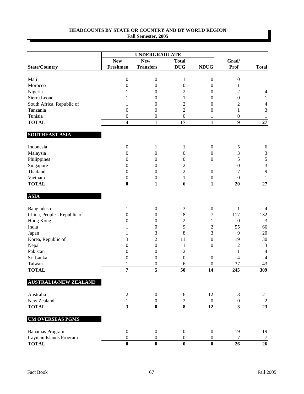|                              |                         | <b>UNDERGRADUATE</b> |                         |                  |                         |                 |
|------------------------------|-------------------------|----------------------|-------------------------|------------------|-------------------------|-----------------|
|                              | <b>New</b>              | <b>New</b>           | <b>Total</b>            |                  | Grad/                   |                 |
| <b>State/Country</b>         | Freshmen                | <b>Transfers</b>     | <b>DUG</b>              | <b>NDUG</b>      | Prof                    | <b>Total</b>    |
| Mali                         | $\boldsymbol{0}$        | $\boldsymbol{0}$     | $\mathbf{1}$            | $\boldsymbol{0}$ | $\boldsymbol{0}$        | 1               |
| Morocco                      | $\boldsymbol{0}$        | $\boldsymbol{0}$     | $\boldsymbol{0}$        | $\boldsymbol{0}$ | 1                       | 1               |
| Nigeria                      | 1                       | $\boldsymbol{0}$     | 2                       | $\boldsymbol{0}$ | $\overline{c}$          | 4               |
| Sierra Leone                 |                         | $\boldsymbol{0}$     | 1                       | $\boldsymbol{0}$ | $\boldsymbol{0}$        | 1               |
| South Africa, Republic of    | 1                       | $\boldsymbol{0}$     | $\overline{c}$          | $\boldsymbol{0}$ | $\mathbf{2}$            | 4               |
| Tanzania                     | $\boldsymbol{0}$        | $\boldsymbol{0}$     | $\overline{c}$          | $\boldsymbol{0}$ | 1                       | 3               |
| Tunisia                      | $\boldsymbol{0}$        | $\boldsymbol{0}$     | $\boldsymbol{0}$        | 1                | $\boldsymbol{0}$        | 1               |
| <b>TOTAL</b>                 | $\overline{\mathbf{4}}$ | $\mathbf{1}$         | 17                      | $\mathbf{1}$     | $\boldsymbol{9}$        | $27\,$          |
| <b>SOUTHEAST ASIA</b>        |                         |                      |                         |                  |                         |                 |
| Indonesia                    | $\boldsymbol{0}$        | 1                    | $\mathbf{1}$            | $\boldsymbol{0}$ | 5                       | 6               |
| Malaysia                     | $\theta$                | 0                    | $\boldsymbol{0}$        | $\boldsymbol{0}$ | 3                       | $\mathfrak{Z}$  |
| Philippines                  | $\theta$                | 0                    | $\boldsymbol{0}$        | $\boldsymbol{0}$ | 5                       | 5               |
| Singapore                    | $\theta$                | 0                    | 2                       | 1                | $\boldsymbol{0}$        | $\mathfrak{Z}$  |
| Thailand                     | $\theta$                | $\boldsymbol{0}$     | $\overline{c}$          | $\boldsymbol{0}$ | 7                       | 9               |
| Vietnam                      | $\boldsymbol{0}$        | $\boldsymbol{0}$     | 1                       | $\boldsymbol{0}$ | $\boldsymbol{0}$        | $\mathbf{1}$    |
| <b>TOTAL</b>                 | $\bf{0}$                | $\mathbf{1}$         | 6                       | $\mathbf{1}$     | 20                      | 27              |
| <b>ASIA</b>                  |                         |                      |                         |                  |                         |                 |
| Bangladesh                   | 1                       | $\boldsymbol{0}$     | $\sqrt{3}$              | $\boldsymbol{0}$ | $\mathbf{1}$            | 4               |
| China, People's Republic of  | 0                       | $\boldsymbol{0}$     | 8                       | 7                | 117                     | 132             |
| Hong Kong                    | $\theta$                | $\boldsymbol{0}$     | $\overline{c}$          | 1                | $\boldsymbol{0}$        | 3               |
| India                        | 1                       | $\boldsymbol{0}$     | 9                       | $\overline{c}$   | 55                      | 66              |
| Japan                        | 1                       | 3                    | 8                       | 3                | 9                       | 20              |
| Korea, Republic of           | 3                       | $\overline{2}$       | 11                      | $\boldsymbol{0}$ | 19                      | 30              |
| Nepal                        | $\theta$                | $\boldsymbol{0}$     | 1                       | $\boldsymbol{0}$ | $\overline{c}$          | $\mathfrak{Z}$  |
| Pakistan                     | $\theta$                | $\boldsymbol{0}$     | $\overline{c}$          | 1                | $\mathbf{1}$            | 4               |
| Sri Lanka                    | $\boldsymbol{0}$        | $\boldsymbol{0}$     | $\boldsymbol{0}$        | $\boldsymbol{0}$ | 4                       | 4               |
| Taiwan                       |                         | 0                    | 6                       | $\boldsymbol{0}$ | 37                      | 43              |
| <b>TOTAL</b>                 | 7                       | 5                    | $\overline{50}$         | 14               | 245                     | 309             |
| <b>AUSTRALIA/NEW ZEALAND</b> |                         |                      |                         |                  |                         |                 |
| Australia                    | $\overline{2}$          | $\boldsymbol{0}$     | $\sqrt{6}$              | 12               | 3                       | 21              |
| New Zealand                  | 1                       | $\boldsymbol{0}$     | $\overline{c}$          | $\boldsymbol{0}$ | $\boldsymbol{0}$        | 2               |
| <b>TOTAL</b>                 | $\overline{\mathbf{3}}$ | $\bf{0}$             | $\overline{\mathbf{8}}$ | $\overline{12}$  | $\overline{\mathbf{3}}$ | $\overline{23}$ |
| <b>UM OVERSEAS PGMS</b>      |                         |                      |                         |                  |                         |                 |
| <b>Bahamas Program</b>       | $\mathbf{0}$            | $\boldsymbol{0}$     | $\boldsymbol{0}$        | $\overline{0}$   | 19                      | 19              |
| Cayman Islands Program       | $\boldsymbol{0}$        | $\boldsymbol{0}$     | $\boldsymbol{0}$        | $\boldsymbol{0}$ | $\tau$                  | $\tau$          |
| <b>TOTAL</b>                 | $\bf{0}$                | $\bf{0}$             | $\bf{0}$                | $\bf{0}$         | 26                      | 26              |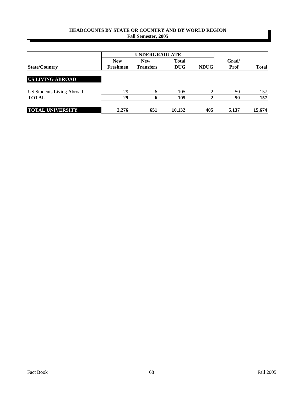|                                  |            | <b>UNDERGRADUATE</b> |              |             |             |              |
|----------------------------------|------------|----------------------|--------------|-------------|-------------|--------------|
|                                  | <b>New</b> | <b>New</b>           | <b>Total</b> |             | Grad/       |              |
| <b>State/Country</b>             | Freshmen   | <b>Transfers</b>     | <b>DUG</b>   | <b>NDUG</b> | <b>Prof</b> | <b>Total</b> |
|                                  |            |                      |              |             |             |              |
| <b>US LIVING ABROAD</b>          |            |                      |              |             |             |              |
| <b>US Students Living Abroad</b> | 29         | 6                    | 105          | 2           | 50          | 157          |
| <b>TOTAL</b>                     | 29         | 6                    | 105          |             | 50          | 157          |
| <b>TOTAL UNIVERSITY</b>          | 2,276      | 651                  | 10,132       | 405         | 5,137       | 15,674       |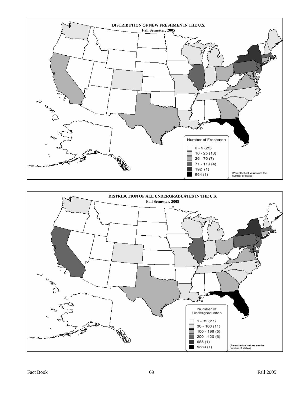

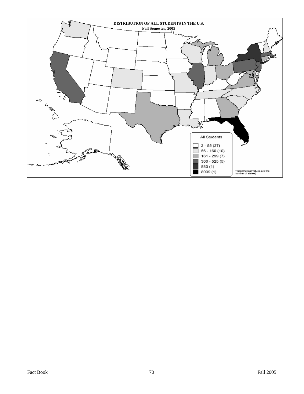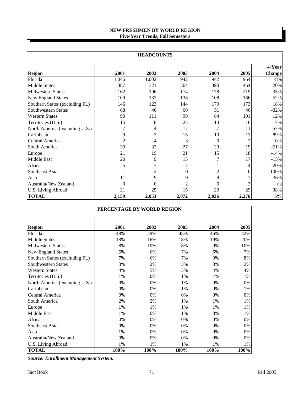# **NEW FRESHMEN BY WORLD REGION Five-Year Trends, Fall Semesters**

| <b>HEADCOUNTS</b>              |                |          |                |          |       |                         |  |
|--------------------------------|----------------|----------|----------------|----------|-------|-------------------------|--|
| <b>Region</b>                  | 2001           | 2002     | 2003           | 2004     | 2005  | 4-Year<br><b>Change</b> |  |
| Florida                        | 1,046          | 1,002    | 942            | 942      | 964   | $-8%$                   |  |
| <b>Middle States</b>           | 387            | 321      | 364            | 390      | 464   | 20%                     |  |
| <b>Midwestern States</b>       | 162            | 196      | 174            | 178      | 219   | 35%                     |  |
| <b>New England States</b>      | 109            | 132      | 136            | 108      | 166   | 52%                     |  |
| Southern States (excluding FL) | 146            | 123      | 144            | 179      | 173   | 18%                     |  |
| Southwestern States            | 68             | 46       | 60             | 51       | 46    | $-32%$                  |  |
| <b>Western States</b>          | 90             | 111      | 99             | 84       | 101   | 12%                     |  |
| Territories (U.S.)             | 15             | 8        | 25             | 13       | 16    | 7%                      |  |
| North America (excluding U.S.) | 7              | 4        | 17             | 7        | 11    | 57%                     |  |
| Caribbean                      | 9              |          | 15             | 10       | 17    | 89%                     |  |
| Central America                | $\overline{2}$ | 4        | 3              | $\Omega$ | 2     | $0\%$                   |  |
| South America                  | 39             | 32       | 27             | 20       | 19    | $-51%$                  |  |
| Europe                         | 21             | 19       | 21             | 15       | 18    | $-14%$                  |  |
| <b>Middle East</b>             | 20             | 9        | 15             |          | 17    | $-15%$                  |  |
| Africa                         | 5              | 3        | 4              |          |       | $-20%$                  |  |
| Southeast Asia                 |                | 2        | $\overline{0}$ | 2        |       | $-100%$                 |  |
| Asia                           | 11             | 9        | 9              | 9        |       | $-36%$                  |  |
| Australia/New Zealand          | $\theta$       | $\Omega$ | $\overline{2}$ | 0        |       | na                      |  |
| U.S. Living Abroad             | 21             | 25       | 15             | 20       | 29    | 38%                     |  |
| <b>TOTAL</b>                   | 2,159          | 2,053    | 2,072          | 2,036    | 2,276 | 5%                      |  |

| PERCENTAGE BY WORLD REGION     |       |      |       |      |       |  |  |
|--------------------------------|-------|------|-------|------|-------|--|--|
| <b>Region</b>                  | 2001  | 2002 | 2003  | 2004 | 2005  |  |  |
| Florida                        | 48%   | 49%  | 45%   | 46%  | 42%   |  |  |
| <b>Middle States</b>           | 18%   | 16%  | 18%   | 19%  | 20%   |  |  |
| <b>Midwestern States</b>       | 8%    | 10%  | 8%    | 9%   | 10%   |  |  |
| New England States             | 5%    | 6%   | 7%    | 5%   | 7%    |  |  |
| Southern States (excluding FL) | 7%    | 6%   | 7%    | 9%   | 8%    |  |  |
| <b>Southwestern States</b>     | 3%    | 2%   | 3%    | 3%   | 2%    |  |  |
| <b>Western States</b>          | 4%    | 5%   | 5%    | 4%   | 4%    |  |  |
| Territories (U.S.)             | 1%    | 0%   | 1%    | 1%   | 1%    |  |  |
| North America (excluding U.S.) | 0%    | 0%   | 1%    | 0%   | 0%    |  |  |
| Caribbean                      | 0%    | 0%   | 1%    | 0%   | 1%    |  |  |
| Central America                | 0%    | 0%   | 0%    | 0%   | 0%    |  |  |
| South America                  | 2%    | 2%   | 1%    | 1%   | 1%    |  |  |
| Europe                         | 1%    | 1%   | 1%    | 1%   | 1%    |  |  |
| <b>Middle East</b>             | $1\%$ | 0%   | 1%    | 0%   | $1\%$ |  |  |
| Africa                         | 0%    | 0%   | $0\%$ | 0%   | 0%    |  |  |
| Southeast Asia                 | 0%    | 0%   | 0%    | 0%   | 0%    |  |  |
| Asia                           | 1%    | 0%   | $0\%$ | 0%   | 0%    |  |  |
| Australia/New Zealand          | 0%    | 0%   | 0%    | 0%   | 0%    |  |  |
| U.S. Living Abroad             | 1%    | 1%   | 1%    | 1%   | 1%    |  |  |
| <b>TOTAL</b>                   | 100%  | 100% | 100%  | 100% | 100%  |  |  |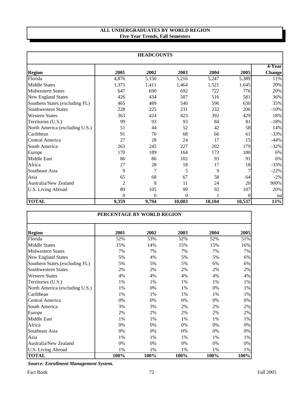### **ALL UNDERGRADUATES BY WORLD REGION Five-Year Trends, Fall Semesters**

|                                | <b>HEADCOUNTS</b> |                |                |        |        |               |  |  |
|--------------------------------|-------------------|----------------|----------------|--------|--------|---------------|--|--|
|                                |                   |                |                |        |        | 4-Year        |  |  |
| <b>Region</b>                  | 2001              | 2002           | 2003           | 2004   | 2005   | <b>Change</b> |  |  |
| Florida                        | 4,876             | 5,150          | 5,216          | 5,247  | 5,389  | 11%           |  |  |
| <b>Middle States</b>           | 1,375             | 1,411          | 1,464          | 1,521  | 1,645  | 20%           |  |  |
| <b>Midwestern States</b>       | 647               | 690            | 692            | 722    | 776    | 20%           |  |  |
| <b>New England States</b>      | 426               | 434            | 507            | 516    | 581    | 36%           |  |  |
| Southern States (excluding FL) | 465               | 489            | 540            | 596    | 630    | 35%           |  |  |
| <b>Southwestern States</b>     | 228               | 225            | 231            | 232    | 206    | $-10%$        |  |  |
| <b>Western States</b>          | 363               | 424            | 423            | 392    | 429    | 18%           |  |  |
| Territories (U.S.)             | 99                | 93             | 93             | 84     | 81     | $-18%$        |  |  |
| North America (excluding U.S.) | 51                | 44             | 52             | 42     | 58     | 14%           |  |  |
| Caribbean                      | 91                | 70             | 68             | 66     | 61     | $-33%$        |  |  |
| Central America                | 27                | 28             | 24             | 17     | 15     | $-44%$        |  |  |
| South America                  | 263               | 245            | 227            | 202    | 179    | $-32%$        |  |  |
| Europe                         | 170               | 189            | 164            | 173    | 180    | 6%            |  |  |
| <b>Middle East</b>             | 86                | 86             | 102            | 93     | 91     | 6%            |  |  |
| Africa                         | 27                | 28             | 18             | 17     | 18     | $-33%$        |  |  |
| Southeast Asia                 | 9                 | 7              | 5              | 9      |        | $-22%$        |  |  |
| Asia                           | 65                | 68             | 67             | 58     | 64     | $-2\%$        |  |  |
| Australia/New Zealand          | $\overline{2}$    | 8              | 11             | 24     | 20     | 900%          |  |  |
| U.S. Living Abroad             | 89                | 105            | 99             | 92     | 107    | 20%           |  |  |
|                                | $\overline{0}$    | $\overline{0}$ | $\overline{0}$ |        | 0      | na            |  |  |
| <b>TOTAL</b>                   | 9,359             | 9,794          | 10,003         | 10,104 | 10,537 | 13%           |  |  |

| PERCENTAGE BY WORLD REGION     |      |      |      |       |      |  |  |
|--------------------------------|------|------|------|-------|------|--|--|
| <b>Region</b>                  | 2001 | 2002 | 2003 | 2004  | 2005 |  |  |
| Florida                        | 52%  | 53%  | 52%  | 52%   | 51%  |  |  |
| <b>Middle States</b>           | 15%  | 14%  | 15%  | 15%   | 16%  |  |  |
| <b>Midwestern States</b>       | 7%   | 7%   | 7%   | 7%    | 7%   |  |  |
| <b>New England States</b>      | 5%   | 4%   | 5%   | 5%    | 6%   |  |  |
| Southern States (excluding FL) | 5%   | 5%   | 5%   | 6%    | 6%   |  |  |
| <b>Southwestern States</b>     | 2%   | 2%   | 2%   | 2%    | 2%   |  |  |
| <b>Western States</b>          | 4%   | 4%   | 4%   | 4%    | 4%   |  |  |
| Territories (U.S.)             | 1%   | 1%   | 1%   | 1%    | 1%   |  |  |
| North America (excluding U.S.) | 1%   | 0%   | 1%   | 0%    | 1%   |  |  |
| Caribbean                      | 1%   | 1%   | 1%   | $1\%$ | 1%   |  |  |
| Central America                | 0%   | 0%   | 0%   | 0%    | 0%   |  |  |
| South America                  | 3%   | 3%   | 2%   | 2%    | 2%   |  |  |
| Europe                         | 2%   | 2%   | 2%   | 2%    | 2%   |  |  |
| <b>Middle East</b>             | 1%   | 1%   | 1%   | 1%    | 1%   |  |  |
| Africa                         | 0%   | 0%   | 0%   | 0%    | 0%   |  |  |
| Southeast Asia                 | 0%   | 0%   | 0%   | 0%    | 0%   |  |  |
| Asia                           | 1%   | 1%   | 1%   | 1%    | 1%   |  |  |
| Australia/New Zealand          | 0%   | 0%   | 0%   | 0%    | 0%   |  |  |
| U.S. Living Abroad             | 1%   | 1%   | 1%   | 1%    | 1%   |  |  |
| <b>TOTAL</b>                   | 100% | 100% | 100% | 100%  | 100% |  |  |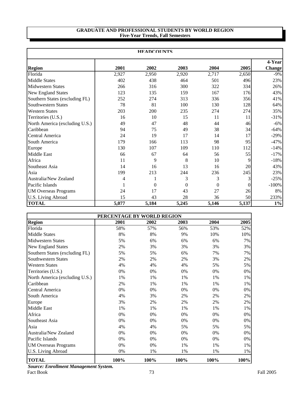#### **GRADUATE AND PROFESSIONAL STUDENTS BY WORLD REGION Five-Year Trends, Fall Semesters**

|                                | <b>HEADCOUNTS</b> |          |          |          |          |               |  |  |  |
|--------------------------------|-------------------|----------|----------|----------|----------|---------------|--|--|--|
|                                |                   |          |          |          |          | 4-Year        |  |  |  |
| <b>Region</b>                  | 2001              | 2002     | 2003     | 2004     | 2005     | <b>Change</b> |  |  |  |
| Florida                        | 2,927             | 2,950    | 2,920    | 2,717    | 2,650    | $-9\%$        |  |  |  |
| <b>Middle States</b>           | 402               | 438      | 464      | 501      | 496      | 23%           |  |  |  |
| <b>Midwestern States</b>       | 266               | 316      | 300      | 322      | 334      | 26%           |  |  |  |
| New England States             | 123               | 135      | 159      | 167      | 176      | 43%           |  |  |  |
| Southern States (excluding FL) | 252               | 274      | 313      | 336      | 356      | 41%           |  |  |  |
| <b>Southwestern States</b>     | 78                | 81       | 100      | 130      | 128      | 64%           |  |  |  |
| <b>Western States</b>          | 203               | 200      | 235      | 274      | 274      | 35%           |  |  |  |
| Territories (U.S.)             | 16                | 10       | 15       | 11       | 11       | $-31%$        |  |  |  |
| North America (excluding U.S.) | 49                | 47       | 48       | 44       | 46       | $-6\%$        |  |  |  |
| Caribbean                      | 94                | 75       | 49       | 38       | 34       | $-64%$        |  |  |  |
| Central America                | 24                | 19       | 17       | 14       | 17       | $-29%$        |  |  |  |
| South America                  | 179               | 166      | 113      | 98       | 95       | $-47%$        |  |  |  |
| Europe                         | 130               | 107      | 109      | 110      | 112      | $-14%$        |  |  |  |
| Middle East                    | 66                | 67       | 64       | 56       | 55       | $-17%$        |  |  |  |
| Africa                         | 11                | 9        | 8        | 10       | 9        | $-18%$        |  |  |  |
| Southeast Asia                 | 14                | 16       | 13       | 16       | 20       | 43%           |  |  |  |
| Asia                           | 199               | 213      | 244      | 236      | 245      | 23%           |  |  |  |
| Australia/New Zealand          | 4                 |          | 3        | 3        | 3        | $-25%$        |  |  |  |
| Pacific Islands                |                   | $\theta$ | $\theta$ | $\theta$ | $\theta$ | $-100%$       |  |  |  |
| <b>UM Overseas Programs</b>    | 24                | 17       | 43       | 27       | 26       | 8%            |  |  |  |
| U.S. Living Abroad             | 15                | 43       | 28       | 36       | 50       | 233%          |  |  |  |
| <b>TOTAL</b>                   | 5,077             | 5,184    | 5,245    | 5,146    | 5,137    | $1\%$         |  |  |  |

|                                | PERCENTAGE BY WORLD REGION |      |      |      |      |
|--------------------------------|----------------------------|------|------|------|------|
| <b>Region</b>                  | 2001                       | 2002 | 2003 | 2004 | 2005 |
| Florida                        | 58%                        | 57%  | 56%  | 53%  | 52%  |
| <b>Middle States</b>           | 8%                         | 8%   | 9%   | 10%  | 10%  |
| <b>Midwestern States</b>       | 5%                         | 6%   | 6%   | 6%   | 7%   |
| <b>New England States</b>      | 2%                         | 3%   | 3%   | 3%   | 3%   |
| Southern States (excluding FL) | 5%                         | 5%   | 6%   | 7%   | 7%   |
| <b>Southwestern States</b>     | 2%                         | 2%   | 2%   | 3%   | 2%   |
| <b>Western States</b>          | 4%                         | 4%   | 4%   | 5%   | 5%   |
| Territories (U.S.)             | 0%                         | 0%   | 0%   | 0%   | 0%   |
| North America (excluding U.S.) | 1%                         | 1%   | 1%   | 1%   | 1%   |
| Caribbean                      | 2%                         | 1%   | 1%   | 1%   | 1%   |
| Central America                | 0%                         | 0%   | 0%   | 0%   | 0%   |
| South America                  | 4%                         | 3%   | 2%   | 2%   | 2%   |
| Europe                         | 3%                         | 2%   | 2%   | 2%   | 2%   |
| Middle East                    | 1%                         | 1%   | 1%   | 1%   | 1%   |
| Africa                         | 0%                         | 0%   | 0%   | 0%   | 0%   |
| Southeast Asia                 | 0%                         | 0%   | 0%   | 0%   | 0%   |
| Asia                           | 4%                         | 4%   | 5%   | 5%   | 5%   |
| Australia/New Zealand          | 0%                         | 0%   | 0%   | 0%   | 0%   |
| Pacific Islands                | 0%                         | 0%   | 0%   | 0%   | 0%   |
| <b>UM Overseas Programs</b>    | 0%                         | 0%   | 1%   | 1%   | 1%   |
| U.S. Living Abroad             | 0%                         | 1%   | 1%   | 1%   | 1%   |
| <b>TOTAL</b>                   | 100%                       | 100% | 100% | 100% | 100% |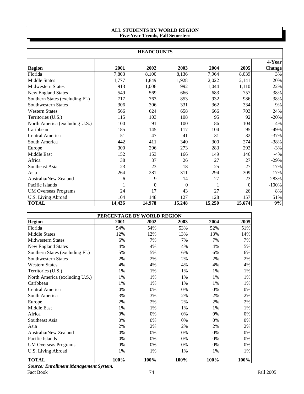#### **ALL STUDENTS BY WORLD REGION Five-Year Trends, Fall Semesters**

|                                | <b>HEADCOUNTS</b> |          |                |        |          |               |  |  |  |
|--------------------------------|-------------------|----------|----------------|--------|----------|---------------|--|--|--|
|                                |                   |          |                |        |          | 4-Year        |  |  |  |
| <b>Region</b>                  | 2001              | 2002     | 2003           | 2004   | 2005     | <b>Change</b> |  |  |  |
| Florida                        | 7,803             | 8,100    | 8,136          | 7,964  | 8,039    | 3%            |  |  |  |
| <b>Middle States</b>           | 1,777             | 1,849    | 1,928          | 2,022  | 2,141    | 20%           |  |  |  |
| <b>Midwestern States</b>       | 913               | 1,006    | 992            | 1,044  | 1,110    | 22%           |  |  |  |
| New England States             | 549               | 569      | 666            | 683    | 757      | 38%           |  |  |  |
| Southern States (excluding FL) | 717               | 763      | 853            | 932    | 986      | 38%           |  |  |  |
| <b>Southwestern States</b>     | 306               | 306      | 331            | 362    | 334      | 9%            |  |  |  |
| <b>Western States</b>          | 566               | 624      | 658            | 666    | 703      | 24%           |  |  |  |
| Territories (U.S.)             | 115               | 103      | 108            | 95     | 92       | $-20%$        |  |  |  |
| North America (excluding U.S.) | 100               | 91       | 100            | 86     | 104      | 4%            |  |  |  |
| Caribbean                      | 185               | 145      | 117            | 104    | 95       | $-49%$        |  |  |  |
| Central America                | 51                | 47       | 41             | 31     | 32       | $-37%$        |  |  |  |
| South America                  | 442               | 411      | 340            | 300    | 274      | $-38%$        |  |  |  |
| Europe                         | 300               | 296      | 273            | 283    | 292      | $-3%$         |  |  |  |
| Middle East                    | 152               | 153      | 166            | 149    | 146      | $-4%$         |  |  |  |
| Africa                         | 38                | 37       | 26             | 27     | 27       | $-29%$        |  |  |  |
| Southeast Asia                 | 23                | 23       | 18             | 25     | 27       | 17%           |  |  |  |
| Asia                           | 264               | 281      | 311            | 294    | 309      | 17%           |  |  |  |
| Australia/New Zealand          | 6                 | 9        | 14             | 27     | 23       | 283%          |  |  |  |
| Pacific Islands                | 1                 | $\theta$ | $\overline{0}$ | 1      | $\Omega$ | $-100%$       |  |  |  |
| <b>UM Overseas Programs</b>    | 24                | 17       | 43             | 27     | 26       | 8%            |  |  |  |
| U.S. Living Abroad             | 104               | 148      | 127            | 128    | 157      | 51%           |  |  |  |
| <b>TOTAL</b>                   | 14,436            | 14.978   | 15,248         | 15,250 | 15,674   | 9%            |  |  |  |

|                                | PERCENTAGE BY WORLD REGION |      |      |      |      |
|--------------------------------|----------------------------|------|------|------|------|
| <b>Region</b>                  | 2001                       | 2002 | 2003 | 2004 | 2005 |
| Florida                        | 54%                        | 54%  | 53%  | 52%  | 51%  |
| <b>Middle States</b>           | 12%                        | 12%  | 13%  | 13%  | 14%  |
| <b>Midwestern States</b>       | 6%                         | 7%   | 7%   | 7%   | 7%   |
| New England States             | 4%                         | 4%   | 4%   | 4%   | 5%   |
| Southern States (excluding FL) | 5%                         | 5%   | 6%   | 6%   | 6%   |
| Southwestern States            | 2%                         | 2%   | 2%   | 2%   | 2%   |
| <b>Western States</b>          | 4%                         | 4%   | 4%   | 4%   | 4%   |
| Territories (U.S.)             | 1%                         | 1%   | 1%   | 1%   | 1%   |
| North America (excluding U.S.) | 1%                         | 1%   | 1%   | 1%   | 1%   |
| Caribbean                      | 1%                         | 1%   | 1%   | 1%   | 1%   |
| Central America                | 0%                         | 0%   | 0%   | 0%   | 0%   |
| South America                  | 3%                         | 3%   | 2%   | 2%   | 2%   |
| Europe                         | 2%                         | 2%   | 2%   | 2%   | 2%   |
| Middle East                    | 1%                         | 1%   | 1%   | 1%   | 1%   |
| Africa                         | 0%                         | 0%   | 0%   | 0%   | 0%   |
| Southeast Asia                 | 0%                         | 0%   | 0%   | 0%   | 0%   |
| Asia                           | 2%                         | 2%   | 2%   | 2%   | 2%   |
| Australia/New Zealand          | 0%                         | 0%   | 0%   | 0%   | 0%   |
| Pacific Islands                | 0%                         | 0%   | 0%   | 0%   | 0%   |
| <b>UM Overseas Programs</b>    | 0%                         | 0%   | 0%   | 0%   | 0%   |
| U.S. Living Abroad             | 1%                         | 1%   | 1%   | 1%   | 1%   |
| <b>TOTAL</b>                   | 100%                       | 100% | 100% | 100% | 100% |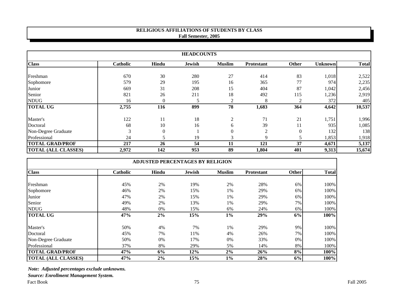## **RELIGIOUS AFFILIATIONS OF STUDENTS BY CLASS Fall Semester, 2005**

| <b>HEADCOUNTS</b>          |                 |              |               |                |            |                |                |              |
|----------------------------|-----------------|--------------|---------------|----------------|------------|----------------|----------------|--------------|
| <b>Class</b>               | <b>Catholic</b> | Hindu        | <b>Jewish</b> | <b>Muslim</b>  | Protestant | Other          | <b>Unknown</b> | <b>Total</b> |
| Freshman                   | 670             | 30           | 280           | 27             | 414        | 83             | 1,018          | 2,522        |
| Sophomore                  | 579             | 29           | 195           | 16             | 365        | 77             | 974            | 2,235        |
| Junior                     | 669             | 31           | 208           | 15             | 404        | 87             | 1,042          | 2,456        |
| Senior                     | 821             | 26           | 211           | 18             | 492        | 115            | 1,236          | 2,919        |
| <b>NDUG</b>                | 16              | $\theta$     |               | $\overline{2}$ | 8          | $\overline{c}$ | 372            | 405          |
| <b>TOTAL UG</b>            | 2,755           | <b>116</b>   | 899           | 78             | 1,683      | 364            | 4,642          | 10,537       |
| Master's                   | 122             | 11           | 18            | $\overline{2}$ | 71         | 21             | 1,751          | 1,996        |
| Doctoral                   | 68              | 10           | 16            | 6              | 39         | 11             | 935            | 1,085        |
| Non-Degree Graduate        | 3               | $\mathbf{0}$ |               | $\overline{0}$ | 2          | $\Omega$       | 132            | 138          |
| Professional               | 24              |              | 19            | 3              | 9          | 5              | 1,853          | 1,918        |
| <b>TOTAL GRAD/PROF</b>     | 217             | 26           | 54            | 11             | 121        | 37             | 4,671          | 5,137        |
| <b>TOTAL (ALL CLASSES)</b> | 2,972           | 142          | 953           | 89             | 1,804      | 401            | 9,313          | 15,674       |

| <b>ADJUSTED PERCENTAGES BY RELIGION</b> |                 |       |               |               |            |       |              |
|-----------------------------------------|-----------------|-------|---------------|---------------|------------|-------|--------------|
| <b>Class</b>                            | <b>Catholic</b> | Hindu | <b>Jewish</b> | <b>Muslim</b> | Protestant | Other | <b>Total</b> |
| Freshman                                | 45%             | 2%    | 19%           | 2%            | 28%        | 6%    | 100%         |
| Sophomore                               | 46%             | 2%    | 15%           | 1%            | 29%        | 6%    | 100%         |
| Junior                                  | 47%             | 2%    | 15%           | 1%            | 29%        | 6%    | 100%         |
| Senior                                  | 49%             | 2%    | 13%           | 1%            | 29%        | 7%    | 100%         |
| <b>NDUG</b>                             | 48%             | $0\%$ | 15%           | 6%            | 24%        | 6%    | 100%         |
| <b>TOTAL UG</b>                         | 47%             | 2%    | 15%           | $1\%$         | 29%        | 6%    | 100%         |
| Master's                                | 50%             | 4%    | 7%            | 1%            | 29%        | 9%    | 100%         |
| Doctoral                                | 45%             | 7%    | 11%           | 4%            | 26%        | 7%    | 100%         |
| Non-Degree Graduate                     | 50%             | 0%    | 17%           | 0%            | 33%        | 0%    | 100%         |
| Professional                            | 37%             | 8%    | 29%           | 5%            | 14%        | 8%    | 100%         |
| <b>TOTAL GRAD/PROF</b>                  | 47%             | 6%    | 12%           | 2%            | 26%        | 8%    | 100%         |
| <b>TOTAL (ALL CLASSES)</b>              | 47%             | 2%    | 15%           | $1\%$         | 28%        | 6%    | 100%         |

*Note: Adjusted percentages exclude unknowns.*

*Source: Enrollment Management System.*

Fact Book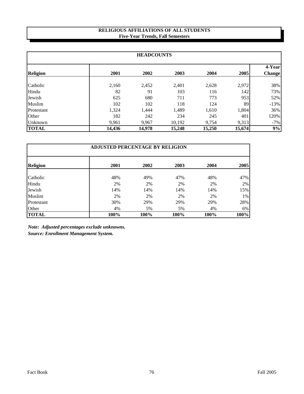### **RELIGIOUS AFFILIATIONS OF ALL STUDENTS Five-Year Trends, Fall Semesters**

| <b>HEADCOUNTS</b> |        |        |        |        |        |                         |  |
|-------------------|--------|--------|--------|--------|--------|-------------------------|--|
| <b>Religion</b>   | 2001   | 2002   | 2003   | 2004   | 2005   | 4-Year<br><b>Change</b> |  |
|                   |        |        |        |        |        |                         |  |
| Catholic          | 2,160  | 2,452  | 2,401  | 2,628  | 2,972  | 38%                     |  |
| Hindu             | 82     | 91     | 103    | 116    | 142    | 73%                     |  |
| Jewish            | 625    | 680    | 711    | 773    | 953    | 52%                     |  |
| Muslim            | 102    | 102    | 118    | 124    | 89     | $-13%$                  |  |
| Protestant        | 1,324  | 1,444  | 1,489  | 1,610  | 1,804  | 36%                     |  |
| Other             | 182    | 242    | 234    | 245    | 401    | 120%                    |  |
| Unknown           | 9,961  | 9,967  | 10,192 | 9,754  | 9,313  | $-7%$                   |  |
| <b>TOTAL</b>      | 14,436 | 14,978 | 15,248 | 15,250 | 15,674 | 9%                      |  |

| <b>ADJUSTED PERCENTAGE BY RELIGION</b> |      |      |      |      |      |  |  |
|----------------------------------------|------|------|------|------|------|--|--|
| <b>Religion</b>                        | 2001 | 2002 | 2003 | 2004 | 2005 |  |  |
| Catholic                               | 48%  | 49%  | 47%  | 48%  | 47%  |  |  |
| Hindu                                  | 2%   | 2%   | 2%   | 2%   | 2%   |  |  |
| Jewish                                 | 14%  | 14%  | 14%  | 14%  | 15%  |  |  |
| Muslim                                 | 2%   | 2%   | 2%   | 2%   | 1%   |  |  |
| Protestant                             | 30%  | 29%  | 29%  | 29%  | 28%  |  |  |
| Other                                  | 4%   | 5%   | 5%   | 4%   | 6%   |  |  |
| <b>TOTAL</b>                           | 100% | 100% | 100% | 100% | 100% |  |  |

*Note: Adjusted percentages exclude unknowns. Source: Enrollment Management System.*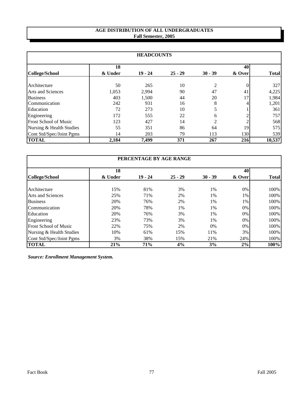# **AGE DISTRIBUTION OF ALL UNDERGRADUATES Fall Semester, 2005**

| <b>HEADCOUNTS</b>            |         |           |           |                |        |              |  |
|------------------------------|---------|-----------|-----------|----------------|--------|--------------|--|
|                              | 18      |           |           |                | 40     |              |  |
| College/School               | & Under | $19 - 24$ | $25 - 29$ | $30 - 39$      | & Over | <b>Total</b> |  |
|                              |         |           |           |                |        |              |  |
| Architecture                 | 50      | 265       | 10        | $\mathfrak{D}$ |        | 327          |  |
| <b>Arts and Sciences</b>     | 1,053   | 2,994     | 90        | 47             | 41     | 4,225        |  |
| <b>Business</b>              | 403     | 1,500     | 44        | 20             | 17     | 1,984        |  |
| Communication                | 242     | 931       | 16        | 8              |        | 1,201        |  |
| Education                    | 72      | 273       | 10        |                |        | 361          |  |
| Engineering                  | 172     | 555       | 22        | 6              |        | 757          |  |
| <b>Frost School of Music</b> | 123     | 427       | 14        | $\mathfrak{D}$ |        | 568          |  |
| Nursing & Health Studies     | 55      | 351       | 86        | 64             | 19     | 575          |  |
| Cont Std/Spec/Joint Pgms     | 14      | 203       | 79        | 113            | 130    | 539          |  |
| <b>TOTAL</b>                 | 2,184   | 7,499     | 371       | 267            | 216    | 10,537       |  |

| PERCENTAGE BY AGE RANGE      |         |           |           |           |        |              |  |  |
|------------------------------|---------|-----------|-----------|-----------|--------|--------------|--|--|
|                              | 18      |           |           |           | 40     |              |  |  |
| College/School               | & Under | $19 - 24$ | $25 - 29$ | $30 - 39$ | & Over | <b>Total</b> |  |  |
|                              |         |           |           |           |        |              |  |  |
| Architecture                 | 15%     | 81%       | 3%        | 1%        | 0%     | 100%         |  |  |
| <b>Arts and Sciences</b>     | 25%     | 71%       | 2%        | 1%        | 1%     | 100%         |  |  |
| <b>Business</b>              | 20%     | 76%       | 2%        | 1%        | 1%     | 100%         |  |  |
| Communication                | 20%     | 78%       | 1%        | 1%        | 0%     | 100%         |  |  |
| Education                    | 20%     | 76%       | 3%        | 1%        | 0%     | 100%         |  |  |
| Engineering                  | 23%     | 73%       | 3%        | 1%        | 0%     | 100%         |  |  |
| <b>Frost School of Music</b> | 22%     | 75%       | 2%        | 0%        | 0%     | 100%         |  |  |
| Nursing & Health Studies     | 10%     | 61%       | 15%       | 11%       | 3%     | 100%         |  |  |
| Cont Std/Spec/Joint Pgms     | 3%      | 38%       | 15%       | 21%       | 24%    | 100%         |  |  |
| <b>TOTAL</b>                 | 21%     | 71%       | 4%        | 3%        | 2%     | 100%         |  |  |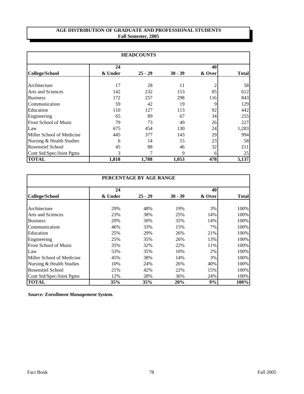# **AGE DISTRIBUTION OF GRADUATE AND PROFESSIONAL STUDENTS Fall Semester, 2005**

| <b>HEADCOUNTS</b>            |         |           |           |        |              |  |  |
|------------------------------|---------|-----------|-----------|--------|--------------|--|--|
|                              | 40      |           |           |        |              |  |  |
| <b>College/School</b>        | & Under | $25 - 29$ | $30 - 39$ | & Over | <b>Total</b> |  |  |
| Architecture                 | 17      | 28        | 11        |        | 58           |  |  |
| <b>Arts and Sciences</b>     | 142     | 232       | 153       | 85     | 612          |  |  |
| <b>Business</b>              | 172     | 257       | 298       | 116    | 843          |  |  |
| Communication                | 59      | 42        | 19        | 9      | 129          |  |  |
| Education                    | 110     | 127       | 113       | 92     | 442          |  |  |
| Engineering                  | 65      | 89        | 67        | 34     | 255          |  |  |
| <b>Frost School of Music</b> | 79      | 73        | 49        | 26     | 227          |  |  |
| Law                          | 675     | 454       | 130       | 24     | 1,283        |  |  |
| Miller School of Medicine    | 445     | 377       | 143       | 29     | 994          |  |  |
| Nursing & Health Studies     | 6       | 14        | 15        | 23     | 58           |  |  |
| <b>Rosenstiel School</b>     | 45      | 88        | 46        | 32     | 211          |  |  |
| Cont Std/Spec/Joint Pgms     | 3       |           | 9         | h      | 25           |  |  |
| <b>TOTAL</b>                 | 1,818   | 1,788     | 1,053     | 478    | 5,137        |  |  |

| PERCENTAGE BY AGE RANGE      |         |           |           |        |              |  |  |
|------------------------------|---------|-----------|-----------|--------|--------------|--|--|
|                              | 24      |           |           | 40     |              |  |  |
| College/School               | & Under | $25 - 29$ | $30 - 39$ | & Over | <b>Total</b> |  |  |
| Architecture                 | 29%     | 48%       | 19%       | 3%     | 100%         |  |  |
| Arts and Sciences            | 23%     | 38%       | 25%       | 14%    | 100%         |  |  |
| <b>Business</b>              | 20%     | 30%       | 35%       | 14%    | 100%         |  |  |
| Communication                | 46%     | 33%       | 15%       | 7%     | 100%         |  |  |
| Education                    | 25%     | 29%       | 26%       | 21%    | 100%         |  |  |
| Engineering                  | 25%     | 35%       | 26%       | 13%    | 100%         |  |  |
| <b>Frost School of Music</b> | 35%     | 32%       | 22%       | 11%    | 100%         |  |  |
| Law                          | 53%     | 35%       | 10%       | 2%     | 100%         |  |  |
| Miller School of Medicine    | 45%     | 38%       | 14%       | 3%     | 100%         |  |  |
| Nursing & Health Studies     | 10%     | 24%       | 26%       | 40%    | 100%         |  |  |
| Rosenstiel School            | 21%     | 42%       | 22%       | 15%    | 100%         |  |  |
| Cont Std/Spec/Joint Pgms     | 12%     | 28%       | 36%       | 24%    | 100%         |  |  |
| <b>TOTAL</b>                 | 35%     | 35%       | 20%       | 9%     | 100%         |  |  |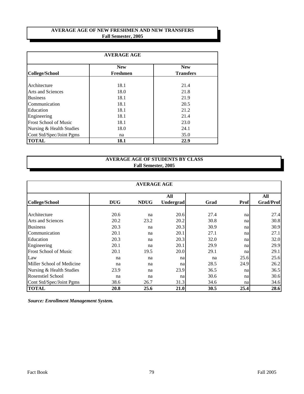### **AVERAGE AGE OF NEW FRESHMEN AND NEW TRANSFERS Fall Semester, 2005**

| <b>AVERAGE AGE</b>           |                               |                                |  |  |  |  |  |  |
|------------------------------|-------------------------------|--------------------------------|--|--|--|--|--|--|
| <b>College/School</b>        | <b>New</b><br><b>Freshmen</b> | <b>New</b><br><b>Transfers</b> |  |  |  |  |  |  |
| Architecture                 | 18.1                          | 21.4                           |  |  |  |  |  |  |
| Arts and Sciences            | 18.0                          | 21.8                           |  |  |  |  |  |  |
| <b>Business</b>              | 18.1                          | 21.9                           |  |  |  |  |  |  |
| Communication                | 18.1                          | 20.5                           |  |  |  |  |  |  |
| Education                    | 18.1                          | 21.2                           |  |  |  |  |  |  |
| Engineering                  | 18.1                          | 21.4                           |  |  |  |  |  |  |
| <b>Frost School of Music</b> | 18.1                          | 23.0                           |  |  |  |  |  |  |
| Nursing & Health Studies     | 18.0                          | 24.1                           |  |  |  |  |  |  |
| Cont Std/Spec/Joint Pgms     | na                            | 35.0                           |  |  |  |  |  |  |
| <b>TOTAL</b>                 | 18.1                          | 22.9                           |  |  |  |  |  |  |

# **AVERAGE AGE OF STUDENTS BY CLASS Fall Semester, 2005**

| <b>AVERAGE AGE</b>           |            |             |                  |      |      |                  |  |  |  |
|------------------------------|------------|-------------|------------------|------|------|------------------|--|--|--|
|                              |            |             | All              |      | All  |                  |  |  |  |
| <b>College/School</b>        | <b>DUG</b> | <b>NDUG</b> | <b>Undergrad</b> | Grad | Prof | <b>Grad/Prof</b> |  |  |  |
| Architecture                 | 20.6       | na          | 20.6             | 27.4 | na   | 27.4             |  |  |  |
| <b>Arts and Sciences</b>     | 20.2       | 23.2        | 20.2             | 30.8 | na   | 30.8             |  |  |  |
| <b>Business</b>              | 20.3       | na          | 20.3             | 30.9 | na   | 30.9             |  |  |  |
| Communication                | 20.1       | na          | 20.1             | 27.1 | na   | 27.1             |  |  |  |
| Education                    | 20.3       | na          | 20.3             | 32.0 | na   | 32.0             |  |  |  |
| Engineering                  | 20.1       | na          | 20.1             | 29.9 | na   | 29.9             |  |  |  |
| <b>Frost School of Music</b> | 20.1       | 19.5        | 20.0             | 29.1 | na   | 29.1             |  |  |  |
| Law                          | na         | na          | na               | na   | 25.6 | 25.6             |  |  |  |
| Miller School of Medicine    | na         | na          | na               | 28.5 | 24.9 | 26.2             |  |  |  |
| Nursing & Health Studies     | 23.9       | na          | 23.9             | 36.5 | na   | 36.5             |  |  |  |
| <b>Rosenstiel School</b>     | na         | na          | na               | 30.6 | na   | 30.6             |  |  |  |
| Cont Std/Spec/Joint Pgms     | 38.6       | 26.7        | 31.3             | 34.6 | na   | 34.6             |  |  |  |
| <b>TOTAL</b>                 | 20.8       | 25.6        | 21.0             | 30.5 | 25.4 | 28.6             |  |  |  |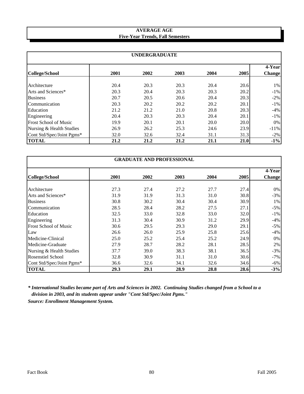## **Five-Year Trends, Fall Semesters AVERAGE AGE**

| <b>UNDERGRADUATE</b>         |      |      |      |      |      |                         |  |  |  |
|------------------------------|------|------|------|------|------|-------------------------|--|--|--|
| <b>College/School</b>        | 2001 | 2002 | 2003 | 2004 | 2005 | 4-Year<br><b>Change</b> |  |  |  |
| Architecture                 | 20.4 | 20.3 | 20.3 | 20.4 | 20.6 | $1\%$                   |  |  |  |
| Arts and Sciences*           | 20.3 | 20.4 | 20.3 | 20.3 | 20.2 | $-1\%$                  |  |  |  |
| <b>Business</b>              | 20.7 | 20.5 | 20.6 | 20.4 | 20.3 | $-2\%$                  |  |  |  |
| Communication                | 20.3 | 20.2 | 20.2 | 20.2 | 20.1 | $-1\%$                  |  |  |  |
| Education                    | 21.2 | 21.2 | 21.0 | 20.8 | 20.3 | $-4%$                   |  |  |  |
| Engineering                  | 20.4 | 20.3 | 20.3 | 20.4 | 20.1 | $-1\%$                  |  |  |  |
| <b>Frost School of Music</b> | 19.9 | 20.1 | 20.1 | 20.0 | 20.0 | $0\%$                   |  |  |  |
| Nursing & Health Studies     | 26.9 | 26.2 | 25.3 | 24.6 | 23.9 | $-11%$                  |  |  |  |
| Cont Std/Spec/Joint Pgms*    | 32.0 | 32.6 | 32.4 | 31.1 | 31.3 | $-2%$                   |  |  |  |
| <b>TOTAL</b>                 | 21.2 | 21.2 | 21.2 | 21.1 | 21.0 | $-1\%$                  |  |  |  |

| <b>GRADUATE AND PROFESSIONAL</b> |      |      |      |      |      |                         |  |  |  |
|----------------------------------|------|------|------|------|------|-------------------------|--|--|--|
| <b>College/School</b>            | 2001 | 2002 | 2003 | 2004 | 2005 | 4-Year<br><b>Change</b> |  |  |  |
|                                  |      |      |      |      |      |                         |  |  |  |
| Architecture                     | 27.3 | 27.4 | 27.2 | 27.7 | 27.4 | $0\%$                   |  |  |  |
| Arts and Sciences*               | 31.9 | 31.9 | 31.3 | 31.0 | 30.8 | $-3%$                   |  |  |  |
| <b>Business</b>                  | 30.8 | 30.2 | 30.4 | 30.4 | 30.9 | 1%                      |  |  |  |
| Communication                    | 28.5 | 28.4 | 28.2 | 27.5 | 27.1 | $-5%$                   |  |  |  |
| Education                        | 32.5 | 33.0 | 32.8 | 33.0 | 32.0 | $-1\%$                  |  |  |  |
| Engineering                      | 31.3 | 30.4 | 30.9 | 31.2 | 29.9 | $-4%$                   |  |  |  |
| <b>Frost School of Music</b>     | 30.6 | 29.5 | 29.3 | 29.0 | 29.1 | $-5%$                   |  |  |  |
| Law                              | 26.6 | 26.0 | 25.9 | 25.8 | 25.6 | $-4%$                   |  |  |  |
| Medicine-Clinical                | 25.0 | 25.2 | 25.4 | 25.2 | 24.9 | $0\%$                   |  |  |  |
| Medicine-Graduate                | 27.9 | 28.7 | 28.2 | 28.1 | 28.5 | 2%                      |  |  |  |
| Nursing & Health Studies         | 37.7 | 39.0 | 38.3 | 38.1 | 36.5 | $-3%$                   |  |  |  |
| <b>Rosenstiel School</b>         | 32.8 | 30.9 | 31.1 | 31.0 | 30.6 | $-7\%$                  |  |  |  |
| Cont Std/Spec/Joint Pgms*        | 36.6 | 32.6 | 34.1 | 32.6 | 34.6 | $-6\%$                  |  |  |  |
| <b>TOTAL</b>                     | 29.3 | 29.1 | 28.9 | 28.8 | 28.6 | $-3%$                   |  |  |  |

*\* International Studies became part of Arts and Sciences in 2002. Continuing Studies changed from a School to a division in 2003, and its students appear under "Cont Std/Spec/Joint Pgms."*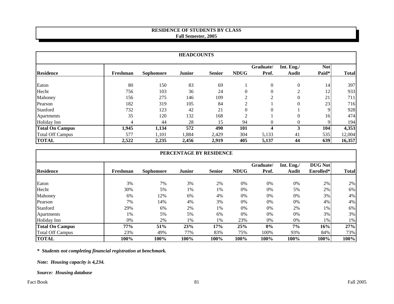# **RESIDENCE OF STUDENTS BY CLASS Fall Semester, 2005**

| <b>HEADCOUNTS</b>       |          |                  |               |               |                |           |                |             |              |
|-------------------------|----------|------------------|---------------|---------------|----------------|-----------|----------------|-------------|--------------|
|                         |          |                  |               |               |                | Graduate/ | Int. Eng./     | <b>Not</b>  |              |
| <b>Residence</b>        | Freshman | <b>Sophomore</b> | <b>Junior</b> | <b>Senior</b> | <b>NDUG</b>    | Prof.     | <b>Audit</b>   | Paid*       | <b>Total</b> |
| Eaton                   | 80       | 150              | 83            | 69            |                | $\theta$  | $\mathbf{0}$   | 14          | 397          |
| Hecht                   | 756      | 103              | 36            | 24            |                |           | $\overline{2}$ | 12          | 933          |
| Mahoney                 | 156      | 275              | 146           | 109           | $\bigcap$      | $\Omega$  | $\theta$       | 21          | 711          |
| Pearson                 | 182      | 319              | 105           | 84            | $\overline{2}$ |           | $\theta$       | 23          | 716          |
| Stanford                | 732      | 123              | 42            | 21            | 0              | $\Omega$  |                | $\mathbf Q$ | 928          |
| Apartments              | 35       | 120              | 132           | 168           | $\overline{2}$ |           | $\Omega$       | 16          | 474          |
| Holiday Inn             | 4        | 44               | 28            | 15            | 94             | $\theta$  | $\Omega$       | Q           | 194          |
| <b>Total On Campus</b>  | 1,945    | 1,134            | 572           | 490           | 101            | 4         | 3              | 104         | 4,353        |
| <b>Total Off Campus</b> | 577      | 1,101            | 1,884         | 2,429         | 304            | 5,133     | 41             | 535         | 12,004       |
| <b>TOTAL</b>            | 2,522    | 2,235            | 2,456         | 2,919         | 405            | 5,137     | 44             | 639         | 16,357       |

|                         | PERCENTAGE BY RESIDENCE |                  |               |               |             |           |            |                |              |  |
|-------------------------|-------------------------|------------------|---------------|---------------|-------------|-----------|------------|----------------|--------------|--|
|                         |                         |                  |               |               |             | Graduate/ | Int. Eng./ | <b>DUG Not</b> |              |  |
| <b>Residence</b>        | Freshman                | <b>Sophomore</b> | <b>Junior</b> | <b>Senior</b> | <b>NDUG</b> | Prof.     | Audit      | Enrolled*      | <b>Total</b> |  |
| Eaton                   | 3%                      | 7%               | 3%            | 2%            | $0\%$       | 0%        | 0%         | 2%             | 2%           |  |
| Hecht                   | 30%                     | 5%               | 1%            | 1%            | 0%          | 0%        | 5%         | 2%             | 6%           |  |
| Mahoney                 | 6%                      | 12%              | 6%            | 4%            | 0%          | 0%        | 0%         | 3%             | 4%           |  |
| Pearson                 | 7%                      | 14%              | 4%            | 3%            | 0%          | 0%        | 0%         | 4%             | 4%           |  |
| Stanford                | 29%                     | 6%               | 2%            | 1%            | $0\%$       | 0%        | 2%         | 1%             | 6%           |  |
| Apartments              | 1%                      | 5%               | 5%            | 6%            | 0%          | $0\%$     | 0%         | 3%             | 3%           |  |
| Holiday Inn             | $0\%$                   | 2%               | 1%            | 1%            | 23%         | 0%        | $0\%$      | $1\%$          | 1%           |  |
| <b>Total On Campus</b>  | 77%                     | 51%              | 23%           | 17%           | 25%         | $0\%$     | 7%         | 16%            | 27%          |  |
| <b>Total Off Campus</b> | 23%                     | 49%              | 77%           | 83%           | 75%         | 100%      | 93%        | 84%            | 73%          |  |
| <b>TOTAL</b>            | 100%                    | 100%             | 100%          | 100%          | 100%        | 100%      | 100%       | 100%           | 100%         |  |

*\* Students not completing financial registration at benchmark.*

*Note: Housing capacity is 4,234.*

*Source: Housing database*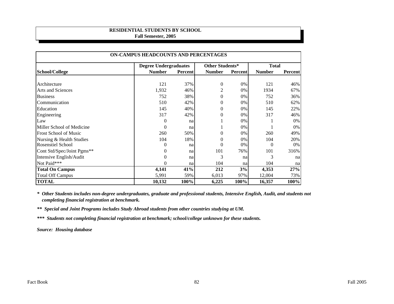#### **RESIDENTIAL STUDENTS BY SCHOOL Fall Semester, 2005**

|                              | ON-CAMPUS HEADCOUNTS AND PERCENTAGES |                |                  |         |               |                |  |  |  |  |
|------------------------------|--------------------------------------|----------------|------------------|---------|---------------|----------------|--|--|--|--|
|                              | <b>Degree Undergraduates</b>         |                | Other Students*  |         | <b>Total</b>  |                |  |  |  |  |
| School/College               | <b>Number</b>                        | <b>Percent</b> | <b>Number</b>    | Percent | <b>Number</b> | <b>Percent</b> |  |  |  |  |
|                              |                                      |                |                  |         |               |                |  |  |  |  |
| Architecture                 | 121                                  | 37%            | $\boldsymbol{0}$ | 0%      | 121           | 46%            |  |  |  |  |
| <b>Arts and Sciences</b>     | 1,932                                | 46%            | 2                | 0%      | 1934          | 67%            |  |  |  |  |
| <b>Business</b>              | 752                                  | 38%            | $\mathbf{0}$     | 0%      | 752           | 36%            |  |  |  |  |
| Communication                | 510                                  | 42%            | 0                | 0%      | 510           | 62%            |  |  |  |  |
| Education                    | 145                                  | 40%            | $\overline{0}$   | $0\%$   | 145           | 22%            |  |  |  |  |
| Engineering                  | 317                                  | 42%            | $\boldsymbol{0}$ | 0%      | 317           | 46%            |  |  |  |  |
| Law                          | $\theta$                             | na             |                  | 0%      |               | 0%             |  |  |  |  |
| Miller School of Medicine    | $\mathbf{0}$                         | na             |                  | $0\%$   |               | 0%             |  |  |  |  |
| <b>Frost School of Music</b> | 260                                  | 50%            | 0                | 0%      | 260           | 49%            |  |  |  |  |
| Nursing & Health Studies     | 104                                  | 18%            | 0                | 0%      | 104           | 20%            |  |  |  |  |
| <b>Rosenstiel School</b>     | $\theta$                             | na             | 0                | 0%      | $\theta$      | 0%             |  |  |  |  |
| Cont Std/Spec/Joint Pgms**   | $\theta$                             | na             | 101              | 76%     | 101           | 316%           |  |  |  |  |
| Intensive English/Audit      | $\theta$                             | na             | 3                | na      | 3             | na             |  |  |  |  |
| Not Paid***                  | $\Omega$                             | na             | 104              | na      | 104           | na             |  |  |  |  |
| <b>Total On Campus</b>       | 4,141                                | 41%            | 212              | 3%      | 4,353         | 27%            |  |  |  |  |
| <b>Total Off Campus</b>      | 5,991                                | 59%            | 6,013            | 97%     | 12,004        | 73%            |  |  |  |  |
| <b>TOTAL</b>                 | 10,132                               | 100%           | 6,225            | 100%    | 16,357        | 100%           |  |  |  |  |

*\* Other Students includes non-degree undergraduates, graduate and professional students, Intensive English, Audit, and students not completing financial registration at benchmark.*

*\*\* Special and Joint Programs includes Study Abroad students from other countries studying at UM.*

*\*\*\* Students not completing financial registration at benchmark; school/college unknown for these students.*

*Source: Housing database*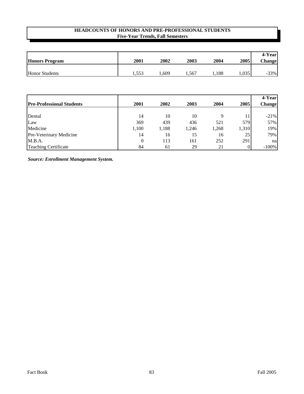# **Five-Year Trends, Fall Semesters HEADCOUNTS OF HONORS AND PRE-PROFESSIONAL STUDENTS**

| <b>Honors Program</b> | 2001  | 2002  | 2003  | 2004  | 2005  | 4-Year<br><b>Change</b> |
|-----------------------|-------|-------|-------|-------|-------|-------------------------|
| <b>Honor Students</b> | 1,553 | .,609 | 1,567 | 1,188 | 1,035 | $-33%$                  |

|                                  |                |       |       |       |       | 4-Year        |
|----------------------------------|----------------|-------|-------|-------|-------|---------------|
| <b>Pre-Professional Students</b> | 2001           | 2002  | 2003  | 2004  | 2005  | <b>Change</b> |
|                                  |                |       |       |       |       |               |
| Dental                           | 14             | 10    | 10    | q     |       | $-21\%$       |
| Law                              | 369            | 439   | 436   | 521   | 579   | 57%           |
| Medicine                         | 1,100          | 1,188 | 1,246 | 1,268 | 1,310 | 19%           |
| Pre-Veterinary Medicine          | 14             | 16    | 15    | 16    | 25    | 79%           |
| M.B.A.                           | $\overline{0}$ | 113   | 161   | 252   | 291   | nal           |
| <b>Teaching Certificate</b>      | 84             | 61    | 29    | 21    |       | $-100%$       |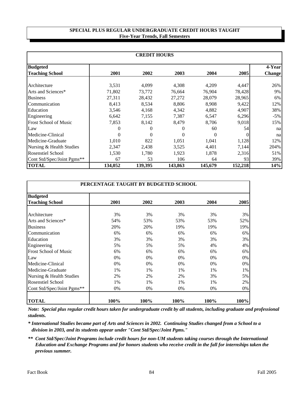#### **SPECIAL PLUS REGULAR UNDERGRADUATE CREDIT HOURS TAUGHT Five-Year Trends, Fall Semesters**

| <b>CREDIT HOURS</b>          |          |                |          |          |         |               |  |  |  |
|------------------------------|----------|----------------|----------|----------|---------|---------------|--|--|--|
| <b>Budgeted</b>              |          |                |          |          |         | 4-Year        |  |  |  |
| <b>Teaching School</b>       | 2001     | 2002           | 2003     | 2004     | 2005    | <b>Change</b> |  |  |  |
| Architecture                 | 3,531    | 4,099          | 4,308    | 4,209    | 4,447   | 26%           |  |  |  |
| Arts and Sciences*           | 71,802   | 73,772         | 76,664   | 76,904   | 78,428  | $9\%$         |  |  |  |
| <b>Business</b>              | 27,311   | 28,432         | 27,272   | 28,079   | 28,965  | $6\%$         |  |  |  |
| Communication                | 8,413    | 8,534          | 8,806    | 8,908    | 9,422   | 12%           |  |  |  |
| Education                    | 3,546    | 4,168          | 4,342    | 4,882    | 4,907   | 38%           |  |  |  |
| Engineering                  | 6,642    | 7,155          | 7,387    | 6,547    | 6,296   | $-5%$         |  |  |  |
| <b>Frost School of Music</b> | 7,853    | 8,142          | 8,479    | 8,706    | 9,018   | 15%           |  |  |  |
| Law                          | 0        | $\overline{0}$ | $\Omega$ | 60       | 54      | na            |  |  |  |
| Medicine-Clinical            | $\Omega$ | $\theta$       | $\Omega$ | $\Omega$ | 0       | na            |  |  |  |
| Medicine-Graduate            | 1,010    | 822            | 1,051    | 1,041    | 1,128   | 12%           |  |  |  |
| Nursing & Health Studies     | 2,347    | 2,438          | 3,525    | 4,401    | 7,144   | 204%          |  |  |  |
| <b>Rosenstiel School</b>     | 1,530    | 1,780          | 1,923    | 1,878    | 2,316   | 51%           |  |  |  |
| Cont Std/Spec/Joint Pgms**   | 67       | 53             | 106      | 64       | 93      | 39%           |  |  |  |
| <b>TOTAL</b>                 | 134,052  | 139,395        | 143,863  | 145,679  | 152,218 | 14%           |  |  |  |

|                              | PERCENTAGE TAUGHT BY BUDGETED SCHOOL |      |      |      |      |
|------------------------------|--------------------------------------|------|------|------|------|
| <b>Budgeted</b>              |                                      |      |      |      |      |
| <b>Teaching School</b>       | 2001                                 | 2002 | 2003 | 2004 | 2005 |
|                              |                                      |      |      |      |      |
| Architecture                 | 3%                                   | 3%   | 3%   | 3%   | 3%   |
| Arts and Sciences*           | 54%                                  | 53%  | 53%  | 53%  | 52%  |
| <b>Business</b>              | 20%                                  | 20%  | 19%  | 19%  | 19%  |
| Communication                | 6%                                   | 6%   | 6%   | 6%   | 6%   |
| Education                    | 3%                                   | 3%   | 3%   | 3%   | 3%   |
| Engineering                  | 5%                                   | 5%   | 5%   | 4%   | 4%   |
| <b>Frost School of Music</b> | 6%                                   | 6%   | 6%   | 6%   | 6%   |
| Law                          | 0%                                   | 0%   | 0%   | 0%   | 0%   |
| Medicine-Clinical            | 0%                                   | 0%   | 0%   | 0%   | 0%   |
| Medicine-Graduate            | 1%                                   | 1%   | 1%   | 1%   | 1%   |
| Nursing & Health Studies     | 2%                                   | 2%   | 2%   | 3%   | 5%   |
| <b>Rosenstiel School</b>     | 1%                                   | 1%   | 1%   | 1%   | 2%   |
| Cont Std/Spec/Joint Pgms**   | 0%                                   | 0%   | 0%   | 0%   | 0%   |
| <b>TOTAL</b>                 | 100%                                 | 100% | 100% | 100% | 100% |

*Note: Special plus regular credit hours taken for undergraduate credit by all students, including graduate and professional students.*

*\* International Studies became part of Arts and Sciences in 2002. Continuing Studies changed from a School to a division in 2003, and its students appear under "Cont Std/Spec/Joint Pgms."*

*\*\* Cont Std/Spec/Joint Programs include credit hours for non-UM students taking courses through the International Education and Exchange Programs and for honors students who receive credit in the fall for internships taken the previous summer.*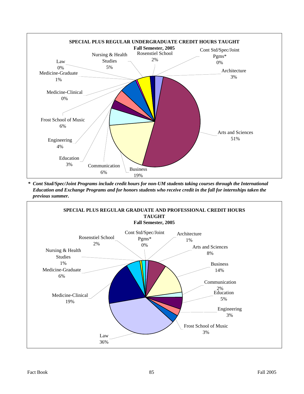

*\* Cont Stud/Spec/Joint Programs include credit hours for non-UM students taking courses through the International Education and Exchange Programs and for honors students who receive credit in the fall for internships taken the previous summer.*

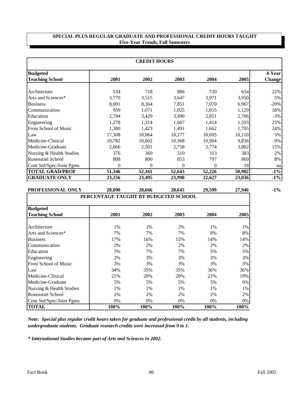### **SPECIAL PLUS REGULAR GRADUATE AND PROFESSIONAL CREDIT HOURS TAUGHT Five-Year Trends, Fall Semesters**

| <b>CREDIT HOURS</b>          |          |                |          |          |        |               |  |  |  |
|------------------------------|----------|----------------|----------|----------|--------|---------------|--|--|--|
| <b>Budgeted</b>              |          |                |          |          |        | 4-Year        |  |  |  |
| <b>Teaching School</b>       | 2001     | 2002           | 2003     | 2004     | 2005   | <b>Change</b> |  |  |  |
| Architecture                 | 534      | 718            | 886      | 720      | 654    | 22%           |  |  |  |
| Arts and Sciences*           | 3,770    | 3,515          | 3,647    | 3,971    | 3,950  | 5%            |  |  |  |
| <b>Business</b>              | 8,691    | 8,364          | 7,851    | 7,070    | 6,967  | $-20%$        |  |  |  |
| Communication                | 959      | 1,071          | 1,025    | 1,055    | 1,129  | 18%           |  |  |  |
| Education                    | 2,794    | 3,429          | 3,490    | 2,851    | 2,706  | $-3\%$        |  |  |  |
| Engineering                  | 1,278    | 1,314          | 1,687    | 1,414    | 1,593  | 25%           |  |  |  |
| <b>Frost School of Music</b> | 1,380    | 1,423          | 1,491    | 1,662    | 1,705  | 24%           |  |  |  |
| Law                          | 17,308   | 18,064         | 18,277   | 18,695   | 18,110 | 5%            |  |  |  |
| Medicine-Clinical            | 10,782   | 10,602         | 10,368   | 10,904   | 9,836  | $-9\%$        |  |  |  |
| Medicine-Graduate            | 2,666    | 2,501          | 2,758    | 2,774    | 3,062  | 15%           |  |  |  |
| Nursing & Health Studies     | 376      | 360            | 310      | 313      | 383    | 2%            |  |  |  |
| <b>Rosenstiel School</b>     | 808      | 800            | 853      | 797      | 869    | 8%            |  |  |  |
| Cont Std/Spec/Joint Pgms     | $\theta$ | $\overline{0}$ | $\theta$ | $\theta$ | 18     | na            |  |  |  |
| <b>TOTAL GRAD/PROF</b>       | 51,346   | 52,161         | 52,643   | 52,226   | 50,982 | $-1\%$        |  |  |  |
| <b>GRADUATE ONLY</b>         | 23,256   | 23,495         | 23,998   | 22,627   | 23,036 | $-1\%$        |  |  |  |

| PROFESSIONAL ONLY            | 28,090                               | 28,666 | 28,645 | 29,599 | 27,946 |
|------------------------------|--------------------------------------|--------|--------|--------|--------|
|                              | PERCENTAGE TAUGHT BY BUDGETED SCHOOL |        |        |        |        |
| <b>Budgeted</b>              |                                      |        |        |        |        |
| <b>Teaching School</b>       | 2001                                 | 2002   | 2003   | 2004   | 2005   |
| Architecture                 | 1%                                   | 1%     | 2%     | 1%     | 1%     |
| Arts and Sciences*           | 7%                                   | 7%     | 7%     | 8%     | 8%     |
| <b>Business</b>              | 17%                                  | 16%    | 15%    | 14%    | 14%    |
| Communication                | 2%                                   | 2%     | 2%     | 2%     | 2%     |
| Education                    | 5%                                   | 7%     | 7%     | 5%     | 5%     |
| Engineering                  | 2%                                   | 3%     | 3%     | 3%     | 3%     |
| <b>Frost School of Music</b> | 3%                                   | 3%     | 3%     | 3%     | 3%     |
| Law                          | 34%                                  | 35%    | 35%    | 36%    | 36%    |
| Medicine-Clinical            | 21%                                  | 20%    | 20%    | 21%    | 19%    |
| Medicine-Graduate            | 5%                                   | 5%     | 5%     | 5%     | 6%     |
| Nursing & Health Studies     | 1%                                   | 1%     | 1%     | 1%     | 1%     |
| <b>Rosenstiel School</b>     | 2%                                   | 2%     | 2%     | 2%     | 2%     |
| Cont Std/Spec/Joint Pgms     | 0%                                   | 0%     | 0%     | $0\%$  | 0%     |
| <b>TOTAL</b>                 | 100%                                 | 100%   | 100%   | 100%   | 100%   |

*undergraduate students. Graduate research credits were increased from 0 to 1. Note: Special plus regular credit hours taken for graduate and professional credit by all students, including* 

*\* International Studies became part of Arts and Sciences in 2002.*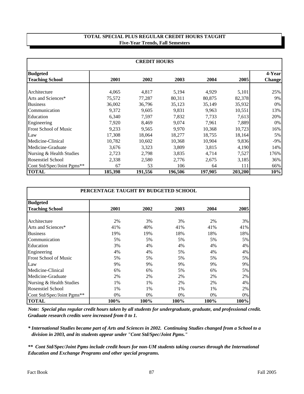#### **TOTAL SPECIAL PLUS REGULAR CREDIT HOURS TAUGHT Five-Year Trends, Fall Semesters**

| <b>CREDIT HOURS</b>                       |         |         |         |         |         |                         |  |
|-------------------------------------------|---------|---------|---------|---------|---------|-------------------------|--|
| <b>Budgeted</b><br><b>Teaching School</b> | 2001    | 2002    | 2003    | 2004    | 2005    | 4-Year<br><b>Change</b> |  |
|                                           |         |         |         |         |         |                         |  |
| Architecture                              | 4,065   | 4,817   | 5,194   | 4,929   | 5,101   | 25%                     |  |
| Arts and Sciences*                        | 75,572  | 77,287  | 80,311  | 80,875  | 82,378  | $9\%$                   |  |
| <b>Business</b>                           | 36,002  | 36,796  | 35,123  | 35,149  | 35,932  | $0\%$                   |  |
| Communication                             | 9,372   | 9,605   | 9,831   | 9,963   | 10,551  | 13%                     |  |
| Education                                 | 6,340   | 7,597   | 7,832   | 7,733   | 7,613   | 20%                     |  |
| Engineering                               | 7,920   | 8,469   | 9.074   | 7.961   | 7,889   | $0\%$                   |  |
| Frost School of Music                     | 9,233   | 9,565   | 9,970   | 10,368  | 10,723  | 16%                     |  |
| Law                                       | 17,308  | 18,064  | 18,277  | 18,755  | 18,164  | $5\%$                   |  |
| Medicine-Clinical                         | 10,782  | 10,602  | 10,368  | 10,904  | 9,836   | $-9\%$                  |  |
| Medicine-Graduate                         | 3,676   | 3,323   | 3,809   | 3,815   | 4,190   | 14%                     |  |
| Nursing & Health Studies                  | 2,723   | 2,798   | 3,835   | 4,714   | 7,527   | 176%                    |  |
| <b>Rosenstiel School</b>                  | 2,338   | 2,580   | 2,776   | 2,675   | 3,185   | 36%                     |  |
| Cont Std/Spec/Joint Pgms**                | 67      | 53      | 106     | 64      | 111     | 66%                     |  |
| <b>TOTAL</b>                              | 185,398 | 191,556 | 196.506 | 197,905 | 203,200 | 10%                     |  |

| PERCENTAGE TAUGHT BY BUDGETED SCHOOL |      |       |       |      |      |  |  |
|--------------------------------------|------|-------|-------|------|------|--|--|
| <b>Budgeted</b>                      |      |       |       |      |      |  |  |
| <b>Teaching School</b>               | 2001 | 2002  | 2003  | 2004 | 2005 |  |  |
| Architecture                         | 2%   | 3%    | 3%    | 2%   | 3%   |  |  |
| Arts and Sciences*                   | 41%  | 40%   | 41%   | 41%  | 41%  |  |  |
| <b>Business</b>                      | 19%  | 19%   | 18%   | 18%  | 18%  |  |  |
| Communication                        | 5%   | 5%    | 5%    | 5%   | 5%   |  |  |
| Education                            | 3%   | 4%    | 4%    | 4%   | 4%   |  |  |
| Engineering                          | 4%   | 4%    | 5%    | 4%   | 4%   |  |  |
| <b>Frost School of Music</b>         | 5%   | 5%    | 5%    | 5%   | 5%   |  |  |
| Law                                  | 9%   | 9%    | 9%    | 9%   | 9%   |  |  |
| Medicine-Clinical                    | 6%   | 6%    | 5%    | 6%   | 5%   |  |  |
| Medicine-Graduate                    | 2%   | 2%    | 2%    | 2%   | 2%   |  |  |
| Nursing & Health Studies             | 1%   | 1%    | 2%    | 2%   | 4%   |  |  |
| Rosenstiel School                    | 1%   | $1\%$ | 1%    | 1%   | 2%   |  |  |
| Cont Std/Spec/Joint Pgms**           | 0%   | $0\%$ | $0\%$ | 0%   | 0%   |  |  |
| <b>TOTAL</b>                         | 100% | 100%  | 100%  | 100% | 100% |  |  |

*Note: Special plus regular credit hours taken by all students for undergraduate, graduate, and professional credit. Graduate research credits were increased from 0 to 1.*

*\* International Studies became part of Arts and Sciences in 2002. Continuing Studies changed from a School to a division in 2003, and its students appear under "Cont Std/Spec/Joint Pgms."*

*\*\* Cont Std/Spec/Joint Pgms include credit hours for non-UM students taking courses through the International Education and Exchange Programs and other special programs.*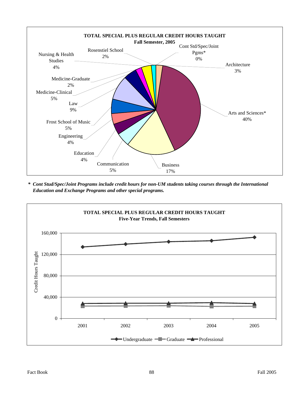

*\* Cont Stud/Spec/Joint Programs include credit hours for non-UM students taking courses through the International Education and Exchange Programs and other special programs.*

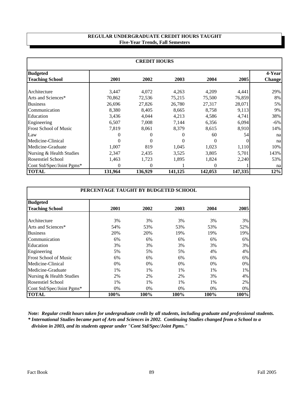### **Five-Year Trends, Fall Semesters REGULAR UNDERGRADUATE CREDIT HOURS TAUGHT**

| <b>CREDIT HOURS</b>          |          |                |          |          |          |               |  |
|------------------------------|----------|----------------|----------|----------|----------|---------------|--|
| <b>Budgeted</b>              |          |                |          |          |          | 4-Year        |  |
| <b>Teaching School</b>       | 2001     | 2002           | 2003     | 2004     | 2005     | <b>Change</b> |  |
| Architecture                 | 3,447    | 4,072          | 4,263    | 4,209    | 4,441    | 29%           |  |
| Arts and Sciences*           | 70,862   | 72,536         | 75,215   | 75,500   | 76,859   | 8%            |  |
| <b>Business</b>              | 26,696   | 27,826         | 26,780   | 27,317   | 28,071   | $5\%$         |  |
| Communication                | 8,380    | 8,405          | 8,665    | 8,758    | 9,113    | $9\%$         |  |
| Education                    | 3,436    | 4,044          | 4,213    | 4,586    | 4,741    | 38%           |  |
| Engineering                  | 6,507    | 7,008          | 7,144    | 6,356    | 6,094    | $-6\%$        |  |
| <b>Frost School of Music</b> | 7,819    | 8,061          | 8,379    | 8,615    | 8,910    | 14%           |  |
| Law                          | $\theta$ | $\overline{0}$ | $\Omega$ | 60       | 54       | na            |  |
| Medicine-Clinical            | $\Omega$ | $\Omega$       | $\Omega$ | $\Omega$ | $\theta$ | na            |  |
| Medicine-Graduate            | 1,007    | 819            | 1,045    | 1,023    | 1,110    | 10%           |  |
| Nursing & Health Studies     | 2,347    | 2,435          | 3,525    | 3,805    | 5,701    | 143%          |  |
| <b>Rosenstiel School</b>     | 1,463    | 1,723          | 1,895    | 1,824    | 2,240    | 53%           |  |
| Cont Std/Spec/Joint Pgms*    | 0        | $\Omega$       |          | 0        |          | na            |  |
| <b>TOTAL</b>                 | 131,964  | 136,929        | 141,125  | 142,053  | 147,335  | 12%           |  |

| PERCENTAGE TAUGHT BY BUDGETED SCHOOL |      |      |      |       |      |  |  |
|--------------------------------------|------|------|------|-------|------|--|--|
| <b>Budgeted</b>                      |      |      |      |       |      |  |  |
| <b>Teaching School</b>               | 2001 | 2002 | 2003 | 2004  | 2005 |  |  |
| Architecture                         | 3%   | 3%   | 3%   | 3%    | 3%   |  |  |
| Arts and Sciences*                   | 54%  | 53%  | 53%  | 53%   | 52%  |  |  |
| <b>Business</b>                      | 20%  | 20%  | 19%  | 19%   | 19%  |  |  |
| Communication                        | 6%   | 6%   | 6%   | 6%    | 6%   |  |  |
| Education                            | 3%   | 3%   | 3%   | 3%    | 3%   |  |  |
| Engineering                          | 5%   | 5%   | 5%   | 4%    | 4%   |  |  |
| <b>Frost School of Music</b>         | 6%   | 6%   | 6%   | 6%    | 6%   |  |  |
| Medicine-Clinical                    | 0%   | 0%   | 0%   | $0\%$ | 0%   |  |  |
| Medicine-Graduate                    | 1%   | 1%   | 1%   | 1%    | 1%   |  |  |
| Nursing & Health Studies             | 2%   | 2%   | 2%   | 3%    | 4%   |  |  |
| <b>Rosenstiel School</b>             | 1%   | 1%   | 1%   | 1%    | 2%   |  |  |
| Cont Std/Spec/Joint Pgms*            | 0%   | 0%   | 0%   | 0%    | 0%   |  |  |
| <b>TOTAL</b>                         | 100% | 100% | 100% | 100%  | 100% |  |  |

*\* International Studies became part of Arts and Sciences in 2002. Continuing Studies changed from a School to a division in 2003, and its students appear under "Cont Std/Spec/Joint Pgms." Note: Regular credit hours taken for undergraduate credit by all students, including graduate and professional students.*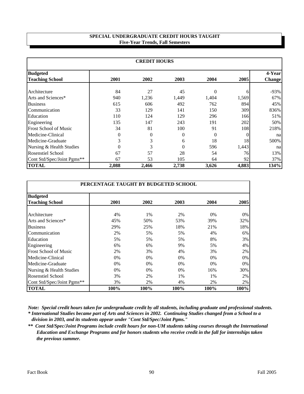### **SPECIAL UNDERGRADUATE CREDIT HOURS TAUGHT Five-Year Trends, Fall Semesters**

| <b>CREDIT HOURS</b>                       |          |          |          |          |          |                          |  |
|-------------------------------------------|----------|----------|----------|----------|----------|--------------------------|--|
| <b>Budgeted</b><br><b>Teaching School</b> | 2001     | 2002     | 2003     | 2004     | 2005     | 4-Yearl<br><b>Change</b> |  |
|                                           |          |          |          |          |          |                          |  |
| Architecture                              | 84       | 27       | 45       | 0        | 6        | $-93%$                   |  |
| Arts and Sciences*                        | 940      | 1,236    | 1,449    | 1,404    | 1,569    | 67%                      |  |
| <b>Business</b>                           | 615      | 606      | 492      | 762      | 894      | 45%                      |  |
| Communication                             | 33       | 129      | 141      | 150      | 309      | 836%                     |  |
| Education                                 | 110      | 124      | 129      | 296      | 166      | 51%                      |  |
| Engineering                               | 135      | 147      | 243      | 191      | 202      | 50%                      |  |
| <b>Frost School of Music</b>              | 34       | 81       | 100      | 91       | 108      | 218%                     |  |
| Medicine-Clinical                         | $\theta$ | $\theta$ | $\Omega$ | $\theta$ | $\Omega$ | na                       |  |
| Medicine-Graduate                         | 3        | 3        | 6        | 18       | 18       | 500%                     |  |
| Nursing & Health Studies                  | $\Omega$ | 3        | $\Omega$ | 596      | 1,443    | na                       |  |
| <b>Rosenstiel School</b>                  | 67       | 57       | 28       | 54       | 76       | 13%                      |  |
| Cont Std/Spec/Joint Pgms**                | 67       | 53       | 105      | 64       | 92       | 37%                      |  |
| <b>TOTAL</b>                              | 2,088    | 2,466    | 2,738    | 3,626    | 4,883    | 134%                     |  |

| PERCENTAGE TAUGHT BY BUDGETED SCHOOL |      |       |       |       |      |  |  |
|--------------------------------------|------|-------|-------|-------|------|--|--|
| <b>Budgeted</b>                      |      |       |       |       |      |  |  |
| <b>Teaching School</b>               | 2001 | 2002  | 2003  | 2004  | 2005 |  |  |
| Architecture                         | 4%   | 1%    | 2%    | 0%    | 0%   |  |  |
| Arts and Sciences*                   | 45%  | 50%   | 53%   | 39%   | 32%  |  |  |
| <b>Business</b>                      | 29%  | 25%   | 18%   | 21%   | 18%  |  |  |
| Communication                        | 2%   | 5%    | 5%    | 4%    | 6%   |  |  |
| Education                            | 5%   | 5%    | 5%    | 8%    | 3%   |  |  |
| Engineering                          | 6%   | 6%    | 9%    | 5%    | 4%   |  |  |
| <b>Frost School of Music</b>         | 2%   | 3%    | 4%    | 3%    | 2%   |  |  |
| Medicine-Clinical                    | 0%   | $0\%$ | $0\%$ | $0\%$ | 0%   |  |  |
| Medicine-Graduate                    | 0%   | $0\%$ | 0%    | 0%    | 0%   |  |  |
| Nursing & Health Studies             | 0%   | $0\%$ | 0%    | 16%   | 30%  |  |  |
| Rosenstiel School                    | 3%   | 2%    | 1%    | 1%    | 2%   |  |  |
| Cont Std/Spec/Joint Pgms**           | 3%   | 2%    | 4%    | 2%    | 2%   |  |  |
| <b>TOTAL</b>                         | 100% | 100%  | 100%  | 100%  | 100% |  |  |

*\* International Studies became part of Arts and Sciences in 2002. Continuing Studies changed from a School to a division in 2003, and its students appear under "Cont Std/Spec/Joint Pgms." Note: Special credit hours taken for undergraduate credit by all students, including graduate and professional students.*

*\*\* Cont Std/Spec/Joint Programs include credit hours for non-UM students taking courses through the International Education and Exchange Programs and for honors students who receive credit in the fall for internships taken the previous summer.*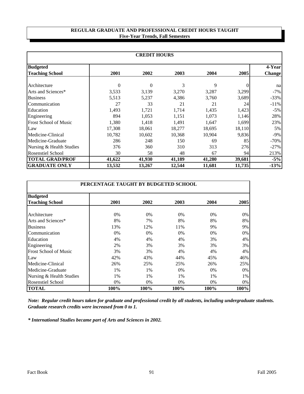#### **REGULAR GRADUATE AND PROFESSIONAL CREDIT HOURS TAUGHT Five-Year Trends, Fall Semesters**

| <b>CREDIT HOURS</b>          |          |          |        |        |        |               |  |
|------------------------------|----------|----------|--------|--------|--------|---------------|--|
| <b>Budgeted</b>              |          |          |        |        |        | 4-Year        |  |
| <b>Teaching School</b>       | 2001     | 2002     | 2003   | 2004   | 2005   | <b>Change</b> |  |
| Architecture                 | $\Omega$ | $\Omega$ | 3      | 9      |        | na            |  |
| Arts and Sciences*           | 3,533    | 3,139    | 3,270  | 3,287  | 3,299  | $-7\%$        |  |
| <b>Business</b>              | 5,513    | 5,237    | 4,386  | 3,760  | 3,689  | $-33%$        |  |
| Communication                | 27       | 33       | 21     | 21     | 24     | $-11\%$       |  |
| Education                    | 1,493    | 1,721    | 1,714  | 1,435  | 1,423  | $-5\%$        |  |
| Engineering                  | 894      | 1,053    | 1,151  | 1,073  | 1,146  | 28%           |  |
| <b>Frost School of Music</b> | 1,380    | 1,418    | 1,491  | 1,647  | 1,699  | 23%           |  |
| Law                          | 17,308   | 18,061   | 18,277 | 18,695 | 18,110 | 5%            |  |
| Medicine-Clinical            | 10,782   | 10,602   | 10,368 | 10,904 | 9,836  | -9%           |  |
| Medicine-Graduate            | 286      | 248      | 150    | 69     | 85     | $-70\%$       |  |
| Nursing & Health Studies     | 376      | 360      | 310    | 313    | 276    | $-27%$        |  |
| <b>Rosenstiel School</b>     | 30       | 58       | 48     | 67     | 94     | 213%          |  |
| <b>TOTAL GRAD/PROF</b>       | 41,622   | 41,930   | 41,189 | 41,280 | 39,681 | $-5%$         |  |
| <b>GRADUATE ONLY</b>         | 13,532   | 13,267   | 12,544 | 11,681 | 11,735 | $-13%$        |  |

| PERCENTAGE TAUGHT BY BUDGETED SCHOOL |       |       |       |       |      |  |
|--------------------------------------|-------|-------|-------|-------|------|--|
| <b>Budgeted</b>                      |       |       |       |       |      |  |
| <b>Teaching School</b>               | 2001  | 2002  | 2003  | 2004  | 2005 |  |
| Architecture                         | $0\%$ | $0\%$ | $0\%$ | $0\%$ | 0%   |  |
| Arts and Sciences*                   | 8%    | 7%    | 8%    | 8%    | 8%   |  |
| <b>Business</b>                      | 13%   | 12%   | 11%   | 9%    | 9%   |  |
| Communication                        | 0%    | 0%    | 0%    | 0%    | 0%   |  |
| Education                            | 4%    | 4%    | 4%    | 3%    | 4%   |  |
| Engineering                          | 2%    | 3%    | 3%    | 3%    | 3%   |  |
| <b>Frost School of Music</b>         | 3%    | 3%    | 4%    | 4%    | 4%   |  |
| Law                                  | 42%   | 43%   | 44%   | 45%   | 46%  |  |
| Medicine-Clinical                    | 26%   | 25%   | 25%   | 26%   | 25%  |  |
| Medicine-Graduate                    | $1\%$ | $1\%$ | 0%    | $0\%$ | 0%   |  |
| Nursing & Health Studies             | 1%    | $1\%$ | 1%    | 1%    | 1%   |  |
| Rosenstiel School                    | $0\%$ | $0\%$ | $0\%$ | 0%    | 0%   |  |
| <b>TOTAL</b>                         | 100%  | 100%  | 100%  | 100%  | 100% |  |

*Note: Regular credit hours taken for graduate and professional credit by all students, including undergraduate students. Graduate research credits were increased from 0 to 1.*

*\* International Studies became part of Arts and Sciences in 2002.*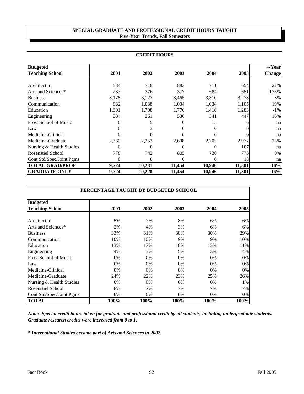#### **SPECIAL GRADUATE AND PROFESSIONAL CREDIT HOURS TAUGHT Five-Year Trends, Fall Semesters**

|                              | <b>CREDIT HOURS</b> |              |          |                |        |               |  |  |  |  |  |  |
|------------------------------|---------------------|--------------|----------|----------------|--------|---------------|--|--|--|--|--|--|
| <b>Budgeted</b>              |                     |              |          |                |        | 4-Year        |  |  |  |  |  |  |
| <b>Teaching School</b>       | 2001                | 2002         | 2003     | 2004           | 2005   | <b>Change</b> |  |  |  |  |  |  |
| Architecture                 | 534                 | 718          | 883      | 711            | 654    | 22%           |  |  |  |  |  |  |
| Arts and Sciences*           | 237                 | 376          | 377      | 684            | 651    | 175%          |  |  |  |  |  |  |
| <b>Business</b>              | 3,178               | 3,127        | 3,465    | 3,310          | 3,278  | 3%            |  |  |  |  |  |  |
| Communication                | 932                 | 1,038        | 1,004    | 1,034          | 1,105  | 19%           |  |  |  |  |  |  |
| Education                    | 1,301               | 1,708        | 1,776    | 1,416          | 1,283  | $-1\%$        |  |  |  |  |  |  |
| Engineering                  | 384                 | 261          | 536      | 341            | 447    | 16%           |  |  |  |  |  |  |
| <b>Frost School of Music</b> | 0                   | 5            | 0        | 15             | h      | na            |  |  |  |  |  |  |
| Law                          | $\Omega$            | 3            | $\Omega$ | $\theta$       |        | na            |  |  |  |  |  |  |
| Medicine-Clinical            | 0                   | $\Omega$     | $\Omega$ | 0              |        | na            |  |  |  |  |  |  |
| Medicine-Graduate            | 2,380               | 2,253        | 2,608    | 2,705          | 2,977  | 25%           |  |  |  |  |  |  |
| Nursing & Health Studies     | $\theta$            | $\theta$     | $\theta$ | 0              | 107    | na            |  |  |  |  |  |  |
| <b>Rosenstiel School</b>     | 778                 | 742          | 805      | 730            | 775    | 0%            |  |  |  |  |  |  |
| Cont Std/Spec/Joint Pgms     | $\overline{0}$      | $\mathbf{0}$ | $\theta$ | $\overline{0}$ | 18     | na            |  |  |  |  |  |  |
| <b>TOTAL GRAD/PROF</b>       | 9,724               | 10,231       | 11,454   | 10,946         | 11,301 | 16%           |  |  |  |  |  |  |
| <b>GRADUATE ONLY</b>         | 9,724               | 10,228       | 11,454   | 10,946         | 11,301 | 16%           |  |  |  |  |  |  |

| PERCENTAGE TAUGHT BY BUDGETED SCHOOL |      |       |       |       |       |  |  |  |  |  |
|--------------------------------------|------|-------|-------|-------|-------|--|--|--|--|--|
| <b>Budgeted</b>                      |      |       |       |       |       |  |  |  |  |  |
| <b>Teaching School</b>               | 2001 | 2002  | 2003  | 2004  | 2005  |  |  |  |  |  |
| Architecture                         | 5%   | 7%    | 8%    | 6%    | 6%    |  |  |  |  |  |
| Arts and Sciences*                   | 2%   | 4%    | 3%    | 6%    | 6%    |  |  |  |  |  |
| <b>Business</b>                      | 33%  | 31%   | 30%   | 30%   | 29%   |  |  |  |  |  |
| Communication                        | 10%  | 10%   | 9%    | 9%    | 10%   |  |  |  |  |  |
| Education                            | 13%  | 17%   | 16%   | 13%   | 11%   |  |  |  |  |  |
| Engineering                          | 4%   | 3%    | 5%    | 3%    | 4%    |  |  |  |  |  |
| <b>Frost School of Music</b>         | 0%   | $0\%$ | 0%    | 0%    | $0\%$ |  |  |  |  |  |
| Law                                  | 0%   | $0\%$ | 0%    | 0%    | $0\%$ |  |  |  |  |  |
| Medicine-Clinical                    | 0%   | 0%    | 0%    | 0%    | $0\%$ |  |  |  |  |  |
| Medicine-Graduate                    | 24%  | 22%   | 23%   | 25%   | 26%   |  |  |  |  |  |
| Nursing & Health Studies             | 0%   | 0%    | $0\%$ | $0\%$ | 1%    |  |  |  |  |  |
| Rosenstiel School                    | 8%   | 7%    | 7%    | 7%    | 7%    |  |  |  |  |  |
| Cont Std/Spec/Joint Pgms             | 0%   | 0%    | 0%    | 0%    | 0%    |  |  |  |  |  |
| <b>TOTAL</b>                         | 100% | 100%  | 100%  | 100%  | 100%  |  |  |  |  |  |

*Note: Special credit hours taken for graduate and professional credit by all students, including undergraduate students. Graduate research credits were increased from 0 to 1.*

*\* International Studies became part of Arts and Sciences in 2002.*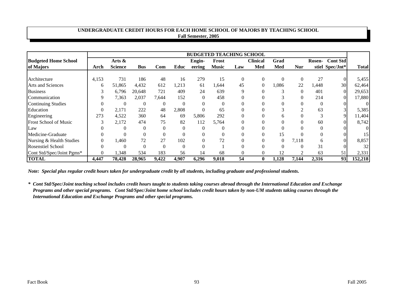#### **UNDERGRADUATE CREDIT HOURS FOR EACH HOME SCHOOL OF MAJORS BY TEACHING SCHOOL Fall Semester, 2005**

|                              | <b>BUDGETED TEACHING SCHOOL</b> |                |            |          |                |                  |              |          |                 |                |            |               |                 |              |
|------------------------------|---------------------------------|----------------|------------|----------|----------------|------------------|--------------|----------|-----------------|----------------|------------|---------------|-----------------|--------------|
| <b>Budgeted Home School</b>  |                                 | Arts &         |            |          |                | Engin-           | Frost        |          | <b>Clinical</b> | Grad           |            | <b>Rosen-</b> | <b>Cont Std</b> |              |
| of Majors                    | Arch                            | <b>Science</b> | <b>Bus</b> | Com      | Educ           | eering           | <b>Music</b> | Law      | Med             | Med            | <b>Nur</b> |               | stiel Spec/Jnt* | <b>Total</b> |
|                              |                                 |                |            |          |                |                  |              |          |                 |                |            |               |                 |              |
| Architecture                 | 4,153                           | 731            | 186        | 48       | 16             | 279              | 15           | $\theta$ | $\theta$        | $\overline{0}$ |            | 27            |                 | 5,455        |
| <b>Arts and Sciences</b>     | 6                               | 51,865         | 4,432      | 612      | 1,213          | 61               | 1,644        | 45       | $\theta$        | 0.086          | 22         | 1,448         | 30              | 62,464       |
| <b>Business</b>              | 3                               | 6,796          | 20,648     | 721      | 409            | 24               | 639          | 9        |                 | 3              |            | 401           |                 | 29,653       |
| Communication                | 9                               | 7,363          | 2,037      | 7,644    | 152            | $\boldsymbol{0}$ | 458          |          |                 | J.             |            | 214           |                 | 17,880       |
| <b>Continuing Studies</b>    | $\mathbf{0}$                    | $\theta$       | $\Omega$   | $\Omega$ | $\Omega$       | $\Omega$         | $\Omega$     |          |                 |                |            | $\Omega$      |                 |              |
| Education                    | $\overline{0}$                  | 2,171          | 222        | 48       | 2,808          | $\mathbf{0}$     | 65           |          |                 | 3              |            | 63            |                 | 5,385        |
| Engineering                  | 273                             | 4,522          | 360        | 64       | 69             | 5,806            | 292          | $\Omega$ |                 | 6              |            | 3             | 9               | 1,404        |
| <b>Frost School of Music</b> | 3                               | 2,172          | 474        | 75       | 82             | 112              | 5,764        |          |                 | $\overline{0}$ |            | 60            |                 | 8,742        |
| Law                          | $\theta$                        | $\Omega$       | $\theta$   | $\Omega$ | $\overline{0}$ | $\mathbf{0}$     | $\Omega$     |          |                 | $\theta$       |            | $\mathbf{0}$  |                 |              |
| Medicine-Graduate            | $\overline{0}$                  |                |            | $\Omega$ | 0              | $\Omega$         | $\Omega$     |          |                 | 15             |            | $\Omega$      |                 | 15           |
| Nursing & Health Studies     | $\mathbf{0}$                    | 1,460          | 72         | 27       | 102            | $\mathbf{0}$     | 72           |          |                 | $\overline{0}$ | 7,118      | 6             |                 | 8,857        |
| <b>Rosenstiel School</b>     | $\theta$                        | $\mathcal{C}$  | $\Omega$   | $\Omega$ | $\Omega$       | $\Omega$         |              |          |                 | $\theta$       |            | 31            |                 | 32           |
| Cont Std/Spec/Joint Pgms*    | $\mathbf{0}$                    | 1,348          | 534        | 183      | 56             | 14               | 68           | $\Omega$ | $\Omega$        | 12             | 2          | 63            | 51              | 2,331        |
| <b>TOTAL</b>                 | 4,447                           | 78,428         | 28,965     | 9,422    | 4,907          | 6,296            | 9,018        | 54       | $\mathbf{0}$    | 1,128          | 7,144      | 2,316         | 93              | 152,218      |

*Note: Special plus regular credit hours taken for undergraduate credit by all students, including graduate and professional students.*

*\* Cont Std/Spec/Joint teaching school includes credit hours taught to students taking courses abroad through the International Education and Exchange Programs and other special programs. Cont Std/Spec/Joint home school includes credit hours taken by non-UM students taking courses through the International Education and Exchange Programs and other special programs.*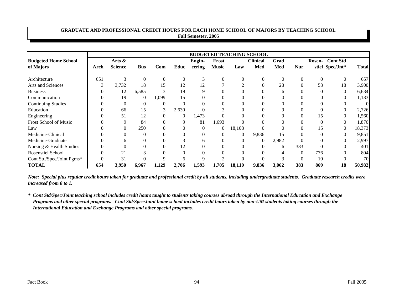#### **GRADUATE AND PROFESSIONAL CREDIT HOURS FOR EACH HOME SCHOOL OF MAJORS BY TEACHING SCHOOL Fall Semester, 2005**

|                             | <b>BUDGETED TEACHING SCHOOL</b> |                |                |       |                |                |                |          |                 |          |                |               |                 |              |
|-----------------------------|---------------------------------|----------------|----------------|-------|----------------|----------------|----------------|----------|-----------------|----------|----------------|---------------|-----------------|--------------|
| <b>Budgeted Home School</b> |                                 | Arts &         |                |       |                | Engin-         | Frost          |          | <b>Clinical</b> | Grad     |                | <b>Rosen-</b> | <b>Cont Std</b> |              |
| of Majors                   | Arch                            | <b>Science</b> | <b>Bus</b>     | Com   | Educ           | eering         | <b>Music</b>   | Law      | Med             | Med      | <b>Nur</b>     |               | stiel Spec/Jnt* | <b>Total</b> |
|                             |                                 |                |                |       |                |                |                |          |                 |          |                |               |                 |              |
| Architecture                | 651                             | 3              | $\Omega$       | 0     | $\theta$       | 3              | $\Omega$       | $\theta$ | $\Omega$        | $\Omega$ | $\overline{0}$ | $\theta$      |                 | 657          |
| Arts and Sciences           | 3                               | 3,732          | 18             | 15    | 12             | 12             |                | ◠        |                 | 28       |                | 53            | 18              | 3,900        |
| <b>Business</b>             |                                 | 12             | 6,585          | 3     | 19             | 9              |                |          |                 | 6        |                | $\theta$      |                 | 6,634        |
| Communication               |                                 | 19             | $\overline{0}$ | 1,099 | 15             | 0              |                |          |                 | 0        |                | $\Omega$      |                 | 1,133        |
| <b>Continuing Studies</b>   |                                 |                | $\theta$       | 0     | $\Omega$       | 0              |                |          |                 |          |                |               |                 | $\Omega$     |
| Education                   |                                 | 66             | 15             | 3     | 2,630          | $\theta$       |                | 0        |                 | 9        |                |               |                 | 2,726        |
| Engineering                 |                                 | 51             | 12             |       | $\overline{0}$ | 1,473          |                |          |                 |          |                | 15            |                 | 1,560        |
| Frost School of Music       |                                 | 9              | 84             |       | 9              | 81             | 1,693          |          |                 |          |                |               |                 | 1,876        |
| Law                         |                                 |                | 250            |       |                | $\overline{0}$ | $\overline{0}$ | 18,108   |                 |          |                | 15            |                 | 18,373       |
| Medicine-Clinical           |                                 |                | 0              |       |                | 0              | $\Omega$       | 0        | 9,836           | 15       |                | $\theta$      |                 | 9,851        |
| Medicine-Graduate           |                                 | 6              |                |       |                | 6              | 0              | 0        | $\Omega$        | 2,982    |                | $\theta$      |                 | 2,997        |
| Nursing & Health Studies    |                                 |                |                |       | 12             | 0              |                | 0        |                 | 6        | 383            |               |                 | 401          |
| <b>Rosenstiel School</b>    |                                 | 21             |                |       | $\Omega$       | 0              |                |          |                 |          | $\theta$       | 776           |                 | 804          |
| Cont Std/Spec/Joint Pgms*   | $\theta$                        | 31             |                | Q     | 6              | 9              | $\bigcap$      |          |                 |          | 0              | 10            |                 | 70           |
| <b>TOTAL</b>                | 654                             | 3,950          | 6,967          | 1,129 | 2,706          | 1,593          | 1,705          | 18,110   | 9,836           | 3,062    | 383            | 869           | 18              | 50,982       |

*Note: Special plus regular credit hours taken for graduate and professional credit by all students, including undergraduate students. Graduate research credits were increased from 0 to 1.*

*<sup>\*</sup> Cont Std/Spec/Joint teaching school includes credit hours taught to students taking courses abroad through the International Education and Exchange Programs and other special programs. Cont Std/Spec/Joint home school includes credit hours taken by non-UM students taking courses through the International Education and Exchange Programs and other special programs.*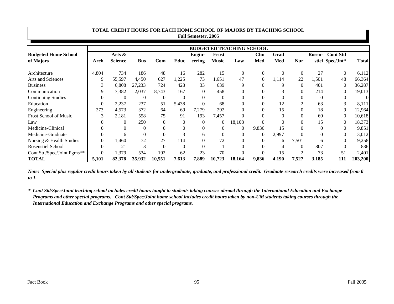|                              |                  |                |            |              |                | <b>Fall Semester, 2005</b> |                |                                 |              |                |                |                  |                 |              |
|------------------------------|------------------|----------------|------------|--------------|----------------|----------------------------|----------------|---------------------------------|--------------|----------------|----------------|------------------|-----------------|--------------|
|                              |                  |                |            |              |                |                            |                | <b>BUDGETED TEACHING SCHOOL</b> |              |                |                |                  |                 |              |
| <b>Budgeted Home School</b>  |                  | Arts &         |            |              |                | Engin-                     | Frost          |                                 | <b>Clin</b>  | Grad           |                | <b>Rosen-</b>    | <b>Cont Std</b> |              |
| of Majors                    | Arch             | <b>Science</b> | <b>Bus</b> | Com          | Educ           | eering                     | <b>Music</b>   | Law                             | Med          | Med            | <b>Nur</b>     |                  | stiel Spec/Jnt* | <b>Total</b> |
|                              |                  | 734            | 186        | 48           | 16             | 282                        |                | $\Omega$                        | $\Omega$     | $\overline{0}$ |                | 27               | $\Omega$        |              |
| Architecture                 | 4,804            |                |            |              |                |                            | 15             |                                 |              |                | $\overline{0}$ |                  |                 | 6,112        |
| <b>Arts and Sciences</b>     | 9                | 55,597         | 4,450      | 627          | 0,225          | 73                         | 1,651          | 47                              | $\mathbf{0}$ | 1,114          | 22             | 1,501            | 48              | 66,364       |
| <b>Business</b>              | 3                | 6,808          | 27,233     | 724          | 428            | 33                         | 639            | 9                               | $\Omega$     | 9              | $\Omega$       | 401              | $\Omega$        | 36,287       |
| Communication                | 9                | 7,382          | 2,037      | 8,743        | 167            | $\boldsymbol{0}$           | 458            |                                 |              |                |                | 214              |                 | 19,013       |
| <b>Continuing Studies</b>    | $\mathbf{0}$     | $\Omega$       | $\Omega$   | $\Omega$     | $\theta$       | $\Omega$                   | $\Omega$       | 0                               |              | $\theta$       |                | $\overline{0}$   |                 |              |
| Education                    | $\mathbf{0}$     | 2,237          | 237        | 51           | 5,438          | $\mathbf{0}$               | 68             | $\Omega$                        |              | 12             | $\overline{2}$ | 63               |                 | 8,111        |
| Engineering                  | 273              | 4,573          | 372        | 64           | 69             | 7,279                      | 292            | $\Omega$                        |              | 15             |                | 18               | 9               | 2,964        |
| <b>Frost School of Music</b> | 3                | 2,181          | 558        | 75           | 91             | 193                        | 7,457          |                                 |              | $\theta$       |                | 60               | 0               | 10,618       |
| Law                          | 0                | $\Omega$       | 250        | $\mathbf{0}$ | $\overline{0}$ | $\mathbf{0}$               | $\overline{0}$ | 18,108                          |              |                |                | 15               | 0               | 18,373       |
| Medicine-Clinical            | $\theta$         | $\Omega$       | $\Omega$   | 0            | $\overline{0}$ | $\mathbf{0}$               | $\mathbf{0}$   | $\overline{0}$                  | 9,836        | 15             |                | $\boldsymbol{0}$ |                 | 9,851        |
| Medicine-Graduate            | $\overline{0}$   | 6              | $\Omega$   |              | 3              | 6                          | $\Omega$       | $\Omega$                        | $\Omega$     | 2,997          |                | $\overline{0}$   | $\Omega$        | 3,012        |
| Nursing & Health Studies     | $\boldsymbol{0}$ | 1,460          | 72         | 27           | 114            | $\mathbf{0}$               | 72             | 0                               | 0            | 6              | 7,501          | 6                |                 | 9,258        |
| <b>Rosenstiel School</b>     | $\overline{0}$   | 21             | 3          | $\mathbf{0}$ | $\theta$       | $\mathbf{0}$               |                |                                 |              |                |                | 807              |                 | 836          |
| Cont Std/Spec/Joint Pgms**   | $\boldsymbol{0}$ | 1,379          | 534        | 192          | 62             | 23                         | 70             |                                 |              | 15             | $\overline{2}$ | 73               | 51              | 2,401        |
| <b>TOTAL</b>                 | 5,101            | 82,378         | 35,932     | 10,551       | 7,613          | 7,889                      | 10,723         | 18,164                          | 9,836        | 4,190          | 7,527          | 3,185            | 111             | 203,200      |

**TOTAL CREDIT HOURS FOR EACH HOME SCHOOL OF MAJORS BY TEACHING SCHOOL**

*Note: Special plus regular credit hours taken by all students for undergraduate, graduate, and professional credit. Graduate research credits were increased from 0 to 1.*

*\* Cont Std/Spec/Joint teaching school includes credit hours taught to students taking courses abroad through the International Education and Exchange Programs and other special programs. Cont Std/Spec/Joint home school includes credit hours taken by non-UM students taking courses through the International Education and Exchange Programs and other special programs.*

×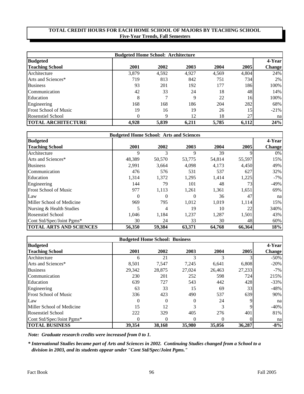| <b>Budgeted Home School: Architecture</b> |          |               |       |       |       |               |  |  |  |  |
|-------------------------------------------|----------|---------------|-------|-------|-------|---------------|--|--|--|--|
| <b>Budgeted</b>                           |          |               |       |       |       | 4-Year        |  |  |  |  |
| <b>Teaching School</b>                    | 2001     | 2002          | 2003  | 2004  | 2005  | <b>Change</b> |  |  |  |  |
| Architecture                              | 3,879    | 4,592         | 4,927 | 4,569 | 4,804 | 24%           |  |  |  |  |
| Arts and Sciences*                        | 719      | 813           | 842   | 751   | 734   | $2\%$         |  |  |  |  |
| <b>Business</b>                           | 93       | 201           | 192   | 177   | 186   | 100%          |  |  |  |  |
| Communication                             | 42       | 33            | 24    | 18    | 48    | 14%           |  |  |  |  |
| Education                                 | 8        | $\mathcal{I}$ | Q     | 22    | 16    | 100%          |  |  |  |  |
| Engineering                               | 168      | 168           | 186   | 204   | 282   | 68%           |  |  |  |  |
| <b>Frost School of Music</b>              | 19       | 16            | 19    | 26    | 15    | $-21%$        |  |  |  |  |
| <b>Rosenstiel School</b>                  | $\theta$ | 9             | 12    | 18    | 27    | nal           |  |  |  |  |
| <b>TOTAL ARCHITECTURE</b>                 | 4,928    | 5,839         | 6,211 | 5,785 | 6,112 | 24%           |  |  |  |  |

| <b>Budgeted Home School: Arts and Sciences</b> |          |        |        |        |        |               |  |  |  |
|------------------------------------------------|----------|--------|--------|--------|--------|---------------|--|--|--|
| <b>Budgeted</b>                                |          |        |        |        |        | 4-Year        |  |  |  |
| <b>Teaching School</b>                         | 2001     | 2002   | 2003   | 2004   | 2005   | <b>Change</b> |  |  |  |
| Architecture                                   | 9        | 3      | 9      | 39     |        | $0\%$         |  |  |  |
| Arts and Sciences*                             | 48,389   | 50,570 | 53,775 | 54,814 | 55,597 | 15%           |  |  |  |
| <b>Business</b>                                | 2,991    | 3,664  | 4,098  | 4,173  | 4,450  | 49%           |  |  |  |
| Communication                                  | 476      | 576    | 531    | 537    | 627    | 32%           |  |  |  |
| Education                                      | 1,314    | 1,372  | 1,295  | 1,414  | 1,225  | $-7%$         |  |  |  |
| Engineering                                    | 144      | 79     | 101    | 48     | 73     | $-49%$        |  |  |  |
| <b>Frost School of Music</b>                   | 977      | 1,113  | 1,261  | 1,361  | 1,651  | 69%           |  |  |  |
| Law                                            | $\theta$ | 0      | 0      | 36     | 47     | na            |  |  |  |
| Miller School of Medicine                      | 969      | 795    | 1,012  | 1,019  | 1,114  | 15%           |  |  |  |
| Nursing & Health Studies                       | 5        | 4      | 19     | 10     | 22     | 340%          |  |  |  |
| <b>Rosenstiel School</b>                       | 1,046    | 1,184  | 1,237  | 1,287  | 1,501  | 43%           |  |  |  |
| Cont Std/Spec/Joint Pgms*                      | 30       | 24     | 33     | 30     | 48     | 60%           |  |  |  |
| <b>TOTAL ARTS AND SCIENCES</b>                 | 56,350   | 59,384 | 63,371 | 64,768 | 66,364 | 18%           |  |  |  |

| <b>Budgeted Home School: Business</b> |          |          |        |        |        |               |  |  |  |
|---------------------------------------|----------|----------|--------|--------|--------|---------------|--|--|--|
| <b>Budgeted</b>                       |          |          |        |        |        | 4-Year        |  |  |  |
| <b>Teaching School</b>                | 2001     | 2002     | 2003   | 2004   | 2005   | <b>Change</b> |  |  |  |
| Architecture                          | 6        | 21       |        |        |        | $-50\%$       |  |  |  |
| Arts and Sciences*                    | 8,501    | 7.547    | 7.245  | 6,641  | 6,808  | $-20%$        |  |  |  |
| <b>Business</b>                       | 29,342   | 28,875   | 27,024 | 26,463 | 27,233 | $-7%$         |  |  |  |
| Communication                         | 230      | 201      | 252    | 598    | 724    | 215%          |  |  |  |
| Education                             | 639      | 727      | 543    | 442    | 428    | $-33%$        |  |  |  |
| Engineering                           | 63       | 33       | 15     | 69     | 33     | $-48%$        |  |  |  |
| <b>Frost School of Music</b>          | 336      | 423      | 490    | 537    | 639    | 90%           |  |  |  |
| Law                                   | $\theta$ | $\Omega$ | 0      | 24     | 9      | na            |  |  |  |
| Miller School of Medicine             | 15       | 12       | 3      |        | Q      | -40%          |  |  |  |
| <b>Rosenstiel School</b>              | 222      | 329      | 405    | 276    | 401    | 81%           |  |  |  |
| Cont Std/Spec/Joint Pgms*             | $\theta$ | $\Omega$ | 0      | 0      |        | na            |  |  |  |
| <b>TOTAL BUSINESS</b>                 | 39.354   | 38.168   | 35,980 | 35,056 | 36,287 | $-8%$         |  |  |  |

*Note: Graduate research credits were increased from 0 to 1.*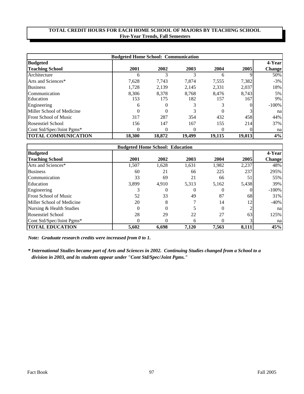|                              | <b>Budgeted Home School: Communication</b> |          |          |          |        |               |
|------------------------------|--------------------------------------------|----------|----------|----------|--------|---------------|
| <b>Budgeted</b>              |                                            |          |          |          |        | 4-Year        |
| <b>Teaching School</b>       | 2001                                       | 2002     | 2003     | 2004     | 2005   | <b>Change</b> |
| Architecture                 | 6                                          | 3        |          | 6        |        | 50%           |
| Arts and Sciences*           | 7,628                                      | 7,743    | 7,874    | 7,555    | 7,382  | $-3\%$        |
| <b>Business</b>              | 1,728                                      | 2,139    | 2,145    | 2,331    | 2,037  | 18%           |
| Communication                | 8.306                                      | 8.378    | 8.768    | 8.476    | 8,743  | 5%            |
| Education                    | 153                                        | 175      | 182      | 157      | 167    | 9%            |
| Engineering                  | 6                                          | $\Omega$ |          |          | 0      | $-100%$       |
| Miller School of Medicine    | $\theta$                                   | $\Omega$ |          | 0        |        | na            |
| <b>Frost School of Music</b> | 317                                        | 287      | 354      | 432      | 458    | 44%           |
| <b>Rosenstiel School</b>     | 156                                        | 147      | 167      | 155      | 214    | 37%           |
| Cont Std/Spec/Joint Pgms*    | 0                                          | $\Omega$ | $\theta$ | $\Omega$ |        | na            |
| <b>TOTAL COMMUNICATION</b>   | 18,300                                     | 18,872   | 19,499   | 19,115   | 19,013 | 4%            |

|                              | <b>Budgeted Home School: Education</b> |          |          |          |       |               |  |  |  |  |
|------------------------------|----------------------------------------|----------|----------|----------|-------|---------------|--|--|--|--|
| <b>Budgeted</b>              |                                        |          |          |          |       | 4-Year        |  |  |  |  |
| <b>Teaching School</b>       | 2001                                   | 2002     | 2003     | 2004     | 2005  | <b>Change</b> |  |  |  |  |
| Arts and Sciences*           | 1,507                                  | 1,628    | 1,631    | 1,982    | 2,237 | 48%           |  |  |  |  |
| <b>Business</b>              | 60                                     | 21       | 66       | 225      | 237   | 295%          |  |  |  |  |
| Communication                | 33                                     | 69       | 21       | 66       | 51    | 55%           |  |  |  |  |
| Education                    | 3.899                                  | 4.910    | 5.313    | 5.162    | 5,438 | 39%           |  |  |  |  |
| Engineering                  |                                        | $\theta$ | $\theta$ |          |       | $-100\%$      |  |  |  |  |
| <b>Frost School of Music</b> | 52                                     | 33       | 49       | 87       | 68    | 31%           |  |  |  |  |
| Miller School of Medicine    | 20                                     | 8        |          | 14       | 12    | $-40%$        |  |  |  |  |
| Nursing & Health Studies     | $\Omega$                               | $\Omega$ |          | $\Omega$ |       | na            |  |  |  |  |
| <b>Rosenstiel School</b>     | 28                                     | 29       | 22       | 27       | 63    | 125%          |  |  |  |  |
| Cont Std/Spec/Joint Pgms*    |                                        |          | h        |          |       | na            |  |  |  |  |
| <b>TOTAL EDUCATION</b>       | 5,602                                  | 6.698    | 7.120    | 7.563    | 8,111 | 45%           |  |  |  |  |

*Note: Graduate research credits were increased from 0 to 1.*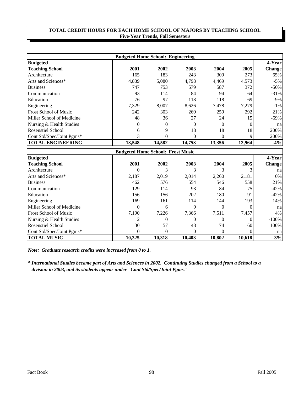|                              | <b>Budgeted Home School: Engineering</b> |          |          |          |        |               |
|------------------------------|------------------------------------------|----------|----------|----------|--------|---------------|
| <b>Budgeted</b>              |                                          |          |          |          |        | 4-Year        |
| <b>Teaching School</b>       | 2001                                     | 2002     | 2003     | 2004     | 2005   | <b>Change</b> |
| Architecture                 | 165                                      | 183      | 243      | 309      | 273    | 65%           |
| Arts and Sciences*           | 4,839                                    | 5,080    | 4,798    | 4,469    | 4,573  | $-5\%$        |
| <b>Business</b>              | 747                                      | 753      | 579      | 587      | 372    | $-50\%$       |
| Communication                | 93                                       | 114      | 84       | 94       | 64     | $-31%$        |
| Education                    | 76                                       | 97       | 118      | 118      | 69     | $-9\%$        |
| Engineering                  | 7,329                                    | 8,007    | 8,626    | 7,478    | 7,279  | $-1\%$        |
| <b>Frost School of Music</b> | 242                                      | 303      | 260      | 259      | 292    | 21%           |
| Miller School of Medicine    | 48                                       | 36       | 27       | 24       | 15     | $-69\%$       |
| Nursing & Health Studies     | $\theta$                                 | $\Omega$ | $\Omega$ | 0        |        | nal           |
| <b>Rosenstiel School</b>     | 6                                        | 9        | 18       | 18       | 18     | 200%          |
| Cont Std/Spec/Joint Pgms*    | 3                                        | $\Omega$ | 0        | $\Omega$ |        | 200%          |
| <b>TOTAL ENGINEERING</b>     | 13,548                                   | 14,582   | 14.753   | 13.356   | 12,964 | $-4%$         |

|                              | <b>Budgeted Home School: Frost Music</b> |          |          |        |                 |               |  |  |  |  |
|------------------------------|------------------------------------------|----------|----------|--------|-----------------|---------------|--|--|--|--|
| <b>Budgeted</b>              |                                          |          |          |        |                 | 4-Year        |  |  |  |  |
| <b>Teaching School</b>       | 2001                                     | 2002     | 2003     | 2004   | 2005            | <b>Change</b> |  |  |  |  |
| Architecture                 | 0                                        | 3        |          |        |                 | nal           |  |  |  |  |
| Arts and Sciences*           | 2,187                                    | 2.019    | 2,014    | 2,260  | 2,181           | 0%            |  |  |  |  |
| <b>Business</b>              | 462                                      | 576      | 554      | 546    | 558             | 21%           |  |  |  |  |
| Communication                | 129                                      | 114      | 93       | 84     | 75 I            | $-42%$        |  |  |  |  |
| Education                    | 156                                      | 156      | 202      | 180    | 91              | $-42%$        |  |  |  |  |
| Engineering                  | 169                                      | 161      | 114      | 144    | 193             | 14%           |  |  |  |  |
| Miller School of Medicine    | $\theta$                                 | 6        | 9        | 0      |                 | na            |  |  |  |  |
| <b>Frost School of Music</b> | 7,190                                    | 7,226    | 7,366    | 7,511  | 7,457           | 4%            |  |  |  |  |
| Nursing & Health Studies     | 2                                        | $\Omega$ | $\theta$ | 0      |                 | $-100%$       |  |  |  |  |
| <b>Rosenstiel School</b>     | 30                                       | 57       | 48       | 74     | 60 <sup>1</sup> | 100%          |  |  |  |  |
| Cont Std/Spec/Joint Pgms*    | $\Omega$                                 | $\Omega$ |          | 0      |                 | na            |  |  |  |  |
| <b>TOTAL MUSIC</b>           | 10.325                                   | 10.318   | 10,403   | 10.802 | 10.618          | 3%            |  |  |  |  |

*Note: Graduate research credits were increased from 0 to 1.*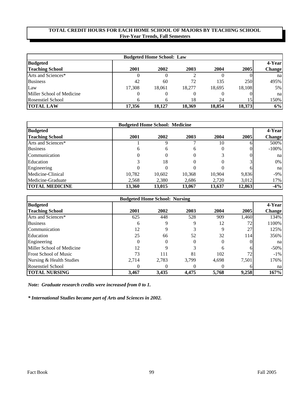| <b>Budgeted Home School: Law</b> |        |        |        |        |        |               |  |
|----------------------------------|--------|--------|--------|--------|--------|---------------|--|
| <b>Budgeted</b>                  |        |        |        |        |        | 4-Year        |  |
| <b>Teaching School</b>           | 2001   | 2002   | 2003   | 2004   | 2005   | <b>Change</b> |  |
| Arts and Sciences*               |        |        |        |        |        | nal           |  |
| <b>Business</b>                  | 42     | 60     | 72     | 135    | 250    | 495%          |  |
| Law                              | 17.308 | 18.061 | 18.277 | 18.695 | 18.108 | $5\%$         |  |
| Miller School of Medicine        |        |        |        |        |        | nal           |  |
| <b>Rosenstiel School</b>         | h      |        | 18     | 24     | 15     | 150%          |  |
| <b>TOTAL LAW</b>                 | 17.356 | 18.127 | 18.369 | 18.854 | 18,373 | 6%            |  |

| <b>Budgeted Home School: Medicine</b> |        |          |          |        |        |               |
|---------------------------------------|--------|----------|----------|--------|--------|---------------|
| <b>Budgeted</b>                       |        |          |          |        |        | 4-Year        |
| <b>Teaching School</b>                | 2001   | 2002     | 2003     | 2004   | 2005   | <b>Change</b> |
| Arts and Sciences*                    |        |          |          | 10     |        | 500%          |
| <b>Business</b>                       | 6      | 6        | 6        | 0      |        | $-100%$       |
| Communication                         | 0      | $\theta$ | $\theta$ |        |        | na            |
| Education                             |        | 18       |          |        |        | $0\%$         |
| Engineering                           |        | 0        |          |        |        | na            |
| Medicine-Clinical                     | 10,782 | 10,602   | 10,368   | 10,904 | 9,836  | $-9\%$        |
| Medicine-Graduate                     | 2,568  | 2,380    | 2,686    | 2,720  | 3,012  | 17%           |
| <b>TOTAL MEDICINE</b>                 | 13,360 | 13,015   | 13.067   | 13,637 | 12,863 | $-4%$         |

|                              | <b>Budgeted Home School: Nursing</b> |          |       |       |                  |               |
|------------------------------|--------------------------------------|----------|-------|-------|------------------|---------------|
| <b>Budgeted</b>              |                                      |          |       |       |                  | 4-Year        |
| <b>Teaching School</b>       | 2001                                 | 2002     | 2003  | 2004  | 2005             | <b>Change</b> |
| Arts and Sciences*           | 625                                  | 448      | 528   | 909   | 1,460            | 134%          |
| <b>Business</b>              | 6                                    | 9        | 9     | 12    | 72               | 1100%         |
| Communication                | 12                                   | 9        |       |       | 27               | 125%          |
| Education                    | 25                                   | 66       | 52    | 32    | 114 <sup> </sup> | 356%          |
| Engineering                  | $\Omega$                             | $\Omega$ |       |       |                  | na            |
| Miller School of Medicine    | 12                                   |          |       | h     |                  | $-50\%$       |
| <b>Frost School of Music</b> | 73                                   | 111      | 81    | 102   | 72               | $-1\%$        |
| Nursing & Health Studies     | 2,714                                | 2,783    | 3.799 | 4,698 | 7,501            | 176%          |
| <b>Rosenstiel School</b>     |                                      |          |       |       |                  | na            |
| <b>TOTAL NURSING</b>         | 3,467                                | 3,435    | 4,475 | 5,768 | 9,258            | 167%          |

*Note: Graduate research credits were increased from 0 to 1.*

*\* International Studies became part of Arts and Sciences in 2002.*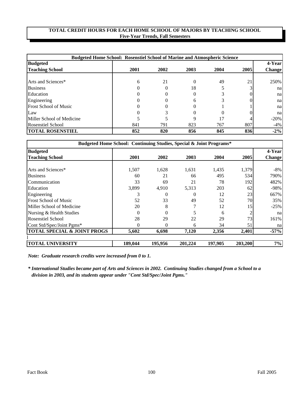|                              | <b>Budgeted Home School: Rosenstiel School of Marine and Atmospheric Science</b> |          |      |      |      |         |
|------------------------------|----------------------------------------------------------------------------------|----------|------|------|------|---------|
| <b>Budgeted</b>              |                                                                                  |          |      |      |      | 4-Year  |
| <b>Teaching School</b>       | 2001                                                                             | 2002     | 2003 | 2004 | 2005 | Change  |
|                              |                                                                                  |          |      |      |      |         |
| Arts and Sciences*           | 6                                                                                | 21       |      | 49   | 21   | 250%    |
| <b>Business</b>              | 0                                                                                | $\Omega$ | 18   |      |      | nal     |
| Education                    |                                                                                  | $\Omega$ |      |      |      | nal     |
| Engineering                  |                                                                                  |          | h    |      |      | nal     |
| <b>Frost School of Music</b> |                                                                                  |          |      |      |      | nal     |
| Law                          |                                                                                  |          |      | 0    |      | na      |
| Miller School of Medicine    |                                                                                  |          |      | 17   |      | $-20\%$ |
| <b>Rosenstiel School</b>     | 841                                                                              | 791      | 823  | 767  | 807  | $-4\%$  |
| <b>TOTAL ROSENSTIEL</b>      | 852                                                                              | 820      | 856  | 845  | 836  | $-2\%$  |

| Budgeted Home School: Continuing Studies, Special & Joint Programs* |          |                |         |         |         |               |
|---------------------------------------------------------------------|----------|----------------|---------|---------|---------|---------------|
| <b>Budgeted</b>                                                     |          |                |         |         |         | 4-Year        |
| <b>Teaching School</b>                                              | 2001     | 2002           | 2003    | 2004    | 2005    | <b>Change</b> |
|                                                                     |          |                |         |         |         |               |
| Arts and Sciences*                                                  | 1,507    | 1,628          | 1,631   | 1,435   | 1,379   | -8%           |
| <b>Business</b>                                                     | 60       | 21             | 66      | 495     | 534     | 790%          |
| Communication                                                       | 33       | 69             | 21      | 78      | 192     | 482%          |
| Education                                                           | 3,899    | 4,910          | 5,313   | 203     | 62      | $-98%$        |
| Engineering                                                         | 3        | 0              |         | 12      | 23      | 667%          |
| <b>Frost School of Music</b>                                        | 52       | 33             | 49      | 52      | 70      | 35%           |
| Miller School of Medicine                                           | 20       | 8              |         | 12      | 15      | $-25%$        |
| Nursing & Health Studies                                            | $\theta$ | $\Omega$       |         | 6       |         | na            |
| <b>Rosenstiel School</b>                                            | 28       | 29             | 22      | 29      | 73      | 161%          |
| Cont Std/Spec/Joint Pgms*                                           | 0        | $\overline{0}$ | 6       | 34      | 51      | na            |
| <b>TOTAL SPECIAL &amp; JOINT PROGS</b>                              | 5,602    | 6.698          | 7,120   | 2.356   | 2,401   | $-57%$        |
| <b>TOTAL UNIVERSITY</b>                                             | 189,044  | 195,956        | 201,224 | 197.905 | 203,200 | 7%            |

*Note: Graduate research credits were increased from 0 to 1.*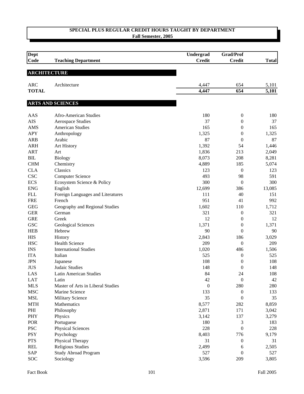| Dept<br><b>Code</b>        | <b>Teaching Department</b>        | Undergrad<br><b>Credit</b> | Grad/Prof<br><b>Credit</b> | <b>Total</b>   |
|----------------------------|-----------------------------------|----------------------------|----------------------------|----------------|
|                            |                                   |                            |                            |                |
| <b>ARCHITECTURE</b>        |                                   |                            |                            |                |
|                            |                                   |                            |                            |                |
| <b>ARC</b><br><b>TOTAL</b> | Architecture                      | 4,447<br>4,447             | 654<br>654                 | 5,101<br>5,101 |
|                            |                                   |                            |                            |                |
|                            | <b>ARTS AND SCIENCES</b>          |                            |                            |                |
| AAS                        | Afro-American Studies             | 180                        | $\boldsymbol{0}$           | 180            |
| <b>AIS</b>                 | <b>Aerospace Studies</b>          | 37                         | $\boldsymbol{0}$           | 37             |
| <b>AMS</b>                 | <b>American Studies</b>           | 165                        | 0                          | 165            |
| <b>APY</b>                 | Anthropology                      | 1,325                      | $\boldsymbol{0}$           | 1,325          |
| <b>ARB</b>                 | Arabic                            | 87                         | $\boldsymbol{0}$           | 87             |
| <b>ARH</b>                 | Art History                       | 1,392                      | 54                         | 1,446          |
| <b>ART</b>                 | Art                               | 1,836                      | 213                        | 2,049          |
| BIL                        | <b>Biology</b>                    | 8,073                      | 208                        | 8,281          |
| <b>CHM</b>                 | Chemistry                         | 4,889                      | 185                        | 5,074          |
| <b>CLA</b>                 | Classics                          | 123                        | $\boldsymbol{0}$           | 123            |
| <b>CSC</b>                 | <b>Computer Science</b>           | 493                        | 98                         | 591            |
| <b>ECS</b>                 | Ecosystem Science & Policy        | 300                        | $\boldsymbol{0}$           | 300            |
| <b>ENG</b>                 | English                           | 12,699                     | 386                        | 13,085         |
| <b>FLL</b>                 | Foreign Languages and Literatures | 111                        | 40                         | 151            |
| <b>FRE</b>                 | French                            | 951                        | 41                         | 992            |
| <b>GEG</b>                 | Geography and Regional Studies    | 1,602                      | 110                        | 1,712          |
| <b>GER</b>                 | German                            | 321                        | $\boldsymbol{0}$           | 321            |
| <b>GRE</b>                 | Greek                             | 12                         | 0                          | 12             |
| <b>GSC</b>                 | <b>Geological Sciences</b>        | 1,371                      | 0                          | 1,371          |
| <b>HEB</b>                 | Hebrew                            | 90                         | $\overline{0}$             | 90             |
| <b>HIS</b>                 | History                           | 2,843                      | 186                        | 3,029          |
| <b>HSC</b>                 | <b>Health Science</b>             | 209                        | $\boldsymbol{0}$           | 209            |
| <b>INS</b>                 | <b>International Studies</b>      | 1,020                      | 486                        | 1,506          |
| <b>ITA</b>                 | Italian                           | 525                        | $\boldsymbol{0}$           | 525            |
| <b>JPN</b>                 | Japanese                          | 108                        | $\boldsymbol{0}$           | 108            |
| <b>JUS</b>                 | <b>Judaic Studies</b>             | 148                        | $\boldsymbol{0}$           | 148            |
| LAS                        | Latin American Studies            | 84                         | 24                         | 108            |
| <b>LAT</b>                 | Latin                             | 42                         | $\overline{0}$             | 42             |
| <b>MLS</b>                 | Master of Arts in Liberal Studies | $\boldsymbol{0}$           | 280                        | 280            |
| <b>MSC</b>                 | Marine Science                    | 133                        | 0                          | 133            |
| <b>MSL</b>                 | <b>Military Science</b>           | 35                         | 0                          | 35             |
| <b>MTH</b>                 | Mathematics                       | 8,577                      | 282                        | 8,859          |
| $\rm PHI$                  | Philosophy                        | 2,871                      | 171                        | 3,042          |
| PHY                        | Physics                           | 3,142                      | 137                        | 3,279          |
| POR                        | Portuguese                        | 180                        | 3                          | 183            |
| <b>PSC</b>                 | <b>Physical Sciences</b>          | 228                        | 0                          | 228            |
| <b>PSY</b>                 | Psychology                        | 8,403                      | 776                        | 9,179          |
| <b>PTS</b>                 | Physical Therapy                  | 31                         | $\boldsymbol{0}$           | 31             |
| <b>REL</b>                 | <b>Religious Studies</b>          | 2,499                      | 6                          | 2,505          |
| SAP                        | <b>Study Abroad Program</b>       | 527                        | $\boldsymbol{0}$           | 527            |
| SOC                        | Sociology                         | 3,596                      | 209                        | 3,805          |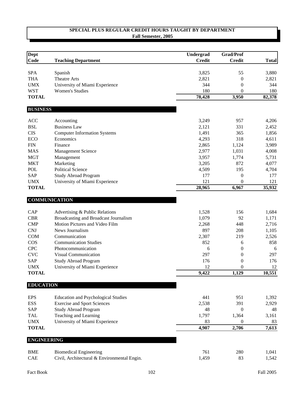| <b>Dept</b>        |                                                                         | Undergrad      | <b>Grad/Prof</b> |                |
|--------------------|-------------------------------------------------------------------------|----------------|------------------|----------------|
| Code               | <b>Teaching Department</b>                                              | <b>Credit</b>  | <b>Credit</b>    | <b>Total</b>   |
| <b>SPA</b>         | Spanish                                                                 | 3,825          | 55               | 3,880          |
| <b>THA</b>         | Theatre Arts                                                            | 2,821          | $\boldsymbol{0}$ | 2,821          |
| <b>UMX</b>         | University of Miami Experience                                          | 344            | $\boldsymbol{0}$ | 344            |
| <b>WST</b>         | <b>Women's Studies</b>                                                  | 180            | 0                | 180            |
| <b>TOTAL</b>       |                                                                         | 78,428         | 3,950            | 82,378         |
| <b>BUSINESS</b>    |                                                                         |                |                  |                |
| <b>ACC</b>         | Accounting                                                              | 3,249          | 957              | 4,206          |
| <b>BSL</b>         | <b>Business Law</b>                                                     | 2,121          | 331              | 2,452          |
| <b>CIS</b>         | <b>Computer Information Systems</b>                                     | 1,491          | 365              | 1,856          |
| <b>ECO</b>         | Economics                                                               | 4,293          | 318              | 4,611          |
| <b>FIN</b>         | Finance                                                                 | 2,865          | 1,124            | 3,989          |
| <b>MAS</b>         | Management Science                                                      | 2,977          | 1,031            | 4,008          |
| <b>MGT</b>         | Management                                                              | 3,957          | 1,774            | 5,731          |
| <b>MKT</b>         | Marketing                                                               | 3,205          | 872              | 4,077          |
| <b>POL</b>         | <b>Political Science</b>                                                | 4,509          | 195              | 4,704          |
| SAP                | <b>Study Abroad Program</b>                                             | 177            | 0                | 177            |
| <b>UMX</b>         | University of Miami Experience                                          | 121            | 0                | 121            |
| <b>TOTAL</b>       |                                                                         | 28,965         | 6,967            | 35,932         |
|                    | <b>COMMUNICATION</b>                                                    |                |                  |                |
|                    |                                                                         |                |                  |                |
| CAP<br><b>CBR</b>  | Advertising & Public Relations<br>Broadcasting and Broadcast Journalism | 1,528<br>1,079 | 156<br>92        | 1,684<br>1,171 |
| <b>CMP</b>         | Motion Pictures and Video Film                                          | 2,268          | 448              | 2,716          |
| <b>CNJ</b>         | News Journalism                                                         | 897            | 208              | 1,105          |
| <b>COM</b>         | Communication                                                           | 2,307          | 219              | 2,526          |
| COS                | <b>Communication Studies</b>                                            | 852            | 6                | 858            |
| <b>CPC</b>         | Photocommunication                                                      | 6              | $\boldsymbol{0}$ | 6              |
| <b>CVC</b>         | <b>Visual Communication</b>                                             | 297            | $\boldsymbol{0}$ | 297            |
| SAP                | <b>Study Abroad Program</b>                                             | 176            | $\boldsymbol{0}$ | 176            |
| <b>UMX</b>         | University of Miami Experience                                          | 12             | 0                | 12             |
| <b>TOTAL</b>       |                                                                         | 9,422          | 1,129            | 10,551         |
| <b>EDUCATION</b>   |                                                                         |                |                  |                |
|                    |                                                                         |                |                  |                |
| <b>EPS</b>         | <b>Education and Psychological Studies</b>                              | 441            | 951              | 1,392          |
| <b>ESS</b>         | <b>Exercise and Sport Sciences</b>                                      | 2,538          | 391              | 2,929          |
| SAP                | <b>Study Abroad Program</b>                                             | 48             | $\mathbf{0}$     | 48             |
| <b>TAL</b>         | Teaching and Learning                                                   | 1,797          | 1,364            | 3,161          |
| <b>UMX</b>         | University of Miami Experience                                          | 83             | $\boldsymbol{0}$ | 83             |
| <b>TOTAL</b>       |                                                                         | 4,907          | 2,706            | 7,613          |
| <b>ENGINEERING</b> |                                                                         |                |                  |                |
| <b>BME</b>         | <b>Biomedical Engineering</b>                                           | 761            | 280              | 1,041          |
| CAE                | Civil, Architectural & Environmental Engin.                             | 1,459          | 83               | 1,542          |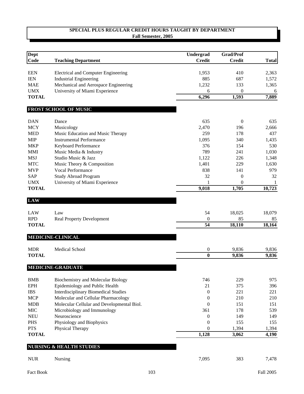| Dept                       |                                             | <b>Undergrad</b>       | Grad/Prof        |              |
|----------------------------|---------------------------------------------|------------------------|------------------|--------------|
| Code                       |                                             | <b>Credit</b>          | <b>Credit</b>    | <b>Total</b> |
|                            | <b>Teaching Department</b>                  |                        |                  |              |
| <b>EEN</b>                 | <b>Electrical and Computer Engineering</b>  | 1,953                  | 410              | 2,363        |
| <b>IEN</b>                 | <b>Industrial Engineering</b>               | 885                    | 687              | 1,572        |
| <b>MAE</b>                 | Mechanical and Aerospace Engineering        | 1,232                  | 133              | 1,365        |
| <b>UMX</b>                 | University of Miami Experience              | 6                      | $\boldsymbol{0}$ | 6            |
| <b>TOTAL</b>               |                                             | 6,296                  | 1,593            | 7,889        |
|                            |                                             |                        |                  |              |
|                            | FROST SCHOOL OF MUSIC                       |                        |                  |              |
|                            |                                             |                        |                  |              |
| <b>DAN</b>                 | Dance                                       | 635                    | $\boldsymbol{0}$ | 635          |
| <b>MCY</b>                 | Musicology                                  | 2,470                  | 196              | 2,666        |
| <b>MED</b>                 | Music Education and Music Therapy           | 259                    | 178              | 437          |
| <b>MIP</b>                 | <b>Instrumental Performance</b>             | 1,095                  | 340              | 1,435        |
| <b>MKP</b>                 | Keyboard Performance                        | 376                    | 154              | 530          |
| <b>MMI</b>                 | Music Media & Industry                      | 789                    | 241              | 1,030        |
| <b>MSJ</b>                 | Studio Music & Jazz                         | 1,122                  | 226              | 1,348        |
| <b>MTC</b>                 | Music Theory & Composition                  | 1,401                  | 229              | 1,630        |
| <b>MVP</b>                 | Vocal Performance                           | 838                    | 141              | 979          |
| <b>SAP</b>                 | <b>Study Abroad Program</b>                 | 32                     | $\mathbf{0}$     | 32           |
| <b>UMX</b>                 | University of Miami Experience              |                        | $\overline{0}$   | 1            |
| <b>TOTAL</b>               |                                             | 9,018                  | 1,705            | 10,723       |
| <b>LAW</b>                 |                                             |                        |                  |              |
|                            |                                             |                        |                  |              |
| LAW                        | Law                                         | 54                     | 18,025           | 18,079       |
| <b>RPD</b><br><b>TOTAL</b> | <b>Real Property Development</b>            | $\boldsymbol{0}$<br>54 | 85<br>18,110     | 85<br>18,164 |
|                            |                                             |                        |                  |              |
|                            | <b>MEDICINE-CLINICAL</b>                    |                        |                  |              |
| <b>MDR</b>                 | Medical School                              | 0                      | 9,836            | 9,836        |
| <b>TOTAL</b>               |                                             | $\bf{0}$               | 9,836            | 9,836        |
|                            |                                             |                        |                  |              |
|                            | <b>MEDICINE-GRADUATE</b>                    |                        |                  |              |
| <b>BMB</b>                 | Biochemistry and Molecular Biology          | 746                    | 229              | 975          |
| <b>EPH</b>                 | Epidemiology and Public Health              | 21                     | 375              | 396          |
| <b>IBS</b>                 | <b>Interdisciplinary Biomedical Studies</b> | 0                      | 221              | 221          |
| <b>MCP</b>                 | Molecular and Cellular Pharmacology         | 0                      | 210              | 210          |
| <b>MDB</b>                 | Molecular Cellular and Developmental Biol.  | $\overline{0}$         | 151              | 151          |
| MIC                        | Microbiology and Immunology                 | 361                    | 178              | 539          |
| <b>NEU</b>                 | Neuroscience                                | 0                      | 149              | 149          |
| <b>PHS</b>                 | Physiology and Biophysics                   | $\overline{0}$         | 155              | 155          |
| <b>PTS</b>                 | Physical Therapy                            | $\overline{0}$         | 1,394            | 1,394        |
| <b>TOTAL</b>               |                                             | 1,128                  | 3,062            | 4,190        |
|                            |                                             |                        |                  |              |
|                            | <b>NURSING &amp; HEALTH STUDIES</b>         |                        |                  |              |
| <b>NUR</b>                 | Nursing                                     | 7,095                  | 383              | 7,478        |
|                            |                                             |                        |                  |              |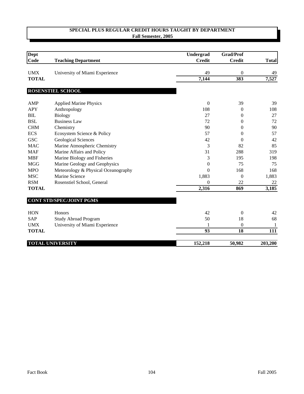| Dept         |                                     | Undergrad        | <b>Grad/Prof</b> |              |
|--------------|-------------------------------------|------------------|------------------|--------------|
| Code         | <b>Teaching Department</b>          | <b>Credit</b>    | <b>Credit</b>    | <b>Total</b> |
| <b>UMX</b>   | University of Miami Experience      | 49               | $\boldsymbol{0}$ | 49           |
| <b>TOTAL</b> |                                     | 7,144            | 383              | 7,527        |
|              | ROSENSTIEL SCHOOL                   |                  |                  |              |
| AMP          | <b>Applied Marine Physics</b>       | $\mathbf{0}$     | 39               | 39           |
| <b>APY</b>   | Anthropology                        | 108              | $\boldsymbol{0}$ | 108          |
| <b>BIL</b>   | <b>Biology</b>                      | 27               | 0                | 27           |
| <b>BSL</b>   | <b>Business Law</b>                 | 72               | 0                | 72           |
| <b>CHM</b>   | Chemistry                           | 90               | $\boldsymbol{0}$ | 90           |
| <b>ECS</b>   | Ecosystem Science & Policy          | 57               | $\theta$         | 57           |
| <b>GSC</b>   | <b>Geological Sciences</b>          | 42               | $\theta$         | 42           |
| <b>MAC</b>   | Marine Atmospheric Chemistry        | 3                | 82               | 85           |
| <b>MAF</b>   | Marine Affairs and Policy           | 31               | 288              | 319          |
| <b>MBF</b>   | Marine Biology and Fisheries        | 3                | 195              | 198          |
| <b>MGG</b>   | Marine Geology and Geophysics       | $\boldsymbol{0}$ | 75               | 75           |
| <b>MPO</b>   | Meteorology & Physical Oceanography | $\boldsymbol{0}$ | 168              | 168          |
| <b>MSC</b>   | Marine Science                      | 1,883            | $\theta$         | 1,883        |
| <b>RSM</b>   | Rosenstiel School, General          | $\theta$         | 22               | 22           |
| <b>TOTAL</b> |                                     | 2,316            | 869              | 3,185        |
|              | <b>CONT STD/SPEC/JOINT PGMS</b>     |                  |                  |              |
| <b>HON</b>   | Honors                              | 42               | $\theta$         | 42           |
| <b>SAP</b>   | <b>Study Abroad Program</b>         | 50               | 18               | 68           |
| <b>UMX</b>   | University of Miami Experience      |                  | $\boldsymbol{0}$ | 1            |
| <b>TOTAL</b> |                                     | 93               | 18               | 111          |
|              | <b>TOTAL UNIVERSITY</b>             | 152,218          | 50,982           | 203,200      |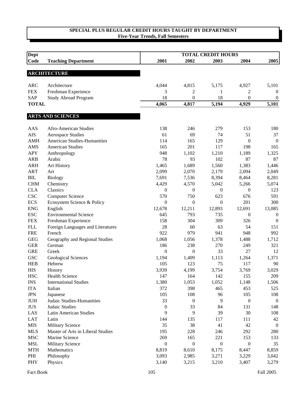| <b>Dept</b>                 |                                    |                  |                  | <b>TOTAL CREDIT HOURS</b> |                  |                  |
|-----------------------------|------------------------------------|------------------|------------------|---------------------------|------------------|------------------|
| Code                        | <b>Teaching Department</b>         | 2001             | 2002             | 2003                      | 2004             | 2005             |
|                             |                                    |                  |                  |                           |                  |                  |
|                             | <b>ARCHITECTURE</b>                |                  |                  |                           |                  |                  |
| <b>ARC</b>                  | Architecture                       | 4,044            | 4,815            | 5,175                     | 4,927            | 5,101            |
| <b>FEX</b>                  | Freshman Experience                | 3                | 2                | 1                         | 2                | $\boldsymbol{0}$ |
| <b>SAP</b>                  | <b>Study Abroad Program</b>        | 18               | $\overline{0}$   | 18                        | $\Omega$         | $\boldsymbol{0}$ |
| <b>TOTAL</b>                |                                    | 4,065            | 4,817            | 5,194                     | 4,929            | 5,101            |
|                             |                                    |                  |                  |                           |                  |                  |
|                             | <b>ARTS AND SCIENCES</b>           |                  |                  |                           |                  |                  |
| <b>AAS</b>                  | Afro-American Studies              | 138              | 246              | 279                       | 153              | 180              |
| <b>AIS</b>                  | <b>Aerospace Studies</b>           | 61               | 69               | 74                        | 51               | 37               |
| <b>AMH</b>                  | <b>American Studies-Humanities</b> | 114              | 165              | 129                       | $\boldsymbol{0}$ | $\overline{0}$   |
| AMS                         | <b>American Studies</b>            | 165              | 201              | 117                       | 198              | 165              |
| <b>APY</b>                  | Anthropology                       | 948              | 1,102            | 1,210                     | 1,189            | 1,325            |
| <b>ARB</b>                  | Arabic                             | 78               | 93               | 102                       | 87               | 87               |
| <b>ARH</b>                  | Art History                        | 1,465            | 1,689            | 1,560                     | 1,383            | 1,446            |
| <b>ART</b>                  | Art                                | 2,099            | 2,070            | 2,179                     | 2,094            | 2,049            |
| BIL                         | <b>Biology</b>                     | 7,691            | 7,536            | 8,394                     | 8,464            | 8,281            |
| <b>CHM</b>                  | Chemistry                          | 4,429            | 4,570            | 5,042                     | 5,266            | 5,074            |
| <b>CLA</b>                  | Classics                           | 0                | $\boldsymbol{0}$ | $\boldsymbol{0}$          | $\mathbf{0}$     | 123              |
| <b>CSC</b>                  | <b>Computer Science</b>            | 570              | 750              | 623                       | 676              | 591              |
| <b>ECS</b>                  | Ecosystem Science & Policy         | 0                | $\boldsymbol{0}$ | $\theta$                  | 201              | 300              |
| <b>ENG</b>                  | English                            | 12,678           | 12,211           | 12,893                    | 12,691           | 13,085           |
| <b>ESC</b>                  | <b>Environmental Science</b>       | 645              | 793              | 735                       | $\mathbf{0}$     | $\boldsymbol{0}$ |
| <b>FEX</b>                  | Freshman Experience                | 158              | 304              | 309                       | 326              | $\overline{0}$   |
| <b>FLL</b>                  | Foreign Languages and Literatures  | 28               | 60               | 63                        | 54               | 151              |
| <b>FRE</b>                  | French                             | 922              | 979              | 941                       | 948              | 992              |
| <b>GEG</b>                  | Geography and Regional Studies     | 1,068            | 1,056            | 1,378                     | 1,488            | 1,712            |
| <b>GER</b>                  | German                             | 186              | 238              | 270                       | 249              | 321              |
| <b>GRE</b>                  | Greek                              | $\boldsymbol{0}$ | $\boldsymbol{0}$ | 33                        | 27               | 12               |
| <b>GSC</b>                  | Geological Sciences                | 1,194            | 1,409            | 1,113                     | 1,264            | 1,371            |
| <b>HEB</b>                  | Hebrew                             | 105              | 123              | 75                        | 117              | 90               |
| <b>HIS</b>                  | History                            | 3,939            | 4,199            | 3,754                     | 3,769            | 3,029            |
| <b>HSC</b>                  | Health Science                     | 147              | 164              | 142                       | 155              | 209              |
| $\mathop{\rm INS}\nolimits$ | <b>International Studies</b>       | 1,380            | 1,053            | 1,052                     | 1,148            | 1,506            |
| <b>ITA</b>                  | Italian                            | 372              | 398              | 465                       | 453              | 525              |
| <b>JPN</b>                  | Japanese                           | 105              | 108              | 96                        | 105              | 108              |
| $\mathop{\rm JUH}\nolimits$ | Judaic Studies-Humanities          | 33               | $\boldsymbol{0}$ | 9                         | $\boldsymbol{0}$ | $\boldsymbol{0}$ |
| <b>JUS</b>                  | Judaic Studies                     | $\boldsymbol{0}$ | 33               | 84                        | 131              | 148              |
| LAS                         | Latin American Studies             | 9                | 9                | 39                        | 30               | 108              |
| <b>LAT</b>                  | Latin                              | 144              | 135              | 117                       | 111              | 42               |
| <b>MIS</b>                  | <b>Military Science</b>            | 35               | 38               | 41                        | $42\,$           | $\boldsymbol{0}$ |
| <b>MLS</b>                  | Master of Arts in Liberal Studies  | 195              | 228              | 246                       | 292              | 280              |
| <b>MSC</b>                  | Marine Science                     | 269              | 165              | 221                       | 153              | 133              |
| <b>MSL</b>                  | Military Science                   | $\boldsymbol{0}$ | $\boldsymbol{0}$ | $\boldsymbol{0}$          | $\boldsymbol{0}$ | 35               |
| <b>MTH</b>                  | Mathematics                        | 8,819            | 8,610            | 8,175                     | 8,447            | 8,859            |
| PHI                         | Philosophy                         | 3,093            | 2,985            | 3,271                     | 3,229            | 3,042            |
| PHY                         | Physics                            | 3,140            | 3,215            | 3,210                     | 3,407            | 3,279            |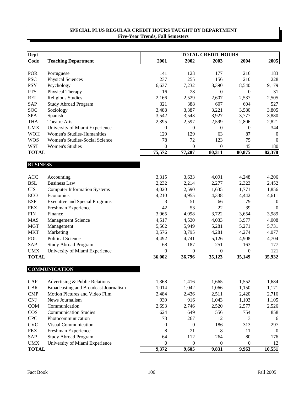| Dept                     |                                        |                  |                  | <b>TOTAL CREDIT HOURS</b> |                         |                |
|--------------------------|----------------------------------------|------------------|------------------|---------------------------|-------------------------|----------------|
| <b>Code</b>              | <b>Teaching Department</b>             | 2001             | 2002             | 2003                      | 2004                    | 2005           |
| POR                      |                                        | 141              |                  |                           | 216                     | 183            |
| <b>PSC</b>               | Portuguese<br><b>Physical Sciences</b> | 237              | 123<br>255       | 177<br>156                | 210                     | 228            |
|                          |                                        | 6,637            |                  |                           |                         |                |
| <b>PSY</b><br><b>PTS</b> | Psychology                             | 16               | 7,232<br>28      | 8,390<br>$\mathbf{0}$     | 8,540<br>$\overline{0}$ | 9,179<br>31    |
|                          | Physical Therapy                       |                  |                  |                           |                         |                |
| <b>REL</b>               | <b>Religious Studies</b>               | 2,166            | 2,529            | 2,607                     | 2,537                   | 2,505          |
| <b>SAP</b>               | <b>Study Abroad Program</b>            | 321              | 388              | 607                       | 604                     | 527<br>3,805   |
| <b>SOC</b><br><b>SPA</b> | Sociology<br>Spanish                   | 3,488<br>3,542   | 3,387<br>3,543   | 3,221<br>3,927            | 3,580<br>3,777          | 3,880          |
| <b>THA</b>               | <b>Theatre Arts</b>                    | 2,395            | 2,597            | 2,599                     | 2,806                   | 2,821          |
| <b>UMX</b>               | University of Miami Experience         | $\mathbf{0}$     | $\boldsymbol{0}$ | $\boldsymbol{0}$          | $\boldsymbol{0}$        | 344            |
| <b>WOH</b>               | <b>Women's Studies-Humanities</b>      | 129              | 129              | 63                        | 87                      | $\overline{0}$ |
|                          | Women's Studies-Social Science         | 78               | 72               |                           |                         |                |
| <b>WOS</b>               |                                        |                  |                  | 123                       | 75                      | $\Omega$       |
| <b>WST</b>               | <b>Women's Studies</b>                 | $\boldsymbol{0}$ | $\boldsymbol{0}$ | 0                         | 45                      | 180            |
| <b>TOTAL</b>             |                                        | 75,572           | 77,287           | 80,311                    | 80,875                  | 82,378         |
| <b>BUSINESS</b>          |                                        |                  |                  |                           |                         |                |
| <b>ACC</b>               | Accounting                             | 3,315            | 3,633            | 4,091                     | 4,248                   | 4,206          |
| <b>BSL</b>               | <b>Business Law</b>                    | 2,232            | 2,214            | 2,277                     | 2,323                   | 2,452          |
| <b>CIS</b>               | <b>Computer Information Systems</b>    | 4,020            | 2,590            | 1,635                     | 1,771                   | 1,856          |
| ECO                      | Economics                              | 4,210            | 4,955            | 4,338                     | 4,442                   | 4,611          |
| <b>ESP</b>               | <b>Executive and Special Programs</b>  | 3                | 51               | 66                        | 79                      | $\overline{0}$ |
| <b>FEX</b>               | Freshman Experience                    | 42               | 53               | 22                        | 39                      | $\Omega$       |
| <b>FIN</b>               | Finance                                | 3,965            | 4,098            | 3,722                     | 3,654                   | 3,989          |
| <b>MAS</b>               | <b>Management Science</b>              | 4,517            | 4,530            | 4,033                     | 3,977                   | 4,008          |
| <b>MGT</b>               | Management                             | 5,562            | 5,949            | 5,281                     | 5,271                   | 5,731          |
| <b>MKT</b>               | Marketing                              | 3,576            | 3,795            | 4,281                     | 4,274                   | 4,077          |
| POL                      | <b>Political Science</b>               | 4,492            | 4,741            | 5,126                     | 4,908                   | 4,704          |
| <b>SAP</b>               | <b>Study Abroad Program</b>            | 68               | 187              | 251                       | 163                     | 177            |
| <b>UMX</b>               | University of Miami Experience         | $\boldsymbol{0}$ | $\boldsymbol{0}$ | $\boldsymbol{0}$          | $\boldsymbol{0}$        | 121            |
| <b>TOTAL</b>             |                                        | 36,002           | 36,796           | 35,123                    | 35,149                  | 35,932         |
|                          |                                        |                  |                  |                           |                         |                |
|                          | <b>COMMUNICATION</b>                   |                  |                  |                           |                         |                |
| CAP                      | Advertising & Public Relations         | 1,368            | 1,416            | 1,665                     | 1,552                   | 1,684          |
| <b>CBR</b>               | Broadcasting and Broadcast Journalism  | 1,014            | 1,042            | 1,066                     | 1,150                   | 1,171          |
| <b>CMP</b>               | Motion Pictures and Video Film         | 2,484            | 2,436            | 2,511                     | 2,420                   | 2,716          |
| CNJ                      | News Journalism                        | 939              | 916              | 1,043                     | 1,103                   | 1,105          |
| <b>COM</b>               | Communication                          | 2,693            | 2,746            | 2,520                     | 2,577                   | 2,526          |
| COS                      | <b>Communication Studies</b>           | 624              | 649              | 556                       | 754                     | 858            |
| <b>CPC</b>               | Photocommunication                     | 178              | 267              | 12                        | 3                       | 6              |
| <b>CVC</b>               | Visual Communication                   | $\boldsymbol{0}$ | $\boldsymbol{0}$ | 186                       | 313                     | 297            |
| <b>FEX</b>               | Freshman Experience                    | 8                | 21               | 8                         | 11                      | $\overline{0}$ |
| SAP                      | <b>Study Abroad Program</b>            | 64               | 112              | 264                       | 80                      | 176            |
| <b>UMX</b>               | University of Miami Experience         | $\mathbf{0}$     | $\boldsymbol{0}$ | $\boldsymbol{0}$          | $\boldsymbol{0}$        | 12             |
| <b>TOTAL</b>             |                                        | 9,372            | 9,605            | 9,831                     | 9,963                   | 10,551         |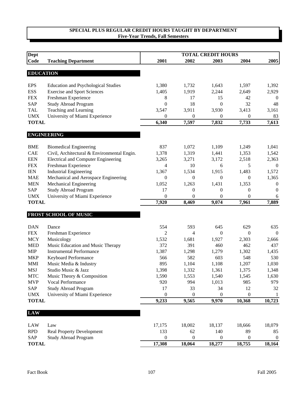| <b>Dept</b>                |                                             |                  |                           | <b>TOTAL CREDIT HOURS</b> |                           |                  |
|----------------------------|---------------------------------------------|------------------|---------------------------|---------------------------|---------------------------|------------------|
| Code                       | <b>Teaching Department</b>                  | 2001             | 2002                      | 2003                      | 2004                      | 2005             |
| <b>EDUCATION</b>           |                                             |                  |                           |                           |                           |                  |
|                            |                                             |                  |                           |                           |                           |                  |
| <b>EPS</b>                 | <b>Education and Psychological Studies</b>  | 1,380            | 1,732                     | 1,643                     | 1,597                     | 1,392            |
| <b>ESS</b>                 | <b>Exercise and Sport Sciences</b>          | 1,405            | 1,919                     | 2,244                     | 2,649                     | 2,929            |
| <b>FEX</b>                 | Freshman Experience                         | 8                | 17                        | 15                        | 42                        | $\boldsymbol{0}$ |
| <b>SAP</b>                 | <b>Study Abroad Program</b>                 | $\boldsymbol{0}$ | 18                        | $\mathbf{0}$              | 32                        | 48               |
| <b>TAL</b>                 | Teaching and Learning                       | 3,547            | 3,911                     | 3,930                     | 3,413                     | 3,161            |
| <b>UMX</b><br><b>TOTAL</b> | University of Miami Experience              | 0<br>6,340       | $\boldsymbol{0}$<br>7,597 | 0<br>7,832                | $\boldsymbol{0}$<br>7,733 | 83<br>7,613      |
|                            |                                             |                  |                           |                           |                           |                  |
|                            | <b>ENGINEERING</b>                          |                  |                           |                           |                           |                  |
| <b>BME</b>                 | <b>Biomedical Engineering</b>               | 837              | 1,072                     | 1,109                     | 1,249                     | 1,041            |
| <b>CAE</b>                 | Civil, Architectural & Environmental Engin. | 1,378            | 1,319                     | 1,441                     | 1,353                     | 1,542            |
| <b>EEN</b>                 | <b>Electrical and Computer Engineering</b>  | 3,265            | 3,271                     | 3,172                     | 2,518                     | 2,363            |
| <b>FEX</b>                 | Freshman Experience                         | 4                | 10                        | 6                         | 5                         | $\theta$         |
| <b>IEN</b>                 | <b>Industrial Engineering</b>               | 1,367            | 1,534                     | 1,915                     | 1,483                     | 1,572            |
| <b>MAE</b>                 | Mechanical and Aerospace Engineering        | 0                | $\mathbf{0}$              | $\mathbf{0}$              | $\mathbf{0}$              | 1,365            |
| <b>MEN</b>                 | Mechanical Engineering                      | 1,052            | 1,263                     | 1,431                     | 1,353                     | $\boldsymbol{0}$ |
| SAP                        | <b>Study Abroad Program</b>                 | 17               | $\boldsymbol{0}$          | $\boldsymbol{0}$          | $\mathbf{0}$              | $\boldsymbol{0}$ |
| <b>UMX</b>                 | University of Miami Experience              | $\boldsymbol{0}$ | $\boldsymbol{0}$          | $\theta$                  | $\boldsymbol{0}$          | 6                |
| <b>TOTAL</b>               |                                             | 7,920            | 8,469                     | 9,074                     | 7,961                     | 7,889            |
|                            | FROST SCHOOL OF MUSIC                       |                  |                           |                           |                           |                  |
| <b>DAN</b>                 | Dance                                       | 554              | 593                       | 645                       | 629                       | 635              |
| <b>FEX</b>                 | Freshman Experience                         | 2                | 4                         | $\theta$                  | $\Omega$                  | $\theta$         |
| <b>MCY</b>                 | Musicology                                  | 1,532            | 1,681                     | 1,927                     | 2,303                     | 2,666            |
| <b>MED</b>                 | Music Education and Music Therapy           | 372              | 391                       | 460                       | 462                       | 437              |
| <b>MIP</b>                 | <b>Instrumental Performance</b>             | 1,387            | 1,298                     | 1,279                     | 1,302                     | 1,435            |
| <b>MKP</b>                 | Keyboard Performance                        | 566              | 582                       | 603                       | 548                       | 530              |
| <b>MMI</b>                 | Music Media & Industry                      | 895              | 1,104                     | 1,108                     | 1,207                     | 1,030            |
| <b>MSJ</b>                 | Studio Music & Jazz                         | 1,398            | 1,332                     | 1,361                     | 1,375                     | 1,348            |
| <b>MTC</b>                 | Music Theory & Composition                  | 1,590            | 1,553                     | 1,540                     | 1,545                     | 1,630            |
| <b>MVP</b>                 | Vocal Performance                           | 920              | 994                       | 1,013                     | 985                       | 979              |
| SAP                        | <b>Study Abroad Program</b>                 | 17               | 33                        | 34                        | 12                        | 32               |
| <b>UMX</b>                 | University of Miami Experience              | $\boldsymbol{0}$ | $\boldsymbol{0}$          | $\boldsymbol{0}$          | $\boldsymbol{0}$          | 1                |
| <b>TOTAL</b>               |                                             | 9,233            | 9,565                     | 9,970                     | 10,368                    | 10,723           |
|                            |                                             |                  |                           |                           |                           |                  |
| <b>LAW</b>                 |                                             |                  |                           |                           |                           |                  |
| LAW                        | Law                                         | 17,175           | 18,002                    | 18,137                    | 18,666                    | 18,079           |
| <b>RPD</b>                 | <b>Real Property Development</b>            | 133              | 62                        | 140                       | 89                        | 85               |
| <b>SAP</b>                 | <b>Study Abroad Program</b>                 | 0                | $\mathbf{0}$              | 0                         | $\theta$                  | $\mathbf{0}$     |
| <b>TOTAL</b>               |                                             | 17,308           | 18,064                    | 18,277                    | 18,755                    | 18,164           |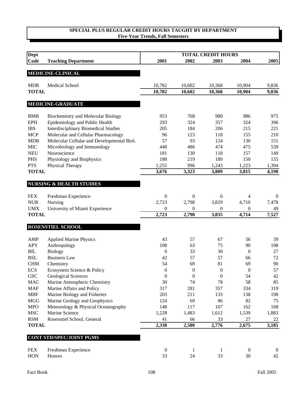| <b>Dept</b>                |                                             |                  |                  | <b>TOTAL CREDIT HOURS</b> |                  |                |
|----------------------------|---------------------------------------------|------------------|------------------|---------------------------|------------------|----------------|
| Code                       | <b>Teaching Department</b>                  | 2001             | 2002             | 2003                      | 2004             | 2005           |
|                            | <b>MEDICINE-CLINICAL</b>                    |                  |                  |                           |                  |                |
| <b>MDR</b>                 | Medical School                              | 10,782           | 10,602           | 10,368                    | 10,904           | 9,836          |
| <b>TOTAL</b>               |                                             | 10,782           | 10,602           | 10,368                    | 10,904           | 9,836          |
|                            | <b>MEDICINE-GRADUATE</b>                    |                  |                  |                           |                  |                |
| <b>BMB</b>                 | Biochemistry and Molecular Biology          | 953              | 768              | 980                       | 986              | 975            |
| <b>EPH</b>                 | Epidemiology and Public Health              | 293              | 324              | 357                       | 324              | 396            |
| <b>IBS</b>                 | <b>Interdisciplinary Biomedical Studies</b> | 205              | 184              | 206                       | 215              | 221            |
| <b>MCP</b>                 | Molecular and Cellular Pharmacology         | 96               | 123              | 118                       | 155              | 210            |
| <b>MDB</b>                 | Molecular Cellular and Developmental Biol.  | 57               | 93               | 124                       | 130              | 151            |
| <b>MIC</b>                 |                                             | 448              | 486              | 474                       | 475              | 539            |
|                            | Microbiology and Immunology<br>Neuroscience | 181              |                  |                           |                  |                |
| <b>NEU</b>                 |                                             | 188              | 130<br>219       | 118                       | 157              | 149<br>155     |
| <b>PHS</b>                 | Physiology and Biophysics                   |                  |                  | 189                       | 150              |                |
| <b>PTS</b><br><b>TOTAL</b> | Physical Therapy                            | 1,255<br>3,676   | 996<br>3,323     | 1,243<br>3,809            | 1,223            | 1,394          |
|                            |                                             |                  |                  |                           | 3,815            | 4,190          |
|                            | <b>NURSING &amp; HEALTH STUDIES</b>         |                  |                  |                           |                  |                |
| <b>FEX</b>                 | Freshman Experience                         | $\boldsymbol{0}$ | $\mathbf{0}$     | 6                         | 4                | $\theta$       |
| <b>NUR</b>                 | Nursing                                     | 2,723            | 2,798            | 3,829                     | 4,710            | 7,478          |
| <b>UMX</b>                 | University of Miami Experience              | 0                | $\boldsymbol{0}$ | $\theta$                  | $\mathbf{0}$     | 49             |
| <b>TOTAL</b>               |                                             | 2,723            | 2,798            | 3,835                     | 4,714            | 7,527          |
|                            | ROSENSTIEL SCHOOL                           |                  |                  |                           |                  |                |
| AMP                        | <b>Applied Marine Physics</b>               | 43               | 57               | 67                        | 56               | 39             |
| <b>APY</b>                 | Anthropology                                | 108              | 63               | 75                        | 90               | 108            |
| BIL                        | <b>Biology</b>                              | $\boldsymbol{0}$ | 33               | 30                        | $\boldsymbol{0}$ | 27             |
| <b>BSL</b>                 | <b>Business Law</b>                         | 42               | 57               | 57                        | 66               | 72             |
| <b>CHM</b>                 | Chemistry                                   | 54               | 69               | 81                        | 69               | 90             |
| <b>ECS</b>                 | Ecosystem Science & Policy                  | $\overline{0}$   | $\theta$         | $\theta$                  | $\theta$         | 57             |
| <b>GSC</b>                 | Geological Sciences                         | $\boldsymbol{0}$ | $\boldsymbol{0}$ | $\boldsymbol{0}$          | 54               | 42             |
| <b>MAC</b>                 | Marine Atmospheric Chemistry                | 30               | 74               | 78                        | 58               | 85             |
| <b>MAF</b>                 | Marine Affairs and Policy                   | 317              | 281              | 357                       | 334              | 319            |
| <b>MBF</b>                 | Marine Biology and Fisheries                | 203              | 211              | 133                       | 138              | 198            |
| <b>MGG</b>                 | Marine Geology and Geophysics               | 124              | 69               | 86                        | 82               | 75             |
| <b>MPO</b>                 | Meteorology & Physical Oceanography         | 148              | 117              | 167                       | 162              | 168            |
| <b>MSC</b>                 | Marine Science                              | 1,228            | 1,483            | 1,612                     | 1,539            | 1,883          |
| <b>RSM</b>                 | Rosenstiel School, General                  | 41               | 66               | 33                        | 27               | 22             |
| <b>TOTAL</b>               |                                             | 2,338            | 2,580            | 2,776                     | 2,675            | 3,185          |
|                            |                                             |                  |                  |                           |                  |                |
|                            | <b>CONT STD/SPEC/JOINT PGMS</b>             |                  |                  |                           |                  |                |
| <b>FEX</b>                 | Freshman Experience                         | $\boldsymbol{0}$ | $\mathbf{1}$     | 1                         | $\boldsymbol{0}$ | $\overline{0}$ |
| HON                        | Honors                                      | 33               | 24               | 33                        | 30               | 42             |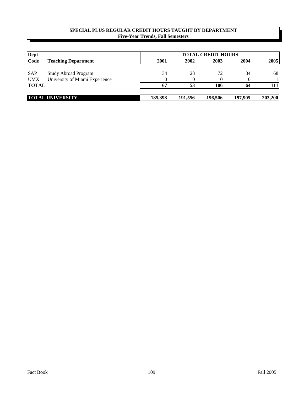| <b>Dept</b>  |                                |         | <b>TOTAL CREDIT HOURS</b> |         |         |         |  |  |  |  |
|--------------|--------------------------------|---------|---------------------------|---------|---------|---------|--|--|--|--|
| Code         | <b>Teaching Department</b>     | 2001    | 2002                      | 2003    | 2004    | 2005    |  |  |  |  |
| <b>SAP</b>   | <b>Study Abroad Program</b>    | 34      | 28                        | 72      | 34      | 68      |  |  |  |  |
| <b>UMX</b>   | University of Miami Experience |         |                           |         |         |         |  |  |  |  |
| <b>TOTAL</b> |                                | -67     | 53                        | 106     | 64      | 111     |  |  |  |  |
|              | <b>TOTAL UNIVERSITY</b>        | 185,398 | 191.556                   | 196,506 | 197,905 | 203,200 |  |  |  |  |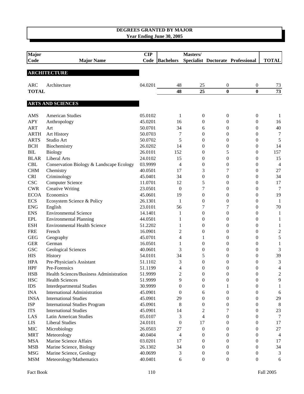# **DEGREES GRANTED BY MAJOR**

| Year Ending June 30, 2005 |  |
|---------------------------|--|
|---------------------------|--|

| Major                |                                          | CIP     |                  | Masters/         |                  |                                   |                  |
|----------------------|------------------------------------------|---------|------------------|------------------|------------------|-----------------------------------|------------------|
| Code                 | <b>Major Name</b>                        | Code    | <b>Bachelors</b> |                  |                  | Specialist Doctorate Professional | <b>TOTAL</b>     |
|                      |                                          |         |                  |                  |                  |                                   |                  |
|                      | <b>ARCHITECTURE</b>                      |         |                  |                  |                  |                                   |                  |
| <b>ARC</b>           | Architecture                             | 04.0201 | 48               | 25               | 0                | 0                                 | 73               |
| <b>TOTAL</b>         |                                          |         | 48               | 25               | $\bf{0}$         | $\bf{0}$                          | $\overline{73}$  |
|                      |                                          |         |                  |                  |                  |                                   |                  |
|                      | <b>ARTS AND SCIENCES</b>                 |         |                  |                  |                  |                                   |                  |
| AMS                  | <b>American Studies</b>                  | 05.0102 | 1                | $\mathbf{0}$     | $\boldsymbol{0}$ | 0                                 | 1                |
| <b>APY</b>           | Anthropology                             | 45.0201 | 16               | 0                | 0                | 0                                 | 16               |
| <b>ART</b>           | Art                                      | 50.0701 | 34               | 6                | 0                | 0                                 | 40               |
| <b>ARTH</b>          | Art History                              | 50.0703 | 7                | $\overline{0}$   | 0                | 0                                 | 7                |
| <b>ARTS</b>          | Studio Art                               | 50.0702 | 5                | $\boldsymbol{0}$ | 0                | 0                                 | 5                |
| <b>BCH</b>           | Biochemistry                             | 26.0202 | 14               | $\theta$         | 0                | 0                                 | 14               |
| BIL                  | <b>Biology</b>                           | 26.0101 | 152              | $\boldsymbol{0}$ | 5                | 0                                 | 157              |
| <b>BLAR</b>          | <b>Liberal Arts</b>                      | 24.0102 | 15               | $\boldsymbol{0}$ | 0                | 0                                 | 15               |
| <b>CBL</b>           | Conservation Biology & Landscape Ecology | 03.9999 | $\overline{4}$   | $\boldsymbol{0}$ | $\boldsymbol{0}$ | 0                                 | $\overline{4}$   |
| <b>CHM</b>           | Chemistry                                | 40.0501 | 17               | 3                | 7                | 0                                 | 27               |
| <b>CRI</b>           | Criminology                              | 45.0401 | 34               | $\boldsymbol{0}$ | 0                | 0                                 | 34               |
| <b>CSC</b>           | <b>Computer Science</b>                  | 11.0701 | 12               | 5                | 0                | 0                                 | 17               |
| ${\rm CWR}$          | <b>Creative Writing</b>                  | 23.0501 | $\overline{0}$   | 7                | 0                | 0                                 | $\overline{7}$   |
| <b>ECOA</b>          | Economics                                | 45.0601 | 19               | $\boldsymbol{0}$ | 0                | 0                                 | 19               |
| <b>ECS</b>           | Ecosystem Science & Policy               | 26.1301 | 1                | $\boldsymbol{0}$ | 0                | 0                                 | -1               |
| <b>ENG</b>           | English                                  | 23.0101 | 56               | 7                | 7                | 0                                 | 70               |
| <b>ENS</b>           | <b>Environmental Science</b>             | 14.1401 | 1                | $\overline{0}$   | $\theta$         | 0                                 | 1                |
| <b>EPL</b>           | <b>Environmental Planning</b>            | 44.0501 | 1                | $\mathbf{0}$     | 0                | 0                                 | $\mathbf{1}$     |
| <b>ESH</b>           | <b>Environmental Health Science</b>      | 51.2202 | 1                | $\mathbf{0}$     | 0                | 0                                 | $\mathbf{1}$     |
| <b>FRE</b>           | French                                   | 16.0901 | 2                | $\mathbf{0}$     | 0                | 0                                 | $\boldsymbol{2}$ |
| <b>GEG</b>           | Geography                                | 45.0701 | 4                | 1                | 0                | 0                                 | 5                |
| <b>GER</b>           | German                                   | 16.0501 | 1                | $\mathbf{0}$     | 0                | 0                                 | $\mathbf{1}$     |
| <b>GSC</b>           | <b>Geological Sciences</b>               | 40.0601 | 3                | $\mathbf{0}$     | 0                | 0                                 | 3                |
| <b>HIS</b>           | History                                  | 54.0101 | 34               | 5                | 0                | 0                                 | 39               |
| <b>HPA</b>           | Pre-Physician's Assistant                | 51.1102 | 3                | $\boldsymbol{0}$ | 0                | $\overline{0}$                    | $\mathfrak{Z}$   |
| <b>HPF</b>           | Pre-Forensics                            | 51.1199 | 4                | $\theta$         | 0                | 0                                 | 4                |
| <b>HSB</b>           | Health Sciences/Business Administration  | 51.9999 | $\overline{c}$   | $\boldsymbol{0}$ | $\boldsymbol{0}$ | 0                                 | $\overline{c}$   |
| <b>HSC</b>           | <b>Health Sciences</b>                   | 51.9999 | 9                | $\overline{0}$   | 0                | $\overline{0}$                    | 9                |
| <b>IDS</b>           | <b>Interdepartmental Studies</b>         | 30.9999 | $\theta$         | $\mathbf{0}$     | 1                | 0                                 | 1                |
| <b>INA</b>           | <b>International Administration</b>      | 45.0901 | $\mathbf{0}$     | 6                | 0                | 0                                 | 6                |
| <b>INSA</b>          | <b>International Studies</b>             | 45.0901 | 29               | $\overline{0}$   | 0                | $\overline{0}$                    | 29               |
| <b>ISP</b>           | <b>International Studies Program</b>     | 45.0901 | 8                | 0                | 0                | 0                                 | 8                |
| <b>ITS</b>           | <b>International Studies</b>             | 45.0901 | 14               | 2                | 7                | 0                                 | 23               |
| LAS                  | Latin American Studies                   | 05.0107 | 3                | 4                | 0                | 0                                 | 7                |
| LIS                  | <b>Liberal Studies</b>                   | 24.0101 | $\boldsymbol{0}$ | 17               | 0                | 0                                 | 17               |
| $\rm MIC$            | Microbiology                             | 26.0503 | 27               | $\boldsymbol{0}$ | 0                | 0                                 | 27               |
| <b>MRT</b>           | Meteorology                              | 40.0404 | 4                | $\mathbf{0}$     | 0                | 0                                 | $\overline{4}$   |
| <b>MSA</b>           | Marine Science Affairs                   | 03.0201 | 17               | 0                | 0                | 0                                 | 17               |
| <b>MSB</b>           | Marine Science, Biology                  | 26.1302 | 34               | 0                | 0                | 0                                 | 34               |
| <b>MSG</b>           | Marine Science, Geology                  | 40.0699 | 3                | $\mathbf{0}$     | 0                | 0                                 | 3                |
| $\operatorname{MSM}$ | Meteorology/Mathematics                  | 40.0401 | 6                | $\boldsymbol{0}$ | 0                | 0                                 | 6                |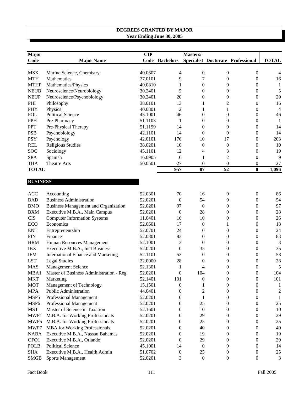| Major           |                                             | CIP     |                  | Masters/                   |                  |                                   |                |
|-----------------|---------------------------------------------|---------|------------------|----------------------------|------------------|-----------------------------------|----------------|
| Code            | <b>Major Name</b>                           | Code    | <b>Bachelors</b> |                            |                  | Specialist Doctorate Professional | <b>TOTAL</b>   |
|                 |                                             |         |                  |                            |                  |                                   |                |
| <b>MSX</b>      | Marine Science, Chemistry                   | 40.0607 | 4                | 0                          | $\boldsymbol{0}$ | $\boldsymbol{0}$                  | 4              |
| <b>MTH</b>      | Mathematics                                 | 27.0101 | 9                | 7                          | $\boldsymbol{0}$ | $\boldsymbol{0}$                  | 16             |
| <b>MTHP</b>     | Mathematics/Physics                         | 40.0810 | 1                | 0                          | $\boldsymbol{0}$ | $\boldsymbol{0}$                  | $\mathbf{1}$   |
| <b>NEUB</b>     | Neuroscience/Neurobiology                   | 30.2401 | 5                | $\boldsymbol{0}$           | $\boldsymbol{0}$ | $\boldsymbol{0}$                  | $\mathfrak s$  |
| <b>NEUP</b>     | Neuroscience/Psychobiology                  | 30.2401 | 20               | $\boldsymbol{0}$           | $\boldsymbol{0}$ | $\boldsymbol{0}$                  | $20\,$         |
| PHI             | Philosophy                                  | 38.0101 | 13               | 1                          | 2                | $\boldsymbol{0}$                  | 16             |
| PHY             | Physics                                     | 40.0801 | 2                | 1                          | 1                | $\boldsymbol{0}$                  | $\overline{4}$ |
| POL             | Political Science                           | 45.1001 | 46               | $\boldsymbol{0}$           | $\overline{0}$   | $\boldsymbol{0}$                  | 46             |
| <b>PPH</b>      | Pre-Pharmacy                                | 51.1103 | 1                | 0                          | $\boldsymbol{0}$ | $\boldsymbol{0}$                  | -1             |
| <b>PPT</b>      | Pre-Physical Therapy                        | 51.1199 | 14               | 0                          | $\mathbf{0}$     | $\boldsymbol{0}$                  | 14             |
| <b>PSB</b>      | Psychobiology                               | 42.1101 | 14               | $\overline{0}$             | $\overline{0}$   | $\boldsymbol{0}$                  | 14             |
| <b>PSY</b>      | Psychology                                  | 42.0101 | 176              | 10                         | 17               | $\mathbf{0}$                      | 203            |
| <b>REL</b>      | <b>Religious Studies</b>                    | 38.0201 | 10               | $\boldsymbol{0}$           | $\boldsymbol{0}$ | $\mathbf{0}$                      | 10             |
| SOC             | Sociology                                   | 45.1101 | 12               | 4                          | 3                | $\boldsymbol{0}$                  | 19             |
| <b>SPA</b>      | Spanish                                     | 16.0905 | 6                | 1                          | $\overline{2}$   | $\mathbf{0}$                      | 9              |
| <b>THA</b>      | <b>Theatre Arts</b>                         | 50.0501 | 27               | $\overline{0}$             | $\boldsymbol{0}$ | $\boldsymbol{0}$                  | 27             |
| <b>TOTAL</b>    |                                             |         | 957              | $\overline{\overline{87}}$ | $\overline{52}$  | $\bf{0}$                          | 1,096          |
|                 |                                             |         |                  |                            |                  |                                   |                |
| <b>BUSINESS</b> |                                             |         |                  |                            |                  |                                   |                |
|                 |                                             |         |                  |                            |                  |                                   |                |
| ACC             | Accounting                                  | 52.0301 | 70               | 16                         | $\mathbf{0}$     | $\boldsymbol{0}$                  | 86             |
| <b>BAD</b>      | <b>Business Administration</b>              | 52.0201 | $\theta$         | 54                         | $\theta$         | $\mathbf{0}$                      | 54             |
| <b>BMO</b>      | <b>Business Management and Organization</b> | 52.0201 | 97               | $\boldsymbol{0}$           | $\mathbf{0}$     | $\overline{0}$                    | 97             |
| <b>BXM</b>      | Executive M.B.A., Main Campus               | 52.0201 | $\boldsymbol{0}$ | 28                         | $\theta$         | 0                                 | 28             |
| <b>CIS</b>      | <b>Computer Information Systems</b>         | 11.0401 | 16               | 10                         | $\boldsymbol{0}$ | 0                                 | 26             |
| <b>ECO</b>      | Economics                                   | 52.0601 | 17               | $\theta$                   | 1                | 0                                 | 18             |
| <b>ENT</b>      | Entrepreneurship                            | 52.0701 | 24               | $\overline{0}$             | $\boldsymbol{0}$ | 0                                 | 24             |
| <b>FIN</b>      | Finance                                     | 52.0801 | 83               | $\overline{0}$             | $\theta$         | 0                                 | 83             |
| <b>HRM</b>      | Human Resources Management                  | 52.1001 | 3                | $\theta$                   | $\theta$         | 0                                 | $\mathfrak{Z}$ |
| <b>IBX</b>      | Executive M.B.A., Int'l Business            | 52.0201 | $\boldsymbol{0}$ | 35                         | $\theta$         | 0                                 | 35             |
| <b>IFM</b>      | <b>International Finance and Marketing</b>  | 52.1101 | 53               | $\boldsymbol{0}$           | $\boldsymbol{0}$ | 0                                 | 53             |
| <b>LST</b>      | <b>Legal Studies</b>                        | 22.0000 | 28               | 0                          | $\boldsymbol{0}$ | $\boldsymbol{0}$                  | 28             |
| <b>MAS</b>      | Management Science                          | 52.1301 | 1                | 4                          | $\boldsymbol{0}$ | $\boldsymbol{0}$                  | 5              |
| MBA1            | Master of Business Administration - Reg     | 52.0201 | $\boldsymbol{0}$ | 104                        | $\boldsymbol{0}$ | $\boldsymbol{0}$                  | 104            |
| <b>MKT</b>      | Marketing                                   | 52.1401 | 101              | 0                          | $\boldsymbol{0}$ | $\boldsymbol{0}$                  | 101            |
| <b>MOT</b>      | Management of Technology                    | 15.1501 | $\boldsymbol{0}$ | 1                          | $\boldsymbol{0}$ | $\boldsymbol{0}$                  | -1             |
| <b>MPA</b>      | <b>Public Administration</b>                | 44.0401 | 0                | $\overline{c}$             | $\mathbf{0}$     | $\boldsymbol{0}$                  | $\overline{c}$ |
| MSP5            | Professional Management                     | 52.0201 | 0                | $\mathbf{1}$               | $\mathbf{0}$     | $\mathbf{0}$                      | -1             |
| MSP6            | Professional Management                     | 52.0201 | $\theta$         | 25                         | $\mathbf{0}$     | $\boldsymbol{0}$                  | $25\,$         |
| <b>MST</b>      | Master of Science in Taxation               | 52.1601 | 0                | 10                         | $\theta$         | $\mathbf{0}$                      | 10             |
| MWP1            | M.B.A. for Working Professionals            | 52.0201 | 0                | 29                         | $\overline{0}$   | $\boldsymbol{0}$                  | 29             |
| MWP5            | M.B.A. for Working Professionals            | 52.0201 | 0                | 25                         | $\theta$         | $\boldsymbol{0}$                  | 25             |
| MWP7            | <b>MBA</b> for Working Professionals        | 52.0201 | 0                | 40                         | $\theta$         | $\mathbf{0}$                      | 40             |
| <b>NABA</b>     | Executive M.B.A., Nassau Bahamas            | 52.0201 | 0                | 19                         | $\theta$         | $\boldsymbol{0}$                  | 19             |
| OFO1            | Executive M.B.A., Orlando                   | 52.0201 | $\theta$         | 29                         | $\theta$         | $\boldsymbol{0}$                  | 29             |
| <b>POLB</b>     | <b>Political Science</b>                    | 45.1001 | 14               | $\boldsymbol{0}$           | $\theta$         | $\mathbf{0}$                      | 14             |
| <b>SHA</b>      | Executive M.B.A., Health Admin              | 51.0702 | $\boldsymbol{0}$ | 25                         | $\mathbf{0}$     | $\boldsymbol{0}$                  | $25\,$         |
| <b>SMGB</b>     | <b>Sports Management</b>                    | 52.0201 | 3                | $\boldsymbol{0}$           | $\boldsymbol{0}$ | $\boldsymbol{0}$                  | $\mathfrak{Z}$ |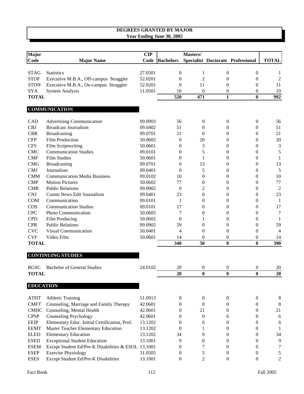| <b>Major</b> |                                        | $\mathbf{CIP}$ |                  | Masters/       |              |                                   |                  |
|--------------|----------------------------------------|----------------|------------------|----------------|--------------|-----------------------------------|------------------|
| Code         | <b>Major Name</b>                      | Code           | <b>Bachelors</b> |                |              | Specialist Doctorate Professional | <b>TOTAL</b>     |
| <b>STAG</b>  | <b>Statistics</b>                      | 27.0501        | $\Omega$         | 1              | $\theta$     | $\Omega$                          | 1                |
| <b>STOF</b>  | Executive M.B.A., Off-campus Straggler | 52.0201        | $\theta$         | $\overline{c}$ | $\Omega$     | $\theta$                          | $\overline{2}$   |
| <b>STON</b>  | Executive M.B.A., On-campus Straggler  | 52.0201        | $\theta$         | 11             | 0            | $\theta$                          | 11               |
| <b>SYA</b>   | <b>System Analysis</b>                 | 11.0501        | 10               | $\theta$       | $\theta$     | $\theta$                          | 10               |
| <b>TOTAL</b> |                                        |                | 520              | 471            | $\mathbf{1}$ | $\bf{0}$                          | $\overline{992}$ |
|              |                                        |                |                  |                |              |                                   |                  |
|              | <b>COMMUNICATION</b>                   |                |                  |                |              |                                   |                  |
| <b>CAD</b>   | <b>Advertising Communication</b>       | 09.0903        | 56               | $\theta$       | $\theta$     | $\overline{0}$                    | 56               |
| <b>CBJ</b>   | <b>Broadcast Journalism</b>            | 09.0402        | 51               | $\theta$       | $\Omega$     | $\mathbf{0}$                      | 51               |
| <b>CBR</b>   | <b>Broadcasting</b>                    | 09.0701        | 21               | $\theta$       | 0            | $\mathbf{0}$                      | 21               |
| <b>CFP</b>   | <b>Film Production</b>                 | 50.0602        | $\theta$         | 20             | $\Omega$     | $\Omega$                          | 20               |
| <b>CFS</b>   | Film Scriptwriting                     | 50.0601        | $\theta$         | 3              | $\Omega$     | $\theta$                          | 3                |
| <b>CMC</b>   | <b>Communication Studies</b>           | 09.0101        | $\Omega$         | 5              | 0            | $\theta$                          | 5                |
| <b>CMF</b>   | <b>Film Studies</b>                    | 50.0601        | $\Omega$         | 1              | $\Omega$     | $\Omega$                          | 1                |
| <b>CMG</b>   | <b>Broadcasting</b>                    | 09.0701        | $\theta$         | 13             | $\Omega$     | $\Omega$                          | 13               |
| <b>CMJ</b>   | Journalism                             | 09.0401        | $\theta$         | 5              | 0            | $\mathbf{0}$                      | 5                |
| <b>CMM</b>   | <b>Communication Media Business</b>    | 09.0102        | 10               | $\theta$       | 0            | $\mathbf{0}$                      | 10               |
| $\text{CMP}$ | <b>Motion Pictures</b>                 | 50.0602        | 77               | $\Omega$       | 0            | $\Omega$                          | 77               |
| <b>CMR</b>   | <b>Public Relations</b>                | 09.0902        | $\Omega$         | 2              | 0            | $\theta$                          | $\overline{c}$   |
| <b>CNJ</b>   | Comm News Edit Journalism              | 09.0401        | 23               | $\overline{0}$ | $\theta$     | $\overline{0}$                    | 23               |
| <b>COM</b>   | Communication                          | 09.0101        | 1                | $\Omega$       | $\theta$     | $\Omega$                          | 1                |
| COS          | <b>Communication Studies</b>           | 09.0101        | 17               | $\theta$       | 0            | $\Omega$                          | 17               |
| <b>CPC</b>   | Photo Communication                    | 50.0605        | 7                | $\overline{0}$ | $\theta$     | $\theta$                          | $\overline{7}$   |
| <b>CPD</b>   | Film Producing                         | 50.0602        | $\theta$         | 1              | 0            | $\overline{0}$                    | 1                |
| <b>CPR</b>   | <b>Public Relations</b>                | 09.0902        | 59               | $\Omega$       | 0            | $\theta$                          | 59               |
| <b>CVC</b>   | Visual Communication                   | 50.0401        | 4                | $\theta$       | 0            | $\overline{0}$                    | 4                |
| <b>CVF</b>   | Video Film                             | 50.0601        | 14               | $\Omega$       | $\Omega$     | $\theta$                          | 14               |
| <b>TOTAL</b> |                                        |                | 340              | 50             | $\mathbf{0}$ | $\bf{0}$                          | 390              |

# **CONTINUING STUDIES**

| <b>BGSC</b>      | <b>Bachelor of General Studies</b>                  | 24.0102 | 20 | 0  | $\Omega$ | $\theta$ | 20        |
|------------------|-----------------------------------------------------|---------|----|----|----------|----------|-----------|
| <b>TOTAL</b>     |                                                     |         | 20 | 0  | 0        | 0        | <b>20</b> |
| <b>EDUCATION</b> |                                                     |         |    |    |          |          |           |
| <b>ATHT</b>      | <b>Athletic Training</b>                            | 51.0913 | 8  | 0  | $\Omega$ |          | 8         |
| <b>CMFT</b>      | Counseling, Marriage and Family Therapy             | 42.0601 |    |    |          |          |           |
| <b>CMHC</b>      | Counseling, Mental Health                           | 42.0601 |    | 21 |          |          | 21        |
| <b>CPSP</b>      | Counseling Psychology                               | 42.0601 |    | 0  | 6        |          | 6         |
| <b>EEIP</b>      | Elementary Educ. Initial Certification, Prof.       | 13.1202 |    | 6  |          |          | 6         |
| <b>EEMT</b>      | Master Teacher Elementary Education                 | 13.1202 |    |    |          |          |           |
| <b>ELED</b>      | <b>Elementary Education</b>                         | 13.1202 | 34 |    |          |          | 34        |
| <b>ESED</b>      | <b>Exceptional Student Education</b>                | 13.1001 | 9  |    |          |          | 9         |
| <b>ESEM</b>      | Except Student Ed/Pre-K Disabilities & ESOL 13.1001 |         |    |    |          |          |           |
| <b>ESEP</b>      | <b>Exercise Physiology</b>                          | 31.0505 |    |    |          |          |           |
| <b>ESES</b>      | Except Student Ed/Pre-K Disabilities                | 13.1001 |    |    |          |          |           |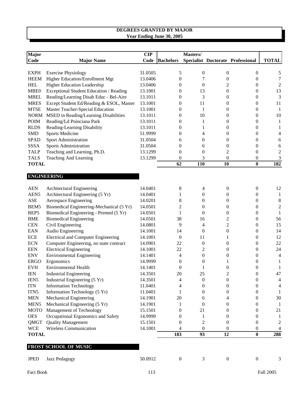| Major            |                                            | <b>CIP</b> |                  | Masters/         |                         |                                   |                  |
|------------------|--------------------------------------------|------------|------------------|------------------|-------------------------|-----------------------------------|------------------|
| Code             | <b>Major Name</b>                          | Code       | <b>Bachelors</b> |                  |                         | Specialist Doctorate Professional | <b>TOTAL</b>     |
|                  |                                            |            |                  |                  |                         |                                   |                  |
| <b>EXPH</b>      | <b>Exercise Physiology</b>                 | 31.0505    | 5                | $\boldsymbol{0}$ | $\boldsymbol{0}$        | 0                                 | 5                |
| <b>HEEM</b>      | Higher Education/Enrollment Mgt            | 13.0406    | $\boldsymbol{0}$ | $\boldsymbol{7}$ | $\boldsymbol{0}$        | 0                                 | $\tau$           |
| <b>HEL</b>       | Higher Education Leadership                | 13.0406    | $\boldsymbol{0}$ | $\boldsymbol{0}$ | 2                       | 0                                 | $\overline{c}$   |
| MBE0             | Exceptional Student Education / Reading    | 13.1001    | $\boldsymbol{0}$ | 13               | 0                       | 0                                 | 13               |
| <b>MBEL</b>      | Reading/Learning Disab Educ - Bel-Aire     | 13.1011    | $\boldsymbol{0}$ | 3                | 0                       | 0                                 | 3                |
| <b>MRES</b>      | Except Student Ed/Reading & ESOL, Master   | 13.1001    | $\boldsymbol{0}$ | 11               | 0                       | 0                                 | 11               |
| <b>MTSE</b>      | Master Teacher-Special Education           | 13.1001    | 0                | $\mathbf{1}$     | 0                       | $\boldsymbol{0}$                  | 1                |
| <b>NORM</b>      | MSED in Reading/Learning Disabilities      | 13.1011    | 0                | 10               | 0                       | $\boldsymbol{0}$                  | 10               |
| <b>POIM</b>      | Reading/Ld Poinciana Park                  | 13.1011    | 0                | 1                | 0                       | 0                                 | 1                |
| <b>RLDS</b>      | Reading-Learning Disability                | 13.1011    | 0                | 1                | 0                       | 0                                 | 1                |
| <b>SMD</b>       | <b>Sports Medicine</b>                     | 51.9999    | $\boldsymbol{0}$ | 4                | 0                       | 0                                 | $\overline{4}$   |
| <b>SPAD</b>      | Sport Administration                       | 31.0504    | 6                | $\boldsymbol{0}$ | 0                       | 0                                 | $\boldsymbol{6}$ |
| <b>SSSA</b>      | Sports Administration                      | 31.0504    | $\theta$         | 6                | 0                       | 0                                 | $\boldsymbol{6}$ |
| <b>TALP</b>      | Teaching and Learning, Ph.D.               | 13.1299    | $\theta$         | $\overline{0}$   | $\overline{c}$          | 0                                 | $\overline{c}$   |
| <b>TALS</b>      | <b>Teaching And Learning</b>               | 13.1299    | $\boldsymbol{0}$ | 3                | $\boldsymbol{0}$        | 0                                 | 3                |
| <b>TOTAL</b>     |                                            |            | $\overline{62}$  | 110              | 10                      | $\bf{0}$                          | 182              |
|                  |                                            |            |                  |                  |                         |                                   |                  |
|                  | <b>ENGINEERING</b>                         |            |                  |                  |                         |                                   |                  |
|                  |                                            |            |                  |                  |                         |                                   |                  |
| <b>AEN</b>       | Architectural Engineering                  | 14.0401    | 8                | 4                | $\boldsymbol{0}$        | $\boldsymbol{0}$                  | 12               |
| AEN <sub>5</sub> | Architectural Engineering (5 Yr)           | 14.0401    | 1                | 0                | 0                       | 0                                 | $\mathbf{1}$     |
| <b>ASE</b>       | Aerospace Engineering                      | 14.0201    | 8                | $\theta$         | 0                       | 0                                 | 8                |
| BEM5             | Biomedical Engineering-Mechanical (5 Yr)   | 14.0501    | $\overline{c}$   | $\boldsymbol{0}$ | 0                       | 0                                 | $\overline{c}$   |
| BEP <sub>5</sub> | Biomedical Engineering - Premed (5 Yr)     | 14.0501    | 1                | $\overline{0}$   | 0                       | 0                                 | $\mathbf{1}$     |
| <b>BME</b>       | <b>Biomedical Engineering</b>              | 14.0501    | 38               | 16               | 2                       | 0                                 | 56               |
| CEN              | Civil Engineering                          | 14.0801    | 9                | 4                | $\overline{\mathbf{c}}$ | 0                                 | 15               |
| <b>EAN</b>       | Audio Engineering                          | 14.1001    | 14               | $\theta$         | 0                       | 0                                 | 14               |
| ECE              | <b>Electrical and Computer Engineering</b> | 14.1001    | 0                | 11               | 1                       | 0                                 | 12               |
| <b>ECN</b>       | Computer Engineering, no state contract    | 14.0901    | 22               | $\boldsymbol{0}$ | 0                       | 0                                 | 22               |
| <b>EEN</b>       | <b>Electrical Engineering</b>              | 14.1001    | 22               | $\overline{c}$   | 0                       | 0                                 | 24               |
| <b>ENV</b>       | <b>Environmental Engineering</b>           | 14.1401    | 4                | $\boldsymbol{0}$ | 0                       | 0                                 | $\overline{4}$   |
| <b>ERGO</b>      | Ergonomics                                 | 14.9999    | $\boldsymbol{0}$ | $\boldsymbol{0}$ | 1                       | 0                                 | $\mathbf{1}$     |
| <b>EVH</b>       | <b>Environmental Health</b>                | 14.1401    | $\boldsymbol{0}$ | 1                | 0                       | $\boldsymbol{0}$                  | $\mathbf{1}$     |
| <b>IEN</b>       | <b>Industrial Engineering</b>              | 14.3501    | 20               | 25               | $\overline{\mathbf{c}}$ | $\boldsymbol{0}$                  | 47               |
| IEN <sub>5</sub> | Industrial Engineering (5 Yr)              | 14.3501    | 4                | $\boldsymbol{0}$ | $\boldsymbol{0}$        | 0                                 | $\overline{4}$   |
| <b>ITN</b>       | <b>Information Technology</b>              | 11.0401    | 4                | $\boldsymbol{0}$ | 0                       | 0                                 | $\overline{4}$   |
| ITN5             | Information Technology (5 Yr)              | 11.0401    | 1                | $\boldsymbol{0}$ | 0                       | 0                                 | -1               |
| <b>MEN</b>       | Mechanical Engineering                     | 14.1901    | 20               | 6                | 4                       | 0                                 | 30               |
| MEN <sub>5</sub> | Mechanical Engineering (5 Yr)              | 14.1901    | 1                | $\overline{0}$   | 0                       | 0                                 | -1               |
| <b>MOTO</b>      | Management of Technology                   | 15.1501    | 0                | 21               | $\Omega$                | 0                                 | 21               |
| <b>OES</b>       | Occupational Ergonomics and Safety         | 14.9999    | 0                | 1                | $\Omega$                | 0                                 | $\mathbf{1}$     |
| QMGT             | <b>Quality Management</b>                  | 15.1501    | 0                | 2                | 0                       | 0                                 | 2                |
| <b>WCE</b>       | <b>Wireless Communication</b>              | 14.1001    | 4                | $\theta$         | 0                       | 0                                 | 4                |
| <b>TOTAL</b>     |                                            |            | 183              | 93               | 12                      | $\bf{0}$                          | 288              |
|                  |                                            |            |                  |                  |                         |                                   |                  |
|                  | FROST SCHOOL OF MUSIC                      |            |                  |                  |                         |                                   |                  |
| <b>JPED</b>      | Jazz Pedagogy                              | 50.0912    | $\boldsymbol{0}$ | 3                | $\boldsymbol{0}$        | $\boldsymbol{0}$                  | 3                |
|                  |                                            |            |                  |                  |                         |                                   |                  |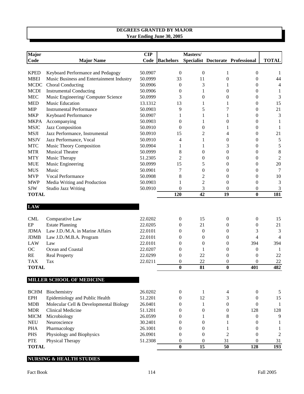| Major        |                                           | <b>CIP</b> |                  | Masters/         |                  |                                   |                |
|--------------|-------------------------------------------|------------|------------------|------------------|------------------|-----------------------------------|----------------|
| Code         | <b>Major Name</b>                         |            | Code Bachelors   |                  |                  | Specialist Doctorate Professional | <b>TOTAL</b>   |
|              |                                           |            |                  |                  |                  |                                   |                |
| <b>KPED</b>  | Keyboard Performance and Pedagogy         | 50.0907    | $\overline{0}$   | $\boldsymbol{0}$ | 1                | $\boldsymbol{0}$                  | 1              |
| <b>MBEI</b>  | Music Business and Entertainment Industry | 50.0999    | 33               | 11               | $\boldsymbol{0}$ | $\boldsymbol{0}$                  | 44             |
| MCDC         | Choral Conducting                         | 50.0906    | $\mathbf{0}$     | 3                | 1                | $\theta$                          | 4              |
| <b>MCDI</b>  | <b>Instrumental Conducting</b>            | 50.0906    | $\overline{0}$   | 1                | $\mathbf{0}$     | $\boldsymbol{0}$                  | 1              |
| <b>MEC</b>   | Music Engineering/Computer Science        | 50.0999    | 3                | $\boldsymbol{0}$ | $\theta$         | $\boldsymbol{0}$                  | 3              |
| <b>MED</b>   | Music Education                           | 13.1312    | 13               | 1                | 1                | $\boldsymbol{0}$                  | 15             |
| <b>MIP</b>   | <b>Instrumental Performance</b>           | 50.0903    | 9                | 5                | 7                | $\theta$                          | 21             |
| <b>MKP</b>   | Keyboard Performance                      | 50.0907    | 1                | 1                | 1                | $\theta$                          | 3              |
| <b>MKPA</b>  | Accompanying                              | 50.0903    | $\Omega$         | 1                | $\mathbf{0}$     | $\theta$                          | 1              |
| <b>MSJC</b>  | Jazz Composition                          | 50.0910    | $\Omega$         | $\overline{0}$   | 1                | $\theta$                          | 1              |
| <b>MSJI</b>  | Jazz Performance, Instrumental            | 50.0910    | 15               | 2                | 4                | $\theta$                          | 21             |
| <b>MSJV</b>  | Jazz Performance, Vocal                   | 50.0910    | 4                | 1                | $\mathbf{0}$     | $\theta$                          | 5              |
| <b>MTC</b>   | Music Theory Composition                  | 50.0904    | 1                | 1                | 3                | $\theta$                          | 5              |
| <b>MTR</b>   | <b>Musical Theatre</b>                    | 50.0999    | 8                | $\overline{0}$   | $\mathbf{0}$     | $\theta$                          | 8              |
| <b>MTY</b>   | Music Therapy                             | 51.2305    | 2                | $\overline{0}$   | $\theta$         | $\theta$                          | $\overline{c}$ |
| <b>MUE</b>   | Music Engineering                         | 50.0999    | 15               | 5                | 0                | $\theta$                          | 20             |
| <b>MUS</b>   | Music                                     | 50.0901    | 7                | $\overline{0}$   | $\Omega$         | $\theta$                          | 7              |
| <b>MVP</b>   | <b>Vocal Performance</b>                  | 50.0908    | 8                | $\overline{c}$   | $\mathbf{0}$     | $\theta$                          | 10             |
| <b>MWP</b>   | Media Writing and Production              | 50.0903    | 1                | $\overline{2}$   | $\theta$         | $\overline{0}$                    | 3              |
| <b>SJW</b>   | <b>Studio Jazz Writing</b>                | 50.0910    | $\overline{0}$   | 3                | $\mathbf{0}$     | $\theta$                          | 3              |
| <b>TOTAL</b> |                                           |            | 120              | 42               | 19               | $\bf{0}$                          | 181            |
|              |                                           |            |                  |                  |                  |                                   |                |
| <b>LAW</b>   |                                           |            |                  |                  |                  |                                   |                |
|              |                                           |            |                  |                  |                  |                                   |                |
| <b>CML</b>   | Comparative Law                           | 22.0202    | $\boldsymbol{0}$ | 15               | $\boldsymbol{0}$ | $\boldsymbol{0}$                  | 15             |
| EP           | <b>Estate Planning</b>                    | 22.0205    | $\overline{0}$   | 21               | $\boldsymbol{0}$ | $\boldsymbol{0}$                  | 21             |
| <b>JDMA</b>  | Law J.D./M.A. in Marine Affairs           | 22.0101    | $\theta$         | $\boldsymbol{0}$ | $\boldsymbol{0}$ | 3                                 | 3              |
| <b>JDMB</b>  | Law J.D./M.B.A. Program                   | 22.0101    | $\theta$         | $\boldsymbol{0}$ | $\overline{0}$   | 4                                 | $\overline{4}$ |
| <b>LAW</b>   | Law                                       | 22.0101    | $\theta$         | $\boldsymbol{0}$ | $\overline{0}$   | 394                               | 394            |
| OC           | Ocean and Coastal                         | 22.0207    | $\theta$         | 1                | $\overline{0}$   | $\boldsymbol{0}$                  | 1              |
| <b>RE</b>    | <b>Real Property</b>                      | 22.0299    | $\theta$         | 22               | $\mathbf{0}$     | $\boldsymbol{0}$                  | 22             |
| <b>TAX</b>   | Tax                                       | 22.0211    | 0                | 22               | $\mathbf{0}$     | $\theta$                          | 22             |
| <b>TOTAL</b> |                                           |            | $\bf{0}$         | 81               | $\bf{0}$         | 401                               | 482            |
|              |                                           |            |                  |                  |                  |                                   |                |
|              | MILLER SCHOOL OF MEDICINE                 |            |                  |                  |                  |                                   |                |
|              |                                           |            |                  |                  |                  |                                   |                |
|              | <b>BCHM</b> Biochemistry                  | 26.0202    | $\boldsymbol{0}$ | 1                | 4                | $\boldsymbol{0}$                  | 5              |
| EPH          | Epidemiology and Public Health            | 51.2201    | $\overline{0}$   | 12               | 3                | $\overline{0}$                    | 15             |
| <b>MDB</b>   | Molecular Cell & Developmental Biology    | 26.0401    | $\overline{0}$   | 1                | $\overline{0}$   | $\boldsymbol{0}$                  | $\mathbf{1}$   |
| <b>MDR</b>   | Clinical Medicine                         | 51.1201    | $\overline{0}$   | $\mathbf{0}$     | $\theta$         | 128                               | 128            |
| <b>MICM</b>  | Microbiology                              | 26.0599    | $\theta$         | 1                | 8                | $\mathbf{0}$                      | 9              |
| <b>NEU</b>   | Neuroscience                              | 30.2401    | $\Omega$         | $\mathbf{0}$     | 1                | $\theta$                          | 1              |
| <b>PHA</b>   | Pharmacology                              | 26.1001    | $\theta$         | $\theta$         | 1                | $\boldsymbol{0}$                  | 1              |
| PHS          | Physiology and Biophysics                 | 26.0901    | $\mathbf{0}$     | $\boldsymbol{0}$ | $\overline{2}$   | $\boldsymbol{0}$                  | $\overline{c}$ |
| ${\rm PTE}$  | Physical Therapy                          | 51.2308    | $\mathbf{0}$     | $\boldsymbol{0}$ | 31               | $\boldsymbol{0}$                  | 31             |
| <b>TOTAL</b> |                                           |            | $\bf{0}$         | 15               | 50               | 128                               | 193            |
|              |                                           |            |                  |                  |                  |                                   |                |

# **NURSING & HEALTH STUDIES**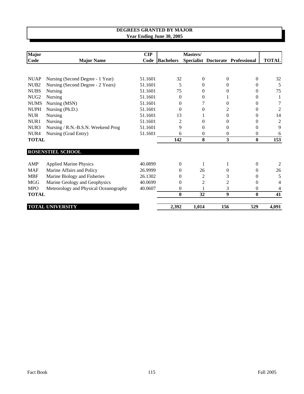| <b>Major</b>     |                                       | CIP     |                  | Masters/ |          |                                   |                |
|------------------|---------------------------------------|---------|------------------|----------|----------|-----------------------------------|----------------|
| Code             | <b>Major Name</b>                     | Code    | <b>Bachelors</b> |          |          | Specialist Doctorate Professional | <b>TOTAL</b>   |
|                  |                                       |         |                  |          |          |                                   |                |
| <b>NUAP</b>      | Nursing (Second Degree - 1 Year)      | 51.1601 | 32               | $\Omega$ | $\Omega$ | $\overline{0}$                    | 32             |
| NU <sub>B2</sub> | Nursing (Second Degree - 2 Years)     | 51.1601 | 5                | $\Omega$ | 0        | $\Omega$                          | 5              |
| <b>NUBS</b>      | Nursing                               | 51.1601 | 75               | 0        | 0        | $\Omega$                          | 75             |
| NUG <sub>2</sub> | Nursing                               | 51.1601 | $\Omega$         | 0        |          | $\Omega$                          | 1              |
| <b>NUMS</b>      | Nursing (MSN)                         | 51.1601 | $\Omega$         |          | 0        | $\Omega$                          | 7              |
| <b>NUPH</b>      | Nursing (Ph.D.)                       | 51.1601 | 0                | 0        | 2        | $\Omega$                          | 2              |
| <b>NUR</b>       | Nursing                               | 51.1601 | 13               |          | 0        | $\Omega$                          | 14             |
| NUR1             | Nursing                               | 51.1601 | 2                | 0        | 0        | $\Omega$                          | $\overline{c}$ |
| NUR3             | Nursing / R.N.-B.S.N. Weekend Prog    | 51.1601 | 9                | $\Omega$ | 0        | $\Omega$                          | 9              |
| NUR <sub>4</sub> | Nursing (Grad Entry)                  | 51.1601 | 6                | 0        | $\Omega$ | $\theta$                          | 6              |
| <b>TOTAL</b>     |                                       |         | 142              | 8        | 3        | $\mathbf{0}$                      | 153            |
|                  | ROSENSTIEL SCHOOL                     |         |                  |          |          |                                   |                |
| AMP              | <b>Applied Marine Physics</b>         | 40.0899 | $\Omega$         |          | 1        | $\theta$                          | 2              |
| <b>MAF</b>       | Marine Affairs and Policy             | 26.9999 | 0                | 26       | 0        | $\theta$                          | 26             |
| <b>MBF</b>       | Marine Biology and Fisheries          | 26.1302 | $\Omega$         | 2        | 3        | $\theta$                          | 5              |
| <b>MGG</b>       | Marine Geology and Geophysics         | 40.0699 | $\Omega$         | 2        | 2        | $\Omega$                          | 4              |
| <b>MPO</b>       | Meteorology and Physical Oceanography | 40.0607 | $\theta$         |          | 3        | $\Omega$                          | 4              |
| <b>TOTAL</b>     |                                       |         | $\mathbf{0}$     | 32       | 9        | $\bf{0}$                          | 41             |
|                  | <b>TOTAL UNIVERSITY</b>               |         | 2,392            | 1,014    | 156      | 529                               | 4,091          |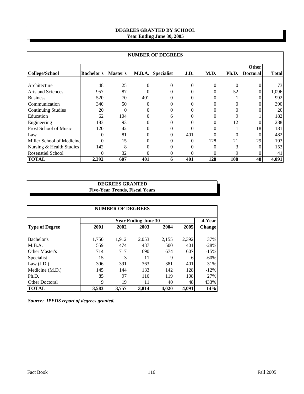## **Year Ending June 30, 2005 DEGREES GRANTED BY SCHOOL**

|                              |                   |                 |          | <b>NUMBER OF DEGREES</b> |          |          |       |                 |              |  |
|------------------------------|-------------------|-----------------|----------|--------------------------|----------|----------|-------|-----------------|--------------|--|
|                              |                   |                 |          |                          |          |          |       |                 | <b>Other</b> |  |
| <b>College/School</b>        | <b>Bachelor's</b> | <b>Master's</b> |          | M.B.A. Specialist        | J.D.     | M.D.     | Ph.D. | <b>Doctoral</b> | <b>Total</b> |  |
| Architecture                 | 48                | 25              | $\Omega$ | 0                        | 0        | $\Omega$ | 0     |                 | 73           |  |
| <b>Arts and Sciences</b>     | 957               | 87              | $\Omega$ | 0                        | $\theta$ | $\Omega$ | 52    |                 | 1,096        |  |
| <b>Business</b>              | 520               | 70              | 401      | 0                        | 0        |          |       |                 | 992          |  |
| Communication                | 340               | 50              | 0        | 0                        | 0        |          |       |                 | 390          |  |
| <b>Continuing Studies</b>    | 20                | $\Omega$        | 0        | 0                        | 0        |          |       |                 | 20           |  |
| Education                    | 62                | 104             | 0        | 6                        | 0        |          | 9     |                 | 182          |  |
| Engineering                  | 183               | 93              | $\Omega$ | 0                        | 0        |          | 12    |                 | 288          |  |
| <b>Frost School of Music</b> | 120               | 42              | 0        | 0                        | 0        |          |       | 18              | 181          |  |
| Law                          | $\Omega$          | 81              | 0        | 0                        | 401      |          |       | 0               | 482          |  |
| Miller School of Medicine    | 0                 | 15              | 0        | 0                        | 0        | 128      | 21    | 29              | 193          |  |
| Nursing & Health Studies     | 142               | 8               | 0        | 0                        | 0        |          |       |                 | 1531         |  |
| <b>Rosenstiel School</b>     | 0                 | 32              | 0        | 0                        | 0        |          | 9     |                 | 41           |  |
| <b>TOTAL</b>                 | 2,392             | 607             | 401      | 6                        | 401      | 128      | 108   | 48              | 4,091        |  |

# **DEGREES GRANTED Five-Year Trends, Fiscal Years**

| <b>NUMBER OF DEGREES</b> |       |       |                            |       |       |               |  |  |  |  |  |
|--------------------------|-------|-------|----------------------------|-------|-------|---------------|--|--|--|--|--|
|                          |       |       | <b>Year Ending June 30</b> |       |       | 4-Year        |  |  |  |  |  |
| Type of Degree           | 2001  | 2002  | 2003                       | 2004  | 2005  | <b>Change</b> |  |  |  |  |  |
|                          |       |       |                            |       |       |               |  |  |  |  |  |
| Bachelor's               | 1,750 | 1,912 | 2,053                      | 2,155 | 2,392 | 37%           |  |  |  |  |  |
| M.B.A.                   | 559   | 474   | 437                        | 500   | 401   | $-28%$        |  |  |  |  |  |
| Other Master's           | 714   | 717   | 690                        | 674   | 607   | $-15%$        |  |  |  |  |  |
| Specialist               | 15    | 3     | 11                         | 9     | 6     | $-60%$        |  |  |  |  |  |
| Law $(J.D.)$             | 306   | 391   | 363                        | 381   | 401   | 31%           |  |  |  |  |  |
| Medicine (M.D.)          | 145   | 144   | 133                        | 142   | 128   | $-12%$        |  |  |  |  |  |
| Ph.D.                    | 85    | 97    | 116                        | 119   | 108   | 27%           |  |  |  |  |  |
| <b>Other Doctoral</b>    | 9     | 19    | 11                         | 40    | 48    | 433%          |  |  |  |  |  |
| <b>TOTAL</b>             | 3,583 | 3,757 | 3,814                      | 4.020 | 4,091 | 14%           |  |  |  |  |  |

*Source: IPEDS report of degrees granted.*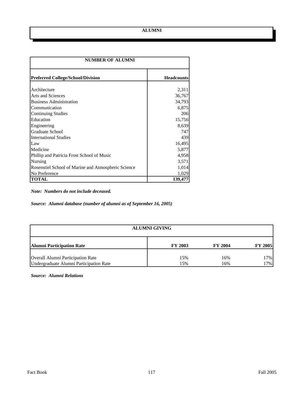| <b>NUMBER OF ALUMNI</b>                             |                   |  |  |  |
|-----------------------------------------------------|-------------------|--|--|--|
| <b>Preferred College/School/Division</b>            | <b>Headcounts</b> |  |  |  |
|                                                     |                   |  |  |  |
| Architecture                                        | 2,311             |  |  |  |
| <b>Arts and Sciences</b>                            | 36,767            |  |  |  |
| <b>Business Administration</b>                      | 34,793            |  |  |  |
| Communication                                       | 6,875             |  |  |  |
| Continuing Studies                                  | 206               |  |  |  |
| Education                                           | 15,756            |  |  |  |
| Engineering                                         | 8,639             |  |  |  |
| <b>Graduate School</b>                              | 747               |  |  |  |
| <b>International Studies</b>                        | 439               |  |  |  |
| Law                                                 | 16,495            |  |  |  |
| Medicine                                            | 5,877             |  |  |  |
| Phillip and Patricia Frost School of Music          | 4,958             |  |  |  |
| Nursing                                             | 3,571             |  |  |  |
| Rosenstiel School of Marine and Atmospheric Science | 1,014             |  |  |  |
| No Preference                                       | 1,029             |  |  |  |
| <b>TOTAL</b>                                        | 139,477           |  |  |  |

*Note: Numbers do not include deceased.*

*Source: Alumni database (number of alumni as of September 16, 2005)*

| <b>ALUMNI GIVING</b>                    |                |                |                |  |  |  |  |
|-----------------------------------------|----------------|----------------|----------------|--|--|--|--|
| <b>Alumni Participation Rate</b>        | <b>FY 2003</b> | <b>FY 2004</b> | <b>FY 2005</b> |  |  |  |  |
| Overall Alumni Participation Rate       | 15%            | 16%            | 17%            |  |  |  |  |
| Undergraduate Alumni Participation Rate | 15%            | 16%            | 17%            |  |  |  |  |

*Source: Alumni Relations*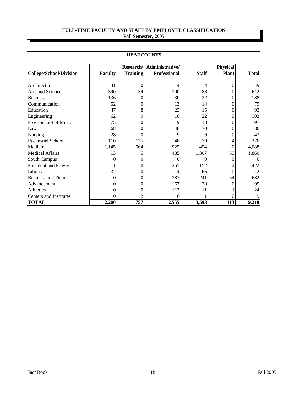# **FULL-TIME FACULTY AND STAFF BY EMPLOYEE CLASSIFICATION Fall Semester, 2005**

| <b>HEADCOUNTS</b>            |                           |                 |                     |              |              |              |  |
|------------------------------|---------------------------|-----------------|---------------------|--------------|--------------|--------------|--|
|                              | Research/ Administrative/ |                 |                     |              | Physical     |              |  |
| College/School/Division      | <b>Faculty</b>            | <b>Training</b> | <b>Professional</b> | <b>Staff</b> | <b>Plant</b> | <b>Total</b> |  |
| Architecture                 | 31                        | $\theta$        | 14                  | 4            | 0            | 49           |  |
| Arts and Sciences            | 390                       | 34              | 100                 | 88           |              | 612          |  |
| <b>Business</b>              | 136                       | $\theta$        | 30                  | 22           | 0            | 188          |  |
| Communication                | 52                        | 0               | 13                  | 14           | 0            | 79           |  |
| Education                    | 47                        | 8               | 23                  | 15           | 0            | 93           |  |
| Engineering                  | 62                        | 9               | 10                  | 22           | 0            | 103          |  |
| Frost School of Music        | 75                        | 0               | 9                   | 13           | 0            | 97           |  |
| Law                          | 68                        | 0               | 48                  | 70           |              | 186          |  |
| Nursing                      | 28                        | $\theta$        | 9                   | 6            |              | 43           |  |
| <b>Rosenstiel School</b>     | 110                       | 135             | 48                  | 79           |              | 376          |  |
| Medicine                     | 1,145                     | 564             | 925                 | 1,454        | $\Omega$     | 4,088        |  |
| <b>Medical Affairs</b>       | 13                        | 5               | 485                 | 1,307        | 50           | 1,860        |  |
| <b>South Campus</b>          | $\Omega$                  | 0               | $\theta$            | 0            |              |              |  |
| <b>President and Provost</b> | 11                        | 0               | 255                 | 152          |              | 422          |  |
| Library                      | 32                        | 0               | 14                  | 66           |              | 112          |  |
| <b>Business and Finance</b>  | $\theta$                  | $\theta$        | 387                 | 241          | 54           | 682          |  |
| Advancement                  | 0                         | $\theta$        | 67                  | 28           |              | 95           |  |
| <b>Athletics</b>             | 0                         | 0               | 112                 | 11           |              | 124          |  |
| Centers and Institutes       | $\Omega$                  | 2               | 6                   |              |              |              |  |
| <b>TOTAL</b>                 | 2,200                     | 757             | 2,555               | 3,593        | 113          | 9,218        |  |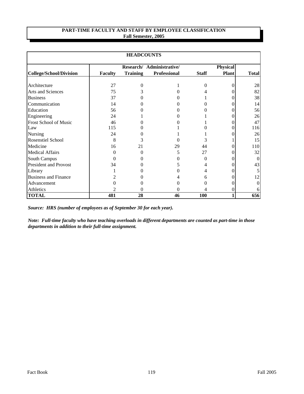#### **Fall Semester, 2005 PART-TIME FACULTY AND STAFF BY EMPLOYEE CLASSIFICATION**

| <b>HEADCOUNTS</b>              |                |                 |                           |              |              |              |  |  |
|--------------------------------|----------------|-----------------|---------------------------|--------------|--------------|--------------|--|--|
|                                |                |                 | Research/ Administrative/ |              | Physical     |              |  |  |
| <b>College/School/Division</b> | <b>Faculty</b> | <b>Training</b> | <b>Professional</b>       | <b>Staff</b> | <b>Plant</b> | <b>Total</b> |  |  |
|                                |                |                 |                           |              |              |              |  |  |
| Architecture                   | 27             | 0               |                           | $\Omega$     |              | 28           |  |  |
| Arts and Sciences              | 75             |                 |                           |              |              | 82           |  |  |
| <b>Business</b>                | 37             |                 |                           |              |              | 38           |  |  |
| Communication                  | 14             |                 |                           |              |              | 14           |  |  |
| Education                      | 56             |                 |                           |              |              | 56           |  |  |
| Engineering                    | 24             |                 |                           |              |              | 26           |  |  |
| Frost School of Music          | 46             |                 |                           |              |              | 47           |  |  |
| Law                            | 115            |                 |                           |              |              | 116          |  |  |
| Nursing                        | 24             |                 |                           |              |              | 26           |  |  |
| <b>Rosenstiel School</b>       | 8              | 3               |                           | 3            |              | 15           |  |  |
| Medicine                       | 16             | 21              | 29                        | 44           |              | <b>110</b>   |  |  |
| <b>Medical Affairs</b>         | $\Omega$       | 0               | 5                         | 27           |              | 32           |  |  |
| South Campus                   | $\Omega$       |                 |                           | 0            |              |              |  |  |
| <b>President and Provost</b>   | 34             |                 |                           |              |              | 43           |  |  |
| Library                        |                |                 |                           |              |              |              |  |  |
| <b>Business and Finance</b>    |                |                 |                           | 6            |              | 12           |  |  |
| Advancement                    |                |                 |                           |              |              |              |  |  |
| Athletics                      | 2              | $\theta$        | 0                         | 4            |              |              |  |  |
| <b>TOTAL</b>                   | 481            | 28              | 46                        | 100          |              | 656          |  |  |

*Source: HRS (number of employees as of September 30 for each year).*

*Note: Full-time faculty who have teaching overloads in different departments are counted as part-time in those departments in addition to their full-time assignment.*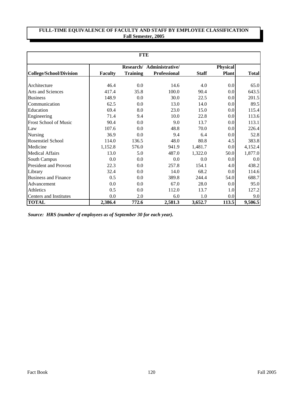# **FULL-TIME EQUIVALENCE OF FACULTY AND STAFF BY EMPLOYEE CLASSIFICATION Fall Semester, 2005**

| <b>FTE</b>                     |                |                 |                           |              |                 |              |  |  |
|--------------------------------|----------------|-----------------|---------------------------|--------------|-----------------|--------------|--|--|
|                                |                |                 | Research/ Administrative/ |              | <b>Physical</b> |              |  |  |
| <b>College/School/Division</b> | <b>Faculty</b> | <b>Training</b> | <b>Professional</b>       | <b>Staff</b> | Plant           | <b>Total</b> |  |  |
|                                |                |                 |                           |              |                 |              |  |  |
| Architecture                   | 46.4           | 0.0             | 14.6                      | 4.0          | 0.0             | 65.0         |  |  |
| Arts and Sciences              | 417.4          | 35.8            | 100.0                     | 90.4         | 0.0             | 643.5        |  |  |
| <b>Business</b>                | 148.9          | 0.0             | 30.0                      | 22.5         | 0.0             | 201.5        |  |  |
| Communication                  | 62.5           | 0.0             | 13.0                      | 14.0         | 0.0             | 89.5         |  |  |
| Education                      | 69.4           | 8.0             | 23.0                      | 15.0         | 0.0             | 115.4        |  |  |
| Engineering                    | 71.4           | 9.4             | 10.0                      | 22.8         | 0.0             | 113.6        |  |  |
| <b>Frost School of Music</b>   | 90.4           | 0.0             | 9.0                       | 13.7         | 0.0             | 113.1        |  |  |
| Law                            | 107.6          | 0.0             | 48.8                      | 70.0         | 0.0             | 226.4        |  |  |
| Nursing                        | 36.9           | 0.0             | 9.4                       | 6.4          | 0.0             | 52.8         |  |  |
| <b>Rosenstiel School</b>       | 114.0          | 136.5           | 48.0                      | 80.8         | 4.5             | 383.8        |  |  |
| Medicine                       | 1,152.8        | 576.0           | 941.9                     | 1,481.7      | 0.0             | 4,152.4      |  |  |
| Medical Affairs                | 13.0           | 5.0             | 487.0                     | 1,322.0      | 50.0            | 1,877.0      |  |  |
| <b>South Campus</b>            | 0.0            | 0.0             | 0.0                       | 0.0          | 0.0             | 0.0          |  |  |
| <b>President and Provost</b>   | 22.3           | 0.0             | 257.8                     | 154.1        | 4.0             | 438.2        |  |  |
| Library                        | 32.4           | 0.0             | 14.0                      | 68.2         | 0.0             | 114.6        |  |  |
| <b>Business and Finance</b>    | 0.5            | 0.0             | 389.8                     | 244.4        | 54.0            | 688.7        |  |  |
| Advancement                    | 0.0            | 0.0             | 67.0                      | 28.0         | 0.0             | 95.0         |  |  |
| Athletics                      | 0.5            | 0.0             | 112.0                     | 13.7         | 1.0             | 127.2        |  |  |
| Centers and Institutes         | 0.0            | 2.0             | 6.0                       | 1.0          | 0.0             | 9.0          |  |  |
| <b>TOTAL</b>                   | 2.386.4        | 772.6           | 2,581.3                   | 3,652.7      | 113.5           | 9,506.5      |  |  |

*Source: HRS (number of employees as of September 30 for each year).*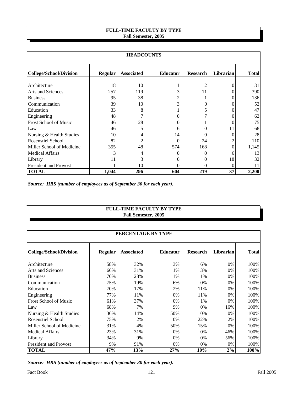#### **FULL-TIME FACULTY BY TYPE Fall Semester, 2005**

| <b>HEADCOUNTS</b>              |                |                   |                 |                 |           |              |  |
|--------------------------------|----------------|-------------------|-----------------|-----------------|-----------|--------------|--|
| <b>College/School/Division</b> | <b>Regular</b> | <b>Associated</b> | <b>Educator</b> | <b>Research</b> | Librarian | <b>Total</b> |  |
| Architecture                   | 18             | 10                |                 | $\mathfrak{D}$  |           | 31           |  |
| <b>Arts and Sciences</b>       | 257            | 119               | 3               | 11              |           | 390          |  |
| <b>Business</b>                | 95             | 38                | 2               |                 |           | 136          |  |
| Communication                  | 39             | 10                | 3               |                 |           | 52           |  |
| Education                      | 33             | 8                 |                 | 5               |           | 47           |  |
| Engineering                    | 48             |                   |                 |                 |           | 62           |  |
| <b>Frost School of Music</b>   | 46             | 28                | 0               |                 |           | 75           |  |
| Law                            | 46             | 5                 | 6               |                 | 11        | 68           |  |
| Nursing & Health Studies       | 10             | 4                 | 14              |                 |           | 28           |  |
| Rosenstiel School              | 82             | 2                 | 0               | 24              |           | 110          |  |
| Miller School of Medicine      | 355            | 48                | 574             | 168             |           | 1,145        |  |
| <b>Medical Affairs</b>         | 3              | 4                 | 0               |                 |           | 13           |  |
| Library                        | 11             | 3                 | 0               |                 | 18        | 32           |  |
| <b>President and Provost</b>   |                | 10                | 0               | 0               |           |              |  |
| <b>TOTAL</b>                   | 1,044          | 296               | 604             | 219             | 37        | 2,200        |  |

*Source: HRS (number of employees as of September 30 for each year).*

# **FULL-TIME FACULTY BY TYPE Fall Semester, 2005**

| PERCENTAGE BY TYPE           |                |                   |                 |                 |           |       |  |
|------------------------------|----------------|-------------------|-----------------|-----------------|-----------|-------|--|
| College/School/Division      | <b>Regular</b> | <b>Associated</b> | <b>Educator</b> | <b>Research</b> | Librarian | Total |  |
| Architecture                 | 58%            | 32%               | 3%              | 6%              | 0%        | 100%  |  |
| <b>Arts and Sciences</b>     | 66%            | 31%               | 1%              | 3%              | $0\%$     | 100%  |  |
| <b>Business</b>              | 70%            | 28%               | 1%              | 1%              | $0\%$     | 100%  |  |
| Communication                | 75%            | 19%               | 6%              | 0%              | $0\%$     | 100%  |  |
| Education                    | 70%            | 17%               | 2%              | 11%             | $0\%$     | 100%  |  |
| Engineering                  | 77%            | 11%               | $0\%$           | 11%             | $0\%$     | 100%  |  |
| <b>Frost School of Music</b> | 61%            | 37%               | 0%              | 1%              | $0\%$     | 100%  |  |
| Law                          | 68%            | 7%                | 9%              | 0%              | 16%       | 100%  |  |
| Nursing & Health Studies     | 36%            | 14%               | 50%             | 0%              | 0%        | 100%  |  |
| <b>Rosenstiel School</b>     | 75%            | 2%                | 0%              | 22%             | 2%        | 100%  |  |
| Miller School of Medicine    | 31%            | 4%                | 50%             | 15%             | 0%        | 100%  |  |
| <b>Medical Affairs</b>       | 23%            | 31%               | $0\%$           | 0%              | 46%       | 100%  |  |
| Library                      | 34%            | 9%                | 0%              | 0%              | 56%       | 100%  |  |
| <b>President and Provost</b> | 9%             | 91%               | 0%              | 0%              | 0%        | 100%  |  |
| <b>TOTAL</b>                 | 47%            | 13%               | 27%             | 10%             | 2%        | 100%  |  |

*Source: HRS (number of employees as of September 30 for each year).*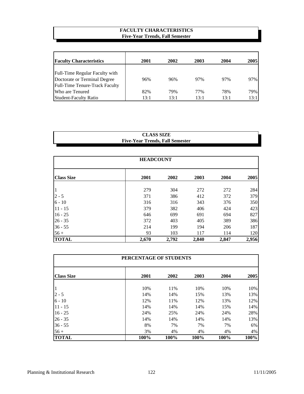## **FACULTY CHARACTERISTICS Five-Year Trends, Fall Semester**

| <b>Faculty Characteristics</b> | 2001 | 2002 | 2003 | 2004 | 2005 |
|--------------------------------|------|------|------|------|------|
|                                |      |      |      |      |      |
| Full-Time Regular Faculty with |      |      |      |      |      |
| Doctorate or Terminal Degree   | 96%  | 96%  | 97%  | 97%  | 97%  |
| Full-Time Tenure-Track Faculty |      |      |      |      |      |
| Who are Tenured                | 82%  | 79%  | 77%  | 78%  | 79%  |
| <b>Student-Faculty Ratio</b>   | 13:1 | 13:1 | 13:1 | 13:1 | 13:1 |

## **Five-Year Trends, Fall Semester CLASS SIZE**

| <b>HEADCOUNT</b>  |       |       |       |       |       |  |  |
|-------------------|-------|-------|-------|-------|-------|--|--|
| <b>Class Size</b> | 2001  | 2002  | 2003  | 2004  | 2005  |  |  |
| 1                 | 279   | 304   | 272   | 272   | 284   |  |  |
| $2 - 5$           | 371   | 386   | 412   | 372   | 379   |  |  |
| $6 - 10$          | 316   | 316   | 343   | 376   | 350   |  |  |
| $11 - 15$         | 379   | 382   | 406   | 424   | 423   |  |  |
| $16 - 25$         | 646   | 699   | 691   | 694   | 827   |  |  |
| $26 - 35$         | 372   | 403   | 405   | 389   | 386   |  |  |
| $36 - 55$         | 214   | 199   | 194   | 206   | 187   |  |  |
| $56 +$            | 93    | 103   | 117   | 114   | 120   |  |  |
| <b>TOTAL</b>      | 2,670 | 2,792 | 2,840 | 2,847 | 2,956 |  |  |

| PERCENTAGE OF STUDENTS |      |      |      |      |      |  |  |  |
|------------------------|------|------|------|------|------|--|--|--|
| <b>Class Size</b>      | 2001 | 2002 | 2003 | 2004 | 2005 |  |  |  |
| 1                      | 10%  | 11%  | 10%  | 10%  | 10%  |  |  |  |
| $2 - 5$                | 14%  | 14%  | 15%  | 13%  | 13%  |  |  |  |
| $6 - 10$               | 12%  | 11%  | 12%  | 13%  | 12%  |  |  |  |
| $11 - 15$              | 14%  | 14%  | 14%  | 15%  | 14%  |  |  |  |
| $16 - 25$              | 24%  | 25%  | 24%  | 24%  | 28%  |  |  |  |
| $26 - 35$              | 14%  | 14%  | 14%  | 14%  | 13%  |  |  |  |
| $36 - 55$              | 8%   | 7%   | 7%   | 7%   | 6%   |  |  |  |
| $56+$                  | 3%   | 4%   | 4%   | 4%   | 4%   |  |  |  |
| <b>TOTAL</b>           | 100% | 100% | 100% | 100% | 100% |  |  |  |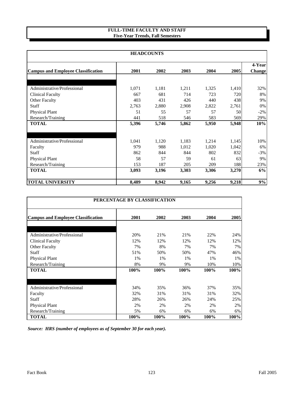#### **FULL-TIME FACULTY AND STAFF Five-Year Trends, Fall Semesters**

| <b>HEADCOUNTS</b>                         |       |       |       |       |       |        |  |  |
|-------------------------------------------|-------|-------|-------|-------|-------|--------|--|--|
|                                           |       |       |       |       |       | 4-Year |  |  |
| <b>Campus and Employee Classification</b> | 2001  | 2002  | 2003  | 2004  | 2005  | Change |  |  |
|                                           |       |       |       |       |       |        |  |  |
| Administrative/Professional               | 1,071 | 1,181 | 1,211 | 1,325 | 1,410 | 32%    |  |  |
| Clinical Faculty                          | 667   | 681   | 714   | 723   | 720   | 8%     |  |  |
| Other Faculty                             | 403   | 431   | 426   | 440   | 438   | 9%     |  |  |
| <b>Staff</b>                              | 2,763 | 2,880 | 2,908 | 2,822 | 2,761 | 0%     |  |  |
| <b>Physical Plant</b>                     | 51    | 55    | 57    | 57    | 50    | $-2%$  |  |  |
| Research/Training                         | 441   | 518   | 546   | 583   | 569   | 29%    |  |  |
| <b>TOTAL</b>                              | 5,396 | 5,746 | 5,862 | 5,950 | 5,948 | 10%    |  |  |
| Administrative/Professional               | 1,041 | 1,120 | 1,183 | 1,214 | 1,145 | 10%    |  |  |
| Faculty                                   | 979   | 988   | 1,012 | 1,020 | 1,042 | 6%     |  |  |
| <b>Staff</b>                              | 862   | 844   | 844   | 802   | 832   | $-3\%$ |  |  |
| <b>Physical Plant</b>                     | 58    | 57    | 59    | 61    | 63    | 9%     |  |  |
| Research/Training                         | 153   | 187   | 205   | 209   | 188   | 23%    |  |  |
| <b>TOTAL</b>                              | 3,093 | 3,196 | 3,303 | 3,306 | 3,270 | 6%     |  |  |
| <b>TOTAL UNIVERSITY</b>                   | 8,489 | 8,942 | 9,165 | 9,256 | 9,218 | 9%     |  |  |

| PERCENTAGE BY CLASSIFICATION              |      |      |      |         |      |  |  |  |
|-------------------------------------------|------|------|------|---------|------|--|--|--|
| <b>Campus and Employee Classification</b> | 2001 | 2002 | 2003 | 2004    | 2005 |  |  |  |
|                                           |      |      |      |         |      |  |  |  |
| Administrative/Professional               | 20%  | 21%  | 21%  | 22%     | 24%  |  |  |  |
| <b>Clinical Faculty</b>                   | 12%  | 12%  | 12%  | 12%     | 12%  |  |  |  |
| <b>Other Faculty</b>                      | 7%   | 8%   | 7%   | 7%      | 7%   |  |  |  |
| <b>Staff</b>                              | 51%  | 50%  | 50%  | 47%     | 46%  |  |  |  |
| <b>Physical Plant</b>                     | 1%   | 1%   | 1%   | 1%      | 1%   |  |  |  |
| Research/Training                         | 8%   | 9%   | 9%   | 10%     | 10%  |  |  |  |
| <b>TOTAL</b>                              | 100% | 100% | 100% | $100\%$ | 100% |  |  |  |
| Administrative/Professional               | 34%  | 35%  | 36%  | 37%     | 35%  |  |  |  |
| Faculty                                   | 32%  | 31%  | 31%  | 31%     | 32%  |  |  |  |
| <b>Staff</b>                              | 28%  | 26%  | 26%  | 24%     | 25%  |  |  |  |
| <b>Physical Plant</b>                     | 2%   | 2%   | 2%   | 2%      | 2%   |  |  |  |
| Research/Training                         | 5%   | 6%   | 6%   | 6%      | 6%   |  |  |  |
| <b>TOTAL</b>                              | 100% | 100% | 100% | 100%    | 100% |  |  |  |

*Source: HRS (number of employees as of September 30 for each year).*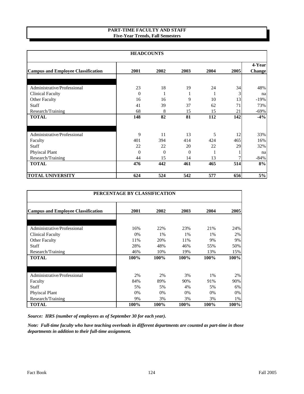#### **PART-TIME FACULTY AND STAFF Five-Year Trends, Fall Semesters**

| <b>HEADCOUNTS</b>                         |                |              |          |      |      |        |
|-------------------------------------------|----------------|--------------|----------|------|------|--------|
|                                           |                |              |          |      |      | 4-Year |
| <b>Campus and Employee Classification</b> | 2001           | 2002         | 2003     | 2004 | 2005 | Change |
|                                           |                |              |          |      |      |        |
| Administrative/Professional               | 23             | 18           | 19       | 24   | 34   | 48%    |
| <b>Clinical Faculty</b>                   | $\Omega$       |              | 1        | 1    | 3    | na     |
| <b>Other Faculty</b>                      | 16             | 16           | 9        | 10   | 13   | $-19%$ |
| <b>Staff</b>                              | 41             | 39           | 37       | 62   | 71   | 73%    |
| Research/Training                         | 68             | 8            | 15       | 15   | 21   | $-69%$ |
| <b>TOTAL</b>                              | 148            | 82           | 81       | 112  | 142  | $-4%$  |
|                                           |                |              |          |      |      |        |
| Administrative/Professional               | 9              | 11           | 13       | 5    | 12   | 33%    |
| Faculty                                   | 401            | 394          | 414      | 424  | 465  | 16%    |
| <b>Staff</b>                              | 22             | 22           | 20       | 22   | 29   | 32%    |
| Phyiscal Plant                            | $\overline{0}$ | $\mathbf{0}$ | $\theta$ | 1    |      | na     |
| Research/Training                         | 44             | 15           | 14       | 13   |      | $-84%$ |
| <b>TOTAL</b>                              | 476            | 442          | 461      | 465  | 514  | 8%     |
| <b>TOTAL UNIVERSITY</b>                   | 624            | 524          | 542      | 577  | 656  | 5%     |

| PERCENTAGE BY CLASSIFICATION              |      |       |      |       |      |  |  |  |
|-------------------------------------------|------|-------|------|-------|------|--|--|--|
| <b>Campus and Employee Classification</b> | 2001 | 2002  | 2003 | 2004  | 2005 |  |  |  |
|                                           |      |       |      |       |      |  |  |  |
| Administrative/Professional               | 16%  | 22%   | 23%  | 21%   | 24%  |  |  |  |
| Clinical Faculty                          | 0%   | 1%    | 1%   | 1%    | 2%   |  |  |  |
| <b>Other Faculty</b>                      | 11%  | 20%   | 11%  | 9%    | 9%   |  |  |  |
| Staff                                     | 28%  | 48%   | 46%  | 55%   | 50%  |  |  |  |
| Research/Training                         | 46%  | 10%   | 19%  | 13%   | 15%  |  |  |  |
| <b>TOTAL</b>                              | 100% | 100%  | 100% | 100%  | 100% |  |  |  |
|                                           |      |       |      |       |      |  |  |  |
| Administrative/Professional               | 2%   | 2%    | 3%   | 1%    | 2%   |  |  |  |
| Faculty                                   | 84%  | 89%   | 90%  | 91%   | 90%  |  |  |  |
| Staff                                     | 5%   | 5%    | 4%   | 5%    | 6%   |  |  |  |
| <b>Phyiscal Plant</b>                     | 0%   | $0\%$ | 0%   | $0\%$ | 0%   |  |  |  |
| Research/Training                         | 9%   | 3%    | 3%   | 3%    | 1%   |  |  |  |
| <b>TOTAL</b>                              | 100% | 100%  | 100% | 100%  | 100% |  |  |  |

*Source: HRS (number of employees as of September 30 for each year).*

*Note: Full-time faculty who have teaching overloads in different departments are counted as part-time in those departments in addition to their full-time assignment.*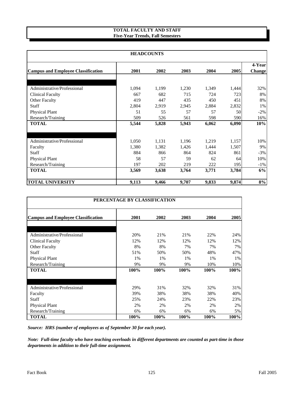#### **TOTAL FACULTY AND STAFF Five-Year Trends, Fall Semesters**

| <b>HEADCOUNTS</b>                         |       |       |       |       |       |               |  |
|-------------------------------------------|-------|-------|-------|-------|-------|---------------|--|
|                                           |       |       |       |       |       | 4-Year        |  |
| <b>Campus and Employee Classification</b> | 2001  | 2002  | 2003  | 2004  | 2005  | <b>Change</b> |  |
|                                           |       |       |       |       |       |               |  |
| Administrative/Professional               | 1,094 | 1,199 | 1,230 | 1,349 | 1,444 | 32%           |  |
| <b>Clinical Faculty</b>                   | 667   | 682   | 715   | 724   | 723   | 8%            |  |
| <b>Other Faculty</b>                      | 419   | 447   | 435   | 450   | 451   | 8%            |  |
| <b>Staff</b>                              | 2,804 | 2,919 | 2,945 | 2,884 | 2,832 | 1%            |  |
| <b>Physical Plant</b>                     | 51    | 55    | 57    | 57    | 50    | $-2\%$        |  |
| Research/Training                         | 509   | 526   | 561   | 598   | 590   | 16%           |  |
| <b>TOTAL</b>                              | 5,544 | 5,828 | 5,943 | 6,062 | 6,090 | 10%           |  |
|                                           |       |       |       |       |       |               |  |
| Administrative/Professional               | 1,050 | 1,131 | 1,196 | 1,219 | 1,157 | 10%           |  |
| Faculty                                   | 1,380 | 1,382 | 1,426 | 1,444 | 1,507 | 9%            |  |
| <b>Staff</b>                              | 884   | 866   | 864   | 824   | 861   | $-3%$         |  |
| <b>Physical Plant</b>                     | 58    | 57    | 59    | 62    | 64    | 10%           |  |
| Research/Training                         | 197   | 202   | 219   | 222   | 195   | $-1\%$        |  |
| <b>TOTAL</b>                              | 3,569 | 3,638 | 3,764 | 3,771 | 3,784 | 6%            |  |
| <b>TOTAL UNIVERSITY</b>                   | 9,113 | 9,466 | 9,707 | 9,833 | 9,874 | 8%            |  |

| PERCENTAGE BY CLASSIFICATION              |      |      |      |      |      |  |  |  |
|-------------------------------------------|------|------|------|------|------|--|--|--|
| <b>Campus and Employee Classification</b> | 2001 | 2002 | 2003 | 2004 | 2005 |  |  |  |
|                                           |      |      |      |      |      |  |  |  |
| Administrative/Professional               | 20%  | 21%  | 21%  | 22%  | 24%  |  |  |  |
| <b>Clinical Faculty</b>                   | 12%  | 12%  | 12%  | 12%  | 12%  |  |  |  |
| <b>Other Faculty</b>                      | 8%   | 8%   | 7%   | 7%   | 7%   |  |  |  |
| <b>Staff</b>                              | 51%  | 50%  | 50%  | 48%  | 47%  |  |  |  |
| <b>Physical Plant</b>                     | 1%   | 1%   | 1%   | 1%   | 1%   |  |  |  |
| Research/Training                         | 9%   | 9%   | 9%   | 10%  | 10%  |  |  |  |
| <b>TOTAL</b>                              | 100% | 100% | 100% | 100% | 100% |  |  |  |
| Administrative/Professional               | 29%  | 31%  | 32%  | 32%  | 31%  |  |  |  |
| Faculty                                   | 39%  | 38%  | 38%  | 38%  | 40%  |  |  |  |
| <b>Staff</b>                              | 25%  | 24%  | 23%  | 22%  | 23%  |  |  |  |
| <b>Physical Plant</b>                     | 2%   | 2%   | 2%   | 2%   | 2%   |  |  |  |
| Research/Training                         | 6%   | 6%   | 6%   | 6%   | 5%   |  |  |  |
| <b>TOTAL</b>                              | 100% | 100% | 100% | 100% | 100% |  |  |  |

*Source: HRS (number of employees as of September 30 for each year).*

*Note: Full-time faculty who have teaching overloads in different departments are counted as part-time in those departments in addition to their full-time assignment.*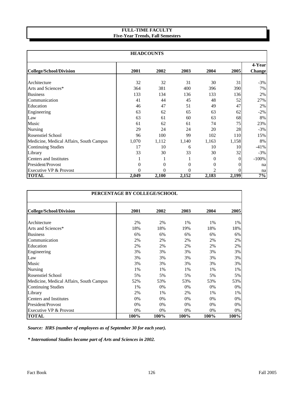#### **Five-Year Trends, Fall Semesters FULL-TIME FACULTY**

| <b>HEADCOUNTS</b>                       |          |                |                |                  |       |               |
|-----------------------------------------|----------|----------------|----------------|------------------|-------|---------------|
|                                         |          |                |                |                  |       | 4-Year        |
| <b>College/School/Division</b>          | 2001     | 2002           | 2003           | 2004             | 2005  | <b>Change</b> |
| Architecture                            | 32       | 32             | 31             | 30               | 31    | $-3%$         |
| Arts and Sciences*                      | 364      | 381            | 400            | 396              | 390   | 7%            |
| <b>Business</b>                         | 133      | 134            | 136            | 133              | 136   | 2%            |
| Communication                           | 41       | 44             | 45             | 48               | 52    | 27%           |
| Education                               | 46       | 47             | 51             | 49               | 47    | 2%            |
| Engineering                             | 63       | 62             | 65             | 63               | 62    | $-2\%$        |
| Law                                     | 63       | 61             | 60             | 63               | 68    | 8%            |
| Music                                   | 61       | 62             | 61             | 74               | 75    | 23%           |
| <b>Nursing</b>                          | 29       | 24             | 24             | 20               | 28    | $-3%$         |
| <b>Rosenstiel School</b>                | 96       | 100            | 99             | 102              | 110   | 15%           |
| Medicine, Medical Affairs, South Campus | 1,070    | 1,112          | 1,140          | 1,163            | 1,158 | 8%            |
| <b>Continuing Studies</b>               | 17       | 10             | 6              | 10               | 10    | $-41%$        |
| Library                                 | 33       | 30             | 33             | 30               | 32    | $-3%$         |
| Centers and Institutes                  |          |                | 1              | $\overline{0}$   | 0     | $-100%$       |
| President/Provost                       | $\theta$ | $\theta$       | $\theta$       | $\boldsymbol{0}$ | 0     | na            |
| Executive VP & Provost                  | $\theta$ | $\overline{0}$ | $\overline{0}$ | $\overline{2}$   | 0     | na            |
| <b>TOTAL</b>                            | 2,049    | 2,100          | 2,152          | 2,183            | 2,199 | 7%            |

| PERCENTAGE BY COLLEGE/SCHOOL            |      |      |      |       |      |  |  |
|-----------------------------------------|------|------|------|-------|------|--|--|
| <b>College/School/Division</b>          | 2001 | 2002 | 2003 | 2004  | 2005 |  |  |
| Architecture                            | 2%   | 2%   | 1%   | 1%    | 1%   |  |  |
| Arts and Sciences*                      | 18%  | 18%  | 19%  | 18%   | 18%  |  |  |
| <b>Business</b>                         | 6%   | 6%   | 6%   | 6%    | 6%   |  |  |
| Communication                           | 2%   | 2%   | 2%   | 2%    | 2%   |  |  |
| Education                               | 2%   | 2%   | 2%   | 2%    | 2%   |  |  |
| Engineering                             | 3%   | 3%   | 3%   | 3%    | 3%   |  |  |
| Law                                     | 3%   | 3%   | 3%   | 3%    | 3%   |  |  |
| Music                                   | 3%   | 3%   | 3%   | 3%    | 3%   |  |  |
| Nursing                                 | 1%   | 1%   | 1%   | 1%    | 1%   |  |  |
| Rosenstiel School                       | 5%   | 5%   | 5%   | 5%    | 5%   |  |  |
| Medicine, Medical Affairs, South Campus | 52%  | 53%  | 53%  | 53%   | 53%  |  |  |
| Continuing Studies                      | 1%   | 0%   | 0%   | 0%    | 0%   |  |  |
| Library                                 | 2%   | 1%   | 2%   | 1%    | 1%   |  |  |
| <b>Centers and Institutes</b>           | 0%   | 0%   | 0%   | $0\%$ | 0%   |  |  |
| President/Provost                       | 0%   | 0%   | 0%   | 0%    | 0%   |  |  |
| Executive VP & Provost                  | 0%   | 0%   | 0%   | 0%    | 0%   |  |  |
| <b>TOTAL</b>                            | 100% | 100% | 100% | 100%  | 100% |  |  |

*Source: HRS (number of employees as of September 30 for each year).*

*\* International Studies became part of Arts and Sciences in 2002.*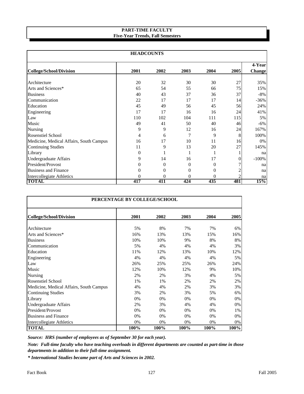#### **PART-TIME FACULTY Five-Year Trends, Fall Semesters**

| <b>HEADCOUNTS</b>                       |          |                |          |                  |                |                  |
|-----------------------------------------|----------|----------------|----------|------------------|----------------|------------------|
| <b>College/School/Division</b>          | 2001     | 2002           | 2003     | 2004             | 2005           | 4-Year<br>Change |
|                                         |          |                |          |                  |                |                  |
| Architecture                            | 20       | 32             | 30       | 30               | 27             | 35%              |
| Arts and Sciences*                      | 65       | 54             | 55       | 66               | 75             | 15%              |
| <b>Business</b>                         | 40       | 43             | 37       | 36               | 37             | $-8%$            |
| Communication                           | 22       | 17             | 17       | 17               | 14             | $-36%$           |
| Education                               | 45       | 49             | 56       | 45               | 56             | 24%              |
| Engineering                             | 17       | 17             | 16       | 16               | 24             | 41%              |
| Law                                     | 110      | 102            | 104      | 111              | 115            | 5%               |
| Music                                   | 49       | 41             | 50       | 40               | 46             | $-6\%$           |
| <b>Nursing</b>                          | 9        | 9              | 12       | 16               | 24             | 167%             |
| <b>Rosenstiel School</b>                | 4        | 6              | 7        | 9                | 8              | 100%             |
| Medicine, Medical Affairs, South Campus | 16       | 17             | 10       | 11               | 16             | 0%               |
| <b>Continuing Studies</b>               | 11       | 9              | 13       | 20               | 27             | 145%             |
| Library                                 | $\Omega$ |                |          |                  |                | na               |
| <b>Undergraduate Affairs</b>            | 9        | 14             | 16       | 17               | 0              | $-100%$          |
| President/Provost                       | 0        | $\overline{0}$ | $\theta$ | $\overline{0}$   |                | na               |
| <b>Business and Finance</b>             | 0        | $\theta$       | $\theta$ | $\boldsymbol{0}$ |                | na               |
| Intercollegiate Athletics               | 0        | $\theta$       | $\theta$ | $\overline{0}$   | $\overline{c}$ | na               |
| <b>TOTAL</b>                            | 417      | 411            | 424      | 435              | 481            | 15%              |

| PERCENTAGE BY COLLEGE/SCHOOL            |      |      |       |      |      |  |  |  |
|-----------------------------------------|------|------|-------|------|------|--|--|--|
| <b>College/School/Division</b>          | 2001 | 2002 | 2003  | 2004 | 2005 |  |  |  |
| Architecture                            | 5%   | 8%   | 7%    | 7%   | 6%   |  |  |  |
| Arts and Sciences*                      | 16%  | 13%  | 13%   | 15%  | 16%  |  |  |  |
| <b>Business</b>                         | 10%  | 10%  | 9%    | 8%   | 8%   |  |  |  |
| Communication                           | 5%   | 4%   | 4%    | 4%   | 3%   |  |  |  |
| Education                               | 11%  | 12%  | 13%   | 10%  | 12%  |  |  |  |
| Engineering                             | 4%   | 4%   | 4%    | 4%   | 5%   |  |  |  |
| Law                                     | 26%  | 25%  | 25%   | 26%  | 24%  |  |  |  |
| Music                                   | 12%  | 10%  | 12%   | 9%   | 10%  |  |  |  |
| Nursing                                 | 2%   | 2%   | 3%    | 4%   | 5%   |  |  |  |
| <b>Rosenstiel School</b>                | 1%   | 1%   | 2%    | 2%   | 2%   |  |  |  |
| Medicine, Medical Affairs, South Campus | 4%   | 4%   | 2%    | 3%   | 3%   |  |  |  |
| <b>Continuing Studies</b>               | 3%   | 2%   | 3%    | 5%   | 6%   |  |  |  |
| Library                                 | 0%   | 0%   | 0%    | 0%   | 0%   |  |  |  |
| <b>Undergraduate Affairs</b>            | 2%   | 3%   | 4%    | 4%   | 0%   |  |  |  |
| President/Provost                       | 0%   | 0%   | $0\%$ | 0%   | 1%   |  |  |  |
| <b>Business and Finance</b>             | 0%   | 0%   | 0%    | 0%   | 0%   |  |  |  |
| Intercollegiate Athletics               | 0%   | 0%   | 0%    | 0%   | 0%   |  |  |  |
| <b>TOTAL</b>                            | 100% | 100% | 100%  | 100% | 100% |  |  |  |

*Source: HRS (number of employees as of September 30 for each year).*

*Note: Full-time faculty who have teaching overloads in different departments are counted as part-time in those departments in addition to their full-time assignment.*

*\* International Studies became part of Arts and Sciences in 2002.*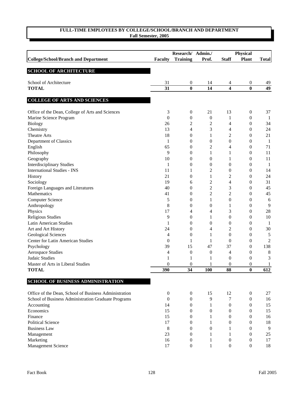|                                                       |                        | Research/ Admin./            |                  | <b>Physical</b>  |                       |                       |
|-------------------------------------------------------|------------------------|------------------------------|------------------|------------------|-----------------------|-----------------------|
| <b>College/School/Branch and Department</b>           | <b>Faculty</b>         | <b>Training</b>              | Prof.            | <b>Staff</b>     | <b>Plant</b>          | <b>Total</b>          |
| <b>SCHOOL OF ARCHITECTURE</b>                         |                        |                              |                  |                  |                       |                       |
|                                                       |                        |                              |                  |                  |                       |                       |
| School of Architecture<br><b>TOTAL</b>                | 31<br>$\overline{31}$  | $\boldsymbol{0}$<br>$\bf{0}$ | 14<br>14         | 4<br>4           | 0<br>$\bf{0}$         | 49<br>$\overline{49}$ |
|                                                       |                        |                              |                  |                  |                       |                       |
| <b>COLLEGE OF ARTS AND SCIENCES</b>                   |                        |                              |                  |                  |                       |                       |
| Office of the Dean, College of Arts and Sciences      | 3                      | $\boldsymbol{0}$             | 21               | 13               | 0                     | 37                    |
| Marine Science Program                                | $\boldsymbol{0}$       | $\boldsymbol{0}$             | $\boldsymbol{0}$ | 1                | $\boldsymbol{0}$      | 1                     |
| <b>Biology</b>                                        | 26                     | $\overline{c}$               | $\overline{c}$   | 4                | $\boldsymbol{0}$      | 34                    |
| Chemistry                                             | 13                     | 4                            | 3                | 4                | $\boldsymbol{0}$      | 24                    |
| <b>Theatre Arts</b>                                   | 18                     | $\boldsymbol{0}$             | 1                | 2                | $\boldsymbol{0}$      | 21                    |
| Department of Classics                                | 1                      | $\boldsymbol{0}$             | $\boldsymbol{0}$ | $\boldsymbol{0}$ | 0                     | -1                    |
| English                                               | 65                     | $\boldsymbol{0}$             | $\overline{c}$   | 4                | 0                     | 71                    |
| Philosophy                                            | 9                      | $\boldsymbol{0}$             | 1                | 1                | 0                     | 11                    |
| Geography                                             | 10                     | $\overline{0}$               | $\boldsymbol{0}$ | 1                | $\boldsymbol{0}$      | 11                    |
| <b>Interdisciplinary Studies</b>                      | 1                      | $\boldsymbol{0}$             | 0                | $\boldsymbol{0}$ | 0                     | 1                     |
| <b>International Studies - INS</b>                    | 11                     | 1                            | 2                | $\boldsymbol{0}$ | 0                     | 14                    |
| History                                               | 21                     | $\overline{0}$               | 1                | 2                | 0                     | 24                    |
| Sociology                                             | 19                     | 6                            | 2                | 4                | 0                     | 31                    |
| Foreign Languages and Literatures                     | 40                     | $\overline{0}$               | $\overline{c}$   | 3                | 0                     | 45                    |
| <b>Mathematics</b>                                    | 41                     | $\overline{0}$               | $\overline{c}$   | 2                | 0                     | 45                    |
| <b>Computer Science</b>                               | 5                      | $\overline{0}$               | 1                | $\theta$         | 0                     | 6                     |
| Anthropology                                          | 8                      | $\overline{0}$               | $\boldsymbol{0}$ | 1                | 0                     | 9                     |
| Physics                                               | 17                     | 4                            | 4                | 3                | 0                     | 28                    |
| Religious Studies                                     | 9                      | $\boldsymbol{0}$             | 1                | $\boldsymbol{0}$ | 0                     | 10                    |
| <b>Latin American Studies</b>                         | 1                      | $\boldsymbol{0}$             | $\boldsymbol{0}$ | $\boldsymbol{0}$ | $\boldsymbol{0}$      | -1                    |
| Art and Art History                                   | 24                     | $\boldsymbol{0}$             | 4                | 2                | 0                     | 30                    |
| Geological Sciences                                   | 4                      | $\boldsymbol{0}$             | 1                | $\boldsymbol{0}$ | $\boldsymbol{0}$      | 5                     |
| Center for Latin American Studies                     |                        | 1                            | 1                | $\overline{0}$   | $\boldsymbol{0}$      | 2                     |
|                                                       | $\boldsymbol{0}$<br>39 |                              |                  |                  |                       | 138                   |
| Psychology                                            |                        | 15                           | 47               | 37               | $\boldsymbol{0}$      |                       |
| <b>Aerospace Studies</b>                              | 4                      | $\boldsymbol{0}$             | $\boldsymbol{0}$ | 4                | 0                     | $8\phantom{1}$        |
| Judaic Studies                                        | 1                      | 1                            | 1                | $\boldsymbol{0}$ | $\boldsymbol{0}$      | 3                     |
| Master of Arts in Liberal Studies                     | 0<br>390               | $\boldsymbol{0}$<br>34       | <b>100</b>       | 0<br>88          | 0<br>$\boldsymbol{0}$ | 1<br>612              |
| <b>TOTAL</b>                                          |                        |                              |                  |                  |                       |                       |
| <b>SCHOOL OF BUSINESS ADMINISTRATION</b>              |                        |                              |                  |                  |                       |                       |
| Office of the Dean, School of Business Administration | $\mathbf{0}$           | $\boldsymbol{0}$             | 15               | 12               | $\boldsymbol{0}$      | 27                    |
| School of Business Administration Graduate Programs   | $\mathbf{0}$           | $\mathbf{0}$                 | 9                | 7                | 0                     | 16                    |
| Accounting                                            | 14                     | $\mathbf{0}$                 | 1                | $\mathbf{0}$     | 0                     | 15                    |
| Economics                                             | 15                     | 0                            | 0                | $\theta$         | 0                     | 15                    |
| Finance                                               | 15                     | $\boldsymbol{0}$             | 1                | 0                | 0                     | 16                    |
| <b>Political Science</b>                              | 17                     | $\overline{0}$               | 1                | 0                | 0                     | 18                    |
| <b>Business Law</b>                                   | 8                      | $\overline{0}$               | $\theta$         | 1                | 0                     | 9                     |
| Management                                            | 23                     | $\mathbf{0}$                 | 1                | 1                | 0                     | 25                    |
| Marketing                                             | 16                     | $\mathbf{0}$                 | 1                | $\boldsymbol{0}$ | 0                     | 17                    |
| Management Science                                    | 17                     | $\boldsymbol{0}$             | 1                | $\boldsymbol{0}$ | 0                     | 18                    |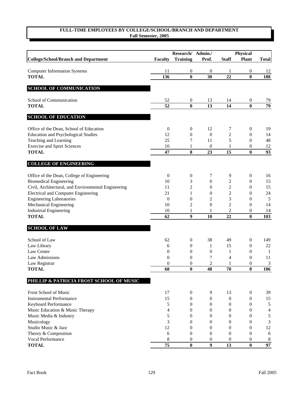|                                                     |                  | Research/ Admin./ |                  | Physical         |                  |                |
|-----------------------------------------------------|------------------|-------------------|------------------|------------------|------------------|----------------|
| <b>College/School/Branch and Department</b>         | <b>Faculty</b>   | <b>Training</b>   | Prof.            | <b>Staff</b>     | <b>Plant</b>     | <b>Total</b>   |
|                                                     |                  |                   |                  |                  |                  |                |
| <b>Computer Information Systems</b>                 | 11               | $\boldsymbol{0}$  | $\theta$         | 1                | 0                | 12             |
| <b>TOTAL</b>                                        | $\frac{136}{2}$  | $\bf{0}$          | 30               | $\overline{22}$  | $\bf{0}$         | 188            |
| <b>SCHOOL OF COMMUNICATION</b>                      |                  |                   |                  |                  |                  |                |
| School of Communication                             | 52               | $\boldsymbol{0}$  | 13               | 14               | $\boldsymbol{0}$ | 79             |
| <b>TOTAL</b>                                        | 52               | $\bf{0}$          | 13               | 14               | $\bf{0}$         | 79             |
| <b>SCHOOL OF EDUCATION</b>                          |                  |                   |                  |                  |                  |                |
| Office of the Dean, School of Education             | $\boldsymbol{0}$ | $\boldsymbol{0}$  | 12               | 7                | $\boldsymbol{0}$ | 19             |
| <b>Education and Psychological Studies</b>          | 12               | $\boldsymbol{0}$  | $\boldsymbol{0}$ | 2                | $\boldsymbol{0}$ | 14             |
| Teaching and Learning                               | 25               | 7                 | 11               | 5                | $\boldsymbol{0}$ | 48             |
| <b>Exercise and Sport Sciences</b>                  | $10\,$           | 1                 | $\boldsymbol{0}$ | 1                | 0                | 12             |
| <b>TOTAL</b>                                        | 47               | 8                 | 23               | 15               | $\bf{0}$         | 93             |
| <b>COLLEGE OF ENGINEERING</b>                       |                  |                   |                  |                  |                  |                |
| Office of the Dean, College of Engineering          | $\mathbf{0}$     | $\boldsymbol{0}$  | 7                | 9                | $\boldsymbol{0}$ | 16             |
| <b>Biomedical Engineering</b>                       | 10               | 3                 | $\boldsymbol{0}$ | $\mathfrak{2}$   | $\boldsymbol{0}$ | 15             |
| Civil, Architectural, and Environmental Engineering | 11               | $\mathfrak{2}$    | $\boldsymbol{0}$ | $\mathfrak{2}$   | $\boldsymbol{0}$ | 15             |
| <b>Electrical and Computer Engineering</b>          | 21               | $\mathbf{1}$      | $\boldsymbol{0}$ | $\mathfrak{2}$   | 0                | 24             |
| <b>Engineering Laboratories</b>                     | $\boldsymbol{0}$ | $\boldsymbol{0}$  | $\overline{c}$   | 3                | 0                | $\sqrt{5}$     |
| Mechanical Engineering                              | 10               | $\overline{c}$    | $\boldsymbol{0}$ | $\overline{c}$   | $\boldsymbol{0}$ | 14             |
| <b>Industrial Engineering</b>                       | 10               | 1                 |                  | $\overline{c}$   | 0                | 14             |
| <b>TOTAL</b>                                        | 62               | 9                 | 10               | 22               | $\bf{0}$         | 103            |
| <b>SCHOOL OF LAW</b>                                |                  |                   |                  |                  |                  |                |
| School of Law                                       | 62               | $\boldsymbol{0}$  | 38               | 49               | $\boldsymbol{0}$ | 149            |
| Law Library                                         | 6                | $\boldsymbol{0}$  | 1                | 15               | $\boldsymbol{0}$ | 22             |
| Law Center                                          | $\overline{0}$   | $\boldsymbol{0}$  | $\boldsymbol{0}$ | 1                | $\boldsymbol{0}$ | 1              |
| Law Admissions                                      | $\overline{0}$   | $\boldsymbol{0}$  | 7                | $\overline{4}$   | $\mathbf{0}$     | 11             |
| Law Registrar                                       | $\boldsymbol{0}$ | $\boldsymbol{0}$  | $\overline{c}$   | 1                | 0                | 3              |
| <b>TOTAL</b>                                        | 68               | $\bf{0}$          | 48               | 70               | $\mathbf{0}$     | 186            |
| PHILLIP & PATRICIA FROST SCHOOL OF MUSIC            |                  |                   |                  |                  |                  |                |
| Frost School of Music                               | 17               | $\boldsymbol{0}$  | $\overline{9}$   | 13               | $\boldsymbol{0}$ | 39             |
| <b>Instrumental Performance</b>                     | 15               | $\boldsymbol{0}$  | $\boldsymbol{0}$ | $\boldsymbol{0}$ | 0                | 15             |
| Keyboard Performance                                | 5                | $\boldsymbol{0}$  | $\boldsymbol{0}$ | $\boldsymbol{0}$ | 0                | 5              |
| Music Education & Music Therapy                     | 4                | $\boldsymbol{0}$  | $\boldsymbol{0}$ | $\boldsymbol{0}$ | 0                | $\overline{4}$ |
| Music Media & Industry                              | 5                | $\boldsymbol{0}$  | $\theta$         | 0                | $\boldsymbol{0}$ | $\sqrt{5}$     |
| Musicology                                          | 3                | $\theta$          | $\theta$         | $\mathbf{0}$     | $\boldsymbol{0}$ | 3              |
| Studio Music & Jazz                                 | 12               | $\boldsymbol{0}$  | $\mathbf{0}$     | $\boldsymbol{0}$ | $\boldsymbol{0}$ | 12             |
| Theory & Composition                                | 6                | $\theta$          | $\theta$         | $\mathbf{0}$     | $\overline{0}$   | 6              |
| Vocal Performance                                   | 8                | $\theta$          | $\mathbf{0}$     | $\mathbf{0}$     | 0                | $\,8\,$        |
| <b>TOTAL</b>                                        | $\overline{75}$  | $\bf{0}$          | $\overline{9}$   | 13               | $\bf{0}$         | 97             |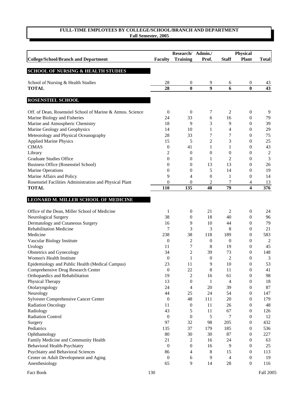|                                                            | Research/ Admin./ |                  |                  | <b>Physical</b>  |                  |                |
|------------------------------------------------------------|-------------------|------------------|------------------|------------------|------------------|----------------|
| <b>College/School/Branch and Department</b>                | <b>Faculty</b>    | <b>Training</b>  | Prof.            | <b>Staff</b>     | <b>Plant</b>     | <b>Total</b>   |
|                                                            |                   |                  |                  |                  |                  |                |
| <b>SCHOOL OF NURSING &amp; HEALTH STUDIES</b>              |                   |                  |                  |                  |                  |                |
| School of Nursing & Health Studies                         | 28                | $\mathbf{0}$     | 9                | 6                | $\boldsymbol{0}$ | 43             |
| <b>TOTAL</b>                                               | 28                | $\bf{0}$         | 9                | 6                | $\bf{0}$         | 43             |
| ROSENSTIEL SCHOOL                                          |                   |                  |                  |                  |                  |                |
|                                                            |                   |                  |                  |                  |                  |                |
| Off. of Dean, Rosenstiel School of Marine & Atmos. Science | $\boldsymbol{0}$  | $\mathbf{0}$     | 7                | 2                | $\boldsymbol{0}$ | 9              |
| Marine Biology and Fisheries                               | 24                | 33               | 6                | 16               | $\boldsymbol{0}$ | 79             |
| Marine and Atmospheric Chemistry                           | 18                | 9                | 3                | 9                | $\boldsymbol{0}$ | 39             |
| Marine Geology and Geophysics                              | 14                | 10               | 1                | 4                | $\overline{0}$   | 29             |
| Meteorology and Physical Oceanography                      | 28                | 33               | 7                | 7                | $\overline{0}$   | 75             |
| <b>Applied Marine Physics</b>                              | 15                | 5                | 2                | 3                | $\overline{0}$   | 25             |
| <b>CIMAS</b>                                               | $\boldsymbol{0}$  | 41               | 1                | 1                | $\boldsymbol{0}$ | 43             |
| Library                                                    | 2                 | $\theta$         | $\theta$         | $\boldsymbol{0}$ | $\boldsymbol{0}$ | $\sqrt{2}$     |
| <b>Graduate Studies Office</b>                             | $\mathbf{0}$      | $\boldsymbol{0}$ | 1                | 2                | $\boldsymbol{0}$ | $\mathfrak{Z}$ |
| Business Office (Rosenstiel School)                        | $\mathbf{0}$      | $\boldsymbol{0}$ | 13               | 13               | $\boldsymbol{0}$ | 26             |
| <b>Marine Operations</b>                                   | $\mathbf{0}$      | $\mathbf{0}$     | 5                | 14               | $\boldsymbol{0}$ | 19             |
| Marine Affairs and Policy                                  | 9                 | $\overline{4}$   | $\boldsymbol{0}$ | 1                | $\boldsymbol{0}$ | 14             |
| Rosenstiel Facilities Administration and Physical Plant    | $\boldsymbol{0}$  | $\mathbf{0}$     | 2                | 7                | 4                | 13             |
| <b>TOTAL</b>                                               | 110               | 135              | 48               | 79               | 4                | 376            |
| LEONARD M. MILLER SCHOOL OF MEDICINE                       |                   |                  |                  |                  |                  |                |
|                                                            |                   |                  |                  |                  |                  |                |
| Office of the Dean, Miller School of Medicine              | 1                 | $\boldsymbol{0}$ | 21               | 2                | $\boldsymbol{0}$ | 24             |
| Neurological Surgery                                       | 38                | 0                | 18               | 40               | $\boldsymbol{0}$ | 96             |
| Dermatology and Cutaneous Surgery                          | 16                | 9                | 10               | 44               | $\boldsymbol{0}$ | 79             |
| <b>Rehabilitation Medicine</b>                             | 7                 | 3                | 3                | 8                | $\boldsymbol{0}$ | 21             |
| Medicine                                                   | 238               | 38               | 118              | 189              | $\boldsymbol{0}$ | 583            |
| Vascular Biology Institute                                 | $\boldsymbol{0}$  | 2                | $\boldsymbol{0}$ | $\theta$         | 0                | 2              |
| Urology                                                    | 11                | 7                | 8                | 19               | 0                | 45             |
| Obstetrics and Gynecology                                  | 34                | $\overline{c}$   | 39               | 73               | $\overline{0}$   | 148            |
| Women's Health Institute                                   | $\boldsymbol{0}$  | 1                | $\boldsymbol{0}$ | 2                | 0                | 3              |
| Epidemiology and Public Health (Medical Campus)            | 23                | 11               | 9                | 10               | 0                | 53             |
| Comprehensive Drug Research Center                         | $\boldsymbol{0}$  | 22               | 8                | 11               | 0                | 41             |
| Orthopaedics and Rehabilitation                            | 19                | $\overline{c}$   | 16               | 61               | $\boldsymbol{0}$ | 98             |
| Physical Therapy                                           | 13                | $\boldsymbol{0}$ | 1                | 4                | $\boldsymbol{0}$ | 18             |
| Otolaryngology                                             | 24                | 4                | 20               | 39               | $\boldsymbol{0}$ | 87             |
| Neurology                                                  | 44                | 25               | 24               | 54               | $\boldsymbol{0}$ | 147            |
| Sylvester Comprehensive Cancer Center                      | $\boldsymbol{0}$  | 48               | 111              | 20               | $\boldsymbol{0}$ | 179            |
| <b>Radiation Oncology</b>                                  | 11                | $\boldsymbol{0}$ | 11               | 26               | $\boldsymbol{0}$ | 48             |
| Radiology                                                  | 43                | 5                | 11               | 67               | $\boldsymbol{0}$ | 126            |
| <b>Radiation Control</b>                                   | $\boldsymbol{0}$  | $\mathbf{0}$     | 5                | 7                | $\boldsymbol{0}$ | 12             |
| Surgery                                                    | 97                | 32               | 98               | 205              | $\mathbf{0}$     | 432            |
| Pediatrics                                                 | 135               | 37               | 179              | 185              | 0                | 536            |
| Ophthamology                                               | 80                | 30               | 30               | 87               | 0                | 227            |
| Family Medicine and Community Health                       | 21                | 2                | 16               | 24               | $\boldsymbol{0}$ | 63             |
| Behavioral Health-Psychiatry                               | $\boldsymbol{0}$  | $\boldsymbol{0}$ | 16               | 9                | $\boldsymbol{0}$ | $25\,$         |
| Psychiatry and Behavioral Sciences                         | 86                | $\overline{4}$   | 8                | 15               | $\boldsymbol{0}$ | 113            |
| Center on Adult Development and Aging                      | $\boldsymbol{0}$  | 6                | 9                | 4                | $\boldsymbol{0}$ | 19             |
| Anesthesiology                                             | 65                | 9                | 14               | 28               | $\boldsymbol{0}$ | 116            |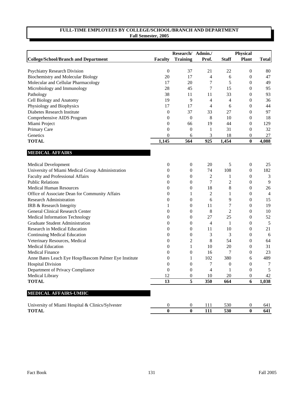|                                                                  |                              | Research/ Admin./    |                |                | <b>Physical</b>                      |                |
|------------------------------------------------------------------|------------------------------|----------------------|----------------|----------------|--------------------------------------|----------------|
| <b>College/School/Branch and Department</b>                      | <b>Faculty</b>               | <b>Training</b>      | Prof.          | <b>Staff</b>   | <b>Plant</b>                         | <b>Total</b>   |
|                                                                  |                              |                      |                |                |                                      |                |
| <b>Psychiatry Research Division</b>                              | $\boldsymbol{0}$             | 37                   | 21             | 22             | 0                                    | 80             |
| Biochemistry and Molecular Biology                               | 20                           | 17                   | $\overline{4}$ | 6              | $\boldsymbol{0}$                     | 47             |
| Molecular and Cellular Pharmacology                              | 17                           | 20                   | 7              | 5              | 0                                    | 49             |
| Microbiology and Immunology                                      | 28                           | 45                   | $\tau$         | 15             | 0                                    | 95             |
| Pathology                                                        | 38                           | 11                   | 11             | 33             | 0                                    | 93             |
| Cell Biology and Anatomy                                         | 19                           | 9                    | 4              | 4              | 0                                    | 36             |
| Physiology and Biophysics                                        | 17                           | 17                   | 4              | 6              | 0                                    | 44             |
| Diabetes Research Institute                                      | $\boldsymbol{0}$             | 37                   | 33             | 27             | 0                                    | 97             |
| Comprehensive AIDS Program                                       | $\boldsymbol{0}$             | $\theta$             | 8              | 10             | 0                                    | 18             |
| Miami Project                                                    | $\boldsymbol{0}$             | 66                   | 19             | 44             | $\boldsymbol{0}$                     | 129            |
| Primary Care                                                     | 0                            | $\boldsymbol{0}$     | 1              | 31             | $\boldsymbol{0}$                     | 32             |
| Genetics                                                         | $\boldsymbol{0}$             | 6                    | 3              | 18             | 0                                    | 27             |
| <b>TOTAL</b>                                                     | 1,145                        | 564                  | 925            | 1,454          | $\bf{0}$                             | 4,088          |
|                                                                  |                              |                      |                |                |                                      |                |
| <b>MEDICAL AFFAIRS</b>                                           |                              |                      |                |                |                                      |                |
| <b>Medical Development</b>                                       | $\boldsymbol{0}$             | $\mathbf{0}$         | 20             | 5              | $\boldsymbol{0}$                     | 25             |
| University of Miami Medical Group Administration                 | $\mathbf{0}$                 | $\boldsymbol{0}$     | 74             | 108            | $\boldsymbol{0}$                     | 182            |
| Faculty and Professional Affairs                                 | $\mathbf{0}$                 | 0                    | 2              | 1              | $\boldsymbol{0}$                     | 3              |
| <b>Public Relations</b>                                          | $\mathbf{0}$                 | 0                    | 7              | 2              | 0                                    | 9              |
| <b>Medical Human Resources</b>                                   | $\mathbf{0}$                 | 0                    | 18             | 8              | $\boldsymbol{0}$                     | 26             |
| Office of Associate Dean for Community Affairs                   | $\mathbf{0}$                 | 1                    | 2              | 1              | 0                                    | $\overline{4}$ |
| <b>Research Administration</b>                                   | $\boldsymbol{0}$             | 0                    | 6              | 9              | 0                                    | 15             |
| IRB & Research Integrity                                         | 1                            | 0                    | 11             | 7              | $\boldsymbol{0}$                     | 19             |
| General Clinical Research Center                                 | 0                            | 0                    | 8              | $\overline{2}$ | $\boldsymbol{0}$                     | 10             |
| Medical Information Technology                                   | 0                            | 0                    | 27             | 25             | $\boldsymbol{0}$                     | 52             |
| Graduate Student Administration                                  | 0                            | 0                    | 4              | 1              | 0                                    | 5              |
| Research in Medical Education                                    | 0                            | 0                    | 11             | 10             | 0                                    | 21             |
| Continuing Medical Education                                     | 0                            | 0                    | 3              | 3              | 0                                    | 6              |
| Veterinary Resources, Medical                                    | 0                            | 2                    | 8              | 54             | 0                                    | 64             |
| <b>Medical Education</b>                                         | 0                            | 1                    | 10             | 20             | 0                                    | 31             |
| <b>Medical Finance</b>                                           | $\boldsymbol{0}$             | 0                    | 16             | 7              | 0                                    | 23             |
| Anne Bates Leach Eye Hosp/Bascom Palmer Eye Institute            | $\boldsymbol{0}$             | 1                    | 102            | 380            | 6                                    | 489            |
| <b>Hospital Division</b>                                         | $\boldsymbol{0}$             | 0                    | 7              | $\mathbf{0}$   | 0                                    | 7              |
| Department of Privacy Compliance                                 | $\overline{0}$               | 0                    | $\Delta$       | 1              | $\Omega$                             | $\sqrt{5}$     |
| Medical Library                                                  | 12                           | $\boldsymbol{0}$     | 10             | 20             | 0                                    | 42             |
| <b>TOTAL</b>                                                     | 13                           | $\overline{5}$       | 350            | 664            | 6                                    | 1,038          |
| MEDICAL AFFAIRS-UMHC                                             |                              |                      |                |                |                                      |                |
|                                                                  |                              |                      |                |                |                                      |                |
| University of Miami Hospital & Clinics/Sylvester<br><b>TOTAL</b> | $\boldsymbol{0}$<br>$\bf{0}$ | $\bf{0}$<br>$\bf{0}$ | 111<br>111     | 530<br>530     | $\boldsymbol{0}$<br>$\boldsymbol{0}$ | 641<br>641     |
|                                                                  |                              |                      |                |                |                                      |                |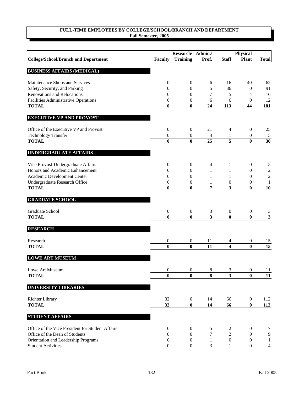|                                                  |                  | Research/ Admin./ |                | Physical                |                  |                         |
|--------------------------------------------------|------------------|-------------------|----------------|-------------------------|------------------|-------------------------|
| <b>College/School/Branch and Department</b>      | <b>Faculty</b>   | <b>Training</b>   | Prof.          | <b>Staff</b>            | <b>Plant</b>     | <b>Total</b>            |
| <b>BUSINESS AFFAIRS (MEDICAL)</b>                |                  |                   |                |                         |                  |                         |
| Maintenance Shops and Services                   | $\boldsymbol{0}$ | $\boldsymbol{0}$  | 6              | 16                      | 40               | 62                      |
| Safety, Security, and Parking                    | $\boldsymbol{0}$ | $\boldsymbol{0}$  | 5              | 86                      | $\mathbf{0}$     | 91                      |
| <b>Renovations and Relocations</b>               | $\overline{0}$   | 0                 | 7              | 5                       | 4                | 16                      |
| Facilities Administrative Operations             | $\mathbf{0}$     | 0                 | 6              | 6                       | $\mathbf{0}$     | 12                      |
| <b>TOTAL</b>                                     | $\bf{0}$         | $\bf{0}$          | 24             | 113                     | 44               | 181                     |
| <b>EXECUTIVE VP AND PROVOST</b>                  |                  |                   |                |                         |                  |                         |
| Office of the Executive VP and Provost           | $\boldsymbol{0}$ | $\boldsymbol{0}$  | 21             | 4                       | $\boldsymbol{0}$ | 25                      |
| <b>Technology Transfer</b>                       | $\boldsymbol{0}$ | 0                 | 4              | 1                       | 0                | $\overline{\mathbf{5}}$ |
| <b>TOTAL</b>                                     | $\bf{0}$         | $\bf{0}$          | 25             | $\overline{\mathbf{5}}$ | $\bf{0}$         | 30                      |
| UNDERGRADUATE AFFAIRS                            |                  |                   |                |                         |                  |                         |
| Vice Provost-Undergraduate Affairs               | 0                | $\boldsymbol{0}$  | 4              | 1                       | 0                | 5                       |
| Honors and Academic Enhancement                  | $\boldsymbol{0}$ | $\boldsymbol{0}$  | 1              | 1                       | 0                | $\overline{\mathbf{c}}$ |
| Academic Development Center                      | 0                | $\mathbf{0}$      | 1              | 1                       | $\boldsymbol{0}$ | $\overline{c}$          |
| Undergraduate Research Office                    | 0                | 0                 | 1              | $\boldsymbol{0}$        | 0                | $\mathbf{1}$            |
| <b>TOTAL</b>                                     | $\bf{0}$         | $\boldsymbol{0}$  | 7              | 3                       | $\boldsymbol{0}$ | 10                      |
| <b>GRADUATE SCHOOL</b>                           |                  |                   |                |                         |                  |                         |
| Graduate School                                  | 0                | $\boldsymbol{0}$  | 3              | $\boldsymbol{0}$        | $\boldsymbol{0}$ | $\overline{\mathbf{3}}$ |
| <b>TOTAL</b>                                     | $\bf{0}$         | $\bf{0}$          | $\overline{3}$ | $\bf{0}$                | $\bf{0}$         | $\overline{\mathbf{3}}$ |
| <b>RESEARCH</b>                                  |                  |                   |                |                         |                  |                         |
| Research                                         | 0                | $\boldsymbol{0}$  | 11             | 4                       | $\boldsymbol{0}$ | 15                      |
| <b>TOTAL</b>                                     | $\bf{0}$         | $\bf{0}$          | 11             | 4                       | $\bf{0}$         | 15                      |
| <b>LOWE ART MUSEUM</b>                           |                  |                   |                |                         |                  |                         |
| Lowe Art Museum                                  | $\boldsymbol{0}$ | $\overline{0}$    | 8              | 3                       | $\mathbf{0}$     | <u>11</u>               |
| <b>TOTAL</b>                                     | $\bf{0}$         | $\bf{0}$          | 8              | 3                       | $\bf{0}$         | 11                      |
| <b>UNIVERSITY LIBRARIES</b>                      |                  |                   |                |                         |                  |                         |
| <b>Richter Library</b>                           | 32               | $\boldsymbol{0}$  | 14             | 66                      | $\boldsymbol{0}$ | 112                     |
| <b>TOTAL</b>                                     | 32               | $\bf{0}$          | 14             | 66                      | $\bf{0}$         | 112                     |
| <b>STUDENT AFFAIRS</b>                           |                  |                   |                |                         |                  |                         |
| Office of the Vice President for Student Affairs | $\boldsymbol{0}$ | 0                 | 5              | 2                       | $\boldsymbol{0}$ | 7                       |
| Office of the Dean of Students                   | 0                | $\mathbf{0}$      | 7              | $\boldsymbol{2}$        | 0                | 9                       |
| Orientation and Leadership Programs              | $\boldsymbol{0}$ | $\boldsymbol{0}$  | 1              | $\boldsymbol{0}$        | $\boldsymbol{0}$ | 1                       |
| <b>Student Activities</b>                        | $\overline{0}$   | $\boldsymbol{0}$  | 3              | 1                       | $\boldsymbol{0}$ | 4                       |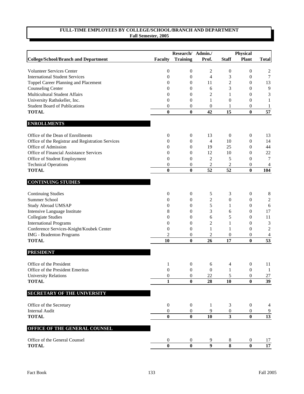|                                                                  |                              | Research/ Admin./ |                  | Physical                |                         |                      |
|------------------------------------------------------------------|------------------------------|-------------------|------------------|-------------------------|-------------------------|----------------------|
| <b>College/School/Branch and Department</b>                      | <b>Faculty</b>               | <b>Training</b>   | Prof.            | <b>Staff</b>            | <b>Plant</b>            | <b>Total</b>         |
|                                                                  |                              |                   |                  |                         |                         |                      |
| <b>Volunteer Services Center</b>                                 | $\boldsymbol{0}$             | 0                 | $\overline{c}$   | $\boldsymbol{0}$        | 0                       | 2                    |
| <b>International Student Services</b>                            | $\boldsymbol{0}$             | $\boldsymbol{0}$  | $\overline{4}$   | 3                       | $\boldsymbol{0}$        | $\tau$               |
| <b>Toppel Career Planning and Placement</b>                      | $\boldsymbol{0}$             | 0                 | 11               | 2                       | $\boldsymbol{0}$        | 13<br>$\overline{9}$ |
| <b>Counseling Center</b><br><b>Multicultural Student Affairs</b> | $\boldsymbol{0}$             | 0                 | 6                | 3                       | 0                       |                      |
|                                                                  | $\boldsymbol{0}$             | 0                 | $\overline{c}$   | 1                       | 0                       | $\mathfrak{Z}$       |
| University Rathskeller, Inc.                                     | $\overline{0}$               | 0                 | 1                | $\boldsymbol{0}$        | 0                       | 1                    |
| <b>Student Board of Publications</b><br><b>TOTAL</b>             | $\boldsymbol{0}$<br>$\bf{0}$ | 0<br>$\bf{0}$     | 0<br>42          | 15                      | 0<br>$\bf{0}$           | 1<br>$\overline{57}$ |
|                                                                  |                              |                   |                  |                         |                         |                      |
| <b>ENROLLMENTS</b>                                               |                              |                   |                  |                         |                         |                      |
| Office of the Dean of Enrollments                                | $\boldsymbol{0}$             | $\mathbf{0}$      | 13               | $\mathbf{0}$            | $\boldsymbol{0}$        | 13                   |
| Office of the Registrar and Registration Services                | $\mathbf{0}$                 | $\mathbf{0}$      | 4                | 10                      | $\boldsymbol{0}$        | 14                   |
| Office of Admission                                              | $\mathbf{0}$                 | $\mathbf{0}$      | 19               | 25                      | 0                       | 44                   |
| Office of Financial Assistance Services                          | $\mathbf{0}$                 | 0                 | 12               | 10                      | 0                       | $22\,$               |
| Office of Student Employment                                     | $\boldsymbol{0}$             | 0                 | $\overline{c}$   | 5                       | 0                       | 7                    |
| <b>Technical Operations</b>                                      | $\boldsymbol{0}$             | 0                 | $\overline{c}$   | 2                       | 0                       | 4                    |
| <b>TOTAL</b>                                                     | $\bf{0}$                     | $\bf{0}$          | 52               | $\overline{52}$         | $\bf{0}$                | 104                  |
| <b>CONTINUING STUDIES</b>                                        |                              |                   |                  |                         |                         |                      |
| <b>Continuing Studies</b>                                        | $\boldsymbol{0}$             | $\boldsymbol{0}$  | $\sqrt{5}$       | 3                       | $\boldsymbol{0}$        | 8                    |
| Summer School                                                    | 0                            | 0                 | $\overline{c}$   | $\boldsymbol{0}$        | $\boldsymbol{0}$        | 2                    |
| <b>Study Abroad UMSAP</b>                                        | 0                            | 0                 | 5                | 1                       | $\boldsymbol{0}$        | 6                    |
| Intensive Language Institute                                     | 8                            | 0                 | 3                | 6                       | 0                       | 17                   |
| <b>Collegiate Studies</b>                                        | $\boldsymbol{0}$             | 0                 | 6                | 5                       | 0                       | 11                   |
| <b>International Programs</b>                                    | $\boldsymbol{0}$             | 0                 | 2                | 1                       | 0                       | 3                    |
| Conference Services-Knight/Koubek Center                         | $\boldsymbol{0}$             | 0                 | 1                | 1                       | $\boldsymbol{0}$        | $\overline{2}$       |
| IMG - Bradenton Programs                                         | $\overline{c}$               | 0                 | $\overline{c}$   | $\boldsymbol{0}$        | 0                       | 4                    |
| <b>TOTAL</b>                                                     | 10                           | $\bf{0}$          | 26               | 17                      | $\bf{0}$                | $\overline{53}$      |
| <b>PRESIDENT</b>                                                 |                              |                   |                  |                         |                         |                      |
| Office of the President                                          | 1                            | $\boldsymbol{0}$  | 6                | 4                       | 0                       | 11                   |
| Office of the President Emeritus                                 | $\theta$                     | $\boldsymbol{0}$  | $\boldsymbol{0}$ |                         | 0                       | 1                    |
| <b>University Relations</b>                                      | $\boldsymbol{0}$             | $\boldsymbol{0}$  | 22               | 5                       | $\boldsymbol{0}$        | 27                   |
| <b>TOTAL</b>                                                     | $\mathbf{1}$                 | $\bf{0}$          | 28               | 10                      | $\bf{0}$                | 39                   |
|                                                                  |                              |                   |                  |                         |                         |                      |
| <b>SECRETARY OF THE UNIVERSITY</b>                               |                              |                   |                  |                         |                         |                      |
| Office of the Secretary                                          | $\boldsymbol{0}$             | $\boldsymbol{0}$  | 1                | 3                       | $\boldsymbol{0}$        | 4                    |
| <b>Internal Audit</b>                                            | $\boldsymbol{0}$             | 0                 | 9                | $\boldsymbol{0}$        | 0                       | 9                    |
| <b>TOTAL</b>                                                     | $\bf{0}$                     | $\bf{0}$          | 10               | $\mathbf{3}$            | $\bf{0}$                | 13                   |
| OFFICE OF THE GENERAL COUNSEL                                    |                              |                   |                  |                         |                         |                      |
| Office of the General Counsel                                    | $\boldsymbol{0}$             | $\boldsymbol{0}$  | 9                | $\,8\,$                 | $\boldsymbol{0}$        | 17                   |
| <b>TOTAL</b>                                                     | $\overline{\mathbf{0}}$      | $\bf{0}$          | $\overline{9}$   | $\overline{\mathbf{8}}$ | $\overline{\mathbf{0}}$ | $17\,$               |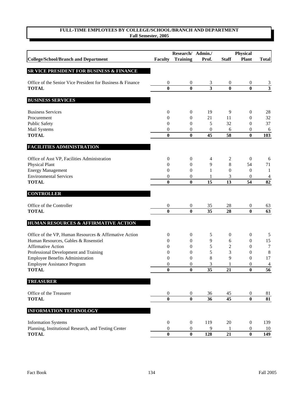|                                                            |                              | Research/ Admin./            |                         | <b>Physical</b>  |                              |                         |
|------------------------------------------------------------|------------------------------|------------------------------|-------------------------|------------------|------------------------------|-------------------------|
| <b>College/School/Branch and Department</b>                | <b>Faculty</b>               | <b>Training</b>              | Prof.                   | <b>Staff</b>     | <b>Plant</b>                 | <b>Total</b>            |
|                                                            |                              |                              |                         |                  |                              |                         |
| SR VICE PRESIDENT FOR BUSINESS & FINANCE                   |                              |                              |                         |                  |                              |                         |
| Office of the Senior Vice President for Business & Finance | 0                            | $\boldsymbol{0}$             | 3                       | $\boldsymbol{0}$ | 0                            | $\overline{3}$          |
| <b>TOTAL</b>                                               | $\bf{0}$                     | $\bf{0}$                     | $\overline{\mathbf{3}}$ | $\bf{0}$         | $\bf{0}$                     | $\overline{\mathbf{3}}$ |
|                                                            |                              |                              |                         |                  |                              |                         |
| <b>BUSINESS SERVICES</b>                                   |                              |                              |                         |                  |                              |                         |
| <b>Business Services</b>                                   | 0                            | $\boldsymbol{0}$             | 19                      | 9                | $\boldsymbol{0}$             | 28                      |
| Procurement                                                | 0                            | 0                            | 21                      | 11               | $\boldsymbol{0}$             | 32                      |
| Public Safety                                              | $\mathbf{0}$                 | 0                            | 5                       | 32               | 0                            | 37                      |
| Mail Systems                                               | 0                            | 0                            | 0                       | 6                | 0                            | 6                       |
| <b>TOTAL</b>                                               | $\bf{0}$                     | $\bf{0}$                     | 45                      | 58               | $\bf{0}$                     | 103                     |
| <b>FACILITIES ADMINISTRATION</b>                           |                              |                              |                         |                  |                              |                         |
| Office of Asst VP, Facilities Administration               | 0                            | $\boldsymbol{0}$             | 4                       | $\overline{c}$   | $\boldsymbol{0}$             | 6                       |
| <b>Physical Plant</b>                                      | 0                            | 0                            | 9                       | 8                | 54                           | 71                      |
| <b>Energy Management</b>                                   | $\mathbf{0}$                 | 0                            | 1                       | $\boldsymbol{0}$ | $\mathbf{0}$                 | 1                       |
| <b>Environmental Services</b>                              | 0                            | 0                            | 1                       | 3                | 0                            | 4                       |
| <b>TOTAL</b>                                               | $\bf{0}$                     | $\bf{0}$                     | 15                      | 13               | 54                           | 82                      |
| <b>CONTROLLER</b>                                          |                              |                              |                         |                  |                              |                         |
| Office of the Controller                                   | 0                            | $\boldsymbol{0}$             | 35                      | 28               | 0                            | 63                      |
| <b>TOTAL</b>                                               | $\bf{0}$                     | $\bf{0}$                     | 35                      | 28               | $\bf{0}$                     | 63                      |
|                                                            |                              |                              |                         |                  |                              |                         |
| HUMAN RESOURCES & AFFIRMATIVE ACTION                       |                              |                              |                         |                  |                              |                         |
| Office of the VP, Human Resources & Affirmative Action     | 0                            | $\boldsymbol{0}$             | 5                       | $\boldsymbol{0}$ | $\boldsymbol{0}$             | 5                       |
| Human Resources, Gables & Rosenstiel                       | $\mathbf{0}$                 | $\mathbf{0}$                 | 9                       | 6                | $\boldsymbol{0}$             | 15                      |
| <b>Affirmative Action</b>                                  | 0                            | 0                            | 5                       | 2                | $\boldsymbol{0}$             | 7                       |
| Professional Development and Training                      | $\boldsymbol{0}$             | 0                            | 5                       | 3                | 0                            | 8                       |
| Employee Benefits Administration                           | 0                            | 0                            | 8                       | 9                | $\boldsymbol{0}$             | 17                      |
| <b>Employee Assistance Program</b>                         | 0                            | 0                            | 3                       |                  | $\boldsymbol{0}$             | $\overline{4}$          |
| <b>TOTAL</b>                                               | $\mathbf{0}$                 | $\bf{0}$                     | 35                      | 21               | $\mathbf{0}$                 | $\overline{56}$         |
| <b>TREASURER</b>                                           |                              |                              |                         |                  |                              |                         |
|                                                            |                              |                              |                         |                  |                              |                         |
| Office of the Treasurer<br><b>TOTAL</b>                    | $\boldsymbol{0}$<br>$\bf{0}$ | $\boldsymbol{0}$<br>$\bf{0}$ | 36<br>36                | 45<br>45         | $\boldsymbol{0}$<br>$\bf{0}$ | 81<br>81                |
|                                                            |                              |                              |                         |                  |                              |                         |
| <b>INFORMATION TECHNOLOGY</b>                              |                              |                              |                         |                  |                              |                         |
| <b>Information Systems</b>                                 | $\boldsymbol{0}$             | $\boldsymbol{0}$             | 119                     | 20               | $\boldsymbol{0}$             | 139                     |
| Planning, Institutional Research, and Testing Center       | $\boldsymbol{0}$             | $\boldsymbol{0}$             | 9                       | -1               | $\boldsymbol{0}$             | 10                      |
| <b>TOTAL</b>                                               | $\bf{0}$                     | $\bf{0}$                     | 128                     | 21               | $\bf{0}$                     | 149                     |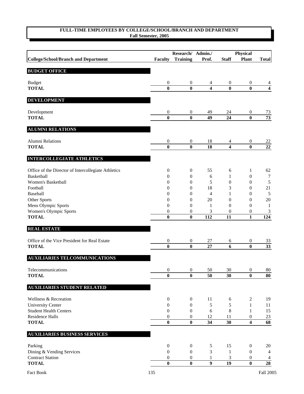|                                                     |                              | Research/ Admin./            |                                  | <b>Physical</b>                      |                                      |                                   |
|-----------------------------------------------------|------------------------------|------------------------------|----------------------------------|--------------------------------------|--------------------------------------|-----------------------------------|
| <b>College/School/Branch and Department</b>         | <b>Faculty</b>               | <b>Training</b>              | Prof.                            | <b>Staff</b>                         | <b>Plant</b>                         | <b>Total</b>                      |
| <b>BUDGET OFFICE</b>                                |                              |                              |                                  |                                      |                                      |                                   |
| <b>Budget</b>                                       | $\mathbf{0}$                 | $\mathbf{0}$                 | 4                                | $\mathbf{0}$                         | $\boldsymbol{0}$                     | 4                                 |
| <b>TOTAL</b>                                        | $\bf{0}$                     | $\bf{0}$                     | 4                                | $\bf{0}$                             | $\bf{0}$                             | 4                                 |
| <b>DEVELOPMENT</b>                                  |                              |                              |                                  |                                      |                                      |                                   |
| Development                                         | $\mathbf{0}$                 | $\boldsymbol{0}$             | 49                               | 24                                   | 0                                    | 73                                |
| <b>TOTAL</b>                                        | $\bf{0}$                     | $\bf{0}$                     | 49                               | 24                                   | $\bf{0}$                             | 73                                |
| <b>ALUMNI RELATIONS</b>                             |                              |                              |                                  |                                      |                                      |                                   |
| Alumni Relations                                    | $\boldsymbol{0}$             | $\boldsymbol{0}$             | 18                               | 4                                    | $\boldsymbol{0}$                     | 22                                |
| <b>TOTAL</b>                                        | $\bf{0}$                     | $\bf{0}$                     | 18                               | 4                                    | $\bf{0}$                             | $\overline{22}$                   |
| <b>INTERCOLLEGIATE ATHLETICS</b>                    |                              |                              |                                  |                                      |                                      |                                   |
| Office of the Director of Intercollegiate Athletics | $\boldsymbol{0}$             | $\boldsymbol{0}$             | 55                               | 6                                    | 1                                    | 62                                |
| Basketball                                          | $\boldsymbol{0}$             | 0                            | 6                                | 1                                    | $\boldsymbol{0}$                     | $\tau$                            |
| Women's Basketball                                  | $\mathbf{0}$                 | 0                            | 5                                | $\mathbf{0}$                         | 0                                    | $\sqrt{5}$                        |
| Football                                            | 0                            | $\boldsymbol{0}$             | 18                               | 3                                    | 0                                    | 21                                |
| Baseball                                            | 0                            | 0                            | 4                                | 1                                    | 0                                    | $\sqrt{5}$                        |
| Other Sports<br>Mens Olympic Sports                 | 0<br>0                       | 0<br>0                       | 20<br>1                          | $\boldsymbol{0}$<br>$\boldsymbol{0}$ | 0<br>0                               | $20\,$<br>-1                      |
| Women's Olympic Sports                              | 0                            | 0                            | 3                                | $\mathbf{0}$                         | 0                                    | 3                                 |
| <b>TOTAL</b>                                        | $\bf{0}$                     | $\bf{0}$                     | 112                              | 11                                   | 1                                    | 124                               |
| <b>REAL ESTATE</b>                                  |                              |                              |                                  |                                      |                                      |                                   |
| Office of the Vice President for Real Estate        | $\boldsymbol{0}$             | $\boldsymbol{0}$             | $27\,$                           | 6                                    | $\boldsymbol{0}$                     | 33                                |
| <b>TOTAL</b>                                        | $\bf{0}$                     | $\bf{0}$                     | 27                               | 6                                    | $\bf{0}$                             | $\overline{33}$                   |
| <b>AUXILIARIES TELCOMMUNICATIONS</b>                |                              |                              |                                  |                                      |                                      |                                   |
| Telecommunications                                  | $\boldsymbol{0}$             | $\overline{0}$               | 50                               | 30                                   | $\overline{0}$                       | $80\,$                            |
| <b>TOTAL</b>                                        | $\bf{0}$                     | $\bf{0}$                     | 50                               | 30                                   | $\bf{0}$                             | 80                                |
| <b>AUXILIARIES STUDENT RELATED</b>                  |                              |                              |                                  |                                      |                                      |                                   |
| Wellness & Recreation                               | $\boldsymbol{0}$             | $\boldsymbol{0}$             | 11                               | 6                                    | 2                                    | 19                                |
| <b>University Center</b>                            | $\boldsymbol{0}$             | $\mathbf{0}$                 | 5                                | 5                                    | $\mathbf{1}$                         | 11                                |
| <b>Student Health Centers</b>                       | $\mathbf{0}$                 | $\boldsymbol{0}$             | 6                                | 8                                    | $\mathbf{1}$                         | 15                                |
| <b>Residence Halls</b>                              | $\boldsymbol{0}$             | $\boldsymbol{0}$             | 12                               | 11                                   | $\boldsymbol{0}$                     | 23                                |
| <b>TOTAL</b>                                        | $\bf{0}$                     | $\boldsymbol{0}$             | 34                               | 30                                   | 4                                    | $\overline{68}$                   |
| <b>AUXILIARIES BUSINESS SERVICES</b>                |                              |                              |                                  |                                      |                                      |                                   |
| Parking                                             | $\boldsymbol{0}$             | $\boldsymbol{0}$             | 5                                | 15                                   | $\boldsymbol{0}$                     | 20                                |
| Dining & Vending Services                           | $\boldsymbol{0}$             | $\boldsymbol{0}$             | 3                                | $\mathbf{1}$                         | $\boldsymbol{0}$                     | $\overline{4}$                    |
| <b>Contract Station</b><br><b>TOTAL</b>             | $\boldsymbol{0}$<br>$\bf{0}$ | $\boldsymbol{0}$<br>$\bf{0}$ | $\mathbf{1}$<br>$\boldsymbol{9}$ | 3<br>19                              | $\boldsymbol{0}$<br>$\boldsymbol{0}$ | $\overline{4}$<br>$\overline{28}$ |
|                                                     |                              |                              |                                  |                                      |                                      |                                   |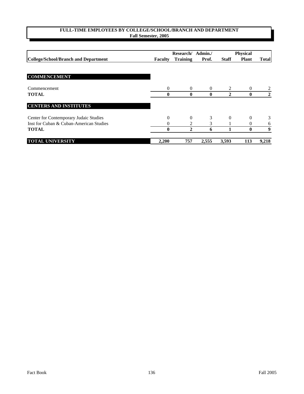|                                         |                | Research/       | Admin./  | <b>Physical</b> |              |                |
|-----------------------------------------|----------------|-----------------|----------|-----------------|--------------|----------------|
| College/School/Branch and Department    | <b>Faculty</b> | <b>Training</b> | Prof.    | <b>Staff</b>    | <b>Plant</b> | <b>Total</b>   |
|                                         |                |                 |          |                 |              |                |
| <b>COMMENCEMENT</b>                     |                |                 |          |                 |              |                |
| Commencement                            | $\Omega$       | $\Omega$        | $\theta$ | 2               | $\theta$     |                |
| <b>TOTAL</b>                            | 0              | $\bf{0}$        | $\bf{0}$ | $\mathbf{2}$    | $\bf{0}$     | $\overline{2}$ |
| <b>CENTERS AND INSTITUTES</b>           |                |                 |          |                 |              |                |
| Center for Contemporary Judaic Studies  | $\Omega$       | 0               | 3        | $\Omega$        | $\theta$     | 3              |
| Inst for Cuban & Cuban-American Studies | 0              | 2               | 3        |                 | $\theta$     | 6              |
| <b>TOTAL</b>                            | 0              | 2               | 6        |                 | $\bf{0}$     | 9              |
| <b>TOTAL UNIVERSITY</b>                 | 2,200          | 757             | 2,555    | 3,593           | 113          | 9,218          |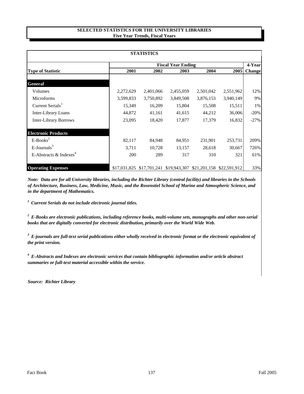## **SELECTED STATISTICS FOR THE UNIVERSITY LIBRARIES Five Year Trends, Fiscal Years**

| <b>STATISTICS</b>                  |                           |           |                                                     |           |           |               |  |  |
|------------------------------------|---------------------------|-----------|-----------------------------------------------------|-----------|-----------|---------------|--|--|
|                                    | <b>Fiscal Year Ending</b> |           |                                                     |           |           |               |  |  |
| <b>Type of Statistic</b>           | 2001                      | 2002      | 2003                                                | 2004      | 2005      | <b>Change</b> |  |  |
| General                            |                           |           |                                                     |           |           |               |  |  |
| Volumes                            | 2,272,629                 | 2,401,066 | 2,455,059                                           | 2,501,042 | 2,551,962 | 12%           |  |  |
| <b>Microforms</b>                  | 3,599,833                 | 3,750,892 | 3,849,508                                           | 3,876,153 | 3,940,149 | 9%            |  |  |
| Current Serials <sup>1</sup>       | 15,349                    | 16,209    | 15,804                                              | 15,508    | 15,511    | 1%            |  |  |
| Inter-Library Loans                | 44,872                    | 41,161    | 41,615                                              | 44,212    | 36,006    | $-20%$        |  |  |
| <b>Inter-Library Borrows</b>       | 23,095                    | 18,420    | 17,877                                              | 17,379    | 16,832    | $-27%$        |  |  |
| <b>Electronic Products</b>         |                           |           |                                                     |           |           |               |  |  |
| $E-Books^2$                        | 82,117                    | 84,948    | 84,951                                              | 231,901   | 253,731   | 209%          |  |  |
| $E$ -Journals <sup>3</sup>         | 3,711                     | 10,728    | 13,157                                              | 28,618    | 30,667    | 726%          |  |  |
| E-Abstracts & Indexes <sup>4</sup> | 200                       | 289       | 317                                                 | 310       | 321       | 61%           |  |  |
| <b>Operating Expenses</b>          | \$17,031,825              |           | \$17,701,241 \$19,943,307 \$21,201,158 \$22,591,912 |           |           | 33%           |  |  |

*Note: Data are for all University libraries, including the Richter Library (central facility) and libraries in the Schools of Architecture, Business, Law, Medicine, Music, and the Rosenstiel School of Marine and Atmospheric Science, and in the department of Mathematics.*

*1 Current Serials do not include electronic journal titles.* 

*2 E-Books are electronic publications, including reference books, multi-volume sets, monographs and other non-serial books that are digitally converted for electronic distribution, primarily over the World Wide Web.*

*3 E-journals are full-text serial publications either wholly received in electronic format or the electronic equivalent of the print version.*

*4 E-Abstracts and Indexes are electronic services that contain bibliographic information and/or article abstract summaries or full-text material accessible within the service.*

*Source: Richter Library*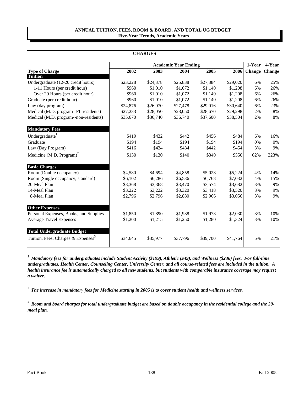## **ANNUAL TUITION, FEES, ROOM & BOARD, AND TOTAL UG BUDGET Five-Year Trends, Academic Years**

| <b>CHARGES</b>                                 |          |                             |          |          |          |     |                      |  |  |
|------------------------------------------------|----------|-----------------------------|----------|----------|----------|-----|----------------------|--|--|
|                                                |          | <b>Academic Year Ending</b> |          |          |          |     | $\overline{4}$ -Year |  |  |
| <b>Type of Charge</b>                          | 2002     | 2003                        | 2004     | 2005     | 2006     |     | <b>Change Change</b> |  |  |
| <b>Tuition</b>                                 |          |                             |          |          |          |     |                      |  |  |
| Undergraduate (12-20 credit hours)             | \$23,228 | \$24,378                    | \$25,838 | \$27,384 | \$29,020 | 6%  | 25%                  |  |  |
| 1-11 Hours (per credit hour)                   | \$960    | \$1,010                     | \$1,072  | \$1,140  | \$1,208  | 6%  | 26%                  |  |  |
| Over 20 Hours (per credit hour)                | \$960    | \$1,010                     | \$1,072  | \$1,140  | \$1,208  | 6%  | 26%                  |  |  |
| Graduate (per credit hour)                     | \$960    | \$1,010                     | \$1,072  | \$1,140  | \$1,208  | 6%  | 26%                  |  |  |
| Law (day program)                              | \$24,876 | \$26,070                    | \$27,478 | \$29,016 | \$30,640 | 6%  | 23%                  |  |  |
| Medical (M.D. program--FL residents)           | \$27,233 | \$28,050                    | \$28,050 | \$28,670 | \$29,298 | 2%  | 8%                   |  |  |
| Medical (M.D. program--non-residents)          | \$35,670 | \$36,740                    | \$36,740 | \$37,600 | \$38,504 | 2%  | 8%                   |  |  |
| <b>Mandatory Fees</b>                          |          |                             |          |          |          |     |                      |  |  |
| Undergraduate <sup>1</sup>                     | \$419    | \$432                       | \$442    | \$456    | \$484    | 6%  | 16%                  |  |  |
| Graduate                                       | \$194    | \$194                       | \$194    | \$194    | \$194    | 0%  | $0\%$                |  |  |
| Law (Day Program)                              | \$416    | \$424                       | \$434    | \$442    | \$454    | 3%  | 9%                   |  |  |
| Medicine (M.D. Program) <sup>2</sup>           | \$130    | \$130                       | \$140    | \$340    | \$550    | 62% | 323%                 |  |  |
| <b>Basic Charges</b>                           |          |                             |          |          |          |     |                      |  |  |
| Room (Double occupancy)                        | \$4,580  | \$4,694                     | \$4,858  | \$5,028  | \$5,224  | 4%  | 14%                  |  |  |
| Room (Single occupancy, standard)              | \$6,102  | \$6,286                     | \$6,536  | \$6,768  | \$7,032  | 4%  | 15%                  |  |  |
| 20-Meal Plan                                   | \$3,368  | \$3,368                     | \$3,470  | \$3,574  | \$3,682  | 3%  | 9%                   |  |  |
| 14-Meal Plan                                   | \$3,222  | \$3,222                     | \$3,320  | \$3,418  | \$3,520  | 3%  | 9%                   |  |  |
| 8-Meal Plan                                    | \$2,796  | \$2,796                     | \$2,880  | \$2,966  | \$3,056  | 3%  | 9%                   |  |  |
| <b>Other Expenses</b>                          |          |                             |          |          |          |     |                      |  |  |
| Personal Expenses, Books, and Supplies         | \$1,850  | \$1,890                     | \$1,938  | \$1,978  | \$2,030  | 3%  | 10%                  |  |  |
| <b>Average Travel Expenses</b>                 | \$1,200  | \$1,215                     | \$1,250  | \$1,280  | \$1,324  | 3%  | 10%                  |  |  |
| <b>Total Undergraduate Budget</b>              |          |                             |          |          |          |     |                      |  |  |
| Tuition, Fees, Charges & Expenses <sup>3</sup> | \$34,645 | \$35,977                    | \$37,796 | \$39,700 | \$41,764 | 5%  | 21%                  |  |  |

*1 Mandatory fees for undergraduates include Student Activity (\$199), Athletic (\$49), and Wellness (\$236) fees. For full-time undergraduates, Health Center, Counseling Center, University Center, and all course-related fees are included in the tuition. A health insurance fee is automatically charged to all new students, but students with comparable insurance coverage may request a waiver.*

*2 The increase in mandatory fees for Medicine starting in 2005 is to cover student health and wellness services.*

*3 Room and board charges for total undergraduate budget are based on double occupancy in the residential college and the 20 meal plan.*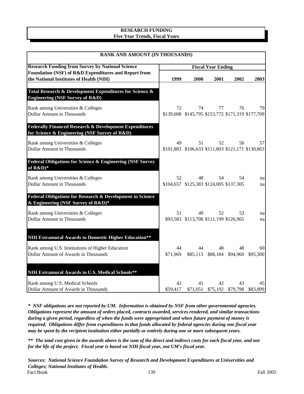# **RESEARCH FUNDING Five Year Trends, Fiscal Years**

| RANK AND AMOUNT (IN THOUSANDS)                                                                                     |                |                                                         |                           |                                           |                |  |  |  |  |
|--------------------------------------------------------------------------------------------------------------------|----------------|---------------------------------------------------------|---------------------------|-------------------------------------------|----------------|--|--|--|--|
| <b>Research Funding from Survey by National Science</b>                                                            |                |                                                         | <b>Fiscal Year Ending</b> |                                           |                |  |  |  |  |
| Foundation (NSF) of R&D Expenditures and Report from<br>the National Institutes of Health (NIH)                    | 1999           | 2000                                                    | 2001                      | 2002                                      | 2003           |  |  |  |  |
| Total Research & Development Expenditures for Science &<br><b>Engineering (NSF Survey of R&amp;D)</b>              |                |                                                         |                           |                                           |                |  |  |  |  |
| Rank among Universities & Colleges<br><b>Dollar Amount in Thousands</b>                                            | 72             | 74<br>\$139,608 \$145,795 \$153,772 \$171,319 \$177,709 | 77                        | 76                                        | 79             |  |  |  |  |
| <b>Federally Financed Research &amp; Development Expenditures</b><br>for Science & Engineering (NSF Survey of R&D) |                |                                                         |                           |                                           |                |  |  |  |  |
| Rank among Universities & Colleges<br><b>Dollar Amount in Thousands</b>                                            | 49             | 51<br>\$101,883 \$106,633 \$111,803 \$121,171 \$130,863 | 52                        | 56                                        | 57             |  |  |  |  |
| Federal Obligations for Science & Engineering (NSF Survey<br>of $R&D)*$                                            |                |                                                         |                           |                                           |                |  |  |  |  |
| Rank among Universities & Colleges<br><b>Dollar Amount in Thousands</b>                                            | 52             | 48<br>\$104,657 \$125,383 \$124,005 \$137,305           | 54                        | 54                                        | na<br>na       |  |  |  |  |
| Federal Obligations for Research & Development in Science<br>& Engineering (NSF Survey of R&D)*                    |                |                                                         |                           |                                           |                |  |  |  |  |
| Rank among Universities & Colleges<br><b>Dollar Amount in Thousands</b>                                            | 51             | 49<br>\$93,583 \$113,708 \$111,199 \$126,965            | 52                        | 53                                        | na<br>na       |  |  |  |  |
| NIH Extramural Awards to Domestic Higher Education**                                                               |                |                                                         |                           |                                           |                |  |  |  |  |
| Rank among U.S. Institutions of Higher Education<br>Dollar Amount of Awards in Thousands                           | 44<br>\$71,969 | 44                                                      | 48                        | 48<br>\$85,113 \$88,184 \$94,960          | 60<br>\$95,300 |  |  |  |  |
| NIH Extramural Awards to U.S. Medical Schools**                                                                    |                |                                                         |                           |                                           |                |  |  |  |  |
| Rank among U.S. Medical Schools<br>Dollar Amount of Awards in Thousands                                            | 42<br>\$59,417 | 41                                                      | 42                        | 43<br>\$71,051 \$75,192 \$79,798 \$83,899 | 45             |  |  |  |  |

*\* NSF obligations are not reported by UM. Information is obtained by NSF from other governmental agencies. Obligations represent the amount of orders placed, contracts awarded, services rendered, and similar transactions during a given period, regardless of when the funds were appropriated and when future payment of money is required. Obligations differ from expenditures in that funds allocated by federal agencies during one fiscal year may be spent by the recipient institution either partially or entirely during one or more subsequent years.*

*\*\* The total cost given in the awards above is the sum of the direct and indirect costs for each fiscal year, and not for the life of the project. Fiscal year is based on NIH fiscal year, not UM's fiscal year.*

*Sources: National Science Foundation Survey of Research and Development Expenditures at Universities and Colleges; National Institutes of Health.* Fact Book Fall 2005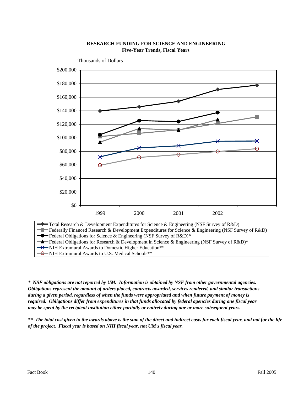

*\* NSF obligations are not reported by UM. Information is obtained by NSF from other governmental agencies. Obligations represent the amount of orders placed, contracts awarded, services rendered, and similar transactions during a given period, regardless of when the funds were appropriated and when future payment of money is required. Obligations differ from expenditures in that funds allocated by federal agencies during one fiscal year may be spent by the recipient institution either partially or entirely during one or more subsequent years.*

*\*\* The total cost given in the awards above is the sum of the direct and indirect costs for each fiscal year, and not for the life of the project. Fiscal year is based on NIH fiscal year, not UM's fiscal year.*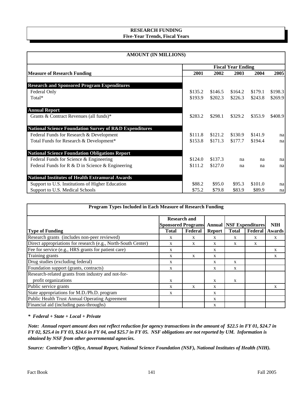# **RESEARCH FUNDING Five-Year Trends, Fiscal Years**

| <b>AMOUNT (IN MILLIONS)</b>                                       |                           |         |         |         |         |  |  |
|-------------------------------------------------------------------|---------------------------|---------|---------|---------|---------|--|--|
|                                                                   | <b>Fiscal Year Ending</b> |         |         |         |         |  |  |
| <b>Measure of Research Funding</b>                                | 2001                      | 2002    | 2003    | 2004    | 2005    |  |  |
| <b>Research and Sponsored Program Expenditures</b>                |                           |         |         |         |         |  |  |
| Federal Only                                                      | \$135.2                   | \$146.5 | \$164.2 | \$179.1 | \$198.3 |  |  |
| Total*                                                            | \$193.9                   | \$202.3 | \$226.3 | \$243.8 | \$269.9 |  |  |
| <b>Annual Report</b>                                              |                           |         |         |         |         |  |  |
| Grants & Contract Revenues (all funds)*                           | \$283.2                   | \$298.1 | \$329.2 | \$353.9 | \$408.9 |  |  |
| <b>National Science Foundation Survey of R&amp;D Expenditures</b> |                           |         |         |         |         |  |  |
| Federal Funds for Research & Development                          | \$111.8                   | \$121.2 | \$130.9 | \$141.9 | na      |  |  |
| Total Funds for Research & Development*                           | \$153.8                   | \$171.3 | \$177.7 | \$194.4 | na      |  |  |
| <b>National Science Foundation Obligations Report</b>             |                           |         |         |         |         |  |  |
| Federal Funds for Science & Engineering                           | \$124.0                   | \$137.3 | na      | na      | na      |  |  |
| Federal Funds for R & D in Science & Engineering                  | \$111.2                   | \$127.0 | na      | na      | nal     |  |  |
| <b>National Institutes of Health Extramural Awards</b>            |                           |         |         |         |         |  |  |
| Support to U.S. Institutions of Higher Education                  | \$88.2                    | \$95.0  | \$95.3  | \$101.0 | na      |  |  |
| Support to U.S. Medical Schools                                   | \$75.2                    | \$79.8  | \$83.9  | \$89.9  | na      |  |  |

| Program Types Included in Each Measure of Research Funding    |                     |         |               |                                                   |         |            |  |  |
|---------------------------------------------------------------|---------------------|---------|---------------|---------------------------------------------------|---------|------------|--|--|
|                                                               | <b>Research and</b> |         |               |                                                   |         |            |  |  |
|                                                               |                     |         |               | <b>Sponsored Programs Annual NSF Expenditures</b> |         | <b>NIH</b> |  |  |
| <b>Type of Funding</b>                                        | <b>Total</b>        | Federal | <b>Report</b> | <b>Total</b>                                      | Federal | Awards     |  |  |
| Research grants (includes non-peer reviewed)                  | X                   | X       | X             | X                                                 | X       | X          |  |  |
| Direct appropriations for research (e.g., North-South Center) | X                   | X       | X             | X                                                 | X       |            |  |  |
| Fee for service (e.g., HRS grants for patient care)           | X                   |         | X             |                                                   |         | X          |  |  |
| Training grants                                               | X                   | X       | X             |                                                   |         | X          |  |  |
| Drug studies (excluding federal)                              | X                   |         | X             | X                                                 |         |            |  |  |
| Foundation support (grants, contracts)                        | $\mathbf{X}$        |         | X             | X                                                 |         |            |  |  |
| Research-related grants from industry and not-for-            |                     |         |               |                                                   |         |            |  |  |
| profit organizations                                          | X                   |         | X             | X                                                 |         |            |  |  |
| Public service grants                                         | X                   | X       | X             |                                                   |         | X          |  |  |
| State appropriations for M.D./Ph.D. program                   | X                   |         | X             |                                                   |         |            |  |  |
| Public Health Trust Annual Operating Agreement                |                     |         | X             |                                                   |         |            |  |  |
| Financial aid (including pass-throughs)                       |                     |         | X             |                                                   |         |            |  |  |

*\* Federal + State + Local + Private*

*Note: Annual report amount does not reflect reduction for agency transactions in the amount of \$22.5 in FY 01, \$24.7 in FY 02, \$25.4 in FY 03, \$24.6 in FY 04, and \$25.7 in FY 05. NSF obligations are not reported by UM. Information is obtained by NSF from other governmental agnecies.*

*Source: Controller's Office, Annual Report, National Science Foundation (NSF), National Institutes of Health (NIH).*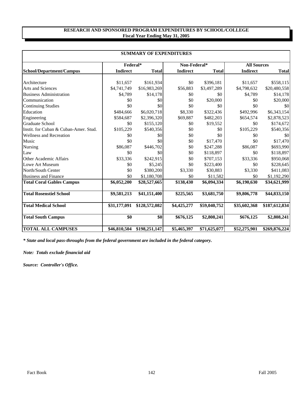## **RESEARCH AND SPONSORED PROGRAM EXPENDITURES BY SCHOOL/COLLEGE Fiscal Year Ending May 31, 2005**

| <b>SUMMARY OF EXPENDITURES</b>        |                 |               |                 |              |                    |               |  |  |
|---------------------------------------|-----------------|---------------|-----------------|--------------|--------------------|---------------|--|--|
|                                       | Federal*        |               | Non-Federal*    |              | <b>All Sources</b> |               |  |  |
| School/Department/Campus              | <b>Indirect</b> | <b>Total</b>  | <b>Indirect</b> | <b>Total</b> | <b>Indirect</b>    | <b>Total</b>  |  |  |
| Architecture                          | \$11,657        | \$161,934     | \$0             | \$396,181    | \$11,657           | \$558,115     |  |  |
| <b>Arts and Sciences</b>              | \$4,741,749     | \$16,983,269  | \$56,883        | \$3,497,289  | \$4,798,632        | \$20,480,558  |  |  |
| <b>Business Administration</b>        | \$4,789         | \$14,178      | \$0             | \$0          | \$4,789            | \$14,178      |  |  |
| Communication                         | \$0             | \$0           | \$0             | \$20,000     | \$0                | \$20,000      |  |  |
| <b>Continuing Studies</b>             | \$0             | \$0           | \$0             | \$0          | \$0                | \$0           |  |  |
| Education                             | \$484,666       | \$6,020,718   | \$8,330         | \$322,436    | \$492,996          | \$6,343,154   |  |  |
| Engineering                           | \$584,687       | \$2,396,320   | \$69,887        | \$482,203    | \$654,574          | \$2,878,523   |  |  |
| <b>Graduate School</b>                | \$0             | \$155,120     | \$0             | \$19,552     | \$0                | \$174,672     |  |  |
| Instit. for Cuban & Cuban-Amer. Stud. | \$105,229       | \$540,356     | \$0             | \$0          | \$105,229          | \$540,356     |  |  |
| <b>Wellness and Recreation</b>        | \$0             | \$0           | \$0             | \$0          | \$0                | \$0           |  |  |
| Music                                 | \$0             | \$0           | \$0             | \$17,470     | \$0                | \$17,470      |  |  |
| Nursing                               | \$86,087        | \$446,702     | \$0             | \$247,288    | \$86,087           | \$693,990     |  |  |
| Law                                   | \$0             | \$0           | \$0             | \$118,897    | \$0                | \$118,897     |  |  |
| Other Academic Affairs                | \$33,336        | \$242,915     | \$0             | \$707,153    | \$33,336           | \$950,068     |  |  |
| Lowe Art Museum                       | \$0             | \$5,245       | \$0             | \$223,400    | \$0                | \$228,645     |  |  |
| North/South Center                    | \$0             | \$380,200     | \$3,330         | \$30,883     | \$3,330            | \$411,083     |  |  |
| <b>Business and Finance</b>           | \$0             | \$1,180,708   | \$0             | \$11,582     | \$0                | \$1,192,290   |  |  |
| <b>Total Coral Gables Campus</b>      | \$6,052,200     | \$28,527,665  | \$138,430       | \$6,094,334  | \$6,190,630        | \$34,621,999  |  |  |
| <b>Total Rosenstiel School</b>        | \$9,581,213     | \$41,151,400  | \$225,565       | \$3,681,750  | \$9,806,778        | \$44,833,150  |  |  |
| <b>Total Medical School</b>           | \$31,177,091    | \$128,572,082 | \$4,425,277     | \$59,040,752 | \$35,602,368       | \$187,612,834 |  |  |
| <b>Total South Campus</b>             | \$0             | \$0           | \$676,125       | \$2,808,241  | \$676,125          | \$2,808,241   |  |  |
| <b>TOTAL ALL CAMPUSES</b>             | \$46,810,504    | \$198,251,147 | \$5,465,397     | \$71,625,077 | \$52,275,901       | \$269,876,224 |  |  |

*\* State and local pass-throughs from the federal government are included in the federal category.*

*Note: Totals exclude financial aid*

*Source: Controller's Office.*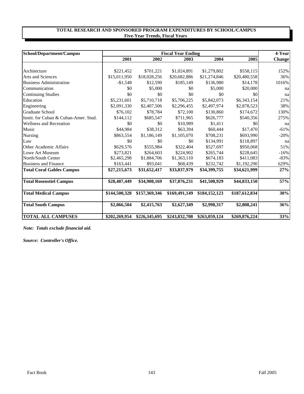## **TOTAL RESEARCH AND SPONSORED PROGRAM EXPENDITURES BY SCHOOL/CAMPUS Five-Year Trends, Fiscal Years**

| School/Department/Campus              |               | <b>Fiscal Year Ending</b> |               |               |               |        |  |
|---------------------------------------|---------------|---------------------------|---------------|---------------|---------------|--------|--|
|                                       | 2001          | 2002                      | 2003          | 2004          | 2005          | Change |  |
|                                       |               |                           |               |               |               |        |  |
| Architecture                          | \$221,452     | \$701,221                 | \$1,024,891   | \$1,279,802   | \$558,115     | 152%   |  |
| <b>Arts and Sciences</b>              | \$15,011,950  | \$18,028,256              | \$20,682,886  | \$21,274,846  | \$20,480,558  | 36%    |  |
| <b>Business Administration</b>        | $-$1,548$     | \$12,590                  | \$185,149     | \$136,980     | \$14,178      | 1016%  |  |
| Communication                         | \$0           | \$5,000                   | \$0           | \$5,000       | \$20,000      | na     |  |
| <b>Continuing Studies</b>             | \$0           | \$0                       | \$0           | \$0           | \$0           | na     |  |
| Education                             | \$5,231,601   | \$5,710,718               | \$5,706,225   | \$5,842,073   | \$6,343,154   | 21%    |  |
| Engineering                           | \$2,091,330   | \$2,407,506               | \$2,296,455   | \$2,497,974   | \$2,878,523   | 38%    |  |
| Graduate School                       | \$76,102      | \$78,784                  | \$72,100      | \$130,860     | \$174,672     | 130%   |  |
| Instit. for Cuban & Cuban-Amer. Stud. | \$144,112     | \$685,547                 | \$711,965     | \$626,777     | \$540,356     | 275%   |  |
| <b>Wellness and Recreation</b>        | \$0           | \$0                       | \$10,989      | \$1,411       | \$0           | na     |  |
| Music                                 | \$44,984      | \$38,312                  | \$63,394      | \$60,444      | \$17,470      | $-61%$ |  |
| <b>Nursing</b>                        | \$863,554     | \$1,186,149               | \$1,105,070   | \$708,231     | \$693,990     | $-20%$ |  |
| Law                                   | \$0           | \$0                       | \$0           | \$134,991     | \$118,897     | na     |  |
| Other Academic Affairs                | \$629,576     | \$555,984                 | \$322,404     | \$527,697     | \$950,068     | 51%    |  |
| Lowe Art Museum                       | \$273,821     | \$264,603                 | \$224,902     | \$265,744     | \$228,645     | $-16%$ |  |
| North/South Center                    | \$2,465,298   | \$1,884,706               | \$1,363,110   | \$674,183     | \$411,083     | $-83%$ |  |
| <b>Business and Finance</b>           | \$163,441     | \$93,041                  | \$68,439      | \$232,742     | \$1,192,290   | 629%   |  |
| <b>Total Coral Gables Campus</b>      | \$27,215,673  | \$31,652,417              | \$33,837,979  | \$34,399,755  | \$34,621,999  | 27%    |  |
| <b>Total Rosenstiel Campus</b>        | \$28,487,449  | \$34,908,169              | \$37,876,231  | \$41,508,929  | \$44,833,150  | 57%    |  |
| <b>Total Medical Campus</b>           | \$144,500,328 | \$157,369,346             | \$169,491,149 | \$184,152,123 | \$187,612,834 | 30%    |  |
| <b>Total South Campus</b>             | \$2,066,504   | \$2,415,763               | \$2,627,349   | \$2,998,317   | \$2,808,241   | 36%    |  |
| <b>TOTAL ALL CAMPUSES</b>             | \$202,269,954 | \$226,345,695             | \$243,832,708 | \$263,059,124 | \$269,876,224 | 33%    |  |

*Note: Totals exclude financial aid.*

*Source: Controller's Office.*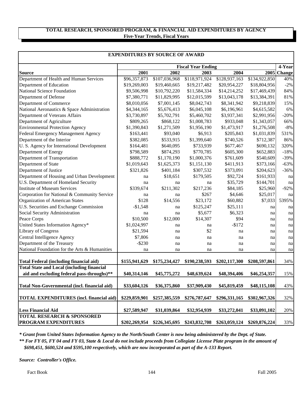# **TOTAL RESEARCH, SPONSORED PROGRAM, & FINANCIAL AID EXPENDITURES BY AGENCY Five-Year Trends, Fiscal Years**

| <b>EXPENDITURES BY SOURCE OF AWARD</b>            |                           |               |               |               |               |                       |  |  |
|---------------------------------------------------|---------------------------|---------------|---------------|---------------|---------------|-----------------------|--|--|
|                                                   | <b>Fiscal Year Ending</b> |               |               |               |               |                       |  |  |
| <b>Source</b>                                     | 2001                      | 2002          | 2003          | 2004          |               | 4-Year<br>2005 Change |  |  |
| Department of Health and Human Services           | \$96,357,873              | \$107,036,968 | \$118,971,924 | \$128,937,163 | \$134,922,850 | 40%                   |  |  |
| Department of Education                           | \$19,269,003              | \$19,460,665  | \$19,217,482  | \$20,954,227  | \$18,804,956  | $-2%$                 |  |  |
| <b>National Science Foundation</b>                | \$9,506,998               | \$10,792,220  | \$11,584,334  | \$14,214,252  | \$17,469,439  | 84%                   |  |  |
| Department of Defense                             | \$7,380,771               | \$11,829,995  | \$12,015,599  | \$13,043,178  | \$13,384,391  | 81%                   |  |  |
| Department of Commerce                            | \$8,010,056               | \$7,001,145   | \$8,042,743   | \$8,341,942   | \$9,218,839   | 15%                   |  |  |
| National Aeronautics & Space Administration       | \$4,344,165               | \$5,676,413   | \$6,045,108   | \$6,196,961   | \$4,615,582   | 6%                    |  |  |
| Department of Veterans Affairs                    | \$3,730,897               | \$5,702,791   | \$5,460,702   | \$3,937,341   | \$2,991,956   | $-20%$                |  |  |
| Department of Agriculture                         | \$809,265                 | \$868,122     | \$1,008,783   | \$933,048     | \$1,343,057   | 66%                   |  |  |
| <b>Environmental Protection Agency</b>            | \$1,390,843               | \$1,271,509   | \$1,956,190   | \$1,473,917   | \$1,276,508   | $-8%$                 |  |  |
| Federal Emergency Management Agency               | \$163,441                 | \$93,040      | \$6,913       | \$205,843     | \$1,031,839   | 531%                  |  |  |
| Department of the Interior                        | \$382,085                 | \$533,915     | \$1,399,640   | \$740,526     | \$712,387     | 86%                   |  |  |
| U. S. Agency for International Development        | \$164,481                 | \$640,095     | \$733,939     | \$677,467     | \$690,132     | 320%                  |  |  |
| Department of Energy                              | \$798,589                 | \$874,293     | \$770,785     | \$605,300     | \$652,883     | $-18%$                |  |  |
| Department of Transportation                      | \$888,772                 | \$1,170,190   | \$1,000,376   | \$761,609     | \$540,609     | $-39%$                |  |  |
| Department of State                               | \$1,019,643               | \$1,625,373   | \$1,151,130   | \$411,913     | \$373,166     | $-63%$                |  |  |
| Department of Justice                             | \$321,826                 | \$401,184     | \$307,532     | \$373,091     | \$204,623     | $-36%$                |  |  |
| Department of Housing and Urban Development       | na                        | \$18,651      | \$179,505     | \$92,724      | \$161,933     | na                    |  |  |
| U.S. Department of Homeland Security              | na                        | na            | na            | \$35,729      | \$144,701     | na                    |  |  |
| <b>Institute of Museum Services</b>               | \$339,674                 | \$211,302     | \$217,236     | \$84,185      | \$25,960      | $-92%$                |  |  |
| Corporation for National & Community Service      | na                        | na            | \$267         | \$4,646       | \$25,017      | na                    |  |  |
| Organization of American States                   | \$128                     | \$14,556      | \$23,172      | \$60,882      | \$7,033       | 5395%                 |  |  |
| U.S. Securities and Exchange Commission           | $-$1,548$                 | na            | \$125,247     | \$25,111      | na            | na                    |  |  |
| Social Security Administration                    | na                        | na            | \$5,677       | \$6,323       | na            | na                    |  |  |
| Peace Corps                                       | \$10,500                  | \$12,000      | \$14,307      | \$94          | na            | na                    |  |  |
| United States Information Agency*                 | \$1,024,997               | na            | na            | $-$172$       | na            | na                    |  |  |
| <b>Library of Congress</b>                        | \$21,594                  | na            | \$2           | na            | na            | na                    |  |  |
| Central Intelligence Agency                       | \$7,806                   | na            | na            | na            | na            | na                    |  |  |
| Department of the Treasury                        | $-$ \$230                 | na            | na            | na            | na            | na                    |  |  |
| National Foundation for the Arts & Humanities     | na                        | na            | na            | na            | na            | na                    |  |  |
|                                                   |                           |               |               |               |               |                       |  |  |
| <b>Total Federal (including financial aid)</b>    | \$155,941,629             | \$175,234,427 | \$190,238,593 | \$202,117,300 | \$208,597,861 | 34%                   |  |  |
| <b>Total State and Local (including financial</b> |                           |               |               |               |               |                       |  |  |
| aid and excluding federal pass-throughs)**        | \$40,314,146              | \$45,775,272  | \$48,639,624  | \$48,394,406  | \$46,254,357  | 15%                   |  |  |
| Total Non-Governmental (incl. financial aid)      | \$33,604,126              | \$36,375,860  | \$37,909,430  | \$45,819,459  | \$48,115,108  | 43%                   |  |  |
| <b>TOTAL EXPENDITURES</b> (incl. financial aid)   | \$229,859,901             | \$257,385,559 | \$276,787,647 | \$296,331,165 | \$302,967,326 | 32%                   |  |  |
| <b>Less Financial Aid</b>                         | \$27,589,947              | \$31,039,864  | \$32,954,939  | \$33,272,041  | \$33,091,102  | 20%                   |  |  |
| <b>TOTAL RESEARCH &amp; SPONSORED</b>             |                           |               |               |               |               |                       |  |  |
| <b>PROGRAM EXPENDITURES</b>                       | \$202,269,954             | \$226,345,695 | \$243,832,708 | \$263,059,124 | \$269,876,224 | 33%                   |  |  |

*\* Grant from United States Information Agency to the North/South Center is now being administered by the Dept. of State.*

 *\$698,451, \$600,524 and \$595,100 respectively, which are now incorporated as part of the A-133 Report. \*\* For FY 05, FY 04 and FY 03, State & Local do not include proceeds from Collegiate License Plate program in the amount of* 

*Source: Controller's Office.*